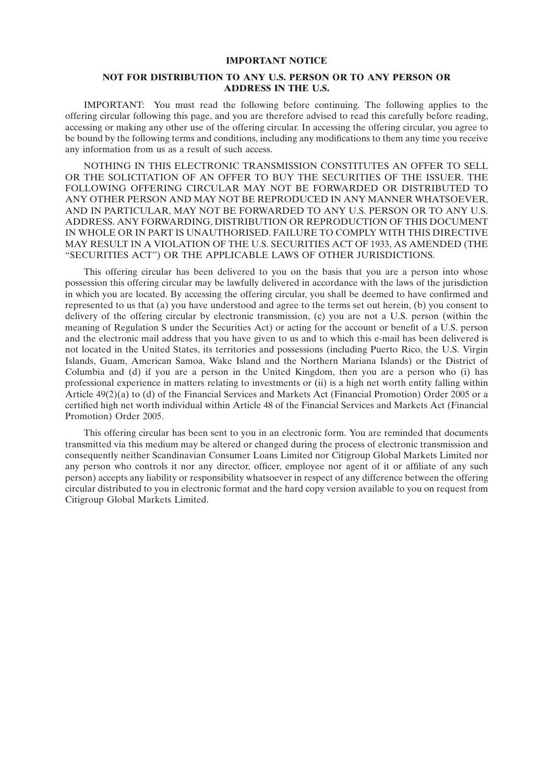#### **IMPORTANT NOTICE**

### **NOT FOR DISTRIBUTION TO ANY U.S. PERSON OR TO ANY PERSON OR ADDRESS IN THE U.S.**

IMPORTANT: You must read the following before continuing. The following applies to the offering circular following this page, and you are therefore advised to read this carefully before reading, accessing or making any other use of the offering circular. In accessing the offering circular, you agree to be bound by the following terms and conditions, including any modifications to them any time you receive any information from us as a result of such access.

NOTHING IN THIS ELECTRONIC TRANSMISSION CONSTITUTES AN OFFER TO SELL OR THE SOLICITATION OF AN OFFER TO BUY THE SECURITIES OF THE ISSUER. THE FOLLOWING OFFERING CIRCULAR MAY NOT BE FORWARDED OR DISTRIBUTED TO ANY OTHER PERSON AND MAY NOT BE REPRODUCED IN ANY MANNER WHATSOEVER, AND IN PARTICULAR, MAY NOT BE FORWARDED TO ANY U.S. PERSON OR TO ANY U.S. ADDRESS. ANY FORWARDING, DISTRIBUTION OR REPRODUCTION OF THIS DOCUMENT IN WHOLE OR IN PART IS UNAUTHORISED. FAILURE TO COMPLY WITH THIS DIRECTIVE MAY RESULT IN A VIOLATION OF THE U.S. SECURITIES ACT OF 1933, AS AMENDED (THE ''SECURITIES ACT'') OR THE APPLICABLE LAWS OF OTHER JURISDICTIONS.

This offering circular has been delivered to you on the basis that you are a person into whose possession this offering circular may be lawfully delivered in accordance with the laws of the jurisdiction in which you are located. By accessing the offering circular, you shall be deemed to have confirmed and represented to us that (a) you have understood and agree to the terms set out herein, (b) you consent to delivery of the offering circular by electronic transmission, (c) you are not a U.S. person (within the meaning of Regulation S under the Securities Act) or acting for the account or benefit of a U.S. person and the electronic mail address that you have given to us and to which this e-mail has been delivered is not located in the United States, its territories and possessions (including Puerto Rico, the U.S. Virgin Islands, Guam, American Samoa, Wake Island and the Northern Mariana Islands) or the District of Columbia and (d) if you are a person in the United Kingdom, then you are a person who (i) has professional experience in matters relating to investments or (ii) is a high net worth entity falling within Article 49(2)(a) to (d) of the Financial Services and Markets Act (Financial Promotion) Order 2005 or a certified high net worth individual within Article 48 of the Financial Services and Markets Act (Financial Promotion) Order 2005.

This offering circular has been sent to you in an electronic form. You are reminded that documents transmitted via this medium may be altered or changed during the process of electronic transmission and consequently neither Scandinavian Consumer Loans Limited nor Citigroup Global Markets Limited nor any person who controls it nor any director, officer, employee nor agent of it or affiliate of any such person) accepts any liability or responsibility whatsoever in respect of any difference between the offering circular distributed to you in electronic format and the hard copy version available to you on request from Citigroup Global Markets Limited.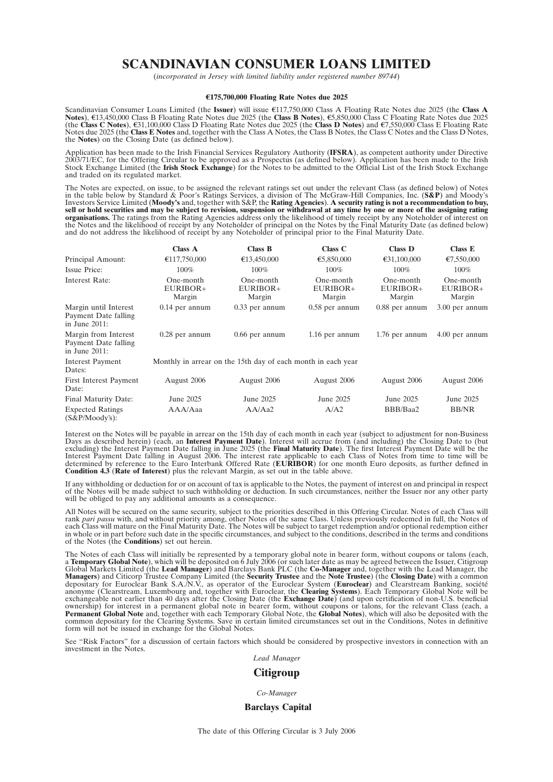# **SCANDINAVIAN CONSUMER LOANS LIMITED**

(*incorporated in Jersey with limited liability under registered number 89744*)

#### w**175,700,000 Floating Rate Notes due 2025**

Scandinavian Consumer Loans Limited (the **Issuer**) will issue €117,750,000 Class A Floating Rate Notes due 2025 (the Class A Notes), €13,450,000 Class B Floating Rate Notes due 2025 (the **Class C Notes**), €31,100,000 Class D Floating Rate Notes due 2025 (the **Class D Notes**) and €7,550,000 Class E Floating Rate Notes due 2025 (the **Class E Notes** and, together with the Class A Notes, the Class B Notes, the Class C Notes and the Class D Notes, the **Notes**) on the Closing Date (as defined below).

Application has been made to the Irish Financial Services Regulatory Authority (**IFSRA**), as competent authority under Directive<br>2003/71/EC, for the Offering Circular to be approved as a Prospectus (as defined below). Appl and traded on its regulated market.

The Notes are expected, on issue, to be assigned the relevant ratings set out under the relevant Class (as defined below) of Notes in the table below by Standard & Poor's Ratings Services, a division of The McGraw-Hill Companies, Inc. (S&P) and Moody's<br>Investors Service Limited (Moody's and, together with S&P, the Rating Agencies). A security rating i **organisations.** The ratings from the Rating Agencies address only the likelihood of timely receipt by any Noteholder of interest on<br>the Notes and the likelihood of receipt by any Noteholder of principal on the Notes by th

|                                                                   | <b>Class A</b>                    | <b>Class B</b>                                               | Class C                         | <b>Class D</b>                  | Class E                         |
|-------------------------------------------------------------------|-----------------------------------|--------------------------------------------------------------|---------------------------------|---------------------------------|---------------------------------|
| Principal Amount:                                                 | €117,750,000                      | €13,450,000                                                  | €5,850,000                      | €31,100,000                     | €7,550,000                      |
| Issue Price:                                                      | 100%                              | $100\%$                                                      | $100\%$                         | $100\%$                         | 100%                            |
| Interest Rate:                                                    | One-month<br>$EURIBOR+$<br>Margin | One-month<br>EURIBOR+<br>Margin                              | One-month<br>EURIBOR+<br>Margin | One-month<br>EURIBOR+<br>Margin | One-month<br>EURIBOR+<br>Margin |
| Margin until Interest<br>Payment Date falling<br>in June $2011$ : | $0.14$ per annum                  | $0.33$ per annum                                             | $0.58$ per annum                | $0.88$ per annum                | 3.00 per annum                  |
| Margin from Interest<br>Payment Date falling<br>in June $2011$ :  | $0.28$ per annum                  | $0.66$ per annum                                             | 1.16 per annum                  | 1.76 per annum                  | 4.00 per annum                  |
| <b>Interest Payment</b><br>Dates:                                 |                                   | Monthly in arrear on the 15th day of each month in each year |                                 |                                 |                                 |
| First Interest Payment<br>Date:                                   | August 2006                       | August 2006                                                  | August 2006                     | August 2006                     | August 2006                     |
| Final Maturity Date:                                              | June 2025                         | June 2025                                                    | June 2025                       | June 2025                       | June 2025                       |
| <b>Expected Ratings</b><br>$(S\&P/Moody's):$                      | AAA/Aaa                           | AA/Aa2                                                       | A/A2                            | BBB/Baa2                        | <b>BB/NR</b>                    |

Interest on the Notes will be payable in arrear on the 15th day of each month in each year (subject to adjustment for non-Business<br>Days as described herein) (each, an **Interest Payment Date**). Interest will accrue from (an excluding) the Interest Payment Date falling in June 2025 (the **Final Maturity Date**). The first Interest Payment Date will be the Interest Payment Date falling in August 2006. The interest rate applicable to each Class of Notes from time to time will be<br>determined by reference to the Euro Interbank Offered Rate (**EURIBOR**) for one month Euro deposits **Condition 4.3** (**Rate of Interest**) plus the relevant Margin, as set out in the table above.

If any withholding or deduction for or on account of tax is applicable to the Notes, the payment of interest on and principal in respect<br>of the Notes will be made subject to such withholding or deduction. In such circumsta

All Notes will be secured on the same security, subject to the priorities described in this Offering Circular. Notes of each Class will<br>rank *pari passu* with, and without priority among, other Notes of the same Class. Unl in whole or in part before such date in the specific circumstances, and subject to the conditions, described in the terms and conditions of the Notes (the **Conditions**) set out herein.

The Notes of each Class will initially be represented by a temporary global note in bearer form, without coupons or talons (each, a **Temporary Global Note**), which will be deposited on 6 July 2006 (or such later date as ma exchangeable not earlier than 40 days after the Closing Date (the Exchange Date) (and upon certification of non-U.S. beneficial<br>ownership) for interest in a permanent global note in bearer form, without coupons or talons, common depositary for the Clearing Systems. Save in certain limited circumstances set out in the Conditions, Notes in definitive form will not be issued in exchange for the Global Notes.

See "Risk Factors" for a discussion of certain factors which should be considered by prospective investors in connection with an investment in the Notes.

### *Lead Manager*

### **Citigroup**

#### *Co-Manager*

### **Barclays Capital**

The date of this Offering Circular is 3 July 2006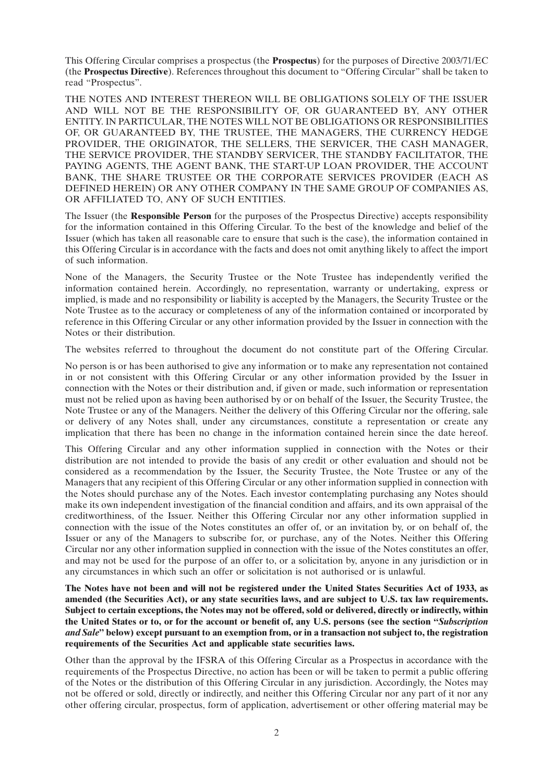This Offering Circular comprises a prospectus (the **Prospectus**) for the purposes of Directive 2003/71/EC (the **Prospectus Directive**). References throughout this document to ''Offering Circular'' shall be taken to read ''Prospectus''.

THE NOTES AND INTEREST THEREON WILL BE OBLIGATIONS SOLELY OF THE ISSUER AND WILL NOT BE THE RESPONSIBILITY OF, OR GUARANTEED BY, ANY OTHER ENTITY. IN PARTICULAR, THE NOTES WILL NOT BE OBLIGATIONS OR RESPONSIBILITIES OF, OR GUARANTEED BY, THE TRUSTEE, THE MANAGERS, THE CURRENCY HEDGE PROVIDER, THE ORIGINATOR, THE SELLERS, THE SERVICER, THE CASH MANAGER, THE SERVICE PROVIDER, THE STANDBY SERVICER, THE STANDBY FACILITATOR, THE PAYING AGENTS, THE AGENT BANK, THE START-UP LOAN PROVIDER, THE ACCOUNT BANK, THE SHARE TRUSTEE OR THE CORPORATE SERVICES PROVIDER (EACH AS DEFINED HEREIN) OR ANY OTHER COMPANY IN THE SAME GROUP OF COMPANIES AS, OR AFFILIATED TO, ANY OF SUCH ENTITIES.

The Issuer (the **Responsible Person** for the purposes of the Prospectus Directive) accepts responsibility for the information contained in this Offering Circular. To the best of the knowledge and belief of the Issuer (which has taken all reasonable care to ensure that such is the case), the information contained in this Offering Circular is in accordance with the facts and does not omit anything likely to affect the import of such information.

None of the Managers, the Security Trustee or the Note Trustee has independently verified the information contained herein. Accordingly, no representation, warranty or undertaking, express or implied, is made and no responsibility or liability is accepted by the Managers, the Security Trustee or the Note Trustee as to the accuracy or completeness of any of the information contained or incorporated by reference in this Offering Circular or any other information provided by the Issuer in connection with the Notes or their distribution.

The websites referred to throughout the document do not constitute part of the Offering Circular.

No person is or has been authorised to give any information or to make any representation not contained in or not consistent with this Offering Circular or any other information provided by the Issuer in connection with the Notes or their distribution and, if given or made, such information or representation must not be relied upon as having been authorised by or on behalf of the Issuer, the Security Trustee, the Note Trustee or any of the Managers. Neither the delivery of this Offering Circular nor the offering, sale or delivery of any Notes shall, under any circumstances, constitute a representation or create any implication that there has been no change in the information contained herein since the date hereof.

This Offering Circular and any other information supplied in connection with the Notes or their distribution are not intended to provide the basis of any credit or other evaluation and should not be considered as a recommendation by the Issuer, the Security Trustee, the Note Trustee or any of the Managers that any recipient of this Offering Circular or any other information supplied in connection with the Notes should purchase any of the Notes. Each investor contemplating purchasing any Notes should make its own independent investigation of the financial condition and affairs, and its own appraisal of the creditworthiness, of the Issuer. Neither this Offering Circular nor any other information supplied in connection with the issue of the Notes constitutes an offer of, or an invitation by, or on behalf of, the Issuer or any of the Managers to subscribe for, or purchase, any of the Notes. Neither this Offering Circular nor any other information supplied in connection with the issue of the Notes constitutes an offer, and may not be used for the purpose of an offer to, or a solicitation by, anyone in any jurisdiction or in any circumstances in which such an offer or solicitation is not authorised or is unlawful.

**The Notes have not been and will not be registered under the United States Securities Act of 1933, as amended (the Securities Act), or any state securities laws, and are subject to U.S. tax law requirements. Subject to certain exceptions, the Notes may not be offered, sold or delivered, directly or indirectly, within the United States or to, or for the account or benefit of, any U.S. persons (see the section ''***Subscription and Sale***'' below) except pursuant to an exemption from, or in a transaction not subject to, the registration requirements of the Securities Act and applicable state securities laws.**

Other than the approval by the IFSRA of this Offering Circular as a Prospectus in accordance with the requirements of the Prospectus Directive, no action has been or will be taken to permit a public offering of the Notes or the distribution of this Offering Circular in any jurisdiction. Accordingly, the Notes may not be offered or sold, directly or indirectly, and neither this Offering Circular nor any part of it nor any other offering circular, prospectus, form of application, advertisement or other offering material may be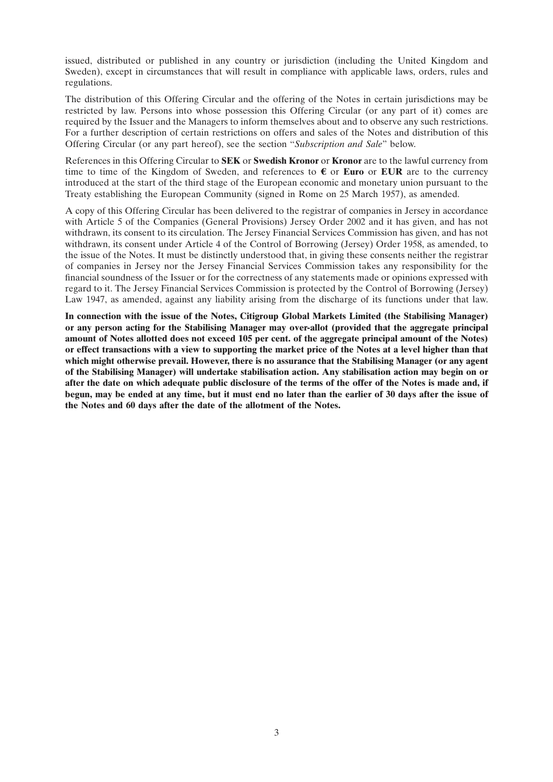issued, distributed or published in any country or jurisdiction (including the United Kingdom and Sweden), except in circumstances that will result in compliance with applicable laws, orders, rules and regulations.

The distribution of this Offering Circular and the offering of the Notes in certain jurisdictions may be restricted by law. Persons into whose possession this Offering Circular (or any part of it) comes are required by the Issuer and the Managers to inform themselves about and to observe any such restrictions. For a further description of certain restrictions on offers and sales of the Notes and distribution of this Offering Circular (or any part hereof), see the section ''*Subscription and Sale*'' below.

References in this Offering Circular to **SEK** or **Swedish Kronor** or **Kronor** are to the lawful currency from time to time of the Kingdom of Sweden, and references to  $\epsilon$  or **Euro** or **EUR** are to the currency introduced at the start of the third stage of the European economic and monetary union pursuant to the Treaty establishing the European Community (signed in Rome on 25 March 1957), as amended.

A copy of this Offering Circular has been delivered to the registrar of companies in Jersey in accordance with Article 5 of the Companies (General Provisions) Jersey Order 2002 and it has given, and has not withdrawn, its consent to its circulation. The Jersey Financial Services Commission has given, and has not withdrawn, its consent under Article 4 of the Control of Borrowing (Jersey) Order 1958, as amended, to the issue of the Notes. It must be distinctly understood that, in giving these consents neither the registrar of companies in Jersey nor the Jersey Financial Services Commission takes any responsibility for the financial soundness of the Issuer or for the correctness of any statements made or opinions expressed with regard to it. The Jersey Financial Services Commission is protected by the Control of Borrowing (Jersey) Law 1947, as amended, against any liability arising from the discharge of its functions under that law.

**In connection with the issue of the Notes, Citigroup Global Markets Limited (the Stabilising Manager) or any person acting for the Stabilising Manager may over-allot (provided that the aggregate principal amount of Notes allotted does not exceed 105 per cent. of the aggregate principal amount of the Notes) or effect transactions with a view to supporting the market price of the Notes at a level higher than that which might otherwise prevail. However, there is no assurance that the Stabilising Manager (or any agent of the Stabilising Manager) will undertake stabilisation action. Any stabilisation action may begin on or after the date on which adequate public disclosure of the terms of the offer of the Notes is made and, if begun, may be ended at any time, but it must end no later than the earlier of 30 days after the issue of the Notes and 60 days after the date of the allotment of the Notes.**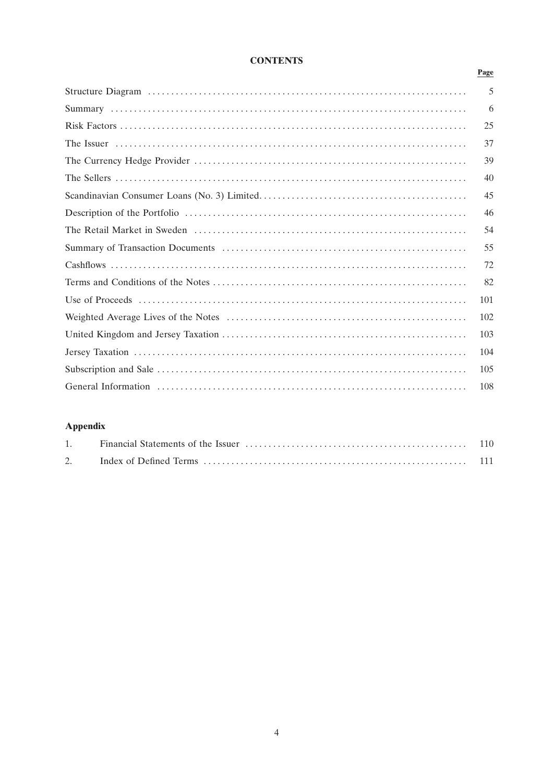## **CONTENTS**

Page

| 5   |
|-----|
| 6   |
| 25  |
| 37  |
| 39  |
| 40  |
| 45  |
| 46  |
| 54  |
| 55  |
| 72  |
| 82  |
| 101 |
| 102 |
| 103 |
| 104 |
| 105 |
| 108 |
|     |

# **Appendix**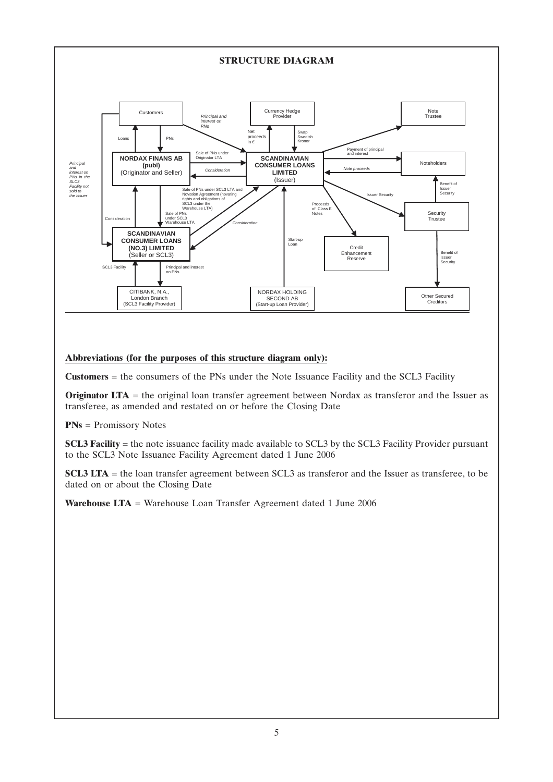

### **Abbreviations (for the purposes of this structure diagram only):**

**Customers** = the consumers of the PNs under the Note Issuance Facility and the SCL3 Facility

**Originator LTA** = the original loan transfer agreement between Nordax as transferor and the Issuer as transferee, as amended and restated on or before the Closing Date

**PNs** = Promissory Notes

**SCL3 Facility** = the note issuance facility made available to SCL3 by the SCL3 Facility Provider pursuant to the SCL3 Note Issuance Facility Agreement dated 1 June 2006

**SCL3 LTA** = the loan transfer agreement between SCL3 as transferor and the Issuer as transferee, to be dated on or about the Closing Date

**Warehouse LTA** = Warehouse Loan Transfer Agreement dated 1 June 2006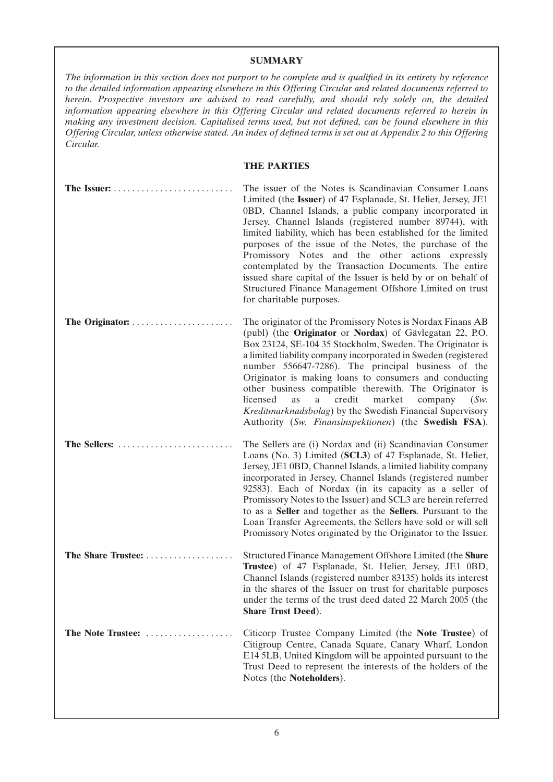### **SUMMARY**

*The information in this section does not purport to be complete and is qualified in its entirety by reference to the detailed information appearing elsewhere in this Offering Circular and related documents referred to herein. Prospective investors are advised to read carefully, and should rely solely on, the detailed information appearing elsewhere in this Offering Circular and related documents referred to herein in making any investment decision. Capitalised terms used, but not defined, can be found elsewhere in this Offering Circular, unless otherwise stated. An index of defined terms is set out at Appendix 2 to this Offering Circular.*

### **THE PARTIES**

| The Issuer: $\ldots$ , $\ldots$ , $\ldots$ , $\ldots$ , $\ldots$ , $\ldots$ , $\ldots$ | The issuer of the Notes is Scandinavian Consumer Loans<br>Limited (the Issuer) of 47 Esplanade, St. Helier, Jersey, JE1<br>0BD, Channel Islands, a public company incorporated in<br>Jersey, Channel Islands (registered number 89744), with<br>limited liability, which has been established for the limited<br>purposes of the issue of the Notes, the purchase of the<br>Promissory Notes and the other actions expressly<br>contemplated by the Transaction Documents. The entire<br>issued share capital of the Issuer is held by or on behalf of<br>Structured Finance Management Offshore Limited on trust<br>for charitable purposes. |
|----------------------------------------------------------------------------------------|-----------------------------------------------------------------------------------------------------------------------------------------------------------------------------------------------------------------------------------------------------------------------------------------------------------------------------------------------------------------------------------------------------------------------------------------------------------------------------------------------------------------------------------------------------------------------------------------------------------------------------------------------|
| The Originator:                                                                        | The originator of the Promissory Notes is Nordax Finans AB<br>(publ) (the Originator or Nordax) of Gävlegatan 22, P.O.<br>Box 23124, SE-104 35 Stockholm, Sweden. The Originator is<br>a limited liability company incorporated in Sweden (registered<br>number 556647-7286). The principal business of the<br>Originator is making loans to consumers and conducting<br>other business compatible therewith. The Originator is<br>licensed<br>as<br>credit<br>market<br>company<br>a<br>(Sw)<br>Kreditmarknadsbolag) by the Swedish Financial Supervisory<br>Authority (Sw. Finansinspektionen) (the Swedish FSA).                           |
| The Sellers:                                                                           | The Sellers are (i) Nordax and (ii) Scandinavian Consumer<br>Loans (No. 3) Limited (SCL3) of 47 Esplanade, St. Helier,<br>Jersey, JE1 0BD, Channel Islands, a limited liability company<br>incorporated in Jersey, Channel Islands (registered number<br>92583). Each of Nordax (in its capacity as a seller of<br>Promissory Notes to the Issuer) and SCL3 are herein referred<br>to as a Seller and together as the Sellers. Pursuant to the<br>Loan Transfer Agreements, the Sellers have sold or will sell<br>Promissory Notes originated by the Originator to the Issuer.                                                                |
| The Share Trustee:                                                                     | Structured Finance Management Offshore Limited (the Share<br>Trustee) of 47 Esplanade, St. Helier, Jersey, JE1 0BD,<br>Channel Islands (registered number 83135) holds its interest<br>in the shares of the Issuer on trust for charitable purposes<br>under the terms of the trust deed dated 22 March 2005 (the<br><b>Share Trust Deed).</b>                                                                                                                                                                                                                                                                                                |
| The Note Trustee:                                                                      | Citicorp Trustee Company Limited (the Note Trustee) of<br>Citigroup Centre, Canada Square, Canary Wharf, London<br>E14 5LB, United Kingdom will be appointed pursuant to the<br>Trust Deed to represent the interests of the holders of the<br>Notes (the Noteholders).                                                                                                                                                                                                                                                                                                                                                                       |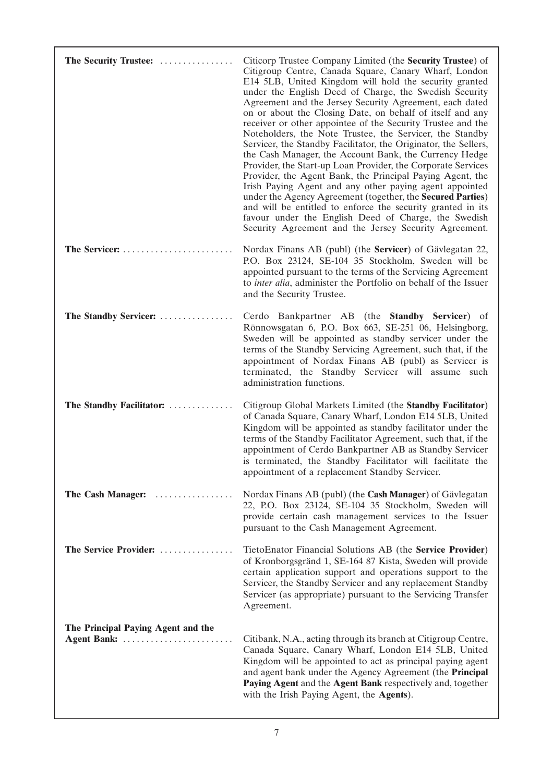| The Security Trustee:                             | Citicorp Trustee Company Limited (the <b>Security Trustee</b> ) of<br>Citigroup Centre, Canada Square, Canary Wharf, London<br>E14 5LB, United Kingdom will hold the security granted<br>under the English Deed of Charge, the Swedish Security<br>Agreement and the Jersey Security Agreement, each dated<br>on or about the Closing Date, on behalf of itself and any<br>receiver or other appointee of the Security Trustee and the<br>Noteholders, the Note Trustee, the Servicer, the Standby<br>Servicer, the Standby Facilitator, the Originator, the Sellers,<br>the Cash Manager, the Account Bank, the Currency Hedge<br>Provider, the Start-up Loan Provider, the Corporate Services<br>Provider, the Agent Bank, the Principal Paying Agent, the<br>Irish Paying Agent and any other paying agent appointed<br>under the Agency Agreement (together, the Secured Parties)<br>and will be entitled to enforce the security granted in its<br>favour under the English Deed of Charge, the Swedish<br>Security Agreement and the Jersey Security Agreement. |
|---------------------------------------------------|-----------------------------------------------------------------------------------------------------------------------------------------------------------------------------------------------------------------------------------------------------------------------------------------------------------------------------------------------------------------------------------------------------------------------------------------------------------------------------------------------------------------------------------------------------------------------------------------------------------------------------------------------------------------------------------------------------------------------------------------------------------------------------------------------------------------------------------------------------------------------------------------------------------------------------------------------------------------------------------------------------------------------------------------------------------------------|
| The Servicer:                                     | Nordax Finans AB (publ) (the <b>Servicer</b> ) of Gävlegatan 22,<br>P.O. Box 23124, SE-104 35 Stockholm, Sweden will be<br>appointed pursuant to the terms of the Servicing Agreement<br>to <i>inter alia</i> , administer the Portfolio on behalf of the Issuer<br>and the Security Trustee.                                                                                                                                                                                                                                                                                                                                                                                                                                                                                                                                                                                                                                                                                                                                                                         |
| The Standby Servicer:                             | Cerdo Bankpartner AB (the Standby Servicer) of<br>Rönnowsgatan 6, P.O. Box 663, SE-251 06, Helsingborg,<br>Sweden will be appointed as standby servicer under the<br>terms of the Standby Servicing Agreement, such that, if the<br>appointment of Nordax Finans AB (publ) as Servicer is<br>terminated, the Standby Servicer will assume such<br>administration functions.                                                                                                                                                                                                                                                                                                                                                                                                                                                                                                                                                                                                                                                                                           |
| The Standby Facilitator:                          | Citigroup Global Markets Limited (the Standby Facilitator)<br>of Canada Square, Canary Wharf, London E14 5LB, United<br>Kingdom will be appointed as standby facilitator under the<br>terms of the Standby Facilitator Agreement, such that, if the<br>appointment of Cerdo Bankpartner AB as Standby Servicer<br>is terminated, the Standby Facilitator will facilitate the<br>appointment of a replacement Standby Servicer.                                                                                                                                                                                                                                                                                                                                                                                                                                                                                                                                                                                                                                        |
| The Cash Manager:                                 | Nordax Finans AB (publ) (the Cash Manager) of Gävlegatan<br>22, P.O. Box 23124, SE-104 35 Stockholm, Sweden will<br>provide certain cash management services to the Issuer<br>pursuant to the Cash Management Agreement.                                                                                                                                                                                                                                                                                                                                                                                                                                                                                                                                                                                                                                                                                                                                                                                                                                              |
| The Service Provider:                             | TietoEnator Financial Solutions AB (the Service Provider)<br>of Kronborgsgränd 1, SE-164 87 Kista, Sweden will provide<br>certain application support and operations support to the<br>Servicer, the Standby Servicer and any replacement Standby<br>Servicer (as appropriate) pursuant to the Servicing Transfer<br>Agreement.                                                                                                                                                                                                                                                                                                                                                                                                                                                                                                                                                                                                                                                                                                                                       |
| The Principal Paying Agent and the<br>Agent Bank: | Citibank, N.A., acting through its branch at Citigroup Centre,<br>Canada Square, Canary Wharf, London E14 5LB, United<br>Kingdom will be appointed to act as principal paying agent<br>and agent bank under the Agency Agreement (the Principal<br>Paying Agent and the Agent Bank respectively and, together<br>with the Irish Paying Agent, the Agents).                                                                                                                                                                                                                                                                                                                                                                                                                                                                                                                                                                                                                                                                                                            |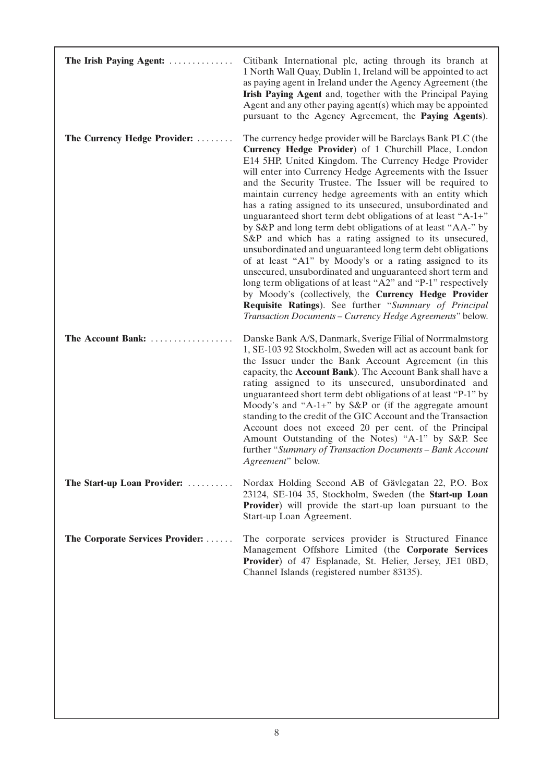| The Irish Paying Agent:          | Citibank International plc, acting through its branch at<br>1 North Wall Quay, Dublin 1, Ireland will be appointed to act<br>as paying agent in Ireland under the Agency Agreement (the<br>Irish Paying Agent and, together with the Principal Paying<br>Agent and any other paying agent(s) which may be appointed<br>pursuant to the Agency Agreement, the Paying Agents).                                                                                                                                                                                                                                                                                                                                                                                                                                                                                                                                                                                                                                                                              |
|----------------------------------|-----------------------------------------------------------------------------------------------------------------------------------------------------------------------------------------------------------------------------------------------------------------------------------------------------------------------------------------------------------------------------------------------------------------------------------------------------------------------------------------------------------------------------------------------------------------------------------------------------------------------------------------------------------------------------------------------------------------------------------------------------------------------------------------------------------------------------------------------------------------------------------------------------------------------------------------------------------------------------------------------------------------------------------------------------------|
| The Currency Hedge Provider:     | The currency hedge provider will be Barclays Bank PLC (the<br>Currency Hedge Provider) of 1 Churchill Place, London<br>E14 5HP, United Kingdom. The Currency Hedge Provider<br>will enter into Currency Hedge Agreements with the Issuer<br>and the Security Trustee. The Issuer will be required to<br>maintain currency hedge agreements with an entity which<br>has a rating assigned to its unsecured, unsubordinated and<br>unguaranteed short term debt obligations of at least "A-1+"<br>by S&P and long term debt obligations of at least "AA-" by<br>S&P and which has a rating assigned to its unsecured,<br>unsubordinated and unguaranteed long term debt obligations<br>of at least "A1" by Moody's or a rating assigned to its<br>unsecured, unsubordinated and unguaranteed short term and<br>long term obligations of at least "A2" and "P-1" respectively<br>by Moody's (collectively, the Currency Hedge Provider<br>Requisite Ratings). See further "Summary of Principal<br>Transaction Documents - Currency Hedge Agreements" below. |
| The Account Bank:                | Danske Bank A/S, Danmark, Sverige Filial of Norrmalmstorg<br>1, SE-103 92 Stockholm, Sweden will act as account bank for<br>the Issuer under the Bank Account Agreement (in this<br>capacity, the Account Bank). The Account Bank shall have a<br>rating assigned to its unsecured, unsubordinated and<br>unguaranteed short term debt obligations of at least "P-1" by<br>Moody's and "A-1+" by $S\&P$ or (if the aggregate amount<br>standing to the credit of the GIC Account and the Transaction<br>Account does not exceed 20 per cent. of the Principal<br>Amount Outstanding of the Notes) "A-1" by S&P. See<br>further "Summary of Transaction Documents - Bank Account<br>Agreement" below.                                                                                                                                                                                                                                                                                                                                                      |
| The Start-up Loan Provider:      | Nordax Holding Second AB of Gävlegatan 22, P.O. Box<br>23124, SE-104 35, Stockholm, Sweden (the Start-up Loan<br><b>Provider</b> ) will provide the start-up loan pursuant to the<br>Start-up Loan Agreement.                                                                                                                                                                                                                                                                                                                                                                                                                                                                                                                                                                                                                                                                                                                                                                                                                                             |
| The Corporate Services Provider: | The corporate services provider is Structured Finance<br>Management Offshore Limited (the Corporate Services<br>Provider) of 47 Esplanade, St. Helier, Jersey, JE1 0BD,<br>Channel Islands (registered number 83135).                                                                                                                                                                                                                                                                                                                                                                                                                                                                                                                                                                                                                                                                                                                                                                                                                                     |
|                                  |                                                                                                                                                                                                                                                                                                                                                                                                                                                                                                                                                                                                                                                                                                                                                                                                                                                                                                                                                                                                                                                           |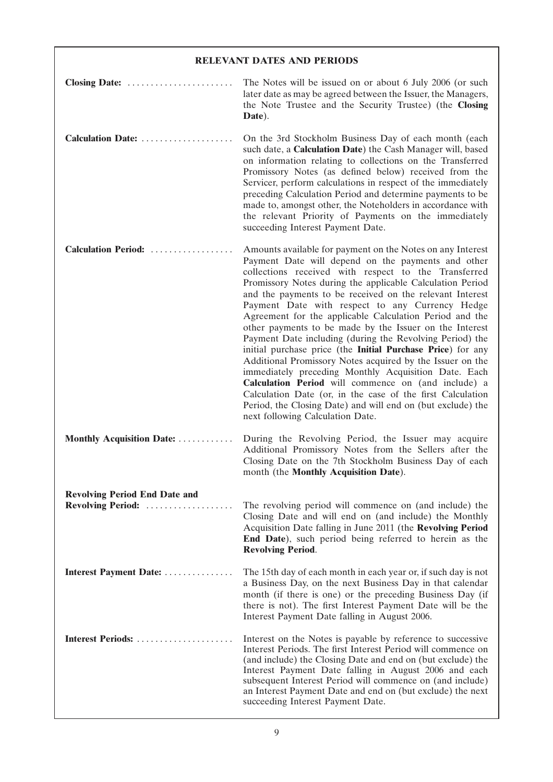## **RELEVANT DATES AND PERIODS**

| Closing Date:                                             | The Notes will be issued on or about 6 July 2006 (or such<br>later date as may be agreed between the Issuer, the Managers,<br>the Note Trustee and the Security Trustee) (the Closing<br>Date).                                                                                                                                                                                                                                                                                                                                                                                                                                                                                                                                                                                                                                                                                                                                                    |
|-----------------------------------------------------------|----------------------------------------------------------------------------------------------------------------------------------------------------------------------------------------------------------------------------------------------------------------------------------------------------------------------------------------------------------------------------------------------------------------------------------------------------------------------------------------------------------------------------------------------------------------------------------------------------------------------------------------------------------------------------------------------------------------------------------------------------------------------------------------------------------------------------------------------------------------------------------------------------------------------------------------------------|
| Calculation Date:                                         | On the 3rd Stockholm Business Day of each month (each<br>such date, a Calculation Date) the Cash Manager will, based<br>on information relating to collections on the Transferred<br>Promissory Notes (as defined below) received from the<br>Servicer, perform calculations in respect of the immediately<br>preceding Calculation Period and determine payments to be<br>made to, amongst other, the Noteholders in accordance with<br>the relevant Priority of Payments on the immediately<br>succeeding Interest Payment Date.                                                                                                                                                                                                                                                                                                                                                                                                                 |
| <b>Calculation Period:</b>                                | Amounts available for payment on the Notes on any Interest<br>Payment Date will depend on the payments and other<br>collections received with respect to the Transferred<br>Promissory Notes during the applicable Calculation Period<br>and the payments to be received on the relevant Interest<br>Payment Date with respect to any Currency Hedge<br>Agreement for the applicable Calculation Period and the<br>other payments to be made by the Issuer on the Interest<br>Payment Date including (during the Revolving Period) the<br>initial purchase price (the Initial Purchase Price) for any<br>Additional Promissory Notes acquired by the Issuer on the<br>immediately preceding Monthly Acquisition Date. Each<br>Calculation Period will commence on (and include) a<br>Calculation Date (or, in the case of the first Calculation<br>Period, the Closing Date) and will end on (but exclude) the<br>next following Calculation Date. |
| Monthly Acquisition Date:                                 | During the Revolving Period, the Issuer may acquire<br>Additional Promissory Notes from the Sellers after the<br>Closing Date on the 7th Stockholm Business Day of each<br>month (the Monthly Acquisition Date).                                                                                                                                                                                                                                                                                                                                                                                                                                                                                                                                                                                                                                                                                                                                   |
| <b>Revolving Period End Date and</b><br>Revolving Period: | The revolving period will commence on (and include) the<br>Closing Date and will end on (and include) the Monthly<br>Acquisition Date falling in June 2011 (the Revolving Period<br>End Date), such period being referred to herein as the<br><b>Revolving Period.</b>                                                                                                                                                                                                                                                                                                                                                                                                                                                                                                                                                                                                                                                                             |
| Interest Payment Date:                                    | The 15th day of each month in each year or, if such day is not<br>a Business Day, on the next Business Day in that calendar<br>month (if there is one) or the preceding Business Day (if<br>there is not). The first Interest Payment Date will be the<br>Interest Payment Date falling in August 2006.                                                                                                                                                                                                                                                                                                                                                                                                                                                                                                                                                                                                                                            |
| Interest Periods:                                         | Interest on the Notes is payable by reference to successive<br>Interest Periods. The first Interest Period will commence on<br>(and include) the Closing Date and end on (but exclude) the<br>Interest Payment Date falling in August 2006 and each<br>subsequent Interest Period will commence on (and include)<br>an Interest Payment Date and end on (but exclude) the next<br>succeeding Interest Payment Date.                                                                                                                                                                                                                                                                                                                                                                                                                                                                                                                                |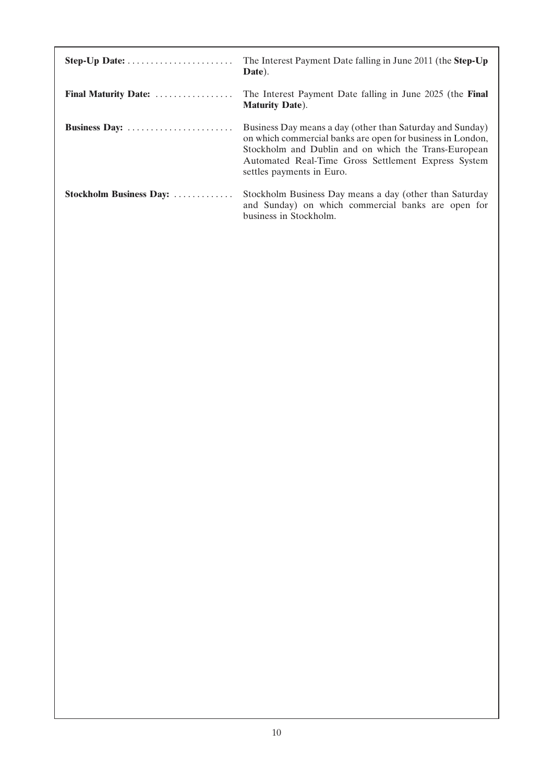| Step-Up Date:           | The Interest Payment Date falling in June 2011 (the Step-Up<br>Date).                                                                                                                                                                                               |
|-------------------------|---------------------------------------------------------------------------------------------------------------------------------------------------------------------------------------------------------------------------------------------------------------------|
| Final Maturity Date:    | The Interest Payment Date falling in June 2025 (the Final<br><b>Maturity Date).</b>                                                                                                                                                                                 |
| Business Day:           | Business Day means a day (other than Saturday and Sunday)<br>on which commercial banks are open for business in London,<br>Stockholm and Dublin and on which the Trans-European<br>Automated Real-Time Gross Settlement Express System<br>settles payments in Euro. |
| Stockholm Business Day: | Stockholm Business Day means a day (other than Saturday<br>and Sunday) on which commercial banks are open for<br>business in Stockholm.                                                                                                                             |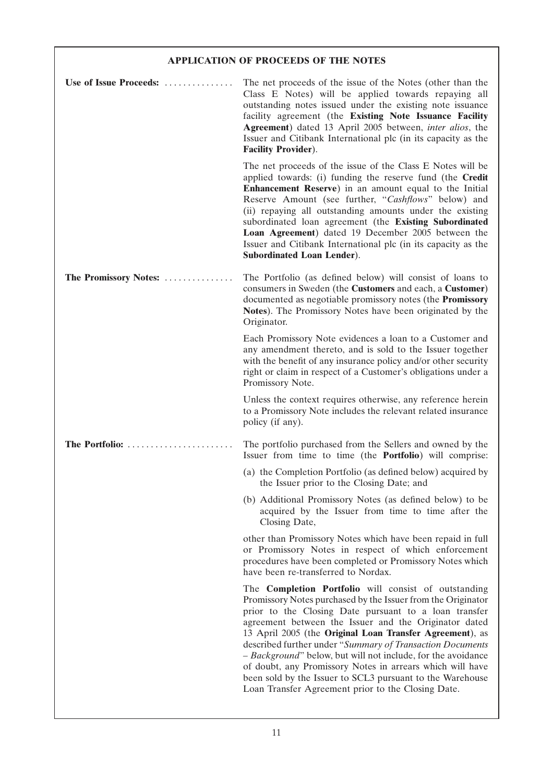## **APPLICATION OF PROCEEDS OF THE NOTES**

| Use of Issue Proceeds: | The net proceeds of the issue of the Notes (other than the<br>Class E Notes) will be applied towards repaying all<br>outstanding notes issued under the existing note issuance<br>facility agreement (the Existing Note Issuance Facility<br>Agreement) dated 13 April 2005 between, inter alios, the<br>Issuer and Citibank International plc (in its capacity as the<br><b>Facility Provider).</b>                                                                                                                                                                                                                   |
|------------------------|------------------------------------------------------------------------------------------------------------------------------------------------------------------------------------------------------------------------------------------------------------------------------------------------------------------------------------------------------------------------------------------------------------------------------------------------------------------------------------------------------------------------------------------------------------------------------------------------------------------------|
|                        | The net proceeds of the issue of the Class E Notes will be<br>applied towards: (i) funding the reserve fund (the Credit<br>Enhancement Reserve) in an amount equal to the Initial<br>Reserve Amount (see further, "Cashflows" below) and<br>(ii) repaying all outstanding amounts under the existing<br>subordinated loan agreement (the Existing Subordinated<br>Loan Agreement) dated 19 December 2005 between the<br>Issuer and Citibank International plc (in its capacity as the<br><b>Subordinated Loan Lender).</b>                                                                                             |
| The Promissory Notes:  | The Portfolio (as defined below) will consist of loans to<br>consumers in Sweden (the Customers and each, a Customer)<br>documented as negotiable promissory notes (the Promissory<br>Notes). The Promissory Notes have been originated by the<br>Originator.                                                                                                                                                                                                                                                                                                                                                          |
|                        | Each Promissory Note evidences a loan to a Customer and<br>any amendment thereto, and is sold to the Issuer together<br>with the benefit of any insurance policy and/or other security<br>right or claim in respect of a Customer's obligations under a<br>Promissory Note.                                                                                                                                                                                                                                                                                                                                            |
|                        | Unless the context requires otherwise, any reference herein<br>to a Promissory Note includes the relevant related insurance<br>policy (if any).                                                                                                                                                                                                                                                                                                                                                                                                                                                                        |
| The Portfolio:         | The portfolio purchased from the Sellers and owned by the<br>Issuer from time to time (the <b>Portfolio</b> ) will comprise:                                                                                                                                                                                                                                                                                                                                                                                                                                                                                           |
|                        | (a) the Completion Portfolio (as defined below) acquired by<br>the Issuer prior to the Closing Date; and                                                                                                                                                                                                                                                                                                                                                                                                                                                                                                               |
|                        | (b) Additional Promissory Notes (as defined below) to be<br>acquired by the Issuer from time to time after the<br>Closing Date,                                                                                                                                                                                                                                                                                                                                                                                                                                                                                        |
|                        | other than Promissory Notes which have been repaid in full<br>or Promissory Notes in respect of which enforcement<br>procedures have been completed or Promissory Notes which<br>have been re-transferred to Nordax.                                                                                                                                                                                                                                                                                                                                                                                                   |
|                        | The <b>Completion Portfolio</b> will consist of outstanding<br>Promissory Notes purchased by the Issuer from the Originator<br>prior to the Closing Date pursuant to a loan transfer<br>agreement between the Issuer and the Originator dated<br>13 April 2005 (the Original Loan Transfer Agreement), as<br>described further under "Summary of Transaction Documents<br>- Background" below, but will not include, for the avoidance<br>of doubt, any Promissory Notes in arrears which will have<br>been sold by the Issuer to SCL3 pursuant to the Warehouse<br>Loan Transfer Agreement prior to the Closing Date. |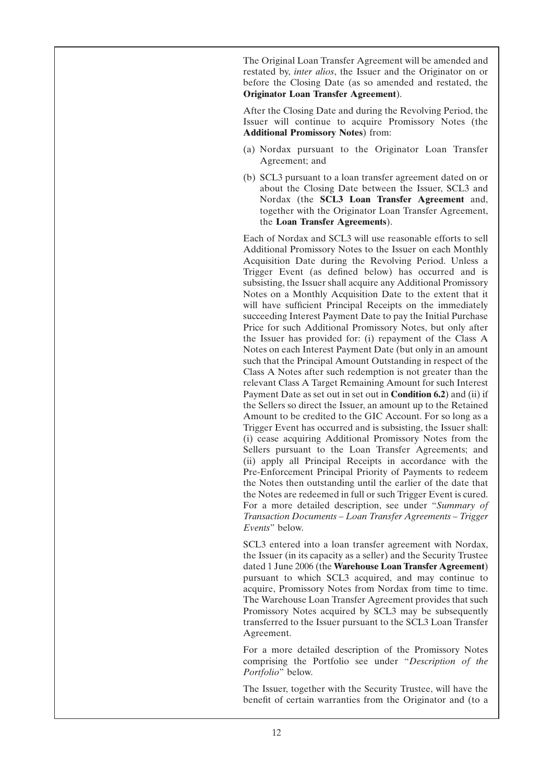The Original Loan Transfer Agreement will be amended and restated by, *inter alios*, the Issuer and the Originator on or before the Closing Date (as so amended and restated, the **Originator Loan Transfer Agreement**).

After the Closing Date and during the Revolving Period, the Issuer will continue to acquire Promissory Notes (the **Additional Promissory Notes**) from:

- (a) Nordax pursuant to the Originator Loan Transfer Agreement; and
- (b) SCL3 pursuant to a loan transfer agreement dated on or about the Closing Date between the Issuer, SCL3 and Nordax (the **SCL3 Loan Transfer Agreement** and, together with the Originator Loan Transfer Agreement, the **Loan Transfer Agreements**).

Each of Nordax and SCL3 will use reasonable efforts to sell Additional Promissory Notes to the Issuer on each Monthly Acquisition Date during the Revolving Period. Unless a Trigger Event (as defined below) has occurred and is subsisting, the Issuer shall acquire any Additional Promissory Notes on a Monthly Acquisition Date to the extent that it will have sufficient Principal Receipts on the immediately succeeding Interest Payment Date to pay the Initial Purchase Price for such Additional Promissory Notes, but only after the Issuer has provided for: (i) repayment of the Class A Notes on each Interest Payment Date (but only in an amount such that the Principal Amount Outstanding in respect of the Class A Notes after such redemption is not greater than the relevant Class A Target Remaining Amount for such Interest Payment Date as set out in set out in **Condition 6.2**) and (ii) if the Sellers so direct the Issuer, an amount up to the Retained Amount to be credited to the GIC Account. For so long as a Trigger Event has occurred and is subsisting, the Issuer shall: (i) cease acquiring Additional Promissory Notes from the Sellers pursuant to the Loan Transfer Agreements; and (ii) apply all Principal Receipts in accordance with the Pre-Enforcement Principal Priority of Payments to redeem the Notes then outstanding until the earlier of the date that the Notes are redeemed in full or such Trigger Event is cured. For a more detailed description, see under ''*Summary of Transaction Documents – Loan Transfer Agreements – Trigger Events*'' below.

SCL3 entered into a loan transfer agreement with Nordax, the Issuer (in its capacity as a seller) and the Security Trustee dated 1 June 2006 (the **Warehouse Loan Transfer Agreement**) pursuant to which SCL3 acquired, and may continue to acquire, Promissory Notes from Nordax from time to time. The Warehouse Loan Transfer Agreement provides that such Promissory Notes acquired by SCL3 may be subsequently transferred to the Issuer pursuant to the SCL3 Loan Transfer Agreement.

For a more detailed description of the Promissory Notes comprising the Portfolio see under ''*Description of the Portfolio*'' below.

The Issuer, together with the Security Trustee, will have the benefit of certain warranties from the Originator and (to a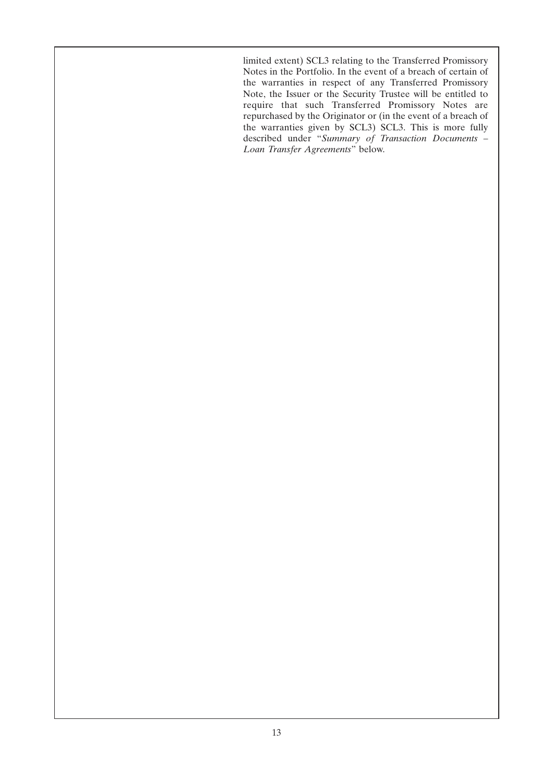limited extent) SCL3 relating to the Transferred Promissory Notes in the Portfolio. In the event of a breach of certain of the warranties in respect of any Transferred Promissory Note, the Issuer or the Security Trustee will be entitled to require that such Transferred Promissory Notes are repurchased by the Originator or (in the event of a breach of the warranties given by SCL3) SCL3. This is more fully described under ''*Summary of Transaction Documents – Loan Transfer Agreements*'' below.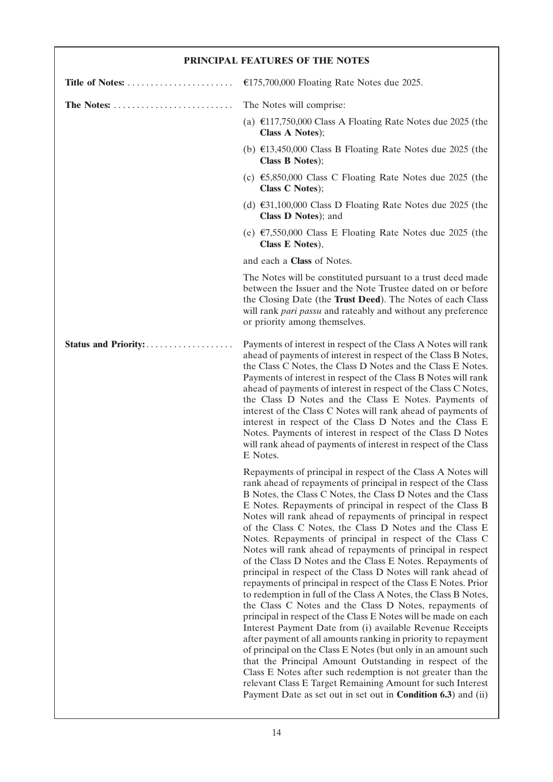| PRINCIPAL FEATURES OF THE NOTES |                                                                                                                                                                                                                                                                                                                                                                                                                                                                                                                                                                                                                                                                                                                                                                                                                                                                                                                                                                                                                                                                                                                                                                                                                                                                                                                                                                              |  |
|---------------------------------|------------------------------------------------------------------------------------------------------------------------------------------------------------------------------------------------------------------------------------------------------------------------------------------------------------------------------------------------------------------------------------------------------------------------------------------------------------------------------------------------------------------------------------------------------------------------------------------------------------------------------------------------------------------------------------------------------------------------------------------------------------------------------------------------------------------------------------------------------------------------------------------------------------------------------------------------------------------------------------------------------------------------------------------------------------------------------------------------------------------------------------------------------------------------------------------------------------------------------------------------------------------------------------------------------------------------------------------------------------------------------|--|
| Title of Notes:                 | €175,700,000 Floating Rate Notes due 2025.                                                                                                                                                                                                                                                                                                                                                                                                                                                                                                                                                                                                                                                                                                                                                                                                                                                                                                                                                                                                                                                                                                                                                                                                                                                                                                                                   |  |
| The Notes:                      | The Notes will comprise:                                                                                                                                                                                                                                                                                                                                                                                                                                                                                                                                                                                                                                                                                                                                                                                                                                                                                                                                                                                                                                                                                                                                                                                                                                                                                                                                                     |  |
|                                 | (a) €117,750,000 Class A Floating Rate Notes due 2025 (the<br>Class A Notes);                                                                                                                                                                                                                                                                                                                                                                                                                                                                                                                                                                                                                                                                                                                                                                                                                                                                                                                                                                                                                                                                                                                                                                                                                                                                                                |  |
|                                 | (b) $\text{\textsterling}13,450,000$ Class B Floating Rate Notes due 2025 (the<br>Class B Notes);                                                                                                                                                                                                                                                                                                                                                                                                                                                                                                                                                                                                                                                                                                                                                                                                                                                                                                                                                                                                                                                                                                                                                                                                                                                                            |  |
|                                 | (c) €5,850,000 Class C Floating Rate Notes due 2025 (the<br>Class C Notes);                                                                                                                                                                                                                                                                                                                                                                                                                                                                                                                                                                                                                                                                                                                                                                                                                                                                                                                                                                                                                                                                                                                                                                                                                                                                                                  |  |
|                                 | (d) $\text{\textsterling}31,100,000$ Class D Floating Rate Notes due 2025 (the<br>Class D Notes); and                                                                                                                                                                                                                                                                                                                                                                                                                                                                                                                                                                                                                                                                                                                                                                                                                                                                                                                                                                                                                                                                                                                                                                                                                                                                        |  |
|                                 | (e) $\epsilon$ 7,550,000 Class E Floating Rate Notes due 2025 (the<br>Class E Notes),                                                                                                                                                                                                                                                                                                                                                                                                                                                                                                                                                                                                                                                                                                                                                                                                                                                                                                                                                                                                                                                                                                                                                                                                                                                                                        |  |
|                                 | and each a Class of Notes.                                                                                                                                                                                                                                                                                                                                                                                                                                                                                                                                                                                                                                                                                                                                                                                                                                                                                                                                                                                                                                                                                                                                                                                                                                                                                                                                                   |  |
|                                 | The Notes will be constituted pursuant to a trust deed made<br>between the Issuer and the Note Trustee dated on or before<br>the Closing Date (the Trust Deed). The Notes of each Class<br>will rank pari passu and rateably and without any preference<br>or priority among themselves.                                                                                                                                                                                                                                                                                                                                                                                                                                                                                                                                                                                                                                                                                                                                                                                                                                                                                                                                                                                                                                                                                     |  |
|                                 | Payments of interest in respect of the Class A Notes will rank<br>ahead of payments of interest in respect of the Class B Notes,<br>the Class C Notes, the Class D Notes and the Class E Notes.<br>Payments of interest in respect of the Class B Notes will rank<br>ahead of payments of interest in respect of the Class C Notes,<br>the Class D Notes and the Class E Notes. Payments of<br>interest of the Class C Notes will rank ahead of payments of<br>interest in respect of the Class D Notes and the Class E<br>Notes. Payments of interest in respect of the Class D Notes<br>will rank ahead of payments of interest in respect of the Class<br>E Notes.                                                                                                                                                                                                                                                                                                                                                                                                                                                                                                                                                                                                                                                                                                        |  |
|                                 | Repayments of principal in respect of the Class A Notes will<br>rank ahead of repayments of principal in respect of the Class<br>B Notes, the Class C Notes, the Class D Notes and the Class<br>E Notes. Repayments of principal in respect of the Class B<br>Notes will rank ahead of repayments of principal in respect<br>of the Class C Notes, the Class D Notes and the Class E<br>Notes. Repayments of principal in respect of the Class C<br>Notes will rank ahead of repayments of principal in respect<br>of the Class D Notes and the Class E Notes. Repayments of<br>principal in respect of the Class D Notes will rank ahead of<br>repayments of principal in respect of the Class E Notes. Prior<br>to redemption in full of the Class A Notes, the Class B Notes,<br>the Class C Notes and the Class D Notes, repayments of<br>principal in respect of the Class E Notes will be made on each<br>Interest Payment Date from (i) available Revenue Receipts<br>after payment of all amounts ranking in priority to repayment<br>of principal on the Class E Notes (but only in an amount such<br>that the Principal Amount Outstanding in respect of the<br>Class E Notes after such redemption is not greater than the<br>relevant Class E Target Remaining Amount for such Interest<br>Payment Date as set out in set out in <b>Condition 6.3</b> ) and (ii) |  |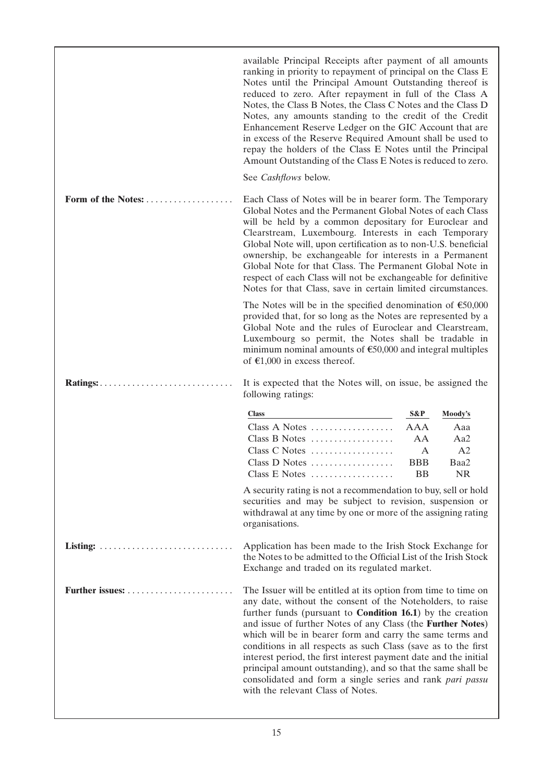|                                                                           | available Principal Receipts after payment of all amounts<br>ranking in priority to repayment of principal on the Class E<br>Notes until the Principal Amount Outstanding thereof is<br>reduced to zero. After repayment in full of the Class A<br>Notes, the Class B Notes, the Class C Notes and the Class D<br>Notes, any amounts standing to the credit of the Credit<br>Enhancement Reserve Ledger on the GIC Account that are<br>in excess of the Reserve Required Amount shall be used to<br>repay the holders of the Class E Notes until the Principal<br>Amount Outstanding of the Class E Notes is reduced to zero.<br>See Cashflows below. |                                    |                                       |
|---------------------------------------------------------------------------|-------------------------------------------------------------------------------------------------------------------------------------------------------------------------------------------------------------------------------------------------------------------------------------------------------------------------------------------------------------------------------------------------------------------------------------------------------------------------------------------------------------------------------------------------------------------------------------------------------------------------------------------------------|------------------------------------|---------------------------------------|
| Form of the Notes:                                                        | Each Class of Notes will be in bearer form. The Temporary<br>Global Notes and the Permanent Global Notes of each Class<br>will be held by a common depositary for Euroclear and<br>Clearstream, Luxembourg. Interests in each Temporary<br>Global Note will, upon certification as to non-U.S. beneficial<br>ownership, be exchangeable for interests in a Permanent<br>Global Note for that Class. The Permanent Global Note in<br>respect of each Class will not be exchangeable for definitive<br>Notes for that Class, save in certain limited circumstances.                                                                                     |                                    |                                       |
|                                                                           | The Notes will be in the specified denomination of $\epsilon$ 50,000<br>provided that, for so long as the Notes are represented by a<br>Global Note and the rules of Euroclear and Clearstream,<br>Luxembourg so permit, the Notes shall be tradable in<br>minimum nominal amounts of $$50,000$ and integral multiples<br>of $\epsilon$ 1,000 in excess thereof.                                                                                                                                                                                                                                                                                      |                                    |                                       |
|                                                                           | It is expected that the Notes will, on issue, be assigned the<br>following ratings:                                                                                                                                                                                                                                                                                                                                                                                                                                                                                                                                                                   |                                    |                                       |
|                                                                           | <b>Class</b>                                                                                                                                                                                                                                                                                                                                                                                                                                                                                                                                                                                                                                          | S&P                                | Moody's                               |
|                                                                           | Class A Notes<br>Class B Notes<br>Class C Notes<br>Class D Notes $\ldots \ldots \ldots$<br>Class E Notes                                                                                                                                                                                                                                                                                                                                                                                                                                                                                                                                              | AAA<br>AA<br>A<br><b>BBB</b><br>BB | Aaa<br>Aa2<br>A2<br>Baa2<br><b>NR</b> |
|                                                                           | A security rating is not a recommendation to buy, sell or hold<br>securities and may be subject to revision, suspension or<br>withdrawal at any time by one or more of the assigning rating<br>organisations.                                                                                                                                                                                                                                                                                                                                                                                                                                         |                                    |                                       |
| Listing: $\ldots \ldots \ldots \ldots \ldots \ldots \ldots \ldots \ldots$ | Application has been made to the Irish Stock Exchange for<br>the Notes to be admitted to the Official List of the Irish Stock<br>Exchange and traded on its regulated market.                                                                                                                                                                                                                                                                                                                                                                                                                                                                         |                                    |                                       |
|                                                                           | The Issuer will be entitled at its option from time to time on<br>any date, without the consent of the Noteholders, to raise<br>further funds (pursuant to <b>Condition 16.1</b> ) by the creation<br>and issue of further Notes of any Class (the Further Notes)<br>which will be in bearer form and carry the same terms and<br>conditions in all respects as such Class (save as to the first<br>interest period, the first interest payment date and the initial<br>principal amount outstanding), and so that the same shall be<br>consolidated and form a single series and rank pari passu<br>with the relevant Class of Notes.                |                                    |                                       |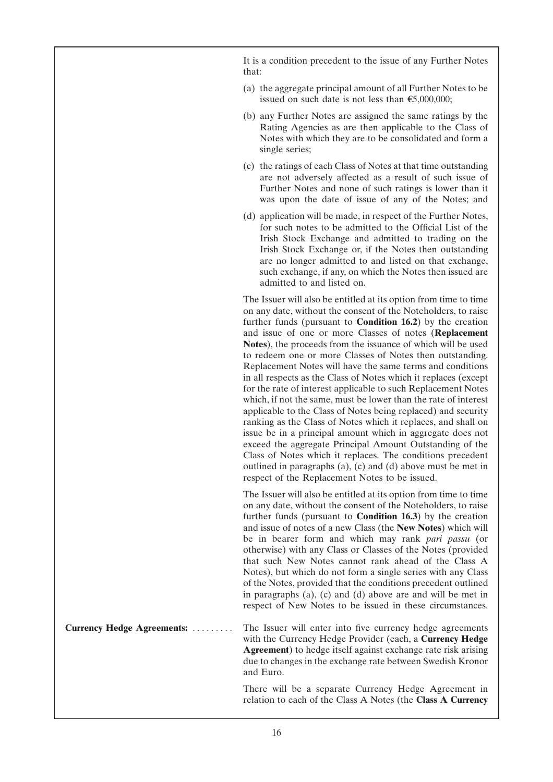It is a condition precedent to the issue of any Further Notes that:

- (a) the aggregate principal amount of all Further Notes to be issued on such date is not less than  $\epsilon$ 5,000,000;
- (b) any Further Notes are assigned the same ratings by the Rating Agencies as are then applicable to the Class of Notes with which they are to be consolidated and form a single series;
- (c) the ratings of each Class of Notes at that time outstanding are not adversely affected as a result of such issue of Further Notes and none of such ratings is lower than it was upon the date of issue of any of the Notes; and
- (d) application will be made, in respect of the Further Notes, for such notes to be admitted to the Official List of the Irish Stock Exchange and admitted to trading on the Irish Stock Exchange or, if the Notes then outstanding are no longer admitted to and listed on that exchange, such exchange, if any, on which the Notes then issued are admitted to and listed on.

The Issuer will also be entitled at its option from time to time on any date, without the consent of the Noteholders, to raise further funds (pursuant to **Condition 16.2**) by the creation and issue of one or more Classes of notes (**Replacement Notes**), the proceeds from the issuance of which will be used to redeem one or more Classes of Notes then outstanding. Replacement Notes will have the same terms and conditions in all respects as the Class of Notes which it replaces (except for the rate of interest applicable to such Replacement Notes which, if not the same, must be lower than the rate of interest applicable to the Class of Notes being replaced) and security ranking as the Class of Notes which it replaces, and shall on issue be in a principal amount which in aggregate does not exceed the aggregate Principal Amount Outstanding of the Class of Notes which it replaces. The conditions precedent outlined in paragraphs (a), (c) and (d) above must be met in respect of the Replacement Notes to be issued.

The Issuer will also be entitled at its option from time to time on any date, without the consent of the Noteholders, to raise further funds (pursuant to **Condition 16.3**) by the creation and issue of notes of a new Class (the **New Notes**) which will be in bearer form and which may rank *pari passu* (or otherwise) with any Class or Classes of the Notes (provided that such New Notes cannot rank ahead of the Class A Notes), but which do not form a single series with any Class of the Notes, provided that the conditions precedent outlined in paragraphs (a), (c) and (d) above are and will be met in respect of New Notes to be issued in these circumstances.

**Currency Hedge Agreements:** ......... The Issuer will enter into five currency hedge agreements with the Currency Hedge Provider (each, a **Currency Hedge Agreement**) to hedge itself against exchange rate risk arising due to changes in the exchange rate between Swedish Kronor and Euro.

> There will be a separate Currency Hedge Agreement in relation to each of the Class A Notes (the **Class A Currency**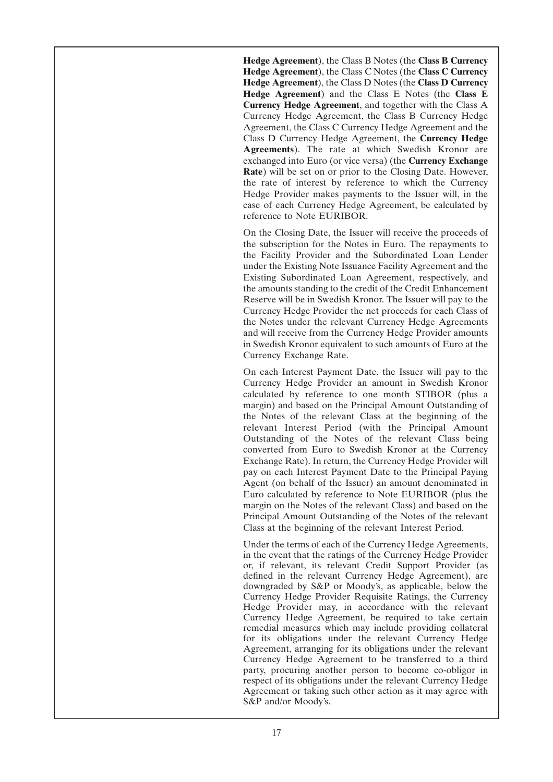**Hedge Agreement**), the Class B Notes (the **Class B Currency Hedge Agreement**), the Class C Notes (the **Class C Currency Hedge Agreement**), the Class D Notes (the **Class D Currency Hedge Agreement**) and the Class E Notes (the **Class E Currency Hedge Agreement**, and together with the Class A Currency Hedge Agreement, the Class B Currency Hedge Agreement, the Class C Currency Hedge Agreement and the Class D Currency Hedge Agreement, the **Currency Hedge Agreements**). The rate at which Swedish Kronor are exchanged into Euro (or vice versa) (the **Currency Exchange Rate**) will be set on or prior to the Closing Date. However, the rate of interest by reference to which the Currency Hedge Provider makes payments to the Issuer will, in the case of each Currency Hedge Agreement, be calculated by reference to Note EURIBOR.

On the Closing Date, the Issuer will receive the proceeds of the subscription for the Notes in Euro. The repayments to the Facility Provider and the Subordinated Loan Lender under the Existing Note Issuance Facility Agreement and the Existing Subordinated Loan Agreement, respectively, and the amounts standing to the credit of the Credit Enhancement Reserve will be in Swedish Kronor. The Issuer will pay to the Currency Hedge Provider the net proceeds for each Class of the Notes under the relevant Currency Hedge Agreements and will receive from the Currency Hedge Provider amounts in Swedish Kronor equivalent to such amounts of Euro at the Currency Exchange Rate.

On each Interest Payment Date, the Issuer will pay to the Currency Hedge Provider an amount in Swedish Kronor calculated by reference to one month STIBOR (plus a margin) and based on the Principal Amount Outstanding of the Notes of the relevant Class at the beginning of the relevant Interest Period (with the Principal Amount Outstanding of the Notes of the relevant Class being converted from Euro to Swedish Kronor at the Currency Exchange Rate). In return, the Currency Hedge Provider will pay on each Interest Payment Date to the Principal Paying Agent (on behalf of the Issuer) an amount denominated in Euro calculated by reference to Note EURIBOR (plus the margin on the Notes of the relevant Class) and based on the Principal Amount Outstanding of the Notes of the relevant Class at the beginning of the relevant Interest Period.

Under the terms of each of the Currency Hedge Agreements, in the event that the ratings of the Currency Hedge Provider or, if relevant, its relevant Credit Support Provider (as defined in the relevant Currency Hedge Agreement), are downgraded by S&P or Moody's, as applicable, below the Currency Hedge Provider Requisite Ratings, the Currency Hedge Provider may, in accordance with the relevant Currency Hedge Agreement, be required to take certain remedial measures which may include providing collateral for its obligations under the relevant Currency Hedge Agreement, arranging for its obligations under the relevant Currency Hedge Agreement to be transferred to a third party, procuring another person to become co-obligor in respect of its obligations under the relevant Currency Hedge Agreement or taking such other action as it may agree with S&P and/or Moody's.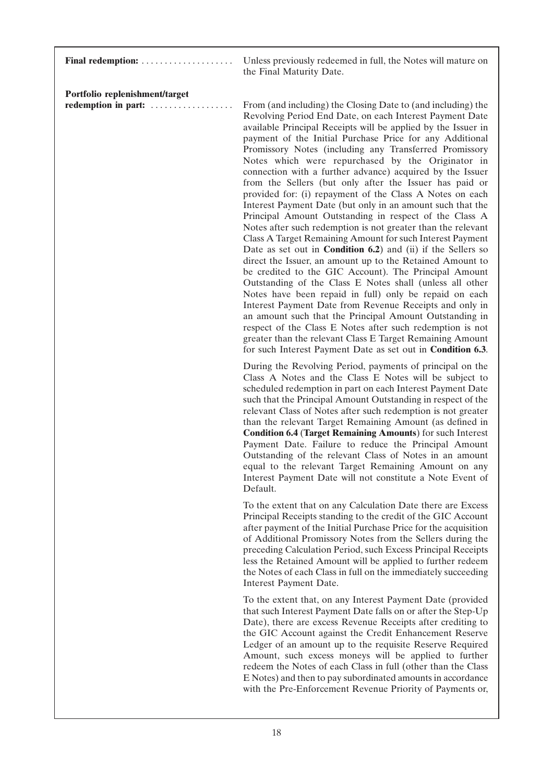| Final redemption:                                     | Unless previously redeemed in full, the Notes will mature on<br>the Final Maturity Date.                                                                                                                                                                                                                                                                                                                                                                                                                                                                                                                                                                                                                                                                                                                                                                                                                                                                                                                                                                                                                                                                                                                                                                                                                                                                                                                                                         |
|-------------------------------------------------------|--------------------------------------------------------------------------------------------------------------------------------------------------------------------------------------------------------------------------------------------------------------------------------------------------------------------------------------------------------------------------------------------------------------------------------------------------------------------------------------------------------------------------------------------------------------------------------------------------------------------------------------------------------------------------------------------------------------------------------------------------------------------------------------------------------------------------------------------------------------------------------------------------------------------------------------------------------------------------------------------------------------------------------------------------------------------------------------------------------------------------------------------------------------------------------------------------------------------------------------------------------------------------------------------------------------------------------------------------------------------------------------------------------------------------------------------------|
| Portfolio replenishment/target<br>redemption in part: | From (and including) the Closing Date to (and including) the<br>Revolving Period End Date, on each Interest Payment Date<br>available Principal Receipts will be applied by the Issuer in<br>payment of the Initial Purchase Price for any Additional<br>Promissory Notes (including any Transferred Promissory<br>Notes which were repurchased by the Originator in<br>connection with a further advance) acquired by the Issuer<br>from the Sellers (but only after the Issuer has paid or<br>provided for: (i) repayment of the Class A Notes on each<br>Interest Payment Date (but only in an amount such that the<br>Principal Amount Outstanding in respect of the Class A<br>Notes after such redemption is not greater than the relevant<br>Class A Target Remaining Amount for such Interest Payment<br>Date as set out in <b>Condition 6.2</b> ) and (ii) if the Sellers so<br>direct the Issuer, an amount up to the Retained Amount to<br>be credited to the GIC Account). The Principal Amount<br>Outstanding of the Class E Notes shall (unless all other<br>Notes have been repaid in full) only be repaid on each<br>Interest Payment Date from Revenue Receipts and only in<br>an amount such that the Principal Amount Outstanding in<br>respect of the Class E Notes after such redemption is not<br>greater than the relevant Class E Target Remaining Amount<br>for such Interest Payment Date as set out in Condition 6.3. |
|                                                       | During the Revolving Period, payments of principal on the<br>Class A Notes and the Class E Notes will be subject to<br>scheduled redemption in part on each Interest Payment Date<br>such that the Principal Amount Outstanding in respect of the<br>relevant Class of Notes after such redemption is not greater<br>than the relevant Target Remaining Amount (as defined in<br><b>Condition 6.4 (Target Remaining Amounts)</b> for such Interest<br>Payment Date. Failure to reduce the Principal Amount<br>Outstanding of the relevant Class of Notes in an amount<br>equal to the relevant Target Remaining Amount on any<br>Interest Payment Date will not constitute a Note Event of<br>Default.                                                                                                                                                                                                                                                                                                                                                                                                                                                                                                                                                                                                                                                                                                                                           |
|                                                       | To the extent that on any Calculation Date there are Excess<br>Principal Receipts standing to the credit of the GIC Account<br>after payment of the Initial Purchase Price for the acquisition<br>of Additional Promissory Notes from the Sellers during the<br>preceding Calculation Period, such Excess Principal Receipts<br>less the Retained Amount will be applied to further redeem<br>the Notes of each Class in full on the immediately succeeding<br>Interest Payment Date.                                                                                                                                                                                                                                                                                                                                                                                                                                                                                                                                                                                                                                                                                                                                                                                                                                                                                                                                                            |
|                                                       | To the extent that, on any Interest Payment Date (provided<br>that such Interest Payment Date falls on or after the Step-Up<br>Date), there are excess Revenue Receipts after crediting to<br>the GIC Account against the Credit Enhancement Reserve<br>Ledger of an amount up to the requisite Reserve Required<br>Amount, such excess moneys will be applied to further<br>redeem the Notes of each Class in full (other than the Class<br>E Notes) and then to pay subordinated amounts in accordance<br>with the Pre-Enforcement Revenue Priority of Payments or,                                                                                                                                                                                                                                                                                                                                                                                                                                                                                                                                                                                                                                                                                                                                                                                                                                                                            |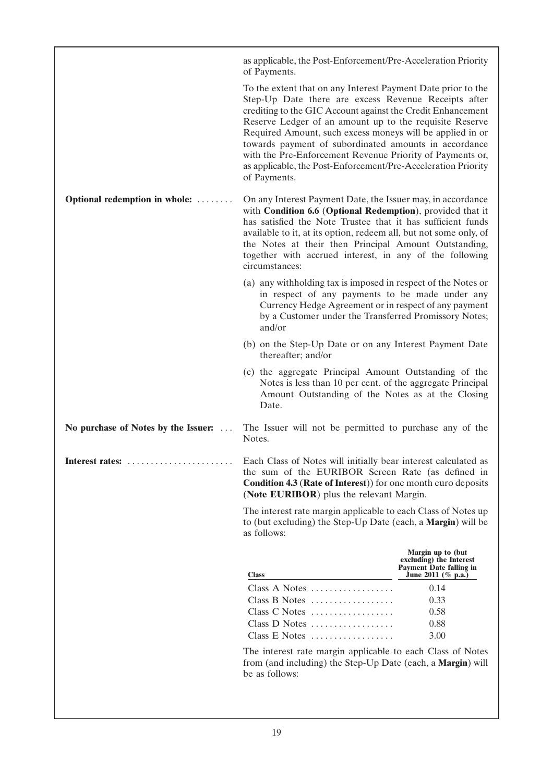|                                     | as applicable, the Post-Enforcement/Pre-Acceleration Priority<br>of Payments.                                                                                                                                                                                                                                                                                                                                                                                                                                      |                                                                                                      |
|-------------------------------------|--------------------------------------------------------------------------------------------------------------------------------------------------------------------------------------------------------------------------------------------------------------------------------------------------------------------------------------------------------------------------------------------------------------------------------------------------------------------------------------------------------------------|------------------------------------------------------------------------------------------------------|
|                                     | To the extent that on any Interest Payment Date prior to the<br>Step-Up Date there are excess Revenue Receipts after<br>crediting to the GIC Account against the Credit Enhancement<br>Reserve Ledger of an amount up to the requisite Reserve<br>Required Amount, such excess moneys will be applied in or<br>towards payment of subordinated amounts in accordance<br>with the Pre-Enforcement Revenue Priority of Payments or,<br>as applicable, the Post-Enforcement/Pre-Acceleration Priority<br>of Payments. |                                                                                                      |
| Optional redemption in whole:       | On any Interest Payment Date, the Issuer may, in accordance<br>with Condition 6.6 (Optional Redemption), provided that it<br>has satisfied the Note Trustee that it has sufficient funds<br>available to it, at its option, redeem all, but not some only, of<br>the Notes at their then Principal Amount Outstanding,<br>together with accrued interest, in any of the following<br>circumstances:                                                                                                                |                                                                                                      |
|                                     | (a) any withholding tax is imposed in respect of the Notes or<br>in respect of any payments to be made under any<br>Currency Hedge Agreement or in respect of any payment<br>by a Customer under the Transferred Promissory Notes;<br>and/or                                                                                                                                                                                                                                                                       |                                                                                                      |
|                                     | (b) on the Step-Up Date or on any Interest Payment Date<br>thereafter; and/or                                                                                                                                                                                                                                                                                                                                                                                                                                      |                                                                                                      |
|                                     | (c) the aggregate Principal Amount Outstanding of the<br>Notes is less than 10 per cent. of the aggregate Principal<br>Amount Outstanding of the Notes as at the Closing<br>Date.                                                                                                                                                                                                                                                                                                                                  |                                                                                                      |
| No purchase of Notes by the Issuer: | The Issuer will not be permitted to purchase any of the<br>Notes.                                                                                                                                                                                                                                                                                                                                                                                                                                                  |                                                                                                      |
| Interest rates:                     | Each Class of Notes will initially bear interest calculated as<br>the sum of the EURIBOR Screen Rate (as defined in<br><b>Condition 4.3 (Rate of Interest)</b> for one month euro deposits<br>(Note EURIBOR) plus the relevant Margin.                                                                                                                                                                                                                                                                             |                                                                                                      |
|                                     | The interest rate margin applicable to each Class of Notes up<br>to (but excluding) the Step-Up Date (each, a <b>Margin</b> ) will be<br>as follows:                                                                                                                                                                                                                                                                                                                                                               |                                                                                                      |
|                                     | <b>Class</b>                                                                                                                                                                                                                                                                                                                                                                                                                                                                                                       | Margin up to (but<br>excluding) the Interest<br><b>Payment Date falling in</b><br>June 2011 (% p.a.) |
|                                     | Class A Notes<br>Class B Notes<br>Class C Notes<br>Class D Notes<br>Class E Notes                                                                                                                                                                                                                                                                                                                                                                                                                                  | 0.14<br>0.33<br>0.58<br>0.88<br>3.00                                                                 |
|                                     | The interest rate margin applicable to each Class of Notes<br>from (and including) the Step-Up Date (each, a Margin) will<br>be as follows:                                                                                                                                                                                                                                                                                                                                                                        |                                                                                                      |
|                                     |                                                                                                                                                                                                                                                                                                                                                                                                                                                                                                                    |                                                                                                      |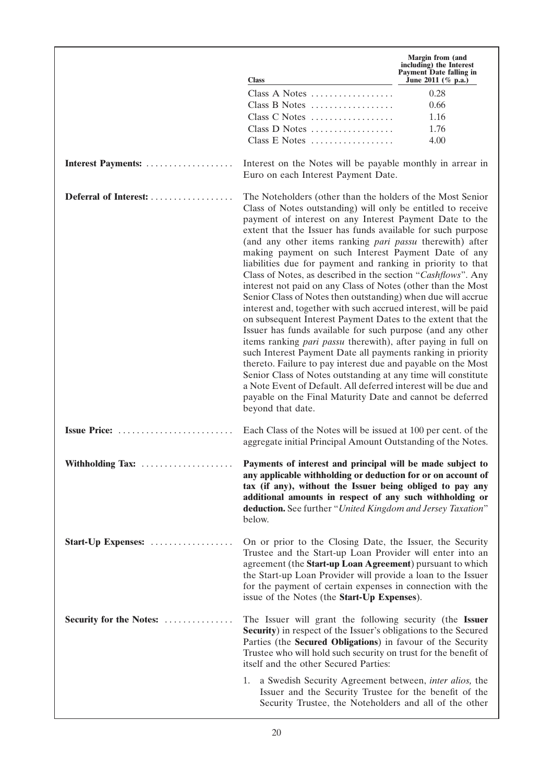|                                |                                                                                                                                                                                                                                                                                                                                                                                                                                                                                                                                                                                                                                                                                                                                                                                                                                                                                                                                                                                                                                                                                                                                                                                                                                                                          | <b>Margin from (and</b><br>including) the Interest<br><b>Payment Date falling in</b> |
|--------------------------------|--------------------------------------------------------------------------------------------------------------------------------------------------------------------------------------------------------------------------------------------------------------------------------------------------------------------------------------------------------------------------------------------------------------------------------------------------------------------------------------------------------------------------------------------------------------------------------------------------------------------------------------------------------------------------------------------------------------------------------------------------------------------------------------------------------------------------------------------------------------------------------------------------------------------------------------------------------------------------------------------------------------------------------------------------------------------------------------------------------------------------------------------------------------------------------------------------------------------------------------------------------------------------|--------------------------------------------------------------------------------------|
|                                | <b>Class</b>                                                                                                                                                                                                                                                                                                                                                                                                                                                                                                                                                                                                                                                                                                                                                                                                                                                                                                                                                                                                                                                                                                                                                                                                                                                             | June 2011 (% p.a.)                                                                   |
|                                | Class A Notes                                                                                                                                                                                                                                                                                                                                                                                                                                                                                                                                                                                                                                                                                                                                                                                                                                                                                                                                                                                                                                                                                                                                                                                                                                                            | 0.28                                                                                 |
|                                | Class B Notes                                                                                                                                                                                                                                                                                                                                                                                                                                                                                                                                                                                                                                                                                                                                                                                                                                                                                                                                                                                                                                                                                                                                                                                                                                                            | 0.66                                                                                 |
|                                | Class C Notes                                                                                                                                                                                                                                                                                                                                                                                                                                                                                                                                                                                                                                                                                                                                                                                                                                                                                                                                                                                                                                                                                                                                                                                                                                                            | 1.16                                                                                 |
|                                | Class D Notes                                                                                                                                                                                                                                                                                                                                                                                                                                                                                                                                                                                                                                                                                                                                                                                                                                                                                                                                                                                                                                                                                                                                                                                                                                                            | 1.76                                                                                 |
|                                | Class E Notes                                                                                                                                                                                                                                                                                                                                                                                                                                                                                                                                                                                                                                                                                                                                                                                                                                                                                                                                                                                                                                                                                                                                                                                                                                                            | 4.00                                                                                 |
| Interest Payments:             | Interest on the Notes will be payable monthly in arrear in<br>Euro on each Interest Payment Date.                                                                                                                                                                                                                                                                                                                                                                                                                                                                                                                                                                                                                                                                                                                                                                                                                                                                                                                                                                                                                                                                                                                                                                        |                                                                                      |
| Deferral of Interest:          | The Noteholders (other than the holders of the Most Senior<br>Class of Notes outstanding) will only be entitled to receive<br>payment of interest on any Interest Payment Date to the<br>extent that the Issuer has funds available for such purpose<br>(and any other items ranking <i>pari passu</i> therewith) after<br>making payment on such Interest Payment Date of any<br>liabilities due for payment and ranking in priority to that<br>Class of Notes, as described in the section "Cashflows". Any<br>interest not paid on any Class of Notes (other than the Most<br>Senior Class of Notes then outstanding) when due will accrue<br>interest and, together with such accrued interest, will be paid<br>on subsequent Interest Payment Dates to the extent that the<br>Issuer has funds available for such purpose (and any other<br>items ranking <i>pari passu</i> therewith), after paying in full on<br>such Interest Payment Date all payments ranking in priority<br>thereto. Failure to pay interest due and payable on the Most<br>Senior Class of Notes outstanding at any time will constitute<br>a Note Event of Default. All deferred interest will be due and<br>payable on the Final Maturity Date and cannot be deferred<br>beyond that date. |                                                                                      |
| $I$ ssue Price:                | Each Class of the Notes will be issued at 100 per cent. of the<br>aggregate initial Principal Amount Outstanding of the Notes.                                                                                                                                                                                                                                                                                                                                                                                                                                                                                                                                                                                                                                                                                                                                                                                                                                                                                                                                                                                                                                                                                                                                           |                                                                                      |
| Withholding Tax:               | Payments of interest and principal will be made subject to<br>any applicable withholding or deduction for or on account of<br>tax (if any), without the Issuer being obliged to pay any<br>additional amounts in respect of any such withholding or<br>deduction. See further "United Kingdom and Jersey Taxation"<br>below.                                                                                                                                                                                                                                                                                                                                                                                                                                                                                                                                                                                                                                                                                                                                                                                                                                                                                                                                             |                                                                                      |
| Start-Up Expenses:             | On or prior to the Closing Date, the Issuer, the Security<br>Trustee and the Start-up Loan Provider will enter into an<br>agreement (the Start-up Loan Agreement) pursuant to which<br>the Start-up Loan Provider will provide a loan to the Issuer<br>for the payment of certain expenses in connection with the<br>issue of the Notes (the Start-Up Expenses).                                                                                                                                                                                                                                                                                                                                                                                                                                                                                                                                                                                                                                                                                                                                                                                                                                                                                                         |                                                                                      |
| <b>Security for the Notes:</b> | The Issuer will grant the following security (the Issuer<br><b>Security</b> ) in respect of the Issuer's obligations to the Secured<br>Parties (the Secured Obligations) in favour of the Security<br>Trustee who will hold such security on trust for the benefit of<br>itself and the other Secured Parties:                                                                                                                                                                                                                                                                                                                                                                                                                                                                                                                                                                                                                                                                                                                                                                                                                                                                                                                                                           |                                                                                      |
|                                | a Swedish Security Agreement between, inter alios, the<br>1.<br>Issuer and the Security Trustee for the benefit of the<br>Security Trustee, the Noteholders and all of the other                                                                                                                                                                                                                                                                                                                                                                                                                                                                                                                                                                                                                                                                                                                                                                                                                                                                                                                                                                                                                                                                                         |                                                                                      |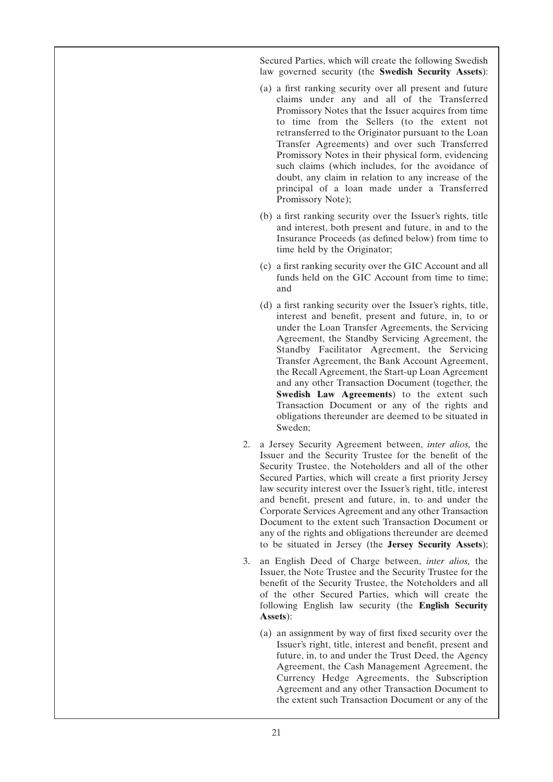Secured Parties, which will create the following Swedish law governed security (the **Swedish Security Assets**):

- (a) a first ranking security over all present and future claims under any and all of the Transferred Promissory Notes that the Issuer acquires from time to time from the Sellers (to the extent not retransferred to the Originator pursuant to the Loan Transfer Agreements) and over such Transferred Promissory Notes in their physical form, evidencing such claims (which includes, for the avoidance of doubt, any claim in relation to any increase of the principal of a loan made under a Transferred Promissory Note);
- (b) a first ranking security over the Issuer's rights, title and interest, both present and future, in and to the Insurance Proceeds (as defined below) from time to time held by the Originator;
- (c) a first ranking security over the GIC Account and all funds held on the GIC Account from time to time; and
- (d) a first ranking security over the Issuer's rights, title, interest and benefit, present and future, in, to or under the Loan Transfer Agreements, the Servicing Agreement, the Standby Servicing Agreement, the Standby Facilitator Agreement, the Servicing Transfer Agreement, the Bank Account Agreement, the Recall Agreement, the Start-up Loan Agreement and any other Transaction Document (together, the **Swedish Law Agreements**) to the extent such Transaction Document or any of the rights and obligations thereunder are deemed to be situated in Sweden;
- 2. a Jersey Security Agreement between, *inter alios,* the Issuer and the Security Trustee for the benefit of the Security Trustee, the Noteholders and all of the other Secured Parties, which will create a first priority Jersey law security interest over the Issuer's right, title, interest and benefit, present and future, in, to and under the Corporate Services Agreement and any other Transaction Document to the extent such Transaction Document or any of the rights and obligations thereunder are deemed to be situated in Jersey (the **Jersey Security Assets**);
- 3. an English Deed of Charge between, *inter alios,* the Issuer, the Note Trustee and the Security Trustee for the benefit of the Security Trustee, the Noteholders and all of the other Secured Parties, which will create the following English law security (the **English Security Assets**):
	- (a) an assignment by way of first fixed security over the Issuer's right, title, interest and benefit, present and future, in, to and under the Trust Deed, the Agency Agreement, the Cash Management Agreement, the Currency Hedge Agreements, the Subscription Agreement and any other Transaction Document to the extent such Transaction Document or any of the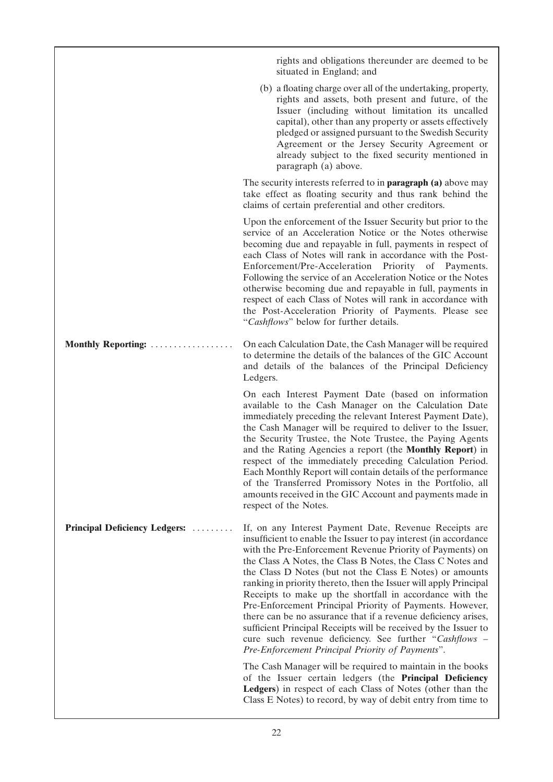|                               | rights and obligations thereunder are deemed to be<br>situated in England; and                                                                                                                                                                                                                                                                                                                                                                                                                                                                                                                                                                                                                                                                                     |
|-------------------------------|--------------------------------------------------------------------------------------------------------------------------------------------------------------------------------------------------------------------------------------------------------------------------------------------------------------------------------------------------------------------------------------------------------------------------------------------------------------------------------------------------------------------------------------------------------------------------------------------------------------------------------------------------------------------------------------------------------------------------------------------------------------------|
|                               | (b) a floating charge over all of the undertaking, property,<br>rights and assets, both present and future, of the<br>Issuer (including without limitation its uncalled<br>capital), other than any property or assets effectively<br>pledged or assigned pursuant to the Swedish Security<br>Agreement or the Jersey Security Agreement or<br>already subject to the fixed security mentioned in<br>paragraph (a) above.                                                                                                                                                                                                                                                                                                                                          |
|                               | The security interests referred to in <b>paragraph</b> (a) above may<br>take effect as floating security and thus rank behind the<br>claims of certain preferential and other creditors.                                                                                                                                                                                                                                                                                                                                                                                                                                                                                                                                                                           |
|                               | Upon the enforcement of the Issuer Security but prior to the<br>service of an Acceleration Notice or the Notes otherwise<br>becoming due and repayable in full, payments in respect of<br>each Class of Notes will rank in accordance with the Post-<br>Enforcement/Pre-Acceleration Priority of Payments.<br>Following the service of an Acceleration Notice or the Notes<br>otherwise becoming due and repayable in full, payments in<br>respect of each Class of Notes will rank in accordance with<br>the Post-Acceleration Priority of Payments. Please see<br>"Cashflows" below for further details.                                                                                                                                                         |
| Monthly Reporting:            | On each Calculation Date, the Cash Manager will be required<br>to determine the details of the balances of the GIC Account<br>and details of the balances of the Principal Deficiency<br>Ledgers.                                                                                                                                                                                                                                                                                                                                                                                                                                                                                                                                                                  |
|                               | On each Interest Payment Date (based on information<br>available to the Cash Manager on the Calculation Date<br>immediately preceding the relevant Interest Payment Date),<br>the Cash Manager will be required to deliver to the Issuer,<br>the Security Trustee, the Note Trustee, the Paying Agents<br>and the Rating Agencies a report (the Monthly Report) in<br>respect of the immediately preceding Calculation Period.<br>Each Monthly Report will contain details of the performance<br>of the Transferred Promissory Notes in the Portfolio, all<br>amounts received in the GIC Account and payments made in<br>respect of the Notes.                                                                                                                    |
| Principal Deficiency Ledgers: | If, on any Interest Payment Date, Revenue Receipts are<br>insufficient to enable the Issuer to pay interest (in accordance<br>with the Pre-Enforcement Revenue Priority of Payments) on<br>the Class A Notes, the Class B Notes, the Class C Notes and<br>the Class D Notes (but not the Class E Notes) or amounts<br>ranking in priority thereto, then the Issuer will apply Principal<br>Receipts to make up the shortfall in accordance with the<br>Pre-Enforcement Principal Priority of Payments. However,<br>there can be no assurance that if a revenue deficiency arises,<br>sufficient Principal Receipts will be received by the Issuer to<br>cure such revenue deficiency. See further "Cashflows -<br>Pre-Enforcement Principal Priority of Payments". |
|                               | The Cash Manager will be required to maintain in the books<br>of the Issuer certain ledgers (the Principal Deficiency<br>Ledgers) in respect of each Class of Notes (other than the<br>Class E Notes) to record, by way of debit entry from time to                                                                                                                                                                                                                                                                                                                                                                                                                                                                                                                |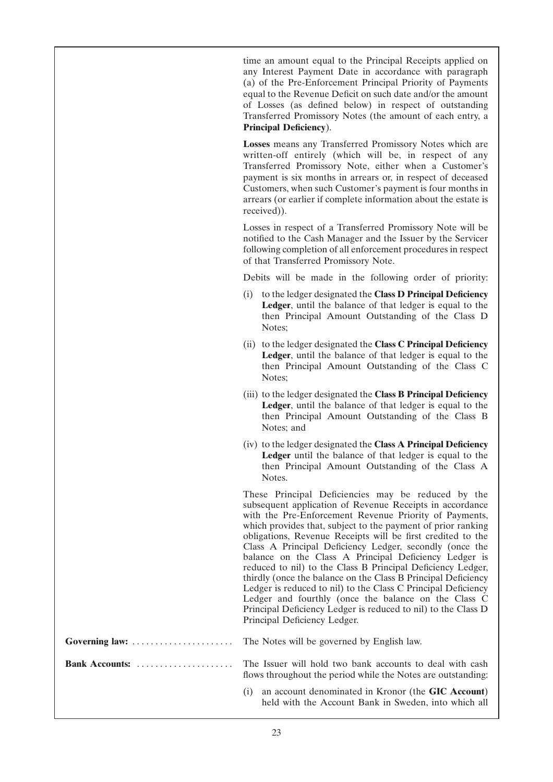time an amount equal to the Principal Receipts applied on any Interest Payment Date in accordance with paragraph (a) of the Pre-Enforcement Principal Priority of Payments equal to the Revenue Deficit on such date and/or the amount of Losses (as defined below) in respect of outstanding Transferred Promissory Notes (the amount of each entry, a **Principal Deficiency**).

**Losses** means any Transferred Promissory Notes which are written-off entirely (which will be, in respect of any Transferred Promissory Note, either when a Customer's payment is six months in arrears or, in respect of deceased Customers, when such Customer's payment is four months in arrears (or earlier if complete information about the estate is received)).

Losses in respect of a Transferred Promissory Note will be notified to the Cash Manager and the Issuer by the Servicer following completion of all enforcement procedures in respect of that Transferred Promissory Note.

Debits will be made in the following order of priority:

- (i) to the ledger designated the **Class D Principal Deficiency Ledger**, until the balance of that ledger is equal to the then Principal Amount Outstanding of the Class D Notes;
- (ii) to the ledger designated the **Class C Principal Deficiency Ledger**, until the balance of that ledger is equal to the then Principal Amount Outstanding of the Class C Notes;
- (iii) to the ledger designated the **Class B Principal Deficiency Ledger**, until the balance of that ledger is equal to the then Principal Amount Outstanding of the Class B Notes; and
- (iv) to the ledger designated the **Class A Principal Deficiency** Ledger until the balance of that ledger is equal to the then Principal Amount Outstanding of the Class A Notes.

These Principal Deficiencies may be reduced by the subsequent application of Revenue Receipts in accordance with the Pre-Enforcement Revenue Priority of Payments, which provides that, subject to the payment of prior ranking obligations, Revenue Receipts will be first credited to the Class A Principal Deficiency Ledger, secondly (once the balance on the Class A Principal Deficiency Ledger is reduced to nil) to the Class B Principal Deficiency Ledger, thirdly (once the balance on the Class B Principal Deficiency Ledger is reduced to nil) to the Class C Principal Deficiency Ledger and fourthly (once the balance on the Class C Principal Deficiency Ledger is reduced to nil) to the Class D Principal Deficiency Ledger.

held with the Account Bank in Sweden, into which all

| flows throughout the period while the Notes are outstanding:  |
|---------------------------------------------------------------|
| (i) an account denominated in Kronor (the <b>GIC</b> Account) |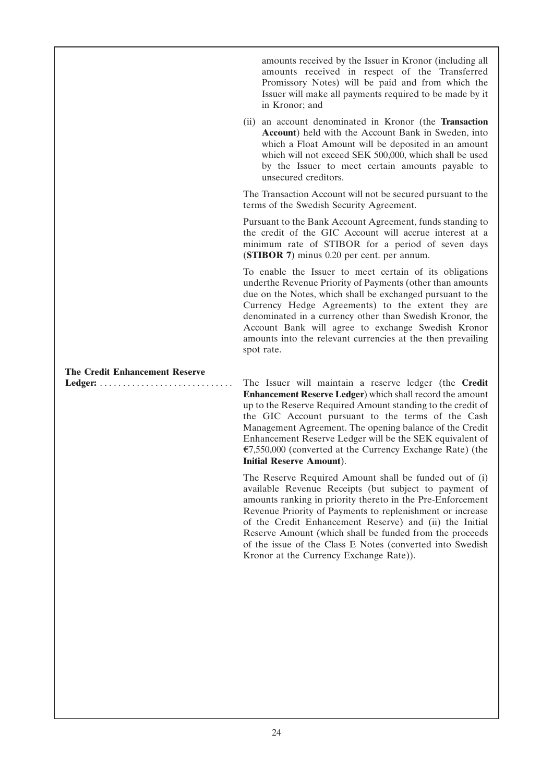amounts received by the Issuer in Kronor (including all amounts received in respect of the Transferred Promissory Notes) will be paid and from which the Issuer will make all payments required to be made by it in Kronor; and

(ii) an account denominated in Kronor (the **Transaction Account**) held with the Account Bank in Sweden, into which a Float Amount will be deposited in an amount which will not exceed SEK 500,000, which shall be used by the Issuer to meet certain amounts payable to unsecured creditors.

The Transaction Account will not be secured pursuant to the terms of the Swedish Security Agreement.

Pursuant to the Bank Account Agreement, funds standing to the credit of the GIC Account will accrue interest at a minimum rate of STIBOR for a period of seven days (**STIBOR 7**) minus 0.20 per cent. per annum.

To enable the Issuer to meet certain of its obligations underthe Revenue Priority of Payments (other than amounts due on the Notes, which shall be exchanged pursuant to the Currency Hedge Agreements) to the extent they are denominated in a currency other than Swedish Kronor, the Account Bank will agree to exchange Swedish Kronor amounts into the relevant currencies at the then prevailing spot rate.

## **The Credit Enhancement Reserve**

**Ledger:** . . . . . . . . . . . . . . . . . . . . . . . . . . . . . The Issuer will maintain a reserve ledger (the **Credit Enhancement Reserve Ledger**) which shall record the amount up to the Reserve Required Amount standing to the credit of the GIC Account pursuant to the terms of the Cash Management Agreement. The opening balance of the Credit Enhancement Reserve Ledger will be the SEK equivalent of  $\epsilon$ 7,550,000 (converted at the Currency Exchange Rate) (the **Initial Reserve Amount**).

> The Reserve Required Amount shall be funded out of (i) available Revenue Receipts (but subject to payment of amounts ranking in priority thereto in the Pre-Enforcement Revenue Priority of Payments to replenishment or increase of the Credit Enhancement Reserve) and (ii) the Initial Reserve Amount (which shall be funded from the proceeds of the issue of the Class E Notes (converted into Swedish Kronor at the Currency Exchange Rate)).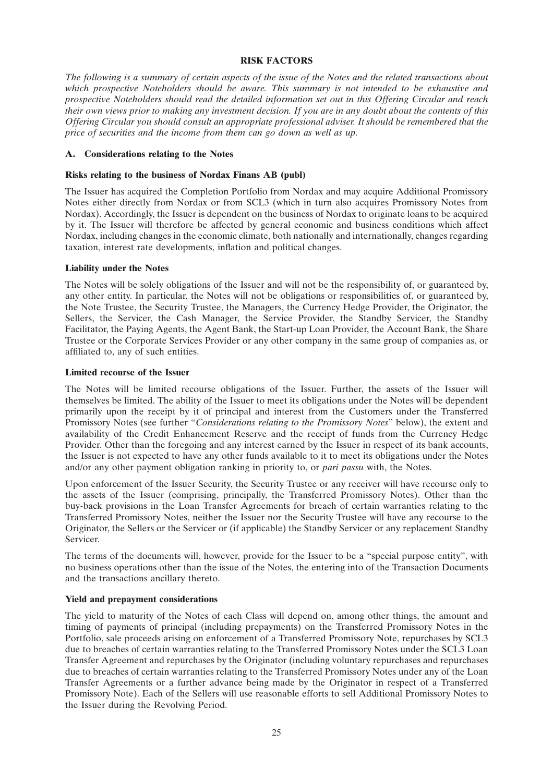#### **RISK FACTORS**

*The following is a summary of certain aspects of the issue of the Notes and the related transactions about which prospective Noteholders should be aware. This summary is not intended to be exhaustive and prospective Noteholders should read the detailed information set out in this Offering Circular and reach their own views prior to making any investment decision. If you are in any doubt about the contents of this Offering Circular you should consult an appropriate professional adviser. It should be remembered that the price of securities and the income from them can go down as well as up.*

#### **A. Considerations relating to the Notes**

#### **Risks relating to the business of Nordax Finans AB (publ)**

The Issuer has acquired the Completion Portfolio from Nordax and may acquire Additional Promissory Notes either directly from Nordax or from SCL3 (which in turn also acquires Promissory Notes from Nordax). Accordingly, the Issuer is dependent on the business of Nordax to originate loans to be acquired by it. The Issuer will therefore be affected by general economic and business conditions which affect Nordax, including changes in the economic climate, both nationally and internationally, changes regarding taxation, interest rate developments, inflation and political changes.

#### **Liability under the Notes**

The Notes will be solely obligations of the Issuer and will not be the responsibility of, or guaranteed by, any other entity. In particular, the Notes will not be obligations or responsibilities of, or guaranteed by, the Note Trustee, the Security Trustee, the Managers, the Currency Hedge Provider, the Originator, the Sellers, the Servicer, the Cash Manager, the Service Provider, the Standby Servicer, the Standby Facilitator, the Paying Agents, the Agent Bank, the Start-up Loan Provider, the Account Bank, the Share Trustee or the Corporate Services Provider or any other company in the same group of companies as, or affiliated to, any of such entities.

#### **Limited recourse of the Issuer**

The Notes will be limited recourse obligations of the Issuer. Further, the assets of the Issuer will themselves be limited. The ability of the Issuer to meet its obligations under the Notes will be dependent primarily upon the receipt by it of principal and interest from the Customers under the Transferred Promissory Notes (see further ''*Considerations relating to the Promissory Notes*'' below), the extent and availability of the Credit Enhancement Reserve and the receipt of funds from the Currency Hedge Provider. Other than the foregoing and any interest earned by the Issuer in respect of its bank accounts, the Issuer is not expected to have any other funds available to it to meet its obligations under the Notes and/or any other payment obligation ranking in priority to, or *pari passu* with, the Notes.

Upon enforcement of the Issuer Security, the Security Trustee or any receiver will have recourse only to the assets of the Issuer (comprising, principally, the Transferred Promissory Notes). Other than the buy-back provisions in the Loan Transfer Agreements for breach of certain warranties relating to the Transferred Promissory Notes, neither the Issuer nor the Security Trustee will have any recourse to the Originator, the Sellers or the Servicer or (if applicable) the Standby Servicer or any replacement Standby Servicer.

The terms of the documents will, however, provide for the Issuer to be a ''special purpose entity'', with no business operations other than the issue of the Notes, the entering into of the Transaction Documents and the transactions ancillary thereto.

### **Yield and prepayment considerations**

The yield to maturity of the Notes of each Class will depend on, among other things, the amount and timing of payments of principal (including prepayments) on the Transferred Promissory Notes in the Portfolio, sale proceeds arising on enforcement of a Transferred Promissory Note, repurchases by SCL3 due to breaches of certain warranties relating to the Transferred Promissory Notes under the SCL3 Loan Transfer Agreement and repurchases by the Originator (including voluntary repurchases and repurchases due to breaches of certain warranties relating to the Transferred Promissory Notes under any of the Loan Transfer Agreements or a further advance being made by the Originator in respect of a Transferred Promissory Note). Each of the Sellers will use reasonable efforts to sell Additional Promissory Notes to the Issuer during the Revolving Period.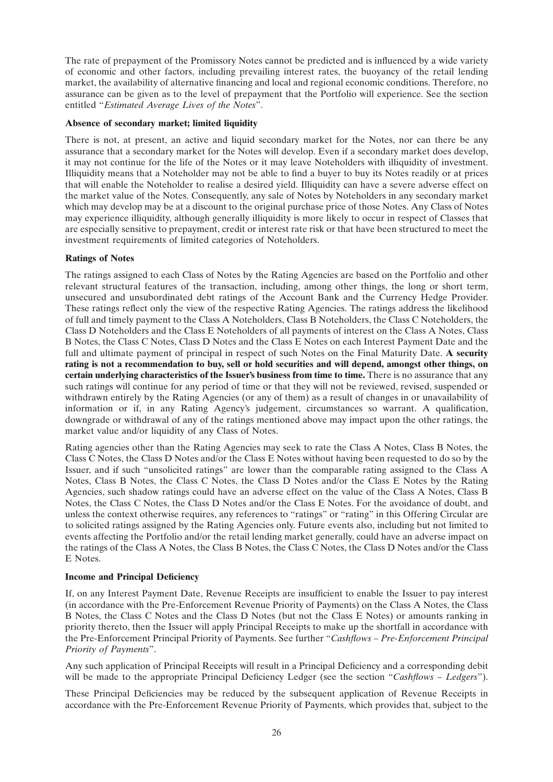The rate of prepayment of the Promissory Notes cannot be predicted and is influenced by a wide variety of economic and other factors, including prevailing interest rates, the buoyancy of the retail lending market, the availability of alternative financing and local and regional economic conditions. Therefore, no assurance can be given as to the level of prepayment that the Portfolio will experience. See the section entitled ''*Estimated Average Lives of the Notes*''.

### **Absence of secondary market; limited liquidity**

There is not, at present, an active and liquid secondary market for the Notes, nor can there be any assurance that a secondary market for the Notes will develop. Even if a secondary market does develop, it may not continue for the life of the Notes or it may leave Noteholders with illiquidity of investment. Illiquidity means that a Noteholder may not be able to find a buyer to buy its Notes readily or at prices that will enable the Noteholder to realise a desired yield. Illiquidity can have a severe adverse effect on the market value of the Notes. Consequently, any sale of Notes by Noteholders in any secondary market which may develop may be at a discount to the original purchase price of those Notes. Any Class of Notes may experience illiquidity, although generally illiquidity is more likely to occur in respect of Classes that are especially sensitive to prepayment, credit or interest rate risk or that have been structured to meet the investment requirements of limited categories of Noteholders.

### **Ratings of Notes**

The ratings assigned to each Class of Notes by the Rating Agencies are based on the Portfolio and other relevant structural features of the transaction, including, among other things, the long or short term, unsecured and unsubordinated debt ratings of the Account Bank and the Currency Hedge Provider. These ratings reflect only the view of the respective Rating Agencies. The ratings address the likelihood of full and timely payment to the Class A Noteholders, Class B Noteholders, the Class C Noteholders, the Class D Noteholders and the Class E Noteholders of all payments of interest on the Class A Notes, Class B Notes, the Class C Notes, Class D Notes and the Class E Notes on each Interest Payment Date and the full and ultimate payment of principal in respect of such Notes on the Final Maturity Date. **A security rating is not a recommendation to buy, sell or hold securities and will depend, amongst other things, on certain underlying characteristics of the Issuer's business from time to time.** There is no assurance that any such ratings will continue for any period of time or that they will not be reviewed, revised, suspended or withdrawn entirely by the Rating Agencies (or any of them) as a result of changes in or unavailability of information or if, in any Rating Agency's judgement, circumstances so warrant. A qualification, downgrade or withdrawal of any of the ratings mentioned above may impact upon the other ratings, the market value and/or liquidity of any Class of Notes.

Rating agencies other than the Rating Agencies may seek to rate the Class A Notes, Class B Notes, the Class C Notes, the Class D Notes and/or the Class E Notes without having been requested to do so by the Issuer, and if such ''unsolicited ratings'' are lower than the comparable rating assigned to the Class A Notes, Class B Notes, the Class C Notes, the Class D Notes and/or the Class E Notes by the Rating Agencies, such shadow ratings could have an adverse effect on the value of the Class A Notes, Class B Notes, the Class C Notes, the Class D Notes and/or the Class E Notes. For the avoidance of doubt, and unless the context otherwise requires, any references to ''ratings'' or ''rating'' in this Offering Circular are to solicited ratings assigned by the Rating Agencies only. Future events also, including but not limited to events affecting the Portfolio and/or the retail lending market generally, could have an adverse impact on the ratings of the Class A Notes, the Class B Notes, the Class C Notes, the Class D Notes and/or the Class E Notes.

### **Income and Principal Deficiency**

If, on any Interest Payment Date, Revenue Receipts are insufficient to enable the Issuer to pay interest (in accordance with the Pre-Enforcement Revenue Priority of Payments) on the Class A Notes, the Class B Notes, the Class C Notes and the Class D Notes (but not the Class E Notes) or amounts ranking in priority thereto, then the Issuer will apply Principal Receipts to make up the shortfall in accordance with the Pre-Enforcement Principal Priority of Payments. See further ''*Cashflows – Pre-Enforcement Principal Priority of Payments*''.

Any such application of Principal Receipts will result in a Principal Deficiency and a corresponding debit will be made to the appropriate Principal Deficiency Ledger (see the section "*Cashflows – Ledgers*").

These Principal Deficiencies may be reduced by the subsequent application of Revenue Receipts in accordance with the Pre-Enforcement Revenue Priority of Payments, which provides that, subject to the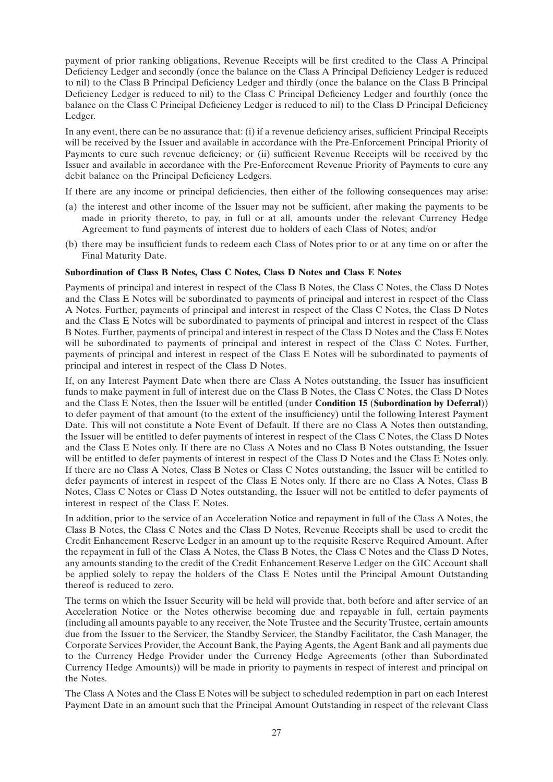payment of prior ranking obligations, Revenue Receipts will be first credited to the Class A Principal Deficiency Ledger and secondly (once the balance on the Class A Principal Deficiency Ledger is reduced to nil) to the Class B Principal Deficiency Ledger and thirdly (once the balance on the Class B Principal Deficiency Ledger is reduced to nil) to the Class C Principal Deficiency Ledger and fourthly (once the balance on the Class C Principal Deficiency Ledger is reduced to nil) to the Class D Principal Deficiency Ledger.

In any event, there can be no assurance that: (i) if a revenue deficiency arises, sufficient Principal Receipts will be received by the Issuer and available in accordance with the Pre-Enforcement Principal Priority of Payments to cure such revenue deficiency; or (ii) sufficient Revenue Receipts will be received by the Issuer and available in accordance with the Pre-Enforcement Revenue Priority of Payments to cure any debit balance on the Principal Deficiency Ledgers.

If there are any income or principal deficiencies, then either of the following consequences may arise:

- (a) the interest and other income of the Issuer may not be sufficient, after making the payments to be made in priority thereto, to pay, in full or at all, amounts under the relevant Currency Hedge Agreement to fund payments of interest due to holders of each Class of Notes; and/or
- (b) there may be insufficient funds to redeem each Class of Notes prior to or at any time on or after the Final Maturity Date.

#### **Subordination of Class B Notes, Class C Notes, Class D Notes and Class E Notes**

Payments of principal and interest in respect of the Class B Notes, the Class C Notes, the Class D Notes and the Class E Notes will be subordinated to payments of principal and interest in respect of the Class A Notes. Further, payments of principal and interest in respect of the Class C Notes, the Class D Notes and the Class E Notes will be subordinated to payments of principal and interest in respect of the Class B Notes. Further, payments of principal and interest in respect of the Class D Notes and the Class E Notes will be subordinated to payments of principal and interest in respect of the Class C Notes. Further, payments of principal and interest in respect of the Class E Notes will be subordinated to payments of principal and interest in respect of the Class D Notes.

If, on any Interest Payment Date when there are Class A Notes outstanding, the Issuer has insufficient funds to make payment in full of interest due on the Class B Notes, the Class C Notes, the Class D Notes and the Class E Notes, then the Issuer will be entitled (under **Condition 15** (**Subordination by Deferral**)) to defer payment of that amount (to the extent of the insufficiency) until the following Interest Payment Date. This will not constitute a Note Event of Default. If there are no Class A Notes then outstanding, the Issuer will be entitled to defer payments of interest in respect of the Class C Notes, the Class D Notes and the Class E Notes only. If there are no Class A Notes and no Class B Notes outstanding, the Issuer will be entitled to defer payments of interest in respect of the Class D Notes and the Class E Notes only. If there are no Class A Notes, Class B Notes or Class C Notes outstanding, the Issuer will be entitled to defer payments of interest in respect of the Class E Notes only. If there are no Class A Notes, Class B Notes, Class C Notes or Class D Notes outstanding, the Issuer will not be entitled to defer payments of interest in respect of the Class E Notes.

In addition, prior to the service of an Acceleration Notice and repayment in full of the Class A Notes, the Class B Notes, the Class C Notes and the Class D Notes, Revenue Receipts shall be used to credit the Credit Enhancement Reserve Ledger in an amount up to the requisite Reserve Required Amount. After the repayment in full of the Class A Notes, the Class B Notes, the Class C Notes and the Class D Notes, any amounts standing to the credit of the Credit Enhancement Reserve Ledger on the GIC Account shall be applied solely to repay the holders of the Class E Notes until the Principal Amount Outstanding thereof is reduced to zero.

The terms on which the Issuer Security will be held will provide that, both before and after service of an Acceleration Notice or the Notes otherwise becoming due and repayable in full, certain payments (including all amounts payable to any receiver, the Note Trustee and the Security Trustee, certain amounts due from the Issuer to the Servicer, the Standby Servicer, the Standby Facilitator, the Cash Manager, the Corporate Services Provider, the Account Bank, the Paying Agents, the Agent Bank and all payments due to the Currency Hedge Provider under the Currency Hedge Agreements (other than Subordinated Currency Hedge Amounts)) will be made in priority to payments in respect of interest and principal on the Notes.

The Class A Notes and the Class E Notes will be subject to scheduled redemption in part on each Interest Payment Date in an amount such that the Principal Amount Outstanding in respect of the relevant Class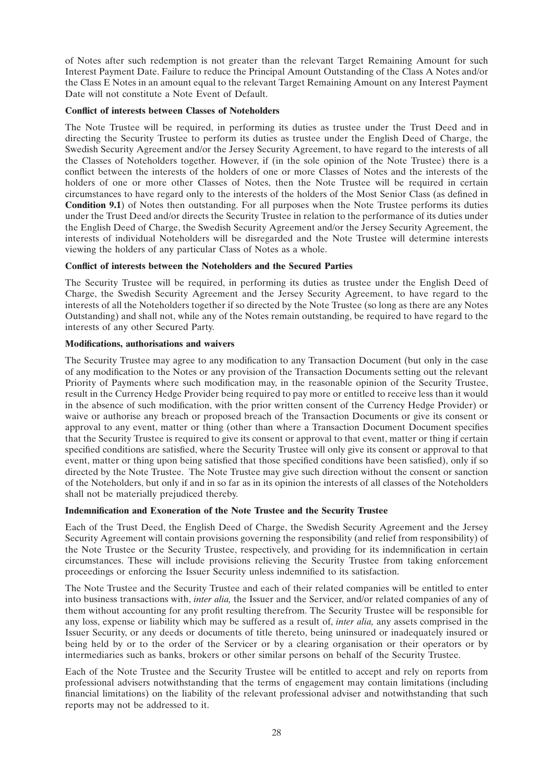of Notes after such redemption is not greater than the relevant Target Remaining Amount for such Interest Payment Date. Failure to reduce the Principal Amount Outstanding of the Class A Notes and/or the Class E Notes in an amount equal to the relevant Target Remaining Amount on any Interest Payment Date will not constitute a Note Event of Default.

### **Conflict of interests between Classes of Noteholders**

The Note Trustee will be required, in performing its duties as trustee under the Trust Deed and in directing the Security Trustee to perform its duties as trustee under the English Deed of Charge, the Swedish Security Agreement and/or the Jersey Security Agreement, to have regard to the interests of all the Classes of Noteholders together. However, if (in the sole opinion of the Note Trustee) there is a conflict between the interests of the holders of one or more Classes of Notes and the interests of the holders of one or more other Classes of Notes, then the Note Trustee will be required in certain circumstances to have regard only to the interests of the holders of the Most Senior Class (as defined in **Condition 9.1**) of Notes then outstanding. For all purposes when the Note Trustee performs its duties under the Trust Deed and/or directs the Security Trustee in relation to the performance of its duties under the English Deed of Charge, the Swedish Security Agreement and/or the Jersey Security Agreement, the interests of individual Noteholders will be disregarded and the Note Trustee will determine interests viewing the holders of any particular Class of Notes as a whole.

### **Conflict of interests between the Noteholders and the Secured Parties**

The Security Trustee will be required, in performing its duties as trustee under the English Deed of Charge, the Swedish Security Agreement and the Jersey Security Agreement, to have regard to the interests of all the Noteholders together if so directed by the Note Trustee (so long as there are any Notes Outstanding) and shall not, while any of the Notes remain outstanding, be required to have regard to the interests of any other Secured Party.

### **Modifications, authorisations and waivers**

The Security Trustee may agree to any modification to any Transaction Document (but only in the case of any modification to the Notes or any provision of the Transaction Documents setting out the relevant Priority of Payments where such modification may, in the reasonable opinion of the Security Trustee, result in the Currency Hedge Provider being required to pay more or entitled to receive less than it would in the absence of such modification, with the prior written consent of the Currency Hedge Provider) or waive or authorise any breach or proposed breach of the Transaction Documents or give its consent or approval to any event, matter or thing (other than where a Transaction Document Document specifies that the Security Trustee is required to give its consent or approval to that event, matter or thing if certain specified conditions are satisfied, where the Security Trustee will only give its consent or approval to that event, matter or thing upon being satisfied that those specified conditions have been satisfied), only if so directed by the Note Trustee. The Note Trustee may give such direction without the consent or sanction of the Noteholders, but only if and in so far as in its opinion the interests of all classes of the Noteholders shall not be materially prejudiced thereby.

### **Indemnification and Exoneration of the Note Trustee and the Security Trustee**

Each of the Trust Deed, the English Deed of Charge, the Swedish Security Agreement and the Jersey Security Agreement will contain provisions governing the responsibility (and relief from responsibility) of the Note Trustee or the Security Trustee, respectively, and providing for its indemnification in certain circumstances. These will include provisions relieving the Security Trustee from taking enforcement proceedings or enforcing the Issuer Security unless indemnified to its satisfaction.

The Note Trustee and the Security Trustee and each of their related companies will be entitled to enter into business transactions with, *inter alia,* the Issuer and the Servicer, and/or related companies of any of them without accounting for any profit resulting therefrom. The Security Trustee will be responsible for any loss, expense or liability which may be suffered as a result of, *inter alia,* any assets comprised in the Issuer Security, or any deeds or documents of title thereto, being uninsured or inadequately insured or being held by or to the order of the Servicer or by a clearing organisation or their operators or by intermediaries such as banks, brokers or other similar persons on behalf of the Security Trustee.

Each of the Note Trustee and the Security Trustee will be entitled to accept and rely on reports from professional advisers notwithstanding that the terms of engagement may contain limitations (including financial limitations) on the liability of the relevant professional adviser and notwithstanding that such reports may not be addressed to it.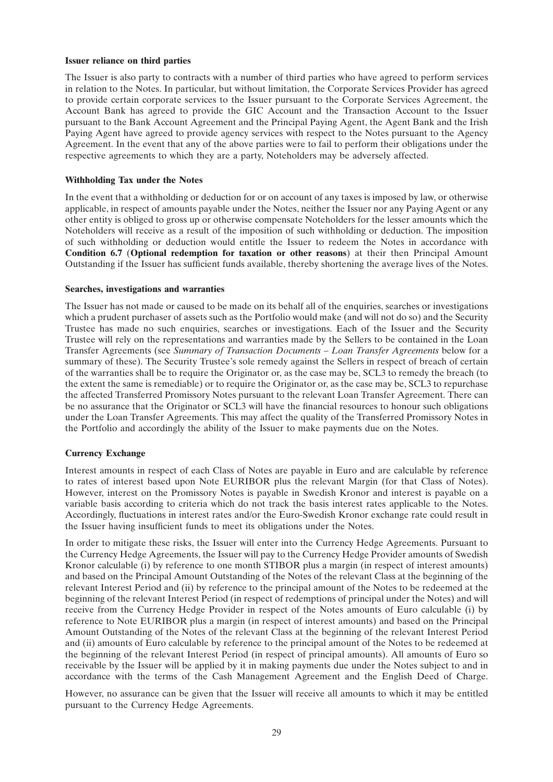#### **Issuer reliance on third parties**

The Issuer is also party to contracts with a number of third parties who have agreed to perform services in relation to the Notes. In particular, but without limitation, the Corporate Services Provider has agreed to provide certain corporate services to the Issuer pursuant to the Corporate Services Agreement, the Account Bank has agreed to provide the GIC Account and the Transaction Account to the Issuer pursuant to the Bank Account Agreement and the Principal Paying Agent, the Agent Bank and the Irish Paying Agent have agreed to provide agency services with respect to the Notes pursuant to the Agency Agreement. In the event that any of the above parties were to fail to perform their obligations under the respective agreements to which they are a party, Noteholders may be adversely affected.

#### **Withholding Tax under the Notes**

In the event that a withholding or deduction for or on account of any taxes is imposed by law, or otherwise applicable, in respect of amounts payable under the Notes, neither the Issuer nor any Paying Agent or any other entity is obliged to gross up or otherwise compensate Noteholders for the lesser amounts which the Noteholders will receive as a result of the imposition of such withholding or deduction. The imposition of such withholding or deduction would entitle the Issuer to redeem the Notes in accordance with **Condition 6.7** (**Optional redemption for taxation or other reasons**) at their then Principal Amount Outstanding if the Issuer has sufficient funds available, thereby shortening the average lives of the Notes.

#### **Searches, investigations and warranties**

The Issuer has not made or caused to be made on its behalf all of the enquiries, searches or investigations which a prudent purchaser of assets such as the Portfolio would make (and will not do so) and the Security Trustee has made no such enquiries, searches or investigations. Each of the Issuer and the Security Trustee will rely on the representations and warranties made by the Sellers to be contained in the Loan Transfer Agreements (see *Summary of Transaction Documents – Loan Transfer Agreements* below for a summary of these). The Security Trustee's sole remedy against the Sellers in respect of breach of certain of the warranties shall be to require the Originator or, as the case may be, SCL3 to remedy the breach (to the extent the same is remediable) or to require the Originator or, as the case may be, SCL3 to repurchase the affected Transferred Promissory Notes pursuant to the relevant Loan Transfer Agreement. There can be no assurance that the Originator or SCL3 will have the financial resources to honour such obligations under the Loan Transfer Agreements. This may affect the quality of the Transferred Promissory Notes in the Portfolio and accordingly the ability of the Issuer to make payments due on the Notes.

### **Currency Exchange**

Interest amounts in respect of each Class of Notes are payable in Euro and are calculable by reference to rates of interest based upon Note EURIBOR plus the relevant Margin (for that Class of Notes). However, interest on the Promissory Notes is payable in Swedish Kronor and interest is payable on a variable basis according to criteria which do not track the basis interest rates applicable to the Notes. Accordingly, fluctuations in interest rates and/or the Euro-Swedish Kronor exchange rate could result in the Issuer having insufficient funds to meet its obligations under the Notes.

In order to mitigate these risks, the Issuer will enter into the Currency Hedge Agreements. Pursuant to the Currency Hedge Agreements, the Issuer will pay to the Currency Hedge Provider amounts of Swedish Kronor calculable (i) by reference to one month STIBOR plus a margin (in respect of interest amounts) and based on the Principal Amount Outstanding of the Notes of the relevant Class at the beginning of the relevant Interest Period and (ii) by reference to the principal amount of the Notes to be redeemed at the beginning of the relevant Interest Period (in respect of redemptions of principal under the Notes) and will receive from the Currency Hedge Provider in respect of the Notes amounts of Euro calculable (i) by reference to Note EURIBOR plus a margin (in respect of interest amounts) and based on the Principal Amount Outstanding of the Notes of the relevant Class at the beginning of the relevant Interest Period and (ii) amounts of Euro calculable by reference to the principal amount of the Notes to be redeemed at the beginning of the relevant Interest Period (in respect of principal amounts). All amounts of Euro so receivable by the Issuer will be applied by it in making payments due under the Notes subject to and in accordance with the terms of the Cash Management Agreement and the English Deed of Charge.

However, no assurance can be given that the Issuer will receive all amounts to which it may be entitled pursuant to the Currency Hedge Agreements.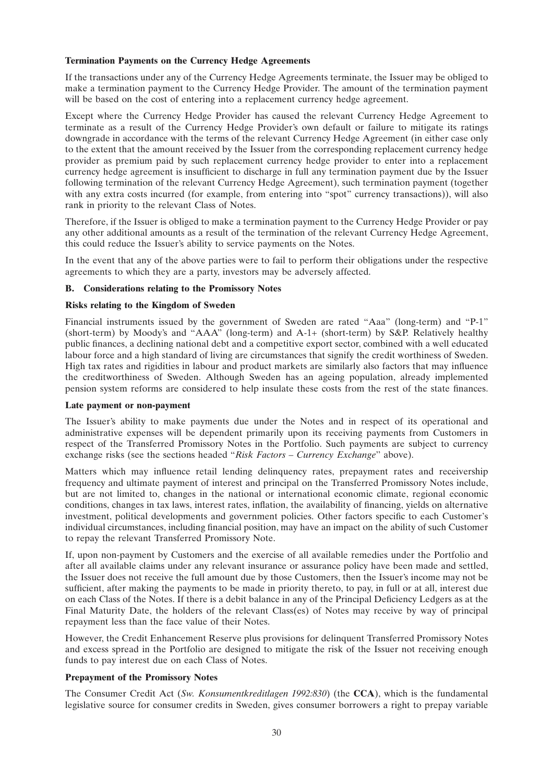### **Termination Payments on the Currency Hedge Agreements**

If the transactions under any of the Currency Hedge Agreements terminate, the Issuer may be obliged to make a termination payment to the Currency Hedge Provider. The amount of the termination payment will be based on the cost of entering into a replacement currency hedge agreement.

Except where the Currency Hedge Provider has caused the relevant Currency Hedge Agreement to terminate as a result of the Currency Hedge Provider's own default or failure to mitigate its ratings downgrade in accordance with the terms of the relevant Currency Hedge Agreement (in either case only to the extent that the amount received by the Issuer from the corresponding replacement currency hedge provider as premium paid by such replacement currency hedge provider to enter into a replacement currency hedge agreement is insufficient to discharge in full any termination payment due by the Issuer following termination of the relevant Currency Hedge Agreement), such termination payment (together with any extra costs incurred (for example, from entering into "spot" currency transactions)), will also rank in priority to the relevant Class of Notes.

Therefore, if the Issuer is obliged to make a termination payment to the Currency Hedge Provider or pay any other additional amounts as a result of the termination of the relevant Currency Hedge Agreement, this could reduce the Issuer's ability to service payments on the Notes.

In the event that any of the above parties were to fail to perform their obligations under the respective agreements to which they are a party, investors may be adversely affected.

### **B. Considerations relating to the Promissory Notes**

### **Risks relating to the Kingdom of Sweden**

Financial instruments issued by the government of Sweden are rated "Aaa" (long-term) and "P-1" (short-term) by Moody's and ''AAA'' (long-term) and A-1+ (short-term) by S&P. Relatively healthy public finances, a declining national debt and a competitive export sector, combined with a well educated labour force and a high standard of living are circumstances that signify the credit worthiness of Sweden. High tax rates and rigidities in labour and product markets are similarly also factors that may influence the creditworthiness of Sweden. Although Sweden has an ageing population, already implemented pension system reforms are considered to help insulate these costs from the rest of the state finances.

### **Late payment or non-payment**

The Issuer's ability to make payments due under the Notes and in respect of its operational and administrative expenses will be dependent primarily upon its receiving payments from Customers in respect of the Transferred Promissory Notes in the Portfolio. Such payments are subject to currency exchange risks (see the sections headed ''*Risk Factors – Currency Exchange*'' above).

Matters which may influence retail lending delinquency rates, prepayment rates and receivership frequency and ultimate payment of interest and principal on the Transferred Promissory Notes include, but are not limited to, changes in the national or international economic climate, regional economic conditions, changes in tax laws, interest rates, inflation, the availability of financing, yields on alternative investment, political developments and government policies. Other factors specific to each Customer's individual circumstances, including financial position, may have an impact on the ability of such Customer to repay the relevant Transferred Promissory Note.

If, upon non-payment by Customers and the exercise of all available remedies under the Portfolio and after all available claims under any relevant insurance or assurance policy have been made and settled, the Issuer does not receive the full amount due by those Customers, then the Issuer's income may not be sufficient, after making the payments to be made in priority thereto, to pay, in full or at all, interest due on each Class of the Notes. If there is a debit balance in any of the Principal Deficiency Ledgers as at the Final Maturity Date, the holders of the relevant Class(es) of Notes may receive by way of principal repayment less than the face value of their Notes.

However, the Credit Enhancement Reserve plus provisions for delinquent Transferred Promissory Notes and excess spread in the Portfolio are designed to mitigate the risk of the Issuer not receiving enough funds to pay interest due on each Class of Notes.

### **Prepayment of the Promissory Notes**

The Consumer Credit Act (*Sw. Konsumentkreditlagen 1992:830*) (the **CCA**), which is the fundamental legislative source for consumer credits in Sweden, gives consumer borrowers a right to prepay variable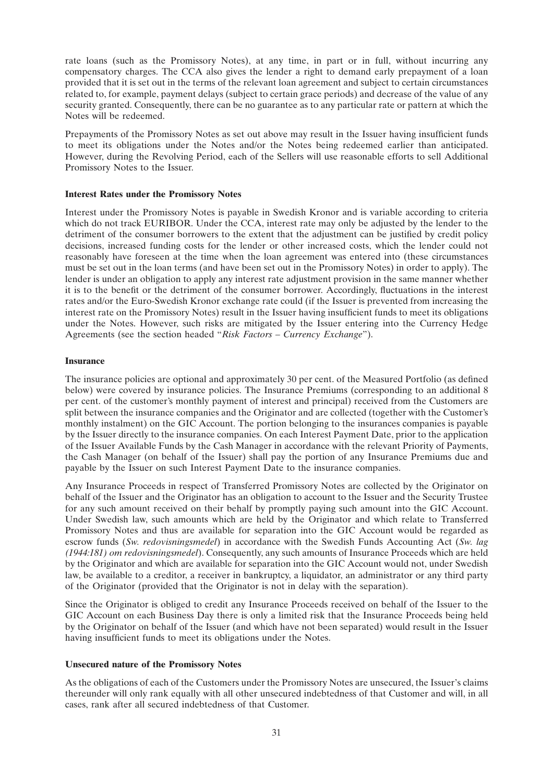rate loans (such as the Promissory Notes), at any time, in part or in full, without incurring any compensatory charges. The CCA also gives the lender a right to demand early prepayment of a loan provided that it is set out in the terms of the relevant loan agreement and subject to certain circumstances related to, for example, payment delays (subject to certain grace periods) and decrease of the value of any security granted. Consequently, there can be no guarantee as to any particular rate or pattern at which the Notes will be redeemed.

Prepayments of the Promissory Notes as set out above may result in the Issuer having insufficient funds to meet its obligations under the Notes and/or the Notes being redeemed earlier than anticipated. However, during the Revolving Period, each of the Sellers will use reasonable efforts to sell Additional Promissory Notes to the Issuer.

### **Interest Rates under the Promissory Notes**

Interest under the Promissory Notes is payable in Swedish Kronor and is variable according to criteria which do not track EURIBOR. Under the CCA, interest rate may only be adjusted by the lender to the detriment of the consumer borrowers to the extent that the adjustment can be justified by credit policy decisions, increased funding costs for the lender or other increased costs, which the lender could not reasonably have foreseen at the time when the loan agreement was entered into (these circumstances must be set out in the loan terms (and have been set out in the Promissory Notes) in order to apply). The lender is under an obligation to apply any interest rate adjustment provision in the same manner whether it is to the benefit or the detriment of the consumer borrower. Accordingly, fluctuations in the interest rates and/or the Euro-Swedish Kronor exchange rate could (if the Issuer is prevented from increasing the interest rate on the Promissory Notes) result in the Issuer having insufficient funds to meet its obligations under the Notes. However, such risks are mitigated by the Issuer entering into the Currency Hedge Agreements (see the section headed ''*Risk Factors – Currency Exchange*'').

### **Insurance**

The insurance policies are optional and approximately 30 per cent. of the Measured Portfolio (as defined below) were covered by insurance policies. The Insurance Premiums (corresponding to an additional 8 per cent. of the customer's monthly payment of interest and principal) received from the Customers are split between the insurance companies and the Originator and are collected (together with the Customer's monthly instalment) on the GIC Account. The portion belonging to the insurances companies is payable by the Issuer directly to the insurance companies. On each Interest Payment Date, prior to the application of the Issuer Available Funds by the Cash Manager in accordance with the relevant Priority of Payments, the Cash Manager (on behalf of the Issuer) shall pay the portion of any Insurance Premiums due and payable by the Issuer on such Interest Payment Date to the insurance companies.

Any Insurance Proceeds in respect of Transferred Promissory Notes are collected by the Originator on behalf of the Issuer and the Originator has an obligation to account to the Issuer and the Security Trustee for any such amount received on their behalf by promptly paying such amount into the GIC Account. Under Swedish law, such amounts which are held by the Originator and which relate to Transferred Promissory Notes and thus are available for separation into the GIC Account would be regarded as escrow funds (*Sw. redovisningsmedel*) in accordance with the Swedish Funds Accounting Act (*Sw. lag (1944:181) om redovisningsmedel*). Consequently, any such amounts of Insurance Proceeds which are held by the Originator and which are available for separation into the GIC Account would not, under Swedish law, be available to a creditor, a receiver in bankruptcy, a liquidator, an administrator or any third party of the Originator (provided that the Originator is not in delay with the separation).

Since the Originator is obliged to credit any Insurance Proceeds received on behalf of the Issuer to the GIC Account on each Business Day there is only a limited risk that the Insurance Proceeds being held by the Originator on behalf of the Issuer (and which have not been separated) would result in the Issuer having insufficient funds to meet its obligations under the Notes.

### **Unsecured nature of the Promissory Notes**

As the obligations of each of the Customers under the Promissory Notes are unsecured, the Issuer's claims thereunder will only rank equally with all other unsecured indebtedness of that Customer and will, in all cases, rank after all secured indebtedness of that Customer.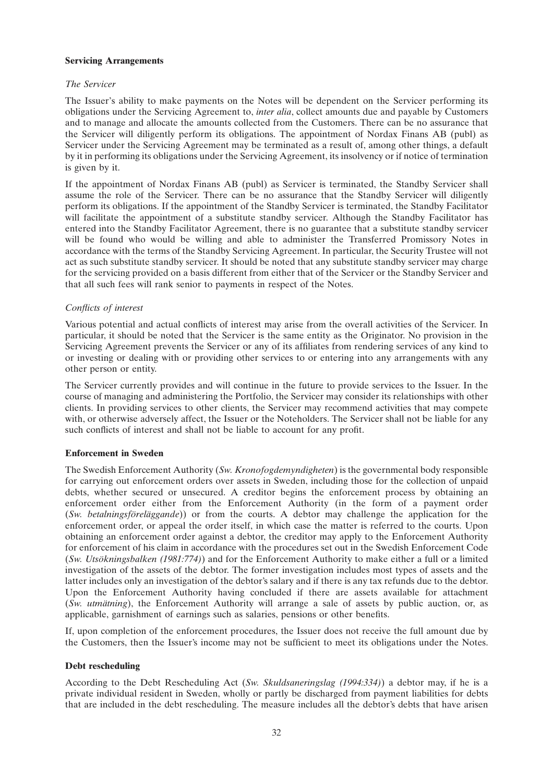### **Servicing Arrangements**

### *The Servicer*

The Issuer's ability to make payments on the Notes will be dependent on the Servicer performing its obligations under the Servicing Agreement to, *inter alia*, collect amounts due and payable by Customers and to manage and allocate the amounts collected from the Customers. There can be no assurance that the Servicer will diligently perform its obligations. The appointment of Nordax Finans AB (publ) as Servicer under the Servicing Agreement may be terminated as a result of, among other things, a default by it in performing its obligations under the Servicing Agreement, its insolvency or if notice of termination is given by it.

If the appointment of Nordax Finans AB (publ) as Servicer is terminated, the Standby Servicer shall assume the role of the Servicer. There can be no assurance that the Standby Servicer will diligently perform its obligations. If the appointment of the Standby Servicer is terminated, the Standby Facilitator will facilitate the appointment of a substitute standby servicer. Although the Standby Facilitator has entered into the Standby Facilitator Agreement, there is no guarantee that a substitute standby servicer will be found who would be willing and able to administer the Transferred Promissory Notes in accordance with the terms of the Standby Servicing Agreement. In particular, the Security Trustee will not act as such substitute standby servicer. It should be noted that any substitute standby servicer may charge for the servicing provided on a basis different from either that of the Servicer or the Standby Servicer and that all such fees will rank senior to payments in respect of the Notes.

### *Conflicts of interest*

Various potential and actual conflicts of interest may arise from the overall activities of the Servicer. In particular, it should be noted that the Servicer is the same entity as the Originator. No provision in the Servicing Agreement prevents the Servicer or any of its affiliates from rendering services of any kind to or investing or dealing with or providing other services to or entering into any arrangements with any other person or entity.

The Servicer currently provides and will continue in the future to provide services to the Issuer. In the course of managing and administering the Portfolio, the Servicer may consider its relationships with other clients. In providing services to other clients, the Servicer may recommend activities that may compete with, or otherwise adversely affect, the Issuer or the Noteholders. The Servicer shall not be liable for any such conflicts of interest and shall not be liable to account for any profit.

### **Enforcement in Sweden**

The Swedish Enforcement Authority (*Sw. Kronofogdemyndigheten*) is the governmental body responsible for carrying out enforcement orders over assets in Sweden, including those for the collection of unpaid debts, whether secured or unsecured. A creditor begins the enforcement process by obtaining an enforcement order either from the Enforcement Authority (in the form of a payment order (*Sw. betalningsföreläggande*)) or from the courts. A debtor may challenge the application for the enforcement order, or appeal the order itself, in which case the matter is referred to the courts. Upon obtaining an enforcement order against a debtor, the creditor may apply to the Enforcement Authority for enforcement of his claim in accordance with the procedures set out in the Swedish Enforcement Code (*Sw. Utsökningsbalken (1981:774)*) and for the Enforcement Authority to make either a full or a limited investigation of the assets of the debtor. The former investigation includes most types of assets and the latter includes only an investigation of the debtor's salary and if there is any tax refunds due to the debtor. Upon the Enforcement Authority having concluded if there are assets available for attachment (*Sw. utmätning*), the Enforcement Authority will arrange a sale of assets by public auction, or, as applicable, garnishment of earnings such as salaries, pensions or other benefits.

If, upon completion of the enforcement procedures, the Issuer does not receive the full amount due by the Customers, then the Issuer's income may not be sufficient to meet its obligations under the Notes.

### **Debt rescheduling**

According to the Debt Rescheduling Act (*Sw. Skuldsaneringslag (1994:334)*) a debtor may, if he is a private individual resident in Sweden, wholly or partly be discharged from payment liabilities for debts that are included in the debt rescheduling. The measure includes all the debtor's debts that have arisen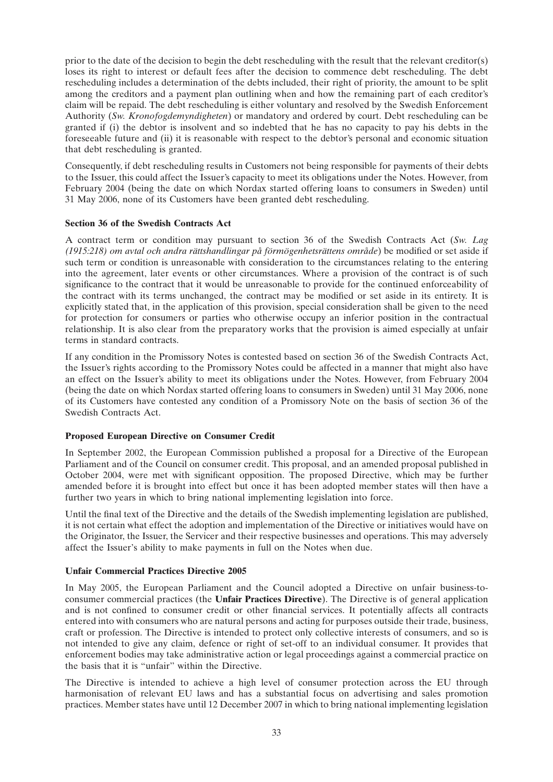prior to the date of the decision to begin the debt rescheduling with the result that the relevant creditor(s) loses its right to interest or default fees after the decision to commence debt rescheduling. The debt rescheduling includes a determination of the debts included, their right of priority, the amount to be split among the creditors and a payment plan outlining when and how the remaining part of each creditor's claim will be repaid. The debt rescheduling is either voluntary and resolved by the Swedish Enforcement Authority (*Sw. Kronofogdemyndigheten*) or mandatory and ordered by court. Debt rescheduling can be granted if (i) the debtor is insolvent and so indebted that he has no capacity to pay his debts in the foreseeable future and (ii) it is reasonable with respect to the debtor's personal and economic situation that debt rescheduling is granted.

Consequently, if debt rescheduling results in Customers not being responsible for payments of their debts to the Issuer, this could affect the Issuer's capacity to meet its obligations under the Notes. However, from February 2004 (being the date on which Nordax started offering loans to consumers in Sweden) until 31 May 2006, none of its Customers have been granted debt rescheduling.

### **Section 36 of the Swedish Contracts Act**

A contract term or condition may pursuant to section 36 of the Swedish Contracts Act (*Sw. Lag (1915:218) om avtal och andra rättshandlingar på förmögenhetsrättens område*) be modified or set aside if such term or condition is unreasonable with consideration to the circumstances relating to the entering into the agreement, later events or other circumstances. Where a provision of the contract is of such significance to the contract that it would be unreasonable to provide for the continued enforceability of the contract with its terms unchanged, the contract may be modified or set aside in its entirety. It is explicitly stated that, in the application of this provision, special consideration shall be given to the need for protection for consumers or parties who otherwise occupy an inferior position in the contractual relationship. It is also clear from the preparatory works that the provision is aimed especially at unfair terms in standard contracts.

If any condition in the Promissory Notes is contested based on section 36 of the Swedish Contracts Act, the Issuer's rights according to the Promissory Notes could be affected in a manner that might also have an effect on the Issuer's ability to meet its obligations under the Notes. However, from February 2004 (being the date on which Nordax started offering loans to consumers in Sweden) until 31 May 2006, none of its Customers have contested any condition of a Promissory Note on the basis of section 36 of the Swedish Contracts Act.

### **Proposed European Directive on Consumer Credit**

In September 2002, the European Commission published a proposal for a Directive of the European Parliament and of the Council on consumer credit. This proposal, and an amended proposal published in October 2004, were met with significant opposition. The proposed Directive, which may be further amended before it is brought into effect but once it has been adopted member states will then have a further two years in which to bring national implementing legislation into force.

Until the final text of the Directive and the details of the Swedish implementing legislation are published, it is not certain what effect the adoption and implementation of the Directive or initiatives would have on the Originator, the Issuer, the Servicer and their respective businesses and operations. This may adversely affect the Issuer's ability to make payments in full on the Notes when due.

### **Unfair Commercial Practices Directive 2005**

In May 2005, the European Parliament and the Council adopted a Directive on unfair business-toconsumer commercial practices (the **Unfair Practices Directive**). The Directive is of general application and is not confined to consumer credit or other financial services. It potentially affects all contracts entered into with consumers who are natural persons and acting for purposes outside their trade, business, craft or profession. The Directive is intended to protect only collective interests of consumers, and so is not intended to give any claim, defence or right of set-off to an individual consumer. It provides that enforcement bodies may take administrative action or legal proceedings against a commercial practice on the basis that it is ''unfair'' within the Directive.

The Directive is intended to achieve a high level of consumer protection across the EU through harmonisation of relevant EU laws and has a substantial focus on advertising and sales promotion practices. Member states have until 12 December 2007 in which to bring national implementing legislation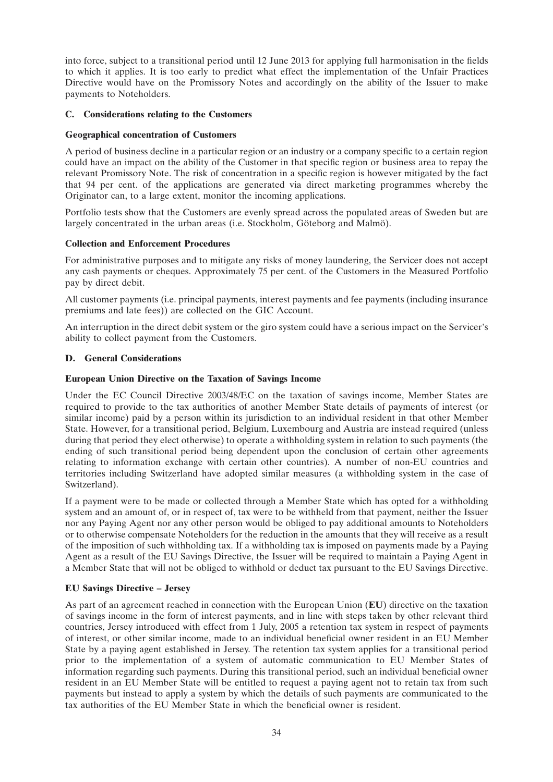into force, subject to a transitional period until 12 June 2013 for applying full harmonisation in the fields to which it applies. It is too early to predict what effect the implementation of the Unfair Practices Directive would have on the Promissory Notes and accordingly on the ability of the Issuer to make payments to Noteholders.

### **C. Considerations relating to the Customers**

### **Geographical concentration of Customers**

A period of business decline in a particular region or an industry or a company specific to a certain region could have an impact on the ability of the Customer in that specific region or business area to repay the relevant Promissory Note. The risk of concentration in a specific region is however mitigated by the fact that 94 per cent. of the applications are generated via direct marketing programmes whereby the Originator can, to a large extent, monitor the incoming applications.

Portfolio tests show that the Customers are evenly spread across the populated areas of Sweden but are largely concentrated in the urban areas (i.e. Stockholm, Göteborg and Malmö).

### **Collection and Enforcement Procedures**

For administrative purposes and to mitigate any risks of money laundering, the Servicer does not accept any cash payments or cheques. Approximately 75 per cent. of the Customers in the Measured Portfolio pay by direct debit.

All customer payments (i.e. principal payments, interest payments and fee payments (including insurance premiums and late fees)) are collected on the GIC Account.

An interruption in the direct debit system or the giro system could have a serious impact on the Servicer's ability to collect payment from the Customers.

### **D. General Considerations**

### **European Union Directive on the Taxation of Savings Income**

Under the EC Council Directive 2003/48/EC on the taxation of savings income, Member States are required to provide to the tax authorities of another Member State details of payments of interest (or similar income) paid by a person within its jurisdiction to an individual resident in that other Member State. However, for a transitional period, Belgium, Luxembourg and Austria are instead required (unless during that period they elect otherwise) to operate a withholding system in relation to such payments (the ending of such transitional period being dependent upon the conclusion of certain other agreements relating to information exchange with certain other countries). A number of non-EU countries and territories including Switzerland have adopted similar measures (a withholding system in the case of Switzerland).

If a payment were to be made or collected through a Member State which has opted for a withholding system and an amount of, or in respect of, tax were to be withheld from that payment, neither the Issuer nor any Paying Agent nor any other person would be obliged to pay additional amounts to Noteholders or to otherwise compensate Noteholders for the reduction in the amounts that they will receive as a result of the imposition of such withholding tax. If a withholding tax is imposed on payments made by a Paying Agent as a result of the EU Savings Directive, the Issuer will be required to maintain a Paying Agent in a Member State that will not be obliged to withhold or deduct tax pursuant to the EU Savings Directive.

### **EU Savings Directive – Jersey**

As part of an agreement reached in connection with the European Union (**EU**) directive on the taxation of savings income in the form of interest payments, and in line with steps taken by other relevant third countries, Jersey introduced with effect from 1 July, 2005 a retention tax system in respect of payments of interest, or other similar income, made to an individual beneficial owner resident in an EU Member State by a paying agent established in Jersey. The retention tax system applies for a transitional period prior to the implementation of a system of automatic communication to EU Member States of information regarding such payments. During this transitional period, such an individual beneficial owner resident in an EU Member State will be entitled to request a paying agent not to retain tax from such payments but instead to apply a system by which the details of such payments are communicated to the tax authorities of the EU Member State in which the beneficial owner is resident.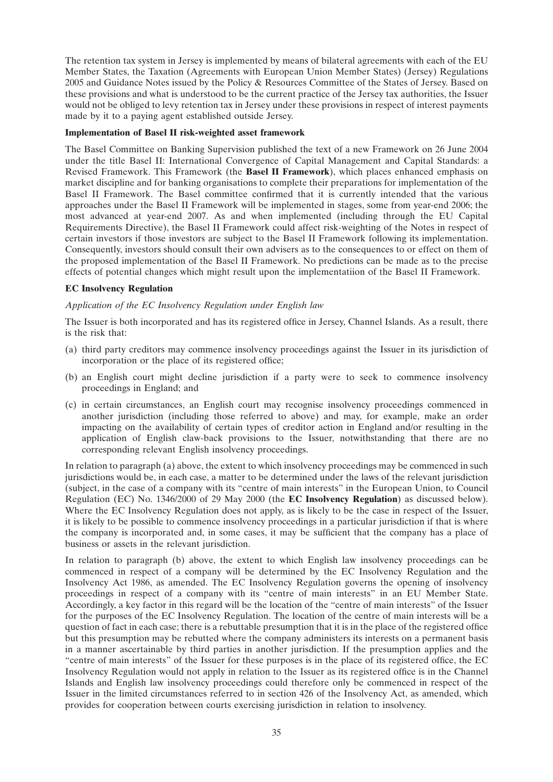The retention tax system in Jersey is implemented by means of bilateral agreements with each of the EU Member States, the Taxation (Agreements with European Union Member States) (Jersey) Regulations 2005 and Guidance Notes issued by the Policy & Resources Committee of the States of Jersey. Based on these provisions and what is understood to be the current practice of the Jersey tax authorities, the Issuer would not be obliged to levy retention tax in Jersey under these provisions in respect of interest payments made by it to a paying agent established outside Jersey.

### **Implementation of Basel II risk-weighted asset framework**

The Basel Committee on Banking Supervision published the text of a new Framework on 26 June 2004 under the title Basel II: International Convergence of Capital Management and Capital Standards: a Revised Framework. This Framework (the **Basel II Framework**), which places enhanced emphasis on market discipline and for banking organisations to complete their preparations for implementation of the Basel II Framework. The Basel committee confirmed that it is currently intended that the various approaches under the Basel II Framework will be implemented in stages, some from year-end 2006; the most advanced at year-end 2007. As and when implemented (including through the EU Capital Requirements Directive), the Basel II Framework could affect risk-weighting of the Notes in respect of certain investors if those investors are subject to the Basel II Framework following its implementation. Consequently, investors should consult their own advisers as to the consequences to or effect on them of the proposed implementation of the Basel II Framework. No predictions can be made as to the precise effects of potential changes which might result upon the implementatiion of the Basel II Framework.

### **EC Insolvency Regulation**

### *Application of the EC Insolvency Regulation under English law*

The Issuer is both incorporated and has its registered office in Jersey, Channel Islands. As a result, there is the risk that:

- (a) third party creditors may commence insolvency proceedings against the Issuer in its jurisdiction of incorporation or the place of its registered office;
- (b) an English court might decline jurisdiction if a party were to seek to commence insolvency proceedings in England; and
- (c) in certain circumstances, an English court may recognise insolvency proceedings commenced in another jurisdiction (including those referred to above) and may, for example, make an order impacting on the availability of certain types of creditor action in England and/or resulting in the application of English claw-back provisions to the Issuer, notwithstanding that there are no corresponding relevant English insolvency proceedings.

In relation to paragraph (a) above, the extent to which insolvency proceedings may be commenced in such jurisdictions would be, in each case, a matter to be determined under the laws of the relevant jurisdiction (subject, in the case of a company with its ''centre of main interests'' in the European Union, to Council Regulation (EC) No. 1346/2000 of 29 May 2000 (the **EC Insolvency Regulation**) as discussed below). Where the EC Insolvency Regulation does not apply, as is likely to be the case in respect of the Issuer, it is likely to be possible to commence insolvency proceedings in a particular jurisdiction if that is where the company is incorporated and, in some cases, it may be sufficient that the company has a place of business or assets in the relevant jurisdiction.

In relation to paragraph (b) above, the extent to which English law insolvency proceedings can be commenced in respect of a company will be determined by the EC Insolvency Regulation and the Insolvency Act 1986, as amended. The EC Insolvency Regulation governs the opening of insolvency proceedings in respect of a company with its ''centre of main interests'' in an EU Member State. Accordingly, a key factor in this regard will be the location of the ''centre of main interests'' of the Issuer for the purposes of the EC Insolvency Regulation. The location of the centre of main interests will be a question of fact in each case; there is a rebuttable presumption that it is in the place of the registered office but this presumption may be rebutted where the company administers its interests on a permanent basis in a manner ascertainable by third parties in another jurisdiction. If the presumption applies and the ''centre of main interests'' of the Issuer for these purposes is in the place of its registered office, the EC Insolvency Regulation would not apply in relation to the Issuer as its registered office is in the Channel Islands and English law insolvency proceedings could therefore only be commenced in respect of the Issuer in the limited circumstances referred to in section 426 of the Insolvency Act, as amended, which provides for cooperation between courts exercising jurisdiction in relation to insolvency.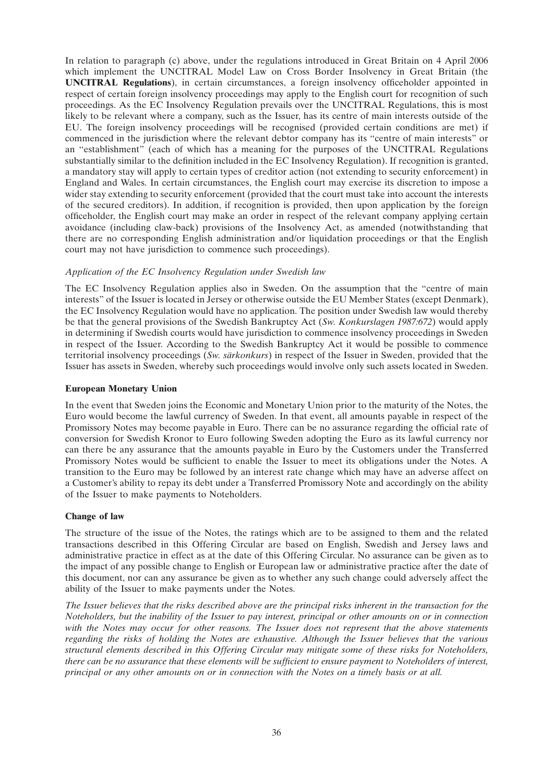In relation to paragraph (c) above, under the regulations introduced in Great Britain on 4 April 2006 which implement the UNCITRAL Model Law on Cross Border Insolvency in Great Britain (the **UNCITRAL Regulations**), in certain circumstances, a foreign insolvency officeholder appointed in respect of certain foreign insolvency proceedings may apply to the English court for recognition of such proceedings. As the EC Insolvency Regulation prevails over the UNCITRAL Regulations, this is most likely to be relevant where a company, such as the Issuer, has its centre of main interests outside of the EU. The foreign insolvency proceedings will be recognised (provided certain conditions are met) if commenced in the jurisdiction where the relevant debtor company has its ''centre of main interests'' or an ''establishment'' (each of which has a meaning for the purposes of the UNCITRAL Regulations substantially similar to the definition included in the EC Insolvency Regulation). If recognition is granted, a mandatory stay will apply to certain types of creditor action (not extending to security enforcement) in England and Wales. In certain circumstances, the English court may exercise its discretion to impose a wider stay extending to security enforcement (provided that the court must take into account the interests of the secured creditors). In addition, if recognition is provided, then upon application by the foreign officeholder, the English court may make an order in respect of the relevant company applying certain avoidance (including claw-back) provisions of the Insolvency Act, as amended (notwithstanding that there are no corresponding English administration and/or liquidation proceedings or that the English court may not have jurisdiction to commence such proceedings).

# *Application of the EC Insolvency Regulation under Swedish law*

The EC Insolvency Regulation applies also in Sweden. On the assumption that the "centre of main interests'' of the Issuer is located in Jersey or otherwise outside the EU Member States (except Denmark), the EC Insolvency Regulation would have no application. The position under Swedish law would thereby be that the general provisions of the Swedish Bankruptcy Act (*Sw. Konkurslagen 1987:672*) would apply in determining if Swedish courts would have jurisdiction to commence insolvency proceedings in Sweden in respect of the Issuer. According to the Swedish Bankruptcy Act it would be possible to commence territorial insolvency proceedings (*Sw. särkonkurs*) in respect of the Issuer in Sweden, provided that the Issuer has assets in Sweden, whereby such proceedings would involve only such assets located in Sweden.

# **European Monetary Union**

In the event that Sweden joins the Economic and Monetary Union prior to the maturity of the Notes, the Euro would become the lawful currency of Sweden. In that event, all amounts payable in respect of the Promissory Notes may become payable in Euro. There can be no assurance regarding the official rate of conversion for Swedish Kronor to Euro following Sweden adopting the Euro as its lawful currency nor can there be any assurance that the amounts payable in Euro by the Customers under the Transferred Promissory Notes would be sufficient to enable the Issuer to meet its obligations under the Notes. A transition to the Euro may be followed by an interest rate change which may have an adverse affect on a Customer's ability to repay its debt under a Transferred Promissory Note and accordingly on the ability of the Issuer to make payments to Noteholders.

# **Change of law**

The structure of the issue of the Notes, the ratings which are to be assigned to them and the related transactions described in this Offering Circular are based on English, Swedish and Jersey laws and administrative practice in effect as at the date of this Offering Circular. No assurance can be given as to the impact of any possible change to English or European law or administrative practice after the date of this document, nor can any assurance be given as to whether any such change could adversely affect the ability of the Issuer to make payments under the Notes.

*The Issuer believes that the risks described above are the principal risks inherent in the transaction for the Noteholders, but the inability of the Issuer to pay interest, principal or other amounts on or in connection with the Notes may occur for other reasons. The Issuer does not represent that the above statements regarding the risks of holding the Notes are exhaustive. Although the Issuer believes that the various structural elements described in this Offering Circular may mitigate some of these risks for Noteholders, there can be no assurance that these elements will be sufficient to ensure payment to Noteholders of interest, principal or any other amounts on or in connection with the Notes on a timely basis or at all.*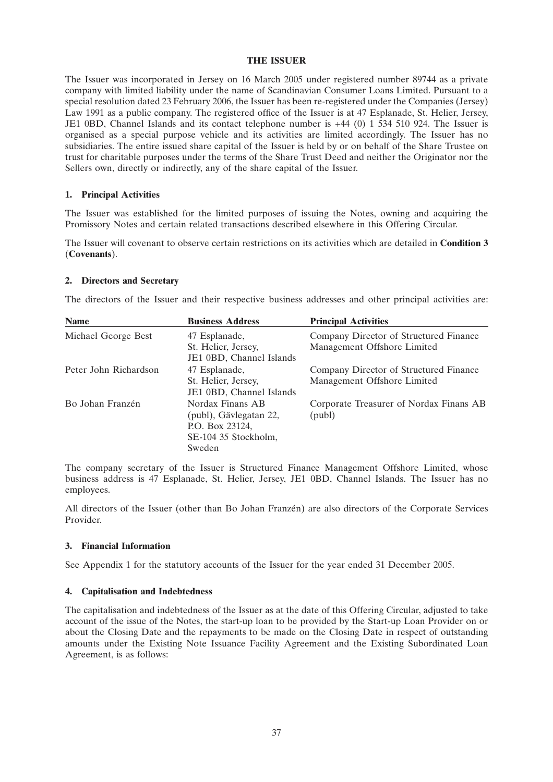# **THE ISSUER**

The Issuer was incorporated in Jersey on 16 March 2005 under registered number 89744 as a private company with limited liability under the name of Scandinavian Consumer Loans Limited. Pursuant to a special resolution dated 23 February 2006, the Issuer has been re-registered under the Companies (Jersey) Law 1991 as a public company. The registered office of the Issuer is at 47 Esplanade, St. Helier, Jersey, JE1 0BD, Channel Islands and its contact telephone number is +44 (0) 1 534 510 924. The Issuer is organised as a special purpose vehicle and its activities are limited accordingly. The Issuer has no subsidiaries. The entire issued share capital of the Issuer is held by or on behalf of the Share Trustee on trust for charitable purposes under the terms of the Share Trust Deed and neither the Originator nor the Sellers own, directly or indirectly, any of the share capital of the Issuer.

# **1. Principal Activities**

The Issuer was established for the limited purposes of issuing the Notes, owning and acquiring the Promissory Notes and certain related transactions described elsewhere in this Offering Circular.

The Issuer will covenant to observe certain restrictions on its activities which are detailed in **Condition 3** (**Covenants**).

# **2. Directors and Secretary**

The directors of the Issuer and their respective business addresses and other principal activities are:

| <b>Name</b>           | <b>Business Address</b>  | <b>Principal Activities</b>             |
|-----------------------|--------------------------|-----------------------------------------|
| Michael George Best   | 47 Esplanade,            | Company Director of Structured Finance  |
|                       | St. Helier, Jersey,      | Management Offshore Limited             |
|                       | JE1 0BD, Channel Islands |                                         |
| Peter John Richardson | 47 Esplanade,            | Company Director of Structured Finance  |
|                       | St. Helier, Jersey,      | Management Offshore Limited             |
|                       | JE1 0BD, Channel Islands |                                         |
| Bo Johan Franzén      | Nordax Finans AB         | Corporate Treasurer of Nordax Finans AB |
|                       | (publ), Gävlegatan 22,   | (publ)                                  |
|                       | P.O. Box 23124,          |                                         |
|                       | SE-104 35 Stockholm,     |                                         |
|                       | Sweden                   |                                         |

The company secretary of the Issuer is Structured Finance Management Offshore Limited, whose business address is 47 Esplanade, St. Helier, Jersey, JE1 0BD, Channel Islands. The Issuer has no employees.

All directors of the Issuer (other than Bo Johan Franzén) are also directors of the Corporate Services Provider.

# **3. Financial Information**

See Appendix 1 for the statutory accounts of the Issuer for the year ended 31 December 2005.

# **4. Capitalisation and Indebtedness**

The capitalisation and indebtedness of the Issuer as at the date of this Offering Circular, adjusted to take account of the issue of the Notes, the start-up loan to be provided by the Start-up Loan Provider on or about the Closing Date and the repayments to be made on the Closing Date in respect of outstanding amounts under the Existing Note Issuance Facility Agreement and the Existing Subordinated Loan Agreement, is as follows: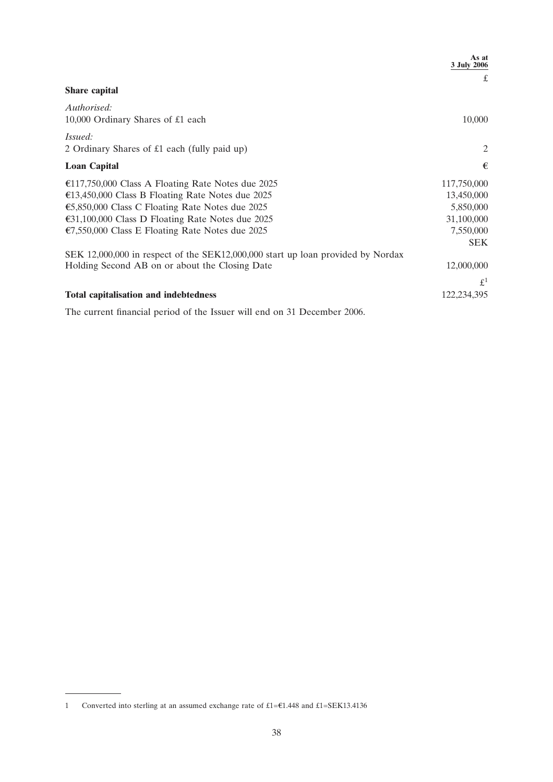|                                                                                 | As at<br>3 July 2006 |
|---------------------------------------------------------------------------------|----------------------|
|                                                                                 | £                    |
| <b>Share capital</b>                                                            |                      |
| Authorised:                                                                     |                      |
| 10,000 Ordinary Shares of £1 each                                               | 10,000               |
| <i>Issued:</i>                                                                  |                      |
| 2 Ordinary Shares of £1 each (fully paid up)                                    | $\overline{2}$       |
| <b>Loan Capital</b>                                                             | €                    |
| €117,750,000 Class A Floating Rate Notes due 2025                               | 117,750,000          |
| €13,450,000 Class B Floating Rate Notes due 2025                                | 13,450,000           |
| €5,850,000 Class C Floating Rate Notes due 2025                                 | 5,850,000            |
| €31,100,000 Class D Floating Rate Notes due 2025                                | 31,100,000           |
| €7,550,000 Class E Floating Rate Notes due 2025                                 | 7,550,000            |
|                                                                                 | <b>SEK</b>           |
| SEK 12,000,000 in respect of the SEK12,000,000 start up loan provided by Nordax |                      |
| Holding Second AB on or about the Closing Date                                  | 12,000,000           |
|                                                                                 | $\mathfrak{L}^1$     |
| <b>Total capitalisation and indebtedness</b>                                    | 122,234,395          |

The current financial period of the Issuer will end on 31 December 2006.

<sup>1</sup> Converted into sterling at an assumed exchange rate of  $£1=£1.448$  and  $£1=SEK13.4136$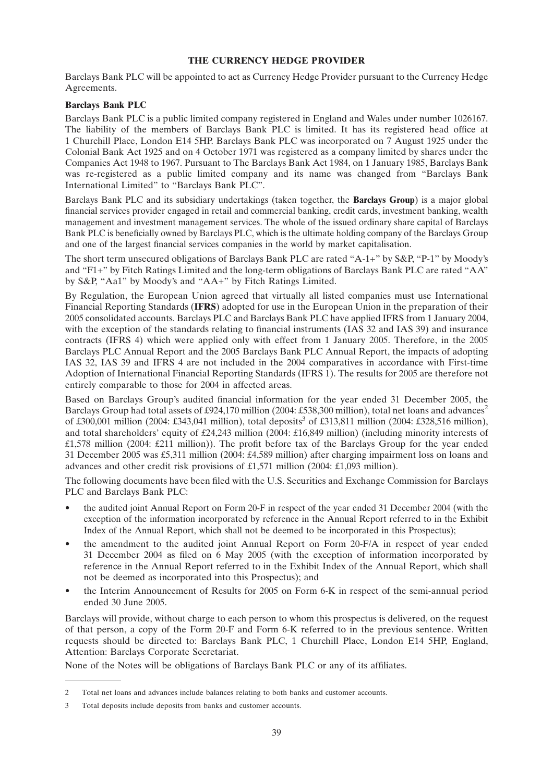# **THE CURRENCY HEDGE PROVIDER**

Barclays Bank PLC will be appointed to act as Currency Hedge Provider pursuant to the Currency Hedge Agreements.

# **Barclays Bank PLC**

Barclays Bank PLC is a public limited company registered in England and Wales under number 1026167. The liability of the members of Barclays Bank PLC is limited. It has its registered head office at 1 Churchill Place, London E14 5HP. Barclays Bank PLC was incorporated on 7 August 1925 under the Colonial Bank Act 1925 and on 4 October 1971 was registered as a company limited by shares under the Companies Act 1948 to 1967. Pursuant to The Barclays Bank Act 1984, on 1 January 1985, Barclays Bank was re-registered as a public limited company and its name was changed from "Barclays Bank" International Limited'' to ''Barclays Bank PLC''.

Barclays Bank PLC and its subsidiary undertakings (taken together, the **Barclays Group**) is a major global financial services provider engaged in retail and commercial banking, credit cards, investment banking, wealth management and investment management services. The whole of the issued ordinary share capital of Barclays Bank PLC is beneficially owned by Barclays PLC, which is the ultimate holding company of the Barclays Group and one of the largest financial services companies in the world by market capitalisation.

The short term unsecured obligations of Barclays Bank PLC are rated "A-1+" by S&P, "P-1" by Moody's and ''F1+'' by Fitch Ratings Limited and the long-term obligations of Barclays Bank PLC are rated ''AA'' by S&P, ''Aa1'' by Moody's and ''AA+'' by Fitch Ratings Limited.

By Regulation, the European Union agreed that virtually all listed companies must use International Financial Reporting Standards (**IFRS**) adopted for use in the European Union in the preparation of their 2005 consolidated accounts. Barclays PLC and Barclays Bank PLC have applied IFRS from 1 January 2004, with the exception of the standards relating to financial instruments (IAS 32 and IAS 39) and insurance contracts (IFRS 4) which were applied only with effect from 1 January 2005. Therefore, in the 2005 Barclays PLC Annual Report and the 2005 Barclays Bank PLC Annual Report, the impacts of adopting IAS 32, IAS 39 and IFRS 4 are not included in the 2004 comparatives in accordance with First-time Adoption of International Financial Reporting Standards (IFRS 1). The results for 2005 are therefore not entirely comparable to those for 2004 in affected areas.

Based on Barclays Group's audited financial information for the year ended 31 December 2005, the Barclays Group had total assets of £924,170 million (2004: £538,300 million), total net loans and advances<sup>2</sup> of £300,001 million (2004: £343,041 million), total deposits<sup>3</sup> of £313,811 million (2004: £328,516 million), and total shareholders' equity of £24,243 million (2004: £16,849 million) (including minority interests of £1,578 million (2004: £211 million)). The profit before tax of the Barclays Group for the year ended 31 December 2005 was £5,311 million (2004: £4,589 million) after charging impairment loss on loans and advances and other credit risk provisions of £1,571 million (2004: £1,093 million).

The following documents have been filed with the U.S. Securities and Exchange Commission for Barclays PLC and Barclays Bank PLC:

- the audited joint Annual Report on Form 20-F in respect of the year ended 31 December 2004 (with the exception of the information incorporated by reference in the Annual Report referred to in the Exhibit Index of the Annual Report, which shall not be deemed to be incorporated in this Prospectus);
- the amendment to the audited joint Annual Report on Form 20-F/A in respect of year ended 31 December 2004 as filed on 6 May 2005 (with the exception of information incorporated by reference in the Annual Report referred to in the Exhibit Index of the Annual Report, which shall not be deemed as incorporated into this Prospectus); and
- the Interim Announcement of Results for 2005 on Form 6-K in respect of the semi-annual period ended 30 June 2005.

Barclays will provide, without charge to each person to whom this prospectus is delivered, on the request of that person, a copy of the Form 20-F and Form 6-K referred to in the previous sentence. Written requests should be directed to: Barclays Bank PLC, 1 Churchill Place, London E14 5HP, England, Attention: Barclays Corporate Secretariat.

None of the Notes will be obligations of Barclays Bank PLC or any of its affiliates.

<sup>2</sup> Total net loans and advances include balances relating to both banks and customer accounts.

<sup>3</sup> Total deposits include deposits from banks and customer accounts.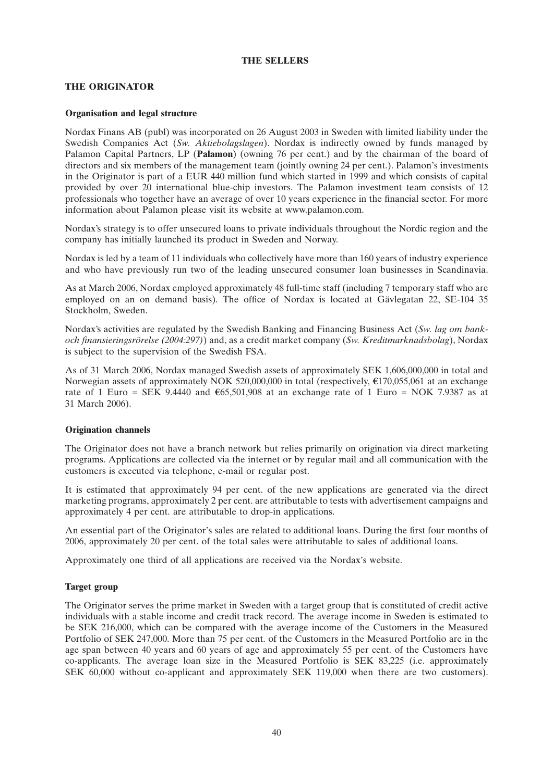# **THE SELLERS**

# **THE ORIGINATOR**

# **Organisation and legal structure**

Nordax Finans AB (publ) was incorporated on 26 August 2003 in Sweden with limited liability under the Swedish Companies Act (*Sw. Aktiebolagslagen*). Nordax is indirectly owned by funds managed by Palamon Capital Partners, LP (**Palamon**) (owning 76 per cent.) and by the chairman of the board of directors and six members of the management team (jointly owning 24 per cent.). Palamon's investments in the Originator is part of a EUR 440 million fund which started in 1999 and which consists of capital provided by over 20 international blue-chip investors. The Palamon investment team consists of 12 professionals who together have an average of over 10 years experience in the financial sector. For more information about Palamon please visit its website at www.palamon.com.

Nordax's strategy is to offer unsecured loans to private individuals throughout the Nordic region and the company has initially launched its product in Sweden and Norway.

Nordax is led by a team of 11 individuals who collectively have more than 160 years of industry experience and who have previously run two of the leading unsecured consumer loan businesses in Scandinavia.

As at March 2006, Nordax employed approximately 48 full-time staff (including 7 temporary staff who are employed on an on demand basis). The office of Nordax is located at Gävlegatan 22, SE-104 35 Stockholm, Sweden.

Nordax's activities are regulated by the Swedish Banking and Financing Business Act (*Sw. lag om bankoch finansieringsrörelse (2004:297)*) and, as a credit market company (*Sw. Kreditmarknadsbolag*), Nordax is subject to the supervision of the Swedish FSA.

As of 31 March 2006, Nordax managed Swedish assets of approximately SEK 1,606,000,000 in total and Norwegian assets of approximately NOK 520,000,000 in total (respectively,  $\epsilon$ 170,055,061 at an exchange rate of 1 Euro = SEK 9.4440 and  $\epsilon$ 65,501,908 at an exchange rate of 1 Euro = NOK 7.9387 as at 31 March 2006).

# **Origination channels**

The Originator does not have a branch network but relies primarily on origination via direct marketing programs. Applications are collected via the internet or by regular mail and all communication with the customers is executed via telephone, e-mail or regular post.

It is estimated that approximately 94 per cent. of the new applications are generated via the direct marketing programs, approximately 2 per cent. are attributable to tests with advertisement campaigns and approximately 4 per cent. are attributable to drop-in applications.

An essential part of the Originator's sales are related to additional loans. During the first four months of 2006, approximately 20 per cent. of the total sales were attributable to sales of additional loans.

Approximately one third of all applications are received via the Nordax's website.

# **Target group**

The Originator serves the prime market in Sweden with a target group that is constituted of credit active individuals with a stable income and credit track record. The average income in Sweden is estimated to be SEK 216,000, which can be compared with the average income of the Customers in the Measured Portfolio of SEK 247,000. More than 75 per cent. of the Customers in the Measured Portfolio are in the age span between 40 years and 60 years of age and approximately 55 per cent. of the Customers have co-applicants. The average loan size in the Measured Portfolio is SEK 83,225 (i.e. approximately SEK 60,000 without co-applicant and approximately SEK 119,000 when there are two customers).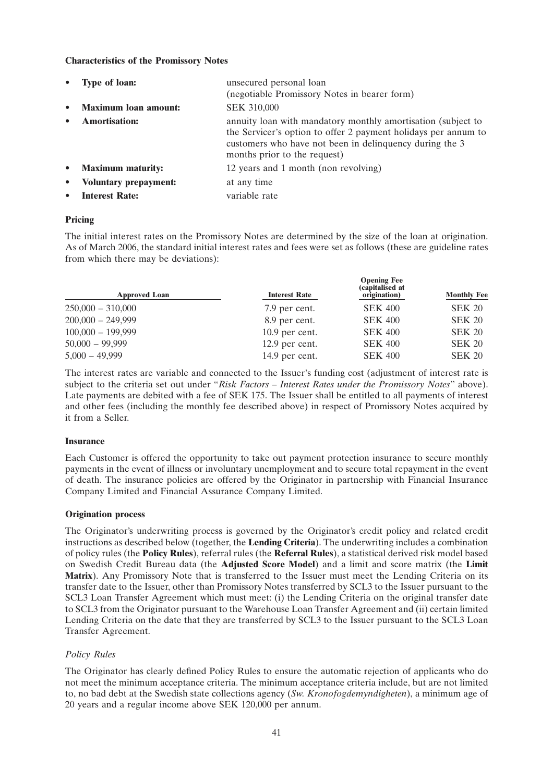# **Characteristics of the Promissory Notes**

|           | <b>Type of loan:</b>         | unsecured personal loan<br>(negotiable Promissory Notes in bearer form)                                                                                                                                                   |
|-----------|------------------------------|---------------------------------------------------------------------------------------------------------------------------------------------------------------------------------------------------------------------------|
|           | <b>Maximum loan amount:</b>  | <b>SEK 310,000</b>                                                                                                                                                                                                        |
|           | <b>Amortisation:</b>         | annuity loan with mandatory monthly amortisation (subject to<br>the Servicer's option to offer 2 payment holidays per annum to<br>customers who have not been in delinquency during the 3<br>months prior to the request) |
|           | • Maximum maturity:          | 12 years and 1 month (non revolving)                                                                                                                                                                                      |
| $\bullet$ | <b>Voluntary prepayment:</b> | at any time                                                                                                                                                                                                               |
|           | <b>Interest Rate:</b>        | variable rate                                                                                                                                                                                                             |

# **Pricing**

The initial interest rates on the Promissory Notes are determined by the size of the loan at origination. As of March 2006, the standard initial interest rates and fees were set as follows (these are guideline rates from which there may be deviations):

| <b>Approved Loan</b> | <b>Interest Rate</b> | <b>Opening Fee</b><br>(capitalised at<br>origination) | <b>Monthly Fee</b> |  |
|----------------------|----------------------|-------------------------------------------------------|--------------------|--|
| $250,000 - 310,000$  | 7.9 per cent.        | <b>SEK 400</b>                                        | <b>SEK 20</b>      |  |
| $200,000 - 249,999$  | 8.9 per cent.        | <b>SEK 400</b>                                        | <b>SEK 20</b>      |  |
| $100,000 - 199,999$  | $10.9$ per cent.     | <b>SEK 400</b>                                        | <b>SEK 20</b>      |  |
| $50,000 - 99,999$    | 12.9 per cent.       | <b>SEK 400</b>                                        | <b>SEK 20</b>      |  |
| $5,000 - 49,999$     | 14.9 per cent.       | <b>SEK 400</b>                                        | <b>SEK 20</b>      |  |

The interest rates are variable and connected to the Issuer's funding cost (adjustment of interest rate is subject to the criteria set out under ''*Risk Factors – Interest Rates under the Promissory Notes*'' above). Late payments are debited with a fee of SEK 175. The Issuer shall be entitled to all payments of interest and other fees (including the monthly fee described above) in respect of Promissory Notes acquired by it from a Seller.

# **Insurance**

Each Customer is offered the opportunity to take out payment protection insurance to secure monthly payments in the event of illness or involuntary unemployment and to secure total repayment in the event of death. The insurance policies are offered by the Originator in partnership with Financial Insurance Company Limited and Financial Assurance Company Limited.

# **Origination process**

The Originator's underwriting process is governed by the Originator's credit policy and related credit instructions as described below (together, the **Lending Criteria**). The underwriting includes a combination of policy rules (the **Policy Rules**), referral rules (the **Referral Rules**), a statistical derived risk model based on Swedish Credit Bureau data (the **Adjusted Score Model**) and a limit and score matrix (the **Limit Matrix**). Any Promissory Note that is transferred to the Issuer must meet the Lending Criteria on its transfer date to the Issuer, other than Promissory Notes transferred by SCL3 to the Issuer pursuant to the SCL3 Loan Transfer Agreement which must meet: (i) the Lending Criteria on the original transfer date to SCL3 from the Originator pursuant to the Warehouse Loan Transfer Agreement and (ii) certain limited Lending Criteria on the date that they are transferred by SCL3 to the Issuer pursuant to the SCL3 Loan Transfer Agreement.

# *Policy Rules*

The Originator has clearly defined Policy Rules to ensure the automatic rejection of applicants who do not meet the minimum acceptance criteria. The minimum acceptance criteria include, but are not limited to, no bad debt at the Swedish state collections agency (*Sw. Kronofogdemyndigheten*), a minimum age of 20 years and a regular income above SEK 120,000 per annum.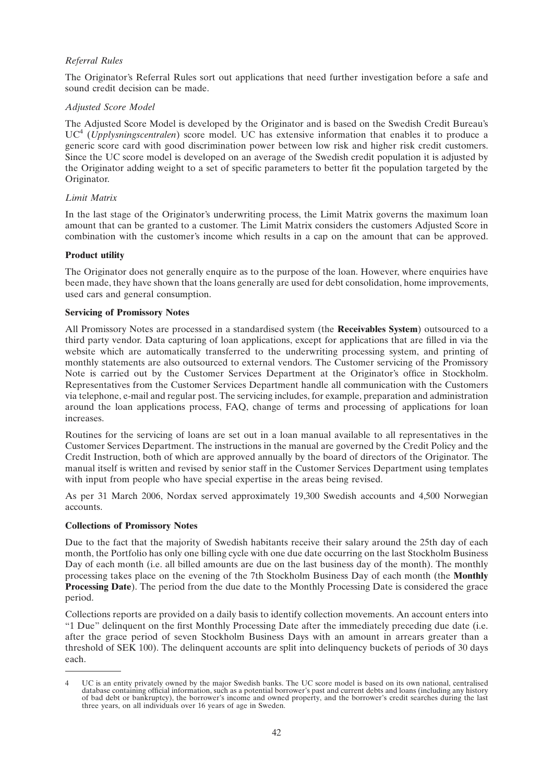# *Referral Rules*

The Originator's Referral Rules sort out applications that need further investigation before a safe and sound credit decision can be made.

# *Adjusted Score Model*

The Adjusted Score Model is developed by the Originator and is based on the Swedish Credit Bureau's UC4 (*Upplysningscentralen*) score model. UC has extensive information that enables it to produce a generic score card with good discrimination power between low risk and higher risk credit customers. Since the UC score model is developed on an average of the Swedish credit population it is adjusted by the Originator adding weight to a set of specific parameters to better fit the population targeted by the Originator.

# *Limit Matrix*

In the last stage of the Originator's underwriting process, the Limit Matrix governs the maximum loan amount that can be granted to a customer. The Limit Matrix considers the customers Adjusted Score in combination with the customer's income which results in a cap on the amount that can be approved.

# **Product utility**

The Originator does not generally enquire as to the purpose of the loan. However, where enquiries have been made, they have shown that the loans generally are used for debt consolidation, home improvements, used cars and general consumption.

# **Servicing of Promissory Notes**

All Promissory Notes are processed in a standardised system (the **Receivables System**) outsourced to a third party vendor. Data capturing of loan applications, except for applications that are filled in via the website which are automatically transferred to the underwriting processing system, and printing of monthly statements are also outsourced to external vendors. The Customer servicing of the Promissory Note is carried out by the Customer Services Department at the Originator's office in Stockholm. Representatives from the Customer Services Department handle all communication with the Customers via telephone, e-mail and regular post. The servicing includes, for example, preparation and administration around the loan applications process, FAQ, change of terms and processing of applications for loan increases.

Routines for the servicing of loans are set out in a loan manual available to all representatives in the Customer Services Department. The instructions in the manual are governed by the Credit Policy and the Credit Instruction, both of which are approved annually by the board of directors of the Originator. The manual itself is written and revised by senior staff in the Customer Services Department using templates with input from people who have special expertise in the areas being revised.

As per 31 March 2006, Nordax served approximately 19,300 Swedish accounts and 4,500 Norwegian accounts.

# **Collections of Promissory Notes**

Due to the fact that the majority of Swedish habitants receive their salary around the 25th day of each month, the Portfolio has only one billing cycle with one due date occurring on the last Stockholm Business Day of each month (i.e. all billed amounts are due on the last business day of the month). The monthly processing takes place on the evening of the 7th Stockholm Business Day of each month (the **Monthly Processing Date**). The period from the due date to the Monthly Processing Date is considered the grace period.

Collections reports are provided on a daily basis to identify collection movements. An account enters into ''1 Due'' delinquent on the first Monthly Processing Date after the immediately preceding due date (i.e. after the grace period of seven Stockholm Business Days with an amount in arrears greater than a threshold of SEK 100). The delinquent accounts are split into delinquency buckets of periods of 30 days each.

<sup>4</sup> UC is an entity privately owned by the major Swedish banks. The UC score model is based on its own national, centralised database containing official information, such as a potential borrower's past and current debts and loans (including any history of bad debt or bankruptcy), the borrower's income and owned property, and the borrower's credit searches during the last three years, on all individuals over 16 years of age in Sweden.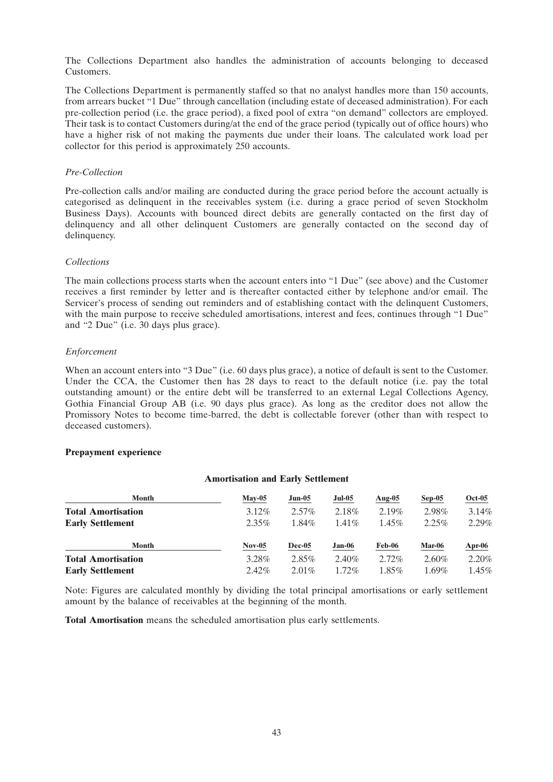The Collections Department also handles the administration of accounts belonging to deceased Customers.

The Collections Department is permanently staffed so that no analyst handles more than 150 accounts, from arrears bucket ''1 Due'' through cancellation (including estate of deceased administration). For each pre-collection period (i.e. the grace period), a fixed pool of extra ''on demand'' collectors are employed. Their task is to contact Customers during/at the end of the grace period (typically out of office hours) who have a higher risk of not making the payments due under their loans. The calculated work load per collector for this period is approximately 250 accounts.

# *Pre-Collection*

Pre-collection calls and/or mailing are conducted during the grace period before the account actually is categorised as delinquent in the receivables system (i.e. during a grace period of seven Stockholm Business Days). Accounts with bounced direct debits are generally contacted on the first day of delinquency and all other delinquent Customers are generally contacted on the second day of delinquency.

# *Collections*

The main collections process starts when the account enters into "1 Due" (see above) and the Customer receives a first reminder by letter and is thereafter contacted either by telephone and/or email. The Servicer's process of sending out reminders and of establishing contact with the delinquent Customers, with the main purpose to receive scheduled amortisations, interest and fees, continues through "1 Due" and ''2 Due'' (i.e. 30 days plus grace).

# *Enforcement*

When an account enters into "3 Due" (i.e. 60 days plus grace), a notice of default is sent to the Customer. Under the CCA, the Customer then has 28 days to react to the default notice (i.e. pay the total outstanding amount) or the entire debt will be transferred to an external Legal Collections Agency, Gothia Financial Group AB (i.e. 90 days plus grace). As long as the creditor does not allow the Promissory Notes to become time-barred, the debt is collectable forever (other than with respect to deceased customers).

# **Prepayment experience**

# **Amortisation and Early Settlement**

| Month                     | $Mav-05$ | $Jun-05$      | $Jul-05$ | Aug- $05$ | $Sep-05$ | <b>Oct-05</b> |
|---------------------------|----------|---------------|----------|-----------|----------|---------------|
| <b>Total Amortisation</b> | $3.12\%$ | $2.57\%$      | 2.18%    | 2.19%     | 2.98%    | 3.14%         |
| <b>Early Settlement</b>   | $2.35\%$ | $1.84\%$      | $1.41\%$ | $1.45\%$  | 2.25%    | 2.29%         |
| Month                     | $Nov-05$ | <b>Dec-05</b> | $Jan-06$ | Feb-06    | Mar-06   | $Apr-06$      |
| <b>Total Amortisation</b> | 3.28%    | $2.85\%$      | 2.40%    | $2.72\%$  | $2.60\%$ | 2.20%         |
| <b>Early Settlement</b>   | $2.42\%$ | $2.01\%$      | $1.72\%$ | $1.85\%$  | $1.69\%$ | 1.45%         |

Note: Figures are calculated monthly by dividing the total principal amortisations or early settlement amount by the balance of receivables at the beginning of the month.

**Total Amortisation** means the scheduled amortisation plus early settlements.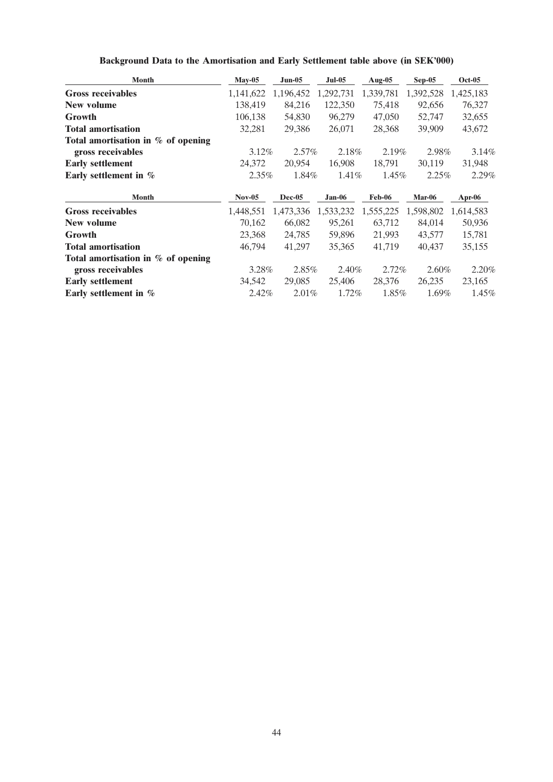| <b>Month</b>                         | $May-05$  | $Jun-05$  | <b>Jul-05</b> | Aug-05        | $Sep-05$  | <b>Oct-05</b> |
|--------------------------------------|-----------|-----------|---------------|---------------|-----------|---------------|
| <b>Gross receivables</b>             | 1,141,622 | 1,196,452 | 1,292,731     | 1,339,781     | 1,392,528 | 1,425,183     |
| New volume                           | 138,419   | 84,216    | 122,350       | 75,418        | 92,656    | 76,327        |
| Growth                               | 106,138   | 54,830    | 96,279        | 47,050        | 52,747    | 32,655        |
| <b>Total amortisation</b>            | 32,281    | 29,386    | 26,071        | 28,368        | 39,909    | 43,672        |
| Total amortisation in $%$ of opening |           |           |               |               |           |               |
| gross receivables                    | $3.12\%$  | $2.57\%$  | 2.18%         | 2.19%         | 2.98%     | 3.14%         |
| <b>Early settlement</b>              | 24,372    | 20,954    | 16,908        | 18,791        | 30,119    | 31,948        |
| Early settlement in %                | $2.35\%$  | 1.84%     | 1.41%         | 1.45%         | 2.25%     | 2.29%         |
| <b>Month</b>                         | $Nov-05$  | Dec-05    | $Jan-06$      | <b>Feb-06</b> | Mar-06    | Apr-06        |
| <b>Gross receivables</b>             | 1,448,551 | 1,473,336 | 1,533,232     | 1,555,225     | 1,598,802 | 1,614,583     |
| New volume                           | 70,162    | 66,082    | 95,261        | 63,712        | 84,014    | 50,936        |
| <b>Growth</b>                        | 23,368    | 24,785    | 59,896        | 21,993        | 43,577    | 15,781        |
| <b>Total amortisation</b>            | 46,794    | 41,297    | 35,365        | 41,719        | 40,437    | 35,155        |
| Total amortisation in % of opening   |           |           |               |               |           |               |
| gross receivables                    | 3.28%     | 2.85%     | 2.40%         | $2.72\%$      | $2.60\%$  | 2.20%         |
| <b>Early settlement</b>              | 34,542    | 29,085    | 25,406        | 28,376        | 26,235    | 23,165        |
| Early settlement in %                | 2.42%     | 2.01%     | 1.72%         | 1.85%         | 1.69%     | 1.45%         |

**Background Data to the Amortisation and Early Settlement table above (in SEK'000)**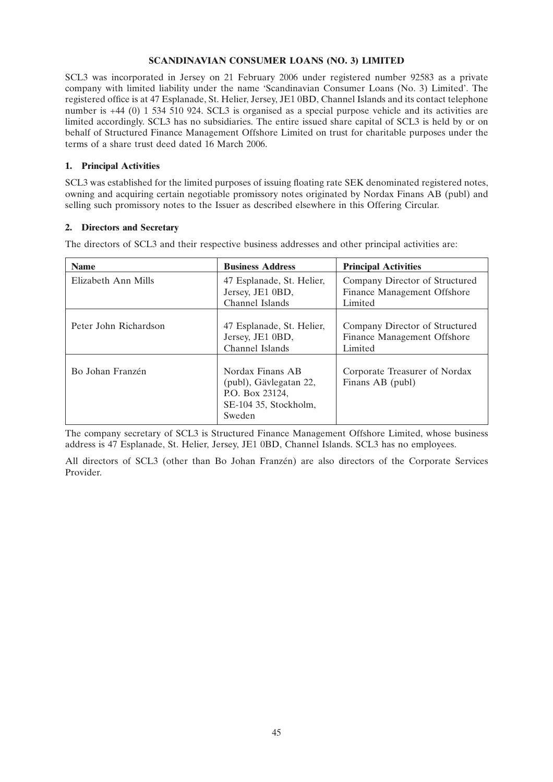# **SCANDINAVIAN CONSUMER LOANS (NO. 3) LIMITED**

SCL3 was incorporated in Jersey on 21 February 2006 under registered number 92583 as a private company with limited liability under the name 'Scandinavian Consumer Loans (No. 3) Limited'. The registered office is at 47 Esplanade, St. Helier, Jersey, JE1 0BD, Channel Islands and its contact telephone number is +44 (0) 1 534 510 924. SCL3 is organised as a special purpose vehicle and its activities are limited accordingly. SCL3 has no subsidiaries. The entire issued share capital of SCL3 is held by or on behalf of Structured Finance Management Offshore Limited on trust for charitable purposes under the terms of a share trust deed dated 16 March 2006.

# **1. Principal Activities**

SCL3 was established for the limited purposes of issuing floating rate SEK denominated registered notes, owning and acquiring certain negotiable promissory notes originated by Nordax Finans AB (publ) and selling such promissory notes to the Issuer as described elsewhere in this Offering Circular.

# **2. Directors and Secretary**

The directors of SCL3 and their respective business addresses and other principal activities are:

| <b>Name</b>           | <b>Business Address</b>                                                                          | <b>Principal Activities</b>                                              |
|-----------------------|--------------------------------------------------------------------------------------------------|--------------------------------------------------------------------------|
| Elizabeth Ann Mills   | 47 Esplanade, St. Helier,<br>Jersey, JE1 0BD,<br>Channel Islands                                 | Company Director of Structured<br>Finance Management Offshore<br>Limited |
| Peter John Richardson | 47 Esplanade, St. Helier,<br>Jersey, JE1 0BD,<br>Channel Islands                                 | Company Director of Structured<br>Finance Management Offshore<br>Limited |
| Bo Johan Franzén      | Nordax Finans AB<br>(publ), Gävlegatan 22,<br>P.O. Box 23124,<br>SE-104 35, Stockholm,<br>Sweden | Corporate Treasurer of Nordax<br>Finans AB (publ)                        |

The company secretary of SCL3 is Structured Finance Management Offshore Limited, whose business address is 47 Esplanade, St. Helier, Jersey, JE1 0BD, Channel Islands. SCL3 has no employees.

All directors of SCL3 (other than Bo Johan Franzén) are also directors of the Corporate Services Provider.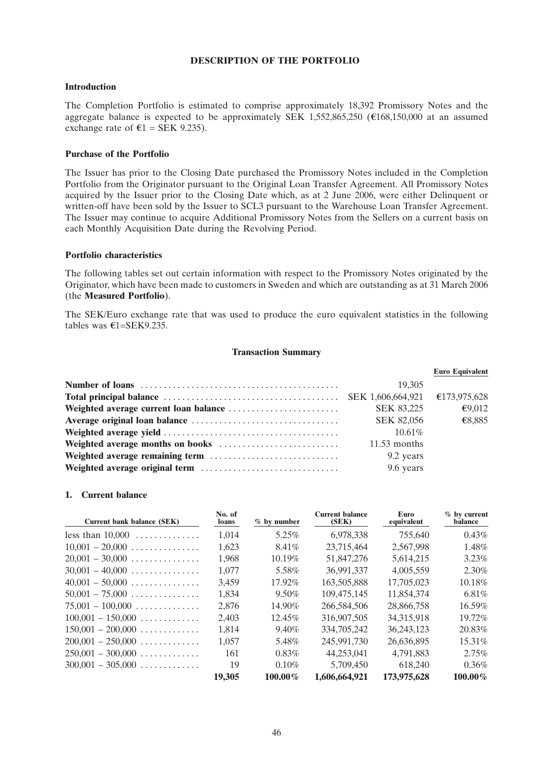### **DESCRIPTION OF THE PORTFOLIO**

# **Introduction**

The Completion Portfolio is estimated to comprise approximately 18,392 Promissory Notes and the aggregate balance is expected to be approximately SEK 1,552,865,250 ( $\epsilon$ 168,150,000 at an assumed exchange rate of  $\epsilon$ 1 = SEK 9.235).

#### **Purchase of the Portfolio**

The Issuer has prior to the Closing Date purchased the Promissory Notes included in the Completion Portfolio from the Originator pursuant to the Original Loan Transfer Agreement. All Promissory Notes acquired by the Issuer prior to the Closing Date which, as at 2 June 2006, were either Delinquent or written-off have been sold by the Issuer to SCL3 pursuant to the Warehouse Loan Transfer Agreement. The Issuer may continue to acquire Additional Promissory Notes from the Sellers on a current basis on each Monthly Acquisition Date during the Revolving Period.

#### **Portfolio characteristics**

The following tables set out certain information with respect to the Promissory Notes originated by the Originator, which have been made to customers in Sweden and which are outstanding as at 31 March 2006 (the **Measured Portfolio**).

The SEK/Euro exchange rate that was used to produce the euro equivalent statistics in the following tables was  $\epsilon$ 1=SEK9.235.

# **Transaction Summary**

|                   | <b>Euro Equivalent</b> |
|-------------------|------------------------|
| 19.305            |                        |
|                   | €173,975,628           |
| <b>SEK 83,225</b> | €9,012                 |
| <b>SEK 82,056</b> | €8,885                 |
| $10.61\%$         |                        |
| $11.53$ months    |                        |
| 9.2 years         |                        |
| 9.6 years         |                        |

#### **1. Current balance**

| Current bank balance (SEK)               | No. of<br>loans | $%$ by number | <b>Current balance</b><br>(SEK) | Euro<br>equivalent | $%$ by current<br>balance |
|------------------------------------------|-----------------|---------------|---------------------------------|--------------------|---------------------------|
| less than $10,000$                       | 1,014           | 5.25%         | 6,978,338                       | 755,640            | $0.43\%$                  |
| $10.001 - 20,000$                        | 1,623           | $8.41\%$      | 23,715,464                      | 2,567,998          | 1.48%                     |
| $20,001 - 30,000$                        | 1,968           | 10.19%        | 51,847,276                      | 5,614,215          | $3.23\%$                  |
| $30,001 - 40,000$                        | 1.077           | 5.58%         | 36,991,337                      | 4,005,559          | 2.30%                     |
| $40,001 - 50,000$                        | 3.459           | 17.92%        | 163,505,888                     | 17,705,023         | 10.18%                    |
| $50,001 - 75,000$                        | 1,834           | $9.50\%$      | 109,475,145                     | 11,854,374         | $6.81\%$                  |
| $75.001 - 100,000$                       | 2.876           | 14.90%        | 266,584,506                     | 28,866,758         | $16.59\%$                 |
| $100,001 - 150,000 \ldots \ldots \ldots$ | 2.403           | 12.45%        | 316,907,505                     | 34,315,918         | 19.72%                    |
| $150,001 - 200,000$                      | 1.814           | 9.40%         | 334,705,242                     | 36,243,123         | 20.83%                    |
| $200,001 - 250,000$                      | 1,057           | 5.48%         | 245,991,730                     | 26,636,895         | 15.31\%                   |
| $250,001 - 300,000$                      | 161             | $0.83\%$      | 44,253,041                      | 4.791.883          | 2.75%                     |
| $300,001 - 305,000$                      | 19              | 0.10%         | 5,709,450                       | 618,240            | $0.36\%$                  |
|                                          | 19,305          | $100.00\%$    | 1,606,664,921                   | 173,975,628        | $100.00\%$                |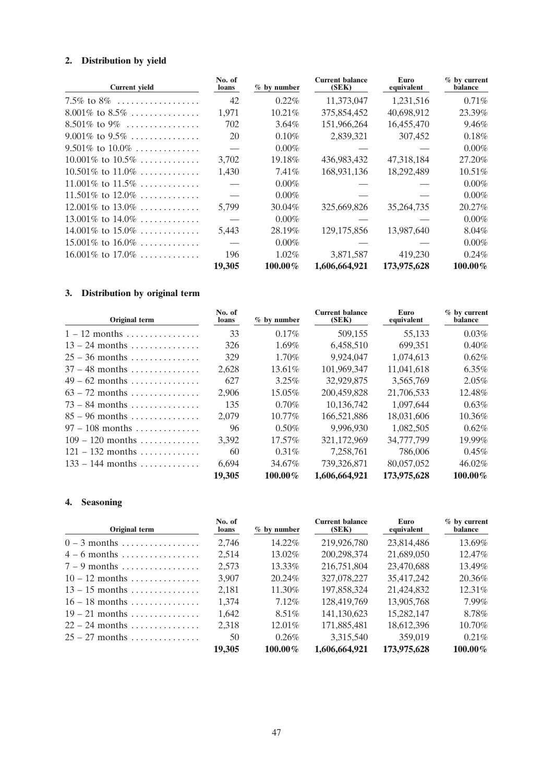# **2. Distribution by yield**

| <b>Current yield</b>   | No. of<br>loans | $%$ by number | <b>Current balance</b><br>(SEK) | Euro<br>equivalent | $%$ by current<br>balance |
|------------------------|-----------------|---------------|---------------------------------|--------------------|---------------------------|
| 7.5% to 8%             | 42              | 0.22%         | 11,373,047                      | 1,231,516          | 0.71%                     |
| $8.001\%$ to $8.5\%$   | 1,971           | 10.21%        | 375,854,452                     | 40,698,912         | 23.39%                    |
| 8.501\% to 9\%         | 702             | 3.64%         | 151,966,264                     | 16,455,470         | 9.46%                     |
| $9.001\%$ to $9.5\%$   | 20              | 0.10%         | 2,839,321                       | 307,452            | 0.18%                     |
| $9.501\%$ to $10.0\%$  |                 | $0.00\%$      |                                 |                    | 0.00%                     |
| $10.001\%$ to $10.5\%$ | 3,702           | 19.18%        | 436,983,432                     | 47,318,184         | 27.20%                    |
| $10.501\%$ to $11.0\%$ | 1,430           | 7.41%         | 168,931,136                     | 18,292,489         | 10.51%                    |
| 11.001\% to 11.5\%     |                 | $0.00\%$      |                                 |                    | $0.00\%$                  |
| $11.501\%$ to $12.0\%$ |                 | $0.00\%$      |                                 |                    | $0.00\%$                  |
| $12.001\%$ to $13.0\%$ | 5,799           | 30.04%        | 325,669,826                     | 35, 264, 735       | 20.27%                    |
| 13.001\% to 14.0\%     |                 | $0.00\%$      |                                 |                    | $0.00\%$                  |
| 14.001\% to 15.0\%     | 5,443           | 28.19%        | 129, 175, 856                   | 13,987,640         | 8.04%                     |
| $15.001\%$ to $16.0\%$ |                 | $0.00\%$      |                                 |                    | $0.00\%$                  |
| $16.001\%$ to $17.0\%$ | 196             | 1.02%         | 3,871,587                       | 419,230            | 0.24%                     |
|                        | 19,305          | $100.00\%$    | 1,606,664,921                   | 173,975,628        | 100.00%                   |

# **3. Distribution by original term**

| <b>Original term</b> | No. of<br>loans | $%$ by number | <b>Current balance</b><br>(SEK) | Euro<br>equivalent | $%$ by current<br>balance |
|----------------------|-----------------|---------------|---------------------------------|--------------------|---------------------------|
| $1 - 12$ months      | 33              | $0.17\%$      | 509,155                         | 55,133             | 0.03%                     |
| $13 - 24$ months     | 326             | $1.69\%$      | 6,458,510                       | 699,351            | 0.40%                     |
| $25 - 36$ months     | 329             | 1.70%         | 9.924.047                       | 1.074.613          | 0.62%                     |
| $37 - 48$ months     | 2,628           | $13.61\%$     | 101.969.347                     | 11,041,618         | $6.35\%$                  |
| $49 - 62$ months     | 627             | $3.25\%$      | 32,929,875                      | 3,565,769          | 2.05%                     |
| $63 - 72$ months     | 2.906           | $15.05\%$     | 200,459,828                     | 21,706,533         | 12.48%                    |
| $73 - 84$ months     | 135             | $0.70\%$      | 10.136.742                      | 1.097.644          | 0.63%                     |
| $85 - 96$ months     | 2.079           | $10.77\%$     | 166,521,886                     | 18.031.606         | 10.36%                    |
| $97 - 108$ months    | 96              | $0.50\%$      | 9.996.930                       | 1,082,505          | 0.62%                     |
| $109 - 120$ months   | 3,392           | 17.57%        | 321,172,969                     | 34,777,799         | 19.99%                    |
| $121 - 132$ months   | 60              | $0.31\%$      | 7,258,761                       | 786,006            | 0.45%                     |
| $133 - 144$ months   | 6,694           | 34.67%        | 739.326.871                     | 80,057,052         | 46.02%                    |
|                      | 19,305          | $100.00\%$    | 1,606,664,921                   | 173,975,628        | 100.00%                   |

# **4. Seasoning**

| Original term    | No. of<br>loans | $%$ by number | <b>Current balance</b><br>(SEK) | Euro<br>equivalent | $%$ by current<br>balance |
|------------------|-----------------|---------------|---------------------------------|--------------------|---------------------------|
| $0 - 3$ months   | 2,746           | 14.22%        | 219,926,780                     | 23,814,486         | 13.69%                    |
| $4-6$ months     | 2,514           | 13.02%        | 200,298,374                     | 21,689,050         | 12.47%                    |
| $7 - 9$ months   | 2.573           | 13.33%        | 216,751,804                     | 23,470,688         | 13.49%                    |
| $10-12$ months   | 3.907           | 20.24%        | 327,078,227                     | 35,417,242         | 20.36%                    |
| $13 - 15$ months | 2,181           | 11.30%        | 197,858,324                     | 21,424,832         | 12.31\%                   |
| $16 - 18$ months | 1,374           | 7.12\%        | 128,419,769                     | 13,905,768         | 7.99%                     |
| $19 - 21$ months | 1.642           | $8.51\%$      | 141,130,623                     | 15,282,147         | 8.78%                     |
| $22 - 24$ months | 2,318           | 12.01%        | 171,885,481                     | 18,612,396         | 10.70%                    |
| $25 - 27$ months | 50              | 0.26%         | 3,315,540                       | 359,019            | $0.21\%$                  |
|                  | 19,305          | $100.00\%$    | 1,606,664,921                   | 173,975,628        | $100.00\%$                |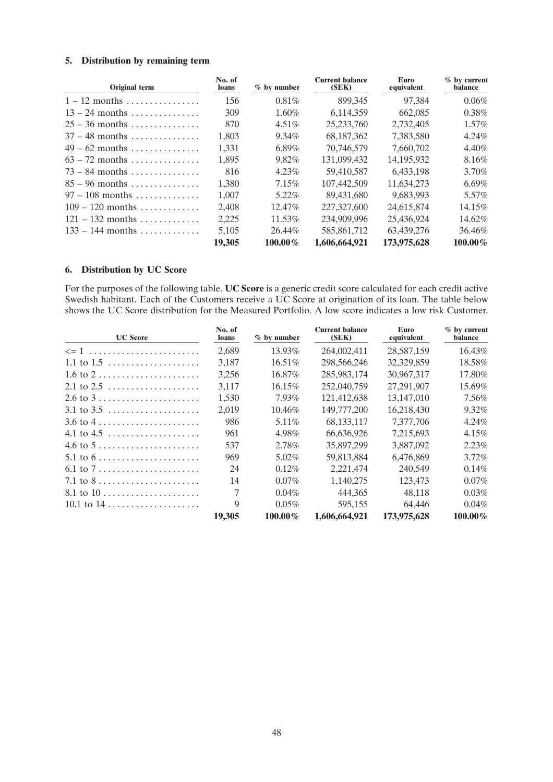# **5. Distribution by remaining term**

| Original term      | No. of<br><b>loans</b> | $%$ by number | <b>Current balance</b><br>(SEK) | Euro<br>equivalent | % by current<br>balance |
|--------------------|------------------------|---------------|---------------------------------|--------------------|-------------------------|
| $1 - 12$ months    | 156                    | $0.81\%$      | 899,345                         | 97,384             | 0.06%                   |
| $13 - 24$ months   | 309                    | $1.60\%$      | 6,114,359                       | 662,085            | $0.38\%$                |
| $25 - 36$ months   | 870                    | $4.51\%$      | 25, 233, 760                    | 2.732.405          | $1.57\%$                |
| $37 - 48$ months   | 1.803                  | $9.34\%$      | 68,187,362                      | 7,383,580          | 4.24%                   |
| $49 - 62$ months   | 1,331                  | $6.89\%$      | 70.746.579                      | 7.660.702          | 4.40%                   |
| $63 - 72$ months   | 1.895                  | $9.82\%$      | 131,099,432                     | 14.195.932         | 8.16%                   |
| $73 - 84$ months   | 816                    | $4.23\%$      | 59,410,587                      | 6,433,198          | 3.70%                   |
| $85 - 96$ months   | 1.380                  | 7.15%         | 107,442,509                     | 11.634.273         | 6.69%                   |
| $97 - 108$ months  | 1.007                  | 5.22%         | 89.431,680                      | 9.683.993          | 5.57%                   |
| $109 - 120$ months | 2.408                  | 12.47%        | 227,327,600                     | 24,615,874         | 14.15%                  |
| $121 - 132$ months | 2.225                  | 11.53%        | 234,909,996                     | 25.436.924         | 14.62%                  |
| $133 - 144$ months | 5.105                  | 26.44%        | 585, 861, 712                   | 63,439,276         | 36.46%                  |
|                    | 19,305                 | $100.00\%$    | 1,606,664,921                   | 173,975,628        | $100.00\%$              |

# **6. Distribution by UC Score**

For the purposes of the following table, **UC Score** is a generic credit score calculated for each credit active Swedish habitant. Each of the Customers receive a UC Score at origination of its loan. The table below shows the UC Score distribution for the Measured Portfolio. A low score indicates a low risk Customer.

| <b>UC</b> Score                                               | No. of<br>loans | $%$ by number | <b>Current balance</b><br>(SEK) | Euro<br>equivalent | % by current<br>balance |
|---------------------------------------------------------------|-----------------|---------------|---------------------------------|--------------------|-------------------------|
| $\leq$ 1                                                      | 2,689           | 13.93%        | 264,002,411                     | 28,587,159         | 16.43%                  |
| 1.1 to $1.5$                                                  | 3,187           | $16.51\%$     | 298,566,246                     | 32,329,859         | 18.58%                  |
| $1.6 \text{ to } 2 \ldots \ldots \ldots \ldots \ldots \ldots$ | 3,256           | 16.87%        | 285,983,174                     | 30,967,317         | 17.80%                  |
| 2.1 to $2.5$                                                  | 3.117           | 16.15%        | 252,040,759                     | 27,291,907         | 15.69%                  |
| $2.6 \text{ to } 3 \ldots \ldots \ldots \ldots \ldots \ldots$ | 1.530           | 7.93%         | 121,412,638                     | 13,147,010         | 7.56%                   |
| $3.1$ to $3.5$                                                | 2,019           | 10.46%        | 149,777,200                     | 16,218,430         | 9.32%                   |
| $3.6 \text{ to } 4 \dots \dots \dots \dots \dots \dots \dots$ | 986             | $5.11\%$      | 68, 133, 117                    | 7,377,706          | $4.24\%$                |
|                                                               | 961             | 4.98%         | 66,636,926                      | 7,215,693          | 4.15%                   |
| 4.6 to $5 \ldots \ldots \ldots \ldots \ldots \ldots \ldots$   | 537             | 2.78%         | 35,897,299                      | 3,887,092          | 2.23%                   |
| 5.1 to $6 \ldots \ldots \ldots \ldots \ldots \ldots \ldots$   | 969             | $5.02\%$      | 59,813,884                      | 6,476,869          | $3.72\%$                |
| 6.1 to $7 \ldots \ldots \ldots \ldots \ldots \ldots \ldots$   | 24              | $0.12\%$      | 2,221,474                       | 240,549            | 0.14%                   |
| $7.1 \text{ to } 8 \ldots \ldots \ldots \ldots \ldots$        | 14              | $0.07\%$      | 1,140,275                       | 123,473            | $0.07\%$                |
|                                                               | 7               | 0.04%         | 444,365                         | 48,118             | 0.03%                   |
| 10.1 to $14$                                                  | 9               | $0.05\%$      | 595,155                         | 64.446             | $0.04\%$                |
|                                                               | 19,305          | 100.00%       | 1,606,664,921                   | 173,975,628        | 100.00%                 |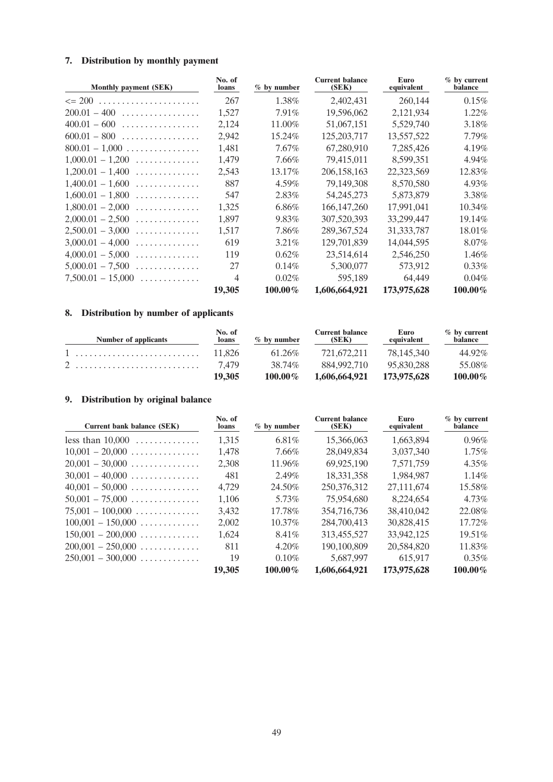# **7. Distribution by monthly payment**

| <b>Monthly payment (SEK)</b> | No. of<br><b>loans</b> | $%$ by number | <b>Current balance</b><br>(SEK) | Euro<br>equivalent | $%$ by current<br>balance |
|------------------------------|------------------------|---------------|---------------------------------|--------------------|---------------------------|
| $\leq$ 200                   | 267                    | 1.38%         | 2,402,431                       | 260,144            | 0.15%                     |
| $200.01 - 400$               | 1,527                  | 7.91%         | 19,596,062                      | 2,121,934          | 1.22%                     |
| $400.01 - 600$               | 2,124                  | 11.00%        | 51,067,151                      | 5,529,740          | 3.18%                     |
| $600.01 - 800$               | 2,942                  | 15.24%        | 125, 203, 717                   | 13,557,522         | 7.79%                     |
| $800.01 - 1,000$             | 1,481                  | 7.67%         | 67,280,910                      | 7,285,426          | 4.19%                     |
| $1,000.01 - 1,200$<br>.      | 1,479                  | 7.66%         | 79,415,011                      | 8,599,351          | 4.94%                     |
| $1,200.01 - 1,400$<br>.      | 2,543                  | 13.17%        | 206, 158, 163                   | 22,323,569         | 12.83%                    |
| $1,400.01 - 1,600$<br>.      | 887                    | 4.59%         | 79,149,308                      | 8,570,580          | 4.93%                     |
| $1,600.01 - 1,800$<br>.      | 547                    | 2.83%         | 54,245,273                      | 5,873,879          | 3.38%                     |
| $1,800.01 - 2,000$<br>.      | 1,325                  | 6.86%         | 166, 147, 260                   | 17,991,041         | 10.34%                    |
| $2,000.01 - 2,500$<br>.      | 1,897                  | 9.83%         | 307,520,393                     | 33,299,447         | 19.14%                    |
| $2,500.01 - 3,000$<br>.      | 1,517                  | 7.86%         | 289, 367, 524                   | 31, 333, 787       | 18.01%                    |
| $3,000.01 - 4,000$<br>.      | 619                    | $3.21\%$      | 129,701,839                     | 14,044,595         | 8.07%                     |
| $4,000.01 - 5,000$<br>.      | 119                    | $0.62\%$      | 23,514,614                      | 2,546,250          | 1.46%                     |
| $5,000.01 - 7,500$           | 27                     | 0.14%         | 5,300,077                       | 573,912            | $0.33\%$                  |
| $7,500.01 - 15,000$          | 4                      | $0.02\%$      | 595,189                         | 64,449             | 0.04%                     |
|                              | 19,305                 | $100.00\%$    | 1,606,664,921                   | 173,975,628        | $100.00\%$                |

# **8. Distribution by number of applicants**

| <b>Number of applicants</b> | No. of<br>loans | $\%$ by number | <b>Current balance</b><br>(SEK) | Euro<br>equivalent | $\%$ by current<br>balance |
|-----------------------------|-----------------|----------------|---------------------------------|--------------------|----------------------------|
|                             |                 | 61.26%         | 721.672.211                     | 78.145.340         | 44.92%                     |
|                             | 7.479           | 38.74%         | 884.992.710                     | 95.830.288         | 55.08%                     |
|                             | 19.305          | $100.00\%$     | 1,606,664,921                   | 173,975,628        | $100.00\%$                 |

# **9. Distribution by original balance**

| <b>Current bank balance (SEK)</b>              | No. of<br>loans | $%$ by number | <b>Current balance</b><br>(SEK) | Euro<br>equivalent | $%$ by current<br>balance |
|------------------------------------------------|-----------------|---------------|---------------------------------|--------------------|---------------------------|
| less than $10,000$                             | 1,315           | $6.81\%$      | 15,366,063                      | 1,663,894          | 0.96%                     |
| $10,001 - 20,000$                              | 1.478           | 7.66%         | 28,049,834                      | 3,037,340          | 1.75%                     |
| $20,001 - 30,000$                              | 2.308           | 11.96%        | 69,925,190                      | 7,571,759          | $4.35\%$                  |
| $30,001 - 40,000$                              | 481             | 2.49%         | 18,331,358                      | 1.984.987          | 1.14%                     |
| $40,001 - 50,000$                              | 4.729           | 24.50%        | 250,376,312                     | 27,111,674         | 15.58%                    |
| $50,001 - 75,000$                              | 1.106           | 5.73%         | 75,954,680                      | 8.224,654          | 4.73%                     |
| $75,001 - 100,000 \ldots \ldots \ldots \ldots$ | 3.432           | 17.78%        | 354,716,736                     | 38,410,042         | 22.08%                    |
| $100,001 - 150,000 \ldots \ldots \ldots$       | 2.002           | $10.37\%$     | 284,700,413                     | 30,828,415         | 17.72%                    |
| $150,001 - 200,000$                            | 1.624           | $8.41\%$      | 313.455.527                     | 33.942.125         | 19.51%                    |
| $200,001 - 250,000$                            | 811             | $4.20\%$      | 190,100,809                     | 20,584,820         | 11.83%                    |
| $250,001 - 300,000$                            | 19              | 0.10%         | 5,687,997                       | 615.917            | $0.35\%$                  |
|                                                | 19,305          | $100.00\%$    | 1,606,664,921                   | 173,975,628        | $100.00\%$                |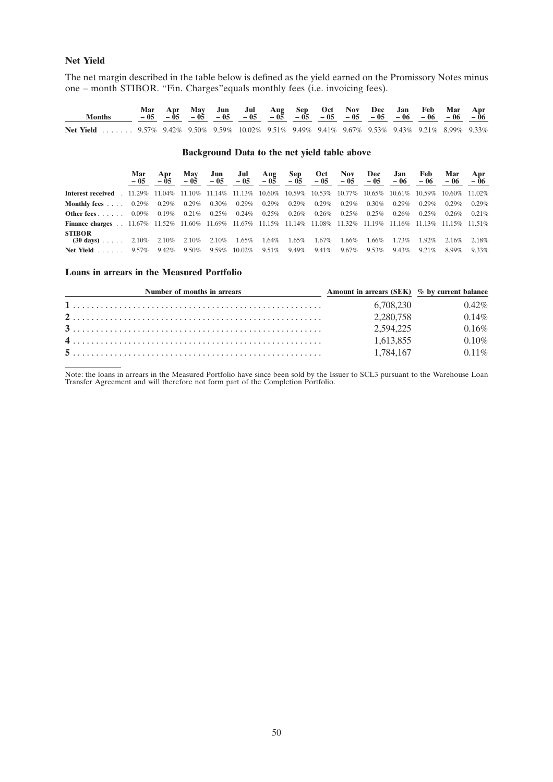# **Net Yield**

The net margin described in the table below is defined as the yield earned on the Promissory Notes minus one – month STIBOR. ''Fin. Charges''equals monthly fees (i.e. invoicing fees).

| <b>Months</b>                                                                                   |  |  |  |  |  |  |  |
|-------------------------------------------------------------------------------------------------|--|--|--|--|--|--|--|
| Net Yield  9.57% 9.42% 9.50% 9.59% 10.02% 9.51% 9.49% 9.41% 9.67% 9.53% 9.43% 9.21% 8.99% 9.33% |  |  |  |  |  |  |  |

# **Background Data to the net yield table above**

|                                                                                                                              | Mar<br>$-0.5$ | Apr      | <b>May</b><br>$-0.5$ | Jun            | Jul       |                            | Aug Sep  | Oct      | $-05$ $-05$ $-05$ $-05$ $-05$ $-05$ $-05$ $-05$ | Nov Dec  | Jan      | Feb<br>$-06 = 06$ | Mar<br>$-06$      | Apr<br>$-06$ |
|------------------------------------------------------------------------------------------------------------------------------|---------------|----------|----------------------|----------------|-----------|----------------------------|----------|----------|-------------------------------------------------|----------|----------|-------------------|-------------------|--------------|
| <b>Interest received</b> . 11.29% 11.04% 11.10% 11.14% 11.13% 10.60% 10.59% 10.53% 10.77% 10.65% 10.61% 10.59% 10.60% 11.02% |               |          |                      |                |           |                            |          |          |                                                 |          |          |                   |                   |              |
| <b>Monthly fees</b> $\ldots$ 0.29%                                                                                           |               | $0.29\%$ |                      | $0.29\%$ 0.30% |           | $0.29\%$ 0.29% 0.29%       |          | $0.29\%$ | $0.29\%$                                        | $0.30\%$ | $0.29\%$ | $0.29\%$          | $0.29\%$          | 0.29%        |
| Other fees $\ldots$ .                                                                                                        | $0.09\%$      | $0.19\%$ | $0.21\%$             | $0.25\%$       |           | $0.24\%$ 0.25%             | $0.26\%$ |          | $0.26\%$ 0.25%                                  | $0.25\%$ | $0.26\%$ | $0.25\%$          | $0.26\%$          | 0.21%        |
| <b>Finance charges</b> 11.67% 11.52% 11.60% 11.69% 11.67% 11.15% 11.14% 11.08% 11.32% 11.19% 11.16% 11.13% 11.51% 11.51%     |               |          |                      |                |           |                            |          |          |                                                 |          |          |                   |                   |              |
| <b>STIBOR</b><br>$(30 \text{ days})$ 2.10% 2.10% 2.10% 2.10%                                                                 |               |          |                      |                |           | $1.65\%$ $1.64\%$ $1.65\%$ |          | $1.67\%$ | 1.66%                                           | 1.66%    | 1.73%    |                   | 1.92% 2.16% 2.18% |              |
| $Net Yield$                                                                                                                  | $9.57\%$      | 9.42%    | 9.50%                | 9.59%          | $10.02\%$ | $9.51\%$                   | 9.49%    | $9.41\%$ | $9.67\%$                                        | $9.53\%$ | 9.43%    | $9.21\%$          | 8.99%             | 9.33%        |

#### **Loans in arrears in the Measured Portfolio**

| Number of months in arrears | Amount in arrears (SEK) % by current balance |          |
|-----------------------------|----------------------------------------------|----------|
|                             | 6.708.230                                    | $0.42\%$ |
|                             | 2,280,758                                    | 0.14%    |
|                             | 2.594.225                                    | 0.16%    |
|                             | 1.613.855                                    | 0.10%    |
|                             | 1.784.167                                    | $0.11\%$ |

Note: the loans in arrears in the Measured Portfolio have since been sold by the Issuer to SCL3 pursuant to the Warehouse Loan Transfer Agreement and will therefore not form part of the Completion Portfolio.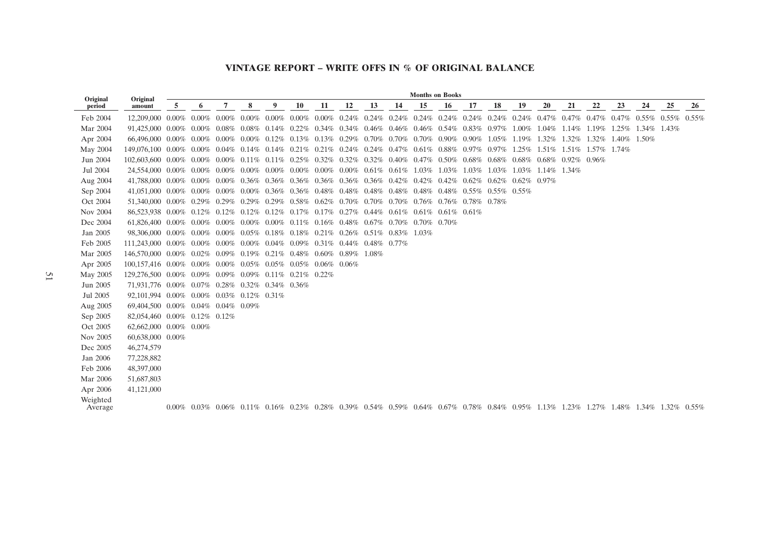#### **VINTAGE REPORT – WRITE OFFS IN % OF ORIGINAL BALANCE**

| Original            | Original                                                                                                                                                                                                  |   |   |   |   |   |           |                               |    |    |    | <b>Months on Books</b> |             |    |                                                                                                                                                                            |                         |       |       |                         |    |                   |    |    |
|---------------------|-----------------------------------------------------------------------------------------------------------------------------------------------------------------------------------------------------------|---|---|---|---|---|-----------|-------------------------------|----|----|----|------------------------|-------------|----|----------------------------------------------------------------------------------------------------------------------------------------------------------------------------|-------------------------|-------|-------|-------------------------|----|-------------------|----|----|
| period              | amount                                                                                                                                                                                                    | 5 | 6 | 7 | 8 | 9 | <b>10</b> | 11                            | 12 | 13 | 14 | 15                     | 16          | 17 | 18                                                                                                                                                                         | 19                      | 20    | 21    | 22                      | 23 | 24                | 25 | 26 |
| Feb 2004            | $12.209.000$ $0.00\%$ $0.00\%$ $0.00\%$ $0.00\%$ $0.00\%$ $0.00\%$ $0.24\%$ $0.24\%$ $0.24\%$ $0.24\%$ $0.24\%$ $0.24\%$ $0.24\%$ $0.47\%$ $0.47\%$ $0.47\%$ $0.47\%$ $0.47\%$ $0.55\%$ $0.55\%$ $0.55\%$ |   |   |   |   |   |           |                               |    |    |    |                        |             |    |                                                                                                                                                                            |                         |       |       |                         |    |                   |    |    |
| Mar 2004            | $91,425,000$ $0.00\%$ $0.00\%$ $0.08\%$ $0.08\%$ $0.14\%$ $0.22\%$ $0.34\%$ $0.34\%$ $0.46\%$ $0.46\%$ $0.46\%$ $0.54\%$ $0.83\%$ $0.97\%$ $1.00\%$ $1.04\%$ $1.14\%$ $1.19\%$ $1.25\%$ $1.34\%$ $1.43\%$ |   |   |   |   |   |           |                               |    |    |    |                        |             |    |                                                                                                                                                                            |                         |       |       |                         |    |                   |    |    |
| Apr 2004            | $66,496,000$ $0.00\%$ $0.00\%$ $0.00\%$ $0.00\%$ $0.12\%$ $0.13\%$ $0.13\%$ $0.29\%$ $0.70\%$ $0.70\%$ $0.70\%$ $0.90\%$ $0.90\%$ $1.05\%$ $1.19\%$                                                       |   |   |   |   |   |           |                               |    |    |    |                        |             |    |                                                                                                                                                                            |                         | 1.32% | 1.32% | 1.32\% 1.40\% 1.50\%    |    |                   |    |    |
| May 2004            | $149.076.100$ $0.00\%$ $0.00\%$ $0.04\%$ $0.14\%$ $0.14\%$ $0.21\%$ $0.21\%$ $0.24\%$ $0.24\%$ $0.47\%$ $0.61\%$ $0.88\%$ $0.97\%$ $0.97\%$ $1.25\%$                                                      |   |   |   |   |   |           |                               |    |    |    |                        |             |    |                                                                                                                                                                            |                         |       |       | 1.51% 1.51% 1.57% 1.74% |    |                   |    |    |
| Jun 2004            | $102,603,600$ $0.00\%$ $0.00\%$ $0.01\%$ $0.11\%$ $0.11\%$ $0.25\%$ $0.32\%$ $0.32\%$ $0.32\%$ $0.40\%$ $0.47\%$ $0.50\%$ $0.68\%$ $0.68\%$ $0.68\%$ $0.68\%$ $0.92\%$ $0.96\%$                           |   |   |   |   |   |           |                               |    |    |    |                        |             |    |                                                                                                                                                                            |                         |       |       |                         |    |                   |    |    |
| Jul 2004            | $24,554,000$ $0.00\%$ $0.00\%$ $0.00\%$ $0.00\%$ $0.00\%$ $0.00\%$ $0.00\%$ $0.00\%$ $0.61\%$ $0.61\%$ $1.03\%$                                                                                           |   |   |   |   |   |           |                               |    |    |    |                        | 1.03% 1.03% |    |                                                                                                                                                                            | 1.03% 1.03% 1.14% 1.34% |       |       |                         |    |                   |    |    |
| Aug 2004            | $41,788,000$ $0.00\%$ $0.00\%$ $0.00\%$ $0.36\%$ $0.36\%$ $0.36\%$ $0.36\%$ $0.36\%$ $0.42\%$ $0.42\%$ $0.42\%$ $0.42\%$ $0.62\%$ $0.62\%$ $0.62\%$ $0.97\%$                                              |   |   |   |   |   |           |                               |    |    |    |                        |             |    |                                                                                                                                                                            |                         |       |       |                         |    |                   |    |    |
| Sep 2004            | $41,051,000$ $0.00\%$ $0.00\%$ $0.00\%$ $0.00\%$ $0.36\%$ $0.36\%$ $0.48\%$ $0.48\%$ $0.48\%$ $0.48\%$ $0.48\%$ $0.48\%$ $0.55\%$ $0.55\%$ $0.55\%$                                                       |   |   |   |   |   |           |                               |    |    |    |                        |             |    |                                                                                                                                                                            |                         |       |       |                         |    |                   |    |    |
| Oct 2004            | $51,340,000$ $0.00\%$ $0.29\%$ $0.29\%$ $0.29\%$ $0.58\%$ $0.62\%$ $0.70\%$ $0.70\%$ $0.70\%$ $0.76\%$ $0.76\%$ $0.78\%$ $0.78\%$                                                                         |   |   |   |   |   |           |                               |    |    |    |                        |             |    |                                                                                                                                                                            |                         |       |       |                         |    |                   |    |    |
| Nov 2004            | $86,523,938$ $0.00\%$ $0.12\%$ $0.12\%$ $0.12\%$ $0.17\%$ $0.17\%$ $0.27\%$ $0.44\%$ $0.61\%$ $0.61\%$ $0.61\%$ $0.61\%$ $0.61\%$                                                                         |   |   |   |   |   |           |                               |    |    |    |                        |             |    |                                                                                                                                                                            |                         |       |       |                         |    |                   |    |    |
| Dec 2004            | $61,826,400$ $0.00\%$ $0.00\%$ $0.00\%$ $0.00\%$ $0.10\%$ $0.11\%$ $0.16\%$ $0.48\%$ $0.67\%$ $0.70\%$ $0.70\%$ $0.70\%$ $0.70\%$                                                                         |   |   |   |   |   |           |                               |    |    |    |                        |             |    |                                                                                                                                                                            |                         |       |       |                         |    |                   |    |    |
| Jan 2005            | 98,306,000 0.00% 0.00% 0.00% 0.05% 0.18% 0.18% 0.21% 0.26% 0.51% 0.83% 1.03%                                                                                                                              |   |   |   |   |   |           |                               |    |    |    |                        |             |    |                                                                                                                                                                            |                         |       |       |                         |    |                   |    |    |
| Feb 2005            | 111,243,000 0.00% 0.00% 0.00% 0.00% 0.04% 0.09%                                                                                                                                                           |   |   |   |   |   |           | $0.31\%$ 0.44\% 0.48\% 0.77\% |    |    |    |                        |             |    |                                                                                                                                                                            |                         |       |       |                         |    |                   |    |    |
| Mar 2005            | 146,570,000 0.00% 0.02% 0.09% 0.19% 0.21% 0.48% 0.60% 0.89% 1.08%                                                                                                                                         |   |   |   |   |   |           |                               |    |    |    |                        |             |    |                                                                                                                                                                            |                         |       |       |                         |    |                   |    |    |
| Apr 2005            | $100,157,416$ $0.00\%$ $0.00\%$ $0.00\%$ $0.05\%$ $0.05\%$ $0.05\%$ $0.06\%$ $0.06\%$                                                                                                                     |   |   |   |   |   |           |                               |    |    |    |                        |             |    |                                                                                                                                                                            |                         |       |       |                         |    |                   |    |    |
| May 2005            | 129,276,500 0.00% 0.09% 0.09% 0.09% 0.11% 0.21% 0.22%                                                                                                                                                     |   |   |   |   |   |           |                               |    |    |    |                        |             |    |                                                                                                                                                                            |                         |       |       |                         |    |                   |    |    |
| Jun 2005            | 71,931,776 0.00% 0.07% 0.28% 0.32% 0.34% 0.36%                                                                                                                                                            |   |   |   |   |   |           |                               |    |    |    |                        |             |    |                                                                                                                                                                            |                         |       |       |                         |    |                   |    |    |
| Jul 2005            | 92,101,994 0.00% 0.00% 0.03% 0.12% 0.31%                                                                                                                                                                  |   |   |   |   |   |           |                               |    |    |    |                        |             |    |                                                                                                                                                                            |                         |       |       |                         |    |                   |    |    |
| Aug 2005            | 69,404,500 0.00% 0.04% 0.04% 0.09%                                                                                                                                                                        |   |   |   |   |   |           |                               |    |    |    |                        |             |    |                                                                                                                                                                            |                         |       |       |                         |    |                   |    |    |
| Sep 2005            | 82,054,460 0.00% 0.12% 0.12%                                                                                                                                                                              |   |   |   |   |   |           |                               |    |    |    |                        |             |    |                                                                                                                                                                            |                         |       |       |                         |    |                   |    |    |
| Oct 2005            | 62,662,000 0.00% 0.00%                                                                                                                                                                                    |   |   |   |   |   |           |                               |    |    |    |                        |             |    |                                                                                                                                                                            |                         |       |       |                         |    |                   |    |    |
| Nov 2005            | 60,638,000 0.00%                                                                                                                                                                                          |   |   |   |   |   |           |                               |    |    |    |                        |             |    |                                                                                                                                                                            |                         |       |       |                         |    |                   |    |    |
| Dec 2005            | 46,274,579                                                                                                                                                                                                |   |   |   |   |   |           |                               |    |    |    |                        |             |    |                                                                                                                                                                            |                         |       |       |                         |    |                   |    |    |
| Jan 2006            | 77,228,882                                                                                                                                                                                                |   |   |   |   |   |           |                               |    |    |    |                        |             |    |                                                                                                                                                                            |                         |       |       |                         |    |                   |    |    |
| Feb 2006            | 48,397,000                                                                                                                                                                                                |   |   |   |   |   |           |                               |    |    |    |                        |             |    |                                                                                                                                                                            |                         |       |       |                         |    |                   |    |    |
| Mar 2006            | 51,687,803                                                                                                                                                                                                |   |   |   |   |   |           |                               |    |    |    |                        |             |    |                                                                                                                                                                            |                         |       |       |                         |    |                   |    |    |
| Apr 2006            | 41,121,000                                                                                                                                                                                                |   |   |   |   |   |           |                               |    |    |    |                        |             |    |                                                                                                                                                                            |                         |       |       |                         |    |                   |    |    |
| Weighted<br>Average |                                                                                                                                                                                                           |   |   |   |   |   |           |                               |    |    |    |                        |             |    | $0.00\%$ $0.03\%$ $0.06\%$ $0.11\%$ $0.16\%$ $0.23\%$ $0.28\%$ $0.39\%$ $0.54\%$ $0.59\%$ $0.64\%$ $0.67\%$ $0.78\%$ $0.84\%$ $0.95\%$ $1.13\%$ $1.23\%$ $1.27\%$ $1.48\%$ |                         |       |       |                         |    | 1.34% 1.32% 0.55% |    |    |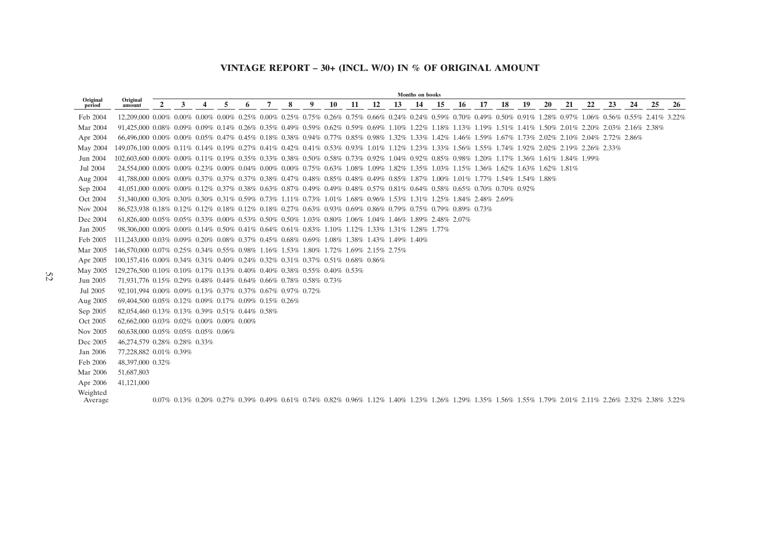# **VINTAGE REPORT – 30+ (INCL. W/O) IN % OF ORIGINAL AMOUNT**

|                     |                                                                                                                                                                                                                             |              |   |   |   |   |   |   |   |    |    |    |    | <b>Months</b> on books |    |    |    |    |    |           |    |    |    |                                                                                                                                                                                                                                |    |    |
|---------------------|-----------------------------------------------------------------------------------------------------------------------------------------------------------------------------------------------------------------------------|--------------|---|---|---|---|---|---|---|----|----|----|----|------------------------|----|----|----|----|----|-----------|----|----|----|--------------------------------------------------------------------------------------------------------------------------------------------------------------------------------------------------------------------------------|----|----|
| Original<br>period  | Original<br>amount                                                                                                                                                                                                          | $\mathbf{2}$ | 3 | 4 | 5 | 6 | 7 | 8 | 9 | 10 | 11 | 12 | 13 | 14                     | 15 | 16 | 17 | 18 | 19 | <b>20</b> | 21 | 22 | 23 | 24                                                                                                                                                                                                                             | 25 | 26 |
| Feb 2004            | $12.209.000$ $0.00\%$ $0.00\%$ $0.00\%$ $0.25\%$ $0.00\%$ $0.25\%$ $0.75\%$ $0.26\%$ $0.75\%$ $0.66\%$ $0.24\%$ $0.24\%$ $0.59\%$ $0.70\%$ $0.49\%$ $0.50\%$ $0.91\%$ $1.28\%$ $0.97\%$ $1.06\%$ $0.56\%$ $0.55\%$ $2.41\%$ |              |   |   |   |   |   |   |   |    |    |    |    |                        |    |    |    |    |    |           |    |    |    |                                                                                                                                                                                                                                |    |    |
| Mar 2004            | 91,425,000 0.08% 0.09% 0.09% 0.14% 0.26% 0.35% 0.49% 0.59% 0.62% 0.59% 0.69% 1.10% 1.22% 1.18% 1.13% 1.19% 1.51% 1.41% 1.50% 2.01% 2.20% 2.03% 2.16% 2.38%                                                                  |              |   |   |   |   |   |   |   |    |    |    |    |                        |    |    |    |    |    |           |    |    |    |                                                                                                                                                                                                                                |    |    |
| Apr 2004            | $66,496,000$ $0.00\%$ $0.00\%$ $0.05\%$ $0.47\%$ $0.45\%$ $0.18\%$ $0.38\%$ $0.94\%$ $0.77\%$ $0.85\%$ $0.98\%$ $1.32\%$ $1.33\%$ $1.42\%$ $1.46\%$ $1.59\%$ $1.67\%$ $1.73\%$ $2.02\%$ $2.10\%$ $2.04\%$ $2.72\%$ $2.86\%$ |              |   |   |   |   |   |   |   |    |    |    |    |                        |    |    |    |    |    |           |    |    |    |                                                                                                                                                                                                                                |    |    |
| May 2004            | 149,076,100 0.00% 0.11% 0.14% 0.19% 0.27% 0.41% 0.42% 0.41% 0.53% 0.93% 1.01% 1.12% 1.23% 1.33% 1.56% 1.55% 1.74% 1.92% 2.02% 2.19% 2.26% 2.33%                                                                             |              |   |   |   |   |   |   |   |    |    |    |    |                        |    |    |    |    |    |           |    |    |    |                                                                                                                                                                                                                                |    |    |
| Jun 2004            | $102.603.600$ $0.00\%$ $0.00\%$ $0.11\%$ $0.19\%$ $0.35\%$ $0.33\%$ $0.38\%$ $0.50\%$ $0.58\%$ $0.73\%$ $0.92\%$ $1.04\%$ $0.92\%$ $0.85\%$ $0.98\%$ $1.20\%$ $1.17\%$ $1.36\%$ $1.61\%$ $1.84\%$ $1.99\%$                  |              |   |   |   |   |   |   |   |    |    |    |    |                        |    |    |    |    |    |           |    |    |    |                                                                                                                                                                                                                                |    |    |
| Jul 2004            | $24.554.000$ $0.00\%$ $0.00\%$ $0.23\%$ $0.00\%$ $0.04\%$ $0.00\%$ $0.00\%$ $0.75\%$ $0.63\%$ $1.08\%$ $1.09\%$ $1.82\%$ $1.35\%$ $1.03\%$ $1.15\%$ $1.36\%$ $1.62\%$ $1.63\%$ $1.62\%$ $1.81\%$                            |              |   |   |   |   |   |   |   |    |    |    |    |                        |    |    |    |    |    |           |    |    |    |                                                                                                                                                                                                                                |    |    |
| Aug 2004            | 41,788,000 0.00% 0.00% 0.37% 0.37% 0.37% 0.38% 0.47% 0.48% 0.85% 0.48% 0.49% 0.85% 1.87% 1.00% 1.01% 1.77% 1.54% 1.54% 1.88%                                                                                                |              |   |   |   |   |   |   |   |    |    |    |    |                        |    |    |    |    |    |           |    |    |    |                                                                                                                                                                                                                                |    |    |
| Sep 2004            | $41,051,000$ $0.00\%$ $0.00\%$ $0.12\%$ $0.37\%$ $0.38\%$ $0.63\%$ $0.87\%$ $0.49\%$ $0.49\%$ $0.48\%$ $0.57\%$ $0.81\%$ $0.64\%$ $0.58\%$ $0.65\%$ $0.70\%$ $0.70\%$ $0.92\%$                                              |              |   |   |   |   |   |   |   |    |    |    |    |                        |    |    |    |    |    |           |    |    |    |                                                                                                                                                                                                                                |    |    |
| Oct 2004            | 51,340,000 0.30% 0.30% 0.30% 0.31% 0.59% 0.73% 1.11% 0.73% 1.01% 1.68% 0.96% 1.53% 1.31% 1.25% 1.84% 2.48% 2.69%                                                                                                            |              |   |   |   |   |   |   |   |    |    |    |    |                        |    |    |    |    |    |           |    |    |    |                                                                                                                                                                                                                                |    |    |
| Nov 2004            | 86,523,938 0.18% 0.12% 0.12% 0.18% 0.12% 0.18% 0.27% 0.63% 0.93% 0.69% 0.86% 0.79% 0.75% 0.79% 0.89% 0.73%                                                                                                                  |              |   |   |   |   |   |   |   |    |    |    |    |                        |    |    |    |    |    |           |    |    |    |                                                                                                                                                                                                                                |    |    |
| Dec 2004            | $61,826,400$ $0.05\%$ $0.05\%$ $0.33\%$ $0.00\%$ $0.53\%$ $0.50\%$ $0.50\%$ $1.03\%$ $0.80\%$ $1.06\%$ $1.04\%$ $1.46\%$ $1.89\%$ $2.48\%$ $2.07\%$                                                                         |              |   |   |   |   |   |   |   |    |    |    |    |                        |    |    |    |    |    |           |    |    |    |                                                                                                                                                                                                                                |    |    |
| Jan 2005            | 98,306,000 0.00% 0.00% 0.14% 0.50% 0.41% 0.64% 0.61% 0.83% 1.10% 1.12% 1.33% 1.31% 1.28% 1.77%                                                                                                                              |              |   |   |   |   |   |   |   |    |    |    |    |                        |    |    |    |    |    |           |    |    |    |                                                                                                                                                                                                                                |    |    |
| Feb 2005            | 111,243,000 0.03% 0.09% 0.20% 0.08% 0.37% 0.45% 0.68% 0.69% 1.08% 1.38% 1.43% 1.49% 1.40%                                                                                                                                   |              |   |   |   |   |   |   |   |    |    |    |    |                        |    |    |    |    |    |           |    |    |    |                                                                                                                                                                                                                                |    |    |
| Mar 2005            | 146.570.000 0.07% 0.25% 0.34% 0.55% 0.98% 1.16% 1.53% 1.80% 1.72% 1.69% 2.15% 2.75%                                                                                                                                         |              |   |   |   |   |   |   |   |    |    |    |    |                        |    |    |    |    |    |           |    |    |    |                                                                                                                                                                                                                                |    |    |
| Apr 2005            | 100,157,416 0.00% 0.34% 0.31% 0.40% 0.24% 0.32% 0.31% 0.37% 0.51% 0.68% 0.86%                                                                                                                                               |              |   |   |   |   |   |   |   |    |    |    |    |                        |    |    |    |    |    |           |    |    |    |                                                                                                                                                                                                                                |    |    |
| May 2005            | 129,276,500 0.10% 0.10% 0.17% 0.13% 0.40% 0.40% 0.38% 0.55% 0.40% 0.53%                                                                                                                                                     |              |   |   |   |   |   |   |   |    |    |    |    |                        |    |    |    |    |    |           |    |    |    |                                                                                                                                                                                                                                |    |    |
| Jun 2005            | 71,931,776 0.15% 0.29% 0.48% 0.44% 0.64% 0.66% 0.78% 0.58% 0.73%                                                                                                                                                            |              |   |   |   |   |   |   |   |    |    |    |    |                        |    |    |    |    |    |           |    |    |    |                                                                                                                                                                                                                                |    |    |
| Jul 2005            | 92,101,994 0.00% 0.09% 0.13% 0.37% 0.37% 0.67% 0.97% 0.72%                                                                                                                                                                  |              |   |   |   |   |   |   |   |    |    |    |    |                        |    |    |    |    |    |           |    |    |    |                                                                                                                                                                                                                                |    |    |
| Aug 2005            | 69,404,500 0.05% 0.12% 0.09% 0.17% 0.09% 0.15% 0.26%                                                                                                                                                                        |              |   |   |   |   |   |   |   |    |    |    |    |                        |    |    |    |    |    |           |    |    |    |                                                                                                                                                                                                                                |    |    |
| Sep 2005            | 82,054,460 0.13% 0.13% 0.39% 0.51% 0.44% 0.58%                                                                                                                                                                              |              |   |   |   |   |   |   |   |    |    |    |    |                        |    |    |    |    |    |           |    |    |    |                                                                                                                                                                                                                                |    |    |
| Oct 2005            | $62,662,000$ $0.03\%$ $0.02\%$ $0.00\%$ $0.00\%$ $0.00\%$                                                                                                                                                                   |              |   |   |   |   |   |   |   |    |    |    |    |                        |    |    |    |    |    |           |    |    |    |                                                                                                                                                                                                                                |    |    |
| Nov 2005            | 60,638,000 0.05% 0.05% 0.05% 0.06%                                                                                                                                                                                          |              |   |   |   |   |   |   |   |    |    |    |    |                        |    |    |    |    |    |           |    |    |    |                                                                                                                                                                                                                                |    |    |
| Dec 2005            | 46,274,579 0.28% 0.28% 0.33%                                                                                                                                                                                                |              |   |   |   |   |   |   |   |    |    |    |    |                        |    |    |    |    |    |           |    |    |    |                                                                                                                                                                                                                                |    |    |
| Jan 2006            | 77,228,882 0.01% 0.39%                                                                                                                                                                                                      |              |   |   |   |   |   |   |   |    |    |    |    |                        |    |    |    |    |    |           |    |    |    |                                                                                                                                                                                                                                |    |    |
| Feb 2006            | 48.397.000 0.32%                                                                                                                                                                                                            |              |   |   |   |   |   |   |   |    |    |    |    |                        |    |    |    |    |    |           |    |    |    |                                                                                                                                                                                                                                |    |    |
| Mar 2006            | 51,687,803                                                                                                                                                                                                                  |              |   |   |   |   |   |   |   |    |    |    |    |                        |    |    |    |    |    |           |    |    |    |                                                                                                                                                                                                                                |    |    |
| Apr 2006            | 41,121,000                                                                                                                                                                                                                  |              |   |   |   |   |   |   |   |    |    |    |    |                        |    |    |    |    |    |           |    |    |    |                                                                                                                                                                                                                                |    |    |
| Weighted<br>Average |                                                                                                                                                                                                                             |              |   |   |   |   |   |   |   |    |    |    |    |                        |    |    |    |    |    |           |    |    |    | $0.07\%$ $0.13\%$ $0.20\%$ $0.27\%$ $0.39\%$ $0.49\%$ $0.61\%$ $0.74\%$ $0.82\%$ $0.96\%$ $1.12\%$ $1.40\%$ $1.23\%$ $1.26\%$ $1.29\%$ $1.35\%$ $1.56\%$ $1.55\%$ $1.79\%$ $2.01\%$ $2.11\%$ $2.26\%$ $2.32\%$ $2.38\%$ $3.22$ |    |    |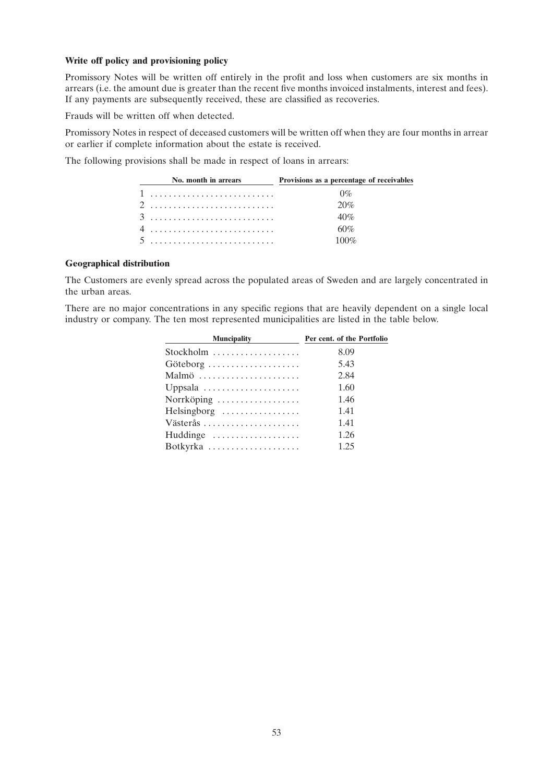# **Write off policy and provisioning policy**

Promissory Notes will be written off entirely in the profit and loss when customers are six months in arrears (i.e. the amount due is greater than the recent five months invoiced instalments, interest and fees). If any payments are subsequently received, these are classified as recoveries.

Frauds will be written off when detected.

Promissory Notes in respect of deceased customers will be written off when they are four months in arrear or earlier if complete information about the estate is received.

The following provisions shall be made in respect of loans in arrears:

| No. month in arrears | Provisions as a percentage of receivables |
|----------------------|-------------------------------------------|
| 1                    | $0\%$                                     |
|                      | 20%                                       |
|                      | 40%                                       |
|                      | 60%                                       |
| 5                    | 100\%                                     |

# **Geographical distribution**

The Customers are evenly spread across the populated areas of Sweden and are largely concentrated in the urban areas.

There are no major concentrations in any specific regions that are heavily dependent on a single local industry or company. The ten most represented municipalities are listed in the table below.

| <b>Muncipality</b>                            | Per cent. of the Portfolio |
|-----------------------------------------------|----------------------------|
| Stockholm $\dots\dots\dots\dots\dots\dots$    | 8.09                       |
| Göteborg                                      | 5.43                       |
|                                               | 2.84                       |
| Uppsala $\dots\dots\dots\dots\dots\dots\dots$ | 1.60                       |
| Norrköping                                    | 1.46                       |
| $Helsingborg$                                 | 1.41                       |
|                                               | 1.41                       |
| Huddinge $\dots\dots\dots\dots\dots\dots$     | 1.26                       |
|                                               | 1.25                       |
|                                               |                            |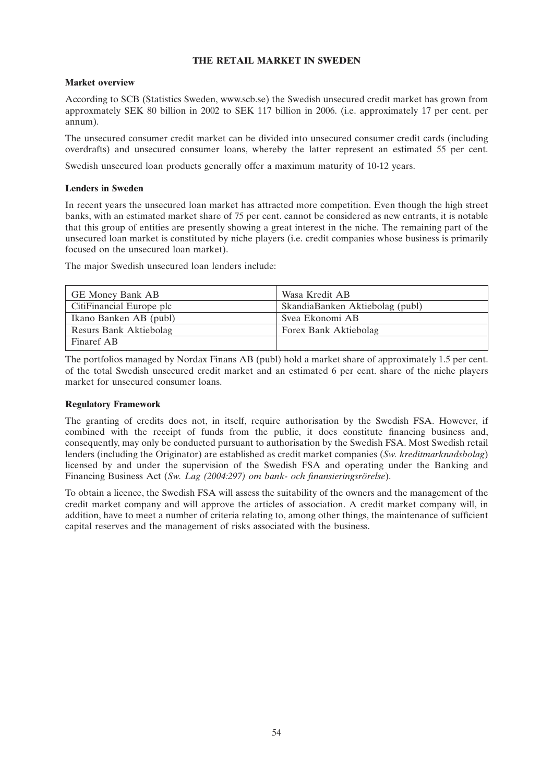# **THE RETAIL MARKET IN SWEDEN**

# **Market overview**

According to SCB (Statistics Sweden, www.scb.se) the Swedish unsecured credit market has grown from approxmately SEK 80 billion in 2002 to SEK 117 billion in 2006. (i.e. approximately 17 per cent. per annum).

The unsecured consumer credit market can be divided into unsecured consumer credit cards (including overdrafts) and unsecured consumer loans, whereby the latter represent an estimated 55 per cent.

Swedish unsecured loan products generally offer a maximum maturity of 10-12 years.

# **Lenders in Sweden**

In recent years the unsecured loan market has attracted more competition. Even though the high street banks, with an estimated market share of 75 per cent. cannot be considered as new entrants, it is notable that this group of entities are presently showing a great interest in the niche. The remaining part of the unsecured loan market is constituted by niche players (i.e. credit companies whose business is primarily focused on the unsecured loan market).

The major Swedish unsecured loan lenders include:

| <b>GE Money Bank AB</b>  | Wasa Kredit AB                  |
|--------------------------|---------------------------------|
| CitiFinancial Europe plc | SkandiaBanken Aktiebolag (publ) |
| Ikano Banken AB (publ)   | Svea Ekonomi AB                 |
| Resurs Bank Aktiebolag   | Forex Bank Aktiebolag           |
| Finaref AB               |                                 |

The portfolios managed by Nordax Finans AB (publ) hold a market share of approximately 1.5 per cent. of the total Swedish unsecured credit market and an estimated 6 per cent. share of the niche players market for unsecured consumer loans.

# **Regulatory Framework**

The granting of credits does not, in itself, require authorisation by the Swedish FSA. However, if combined with the receipt of funds from the public, it does constitute financing business and, consequently, may only be conducted pursuant to authorisation by the Swedish FSA. Most Swedish retail lenders (including the Originator) are established as credit market companies (*Sw. kreditmarknadsbolag*) licensed by and under the supervision of the Swedish FSA and operating under the Banking and Financing Business Act (*Sw. Lag (2004:297) om bank- och finansieringsrörelse*).

To obtain a licence, the Swedish FSA will assess the suitability of the owners and the management of the credit market company and will approve the articles of association. A credit market company will, in addition, have to meet a number of criteria relating to, among other things, the maintenance of sufficient capital reserves and the management of risks associated with the business.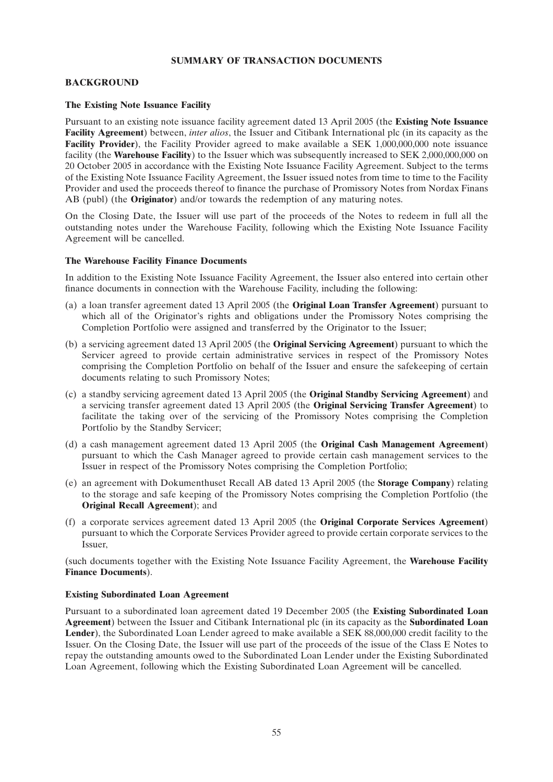# **SUMMARY OF TRANSACTION DOCUMENTS**

# **BACKGROUND**

#### **The Existing Note Issuance Facility**

Pursuant to an existing note issuance facility agreement dated 13 April 2005 (the **Existing Note Issuance Facility Agreement**) between, *inter alios*, the Issuer and Citibank International plc (in its capacity as the **Facility Provider**), the Facility Provider agreed to make available a SEK 1,000,000,000 note issuance facility (the **Warehouse Facility**) to the Issuer which was subsequently increased to SEK 2,000,000,000 on 20 October 2005 in accordance with the Existing Note Issuance Facility Agreement. Subject to the terms of the Existing Note Issuance Facility Agreement, the Issuer issued notes from time to time to the Facility Provider and used the proceeds thereof to finance the purchase of Promissory Notes from Nordax Finans AB (publ) (the **Originator**) and/or towards the redemption of any maturing notes.

On the Closing Date, the Issuer will use part of the proceeds of the Notes to redeem in full all the outstanding notes under the Warehouse Facility, following which the Existing Note Issuance Facility Agreement will be cancelled.

#### **The Warehouse Facility Finance Documents**

In addition to the Existing Note Issuance Facility Agreement, the Issuer also entered into certain other finance documents in connection with the Warehouse Facility, including the following:

- (a) a loan transfer agreement dated 13 April 2005 (the **Original Loan Transfer Agreement**) pursuant to which all of the Originator's rights and obligations under the Promissory Notes comprising the Completion Portfolio were assigned and transferred by the Originator to the Issuer;
- (b) a servicing agreement dated 13 April 2005 (the **Original Servicing Agreement**) pursuant to which the Servicer agreed to provide certain administrative services in respect of the Promissory Notes comprising the Completion Portfolio on behalf of the Issuer and ensure the safekeeping of certain documents relating to such Promissory Notes;
- (c) a standby servicing agreement dated 13 April 2005 (the **Original Standby Servicing Agreement**) and a servicing transfer agreement dated 13 April 2005 (the **Original Servicing Transfer Agreement**) to facilitate the taking over of the servicing of the Promissory Notes comprising the Completion Portfolio by the Standby Servicer;
- (d) a cash management agreement dated 13 April 2005 (the **Original Cash Management Agreement**) pursuant to which the Cash Manager agreed to provide certain cash management services to the Issuer in respect of the Promissory Notes comprising the Completion Portfolio;
- (e) an agreement with Dokumenthuset Recall AB dated 13 April 2005 (the **Storage Company**) relating to the storage and safe keeping of the Promissory Notes comprising the Completion Portfolio (the **Original Recall Agreement**); and
- (f) a corporate services agreement dated 13 April 2005 (the **Original Corporate Services Agreement**) pursuant to which the Corporate Services Provider agreed to provide certain corporate services to the Issuer,

(such documents together with the Existing Note Issuance Facility Agreement, the **Warehouse Facility Finance Documents**).

### **Existing Subordinated Loan Agreement**

Pursuant to a subordinated loan agreement dated 19 December 2005 (the **Existing Subordinated Loan Agreement**) between the Issuer and Citibank International plc (in its capacity as the **Subordinated Loan Lender**), the Subordinated Loan Lender agreed to make available a SEK 88,000,000 credit facility to the Issuer. On the Closing Date, the Issuer will use part of the proceeds of the issue of the Class E Notes to repay the outstanding amounts owed to the Subordinated Loan Lender under the Existing Subordinated Loan Agreement, following which the Existing Subordinated Loan Agreement will be cancelled.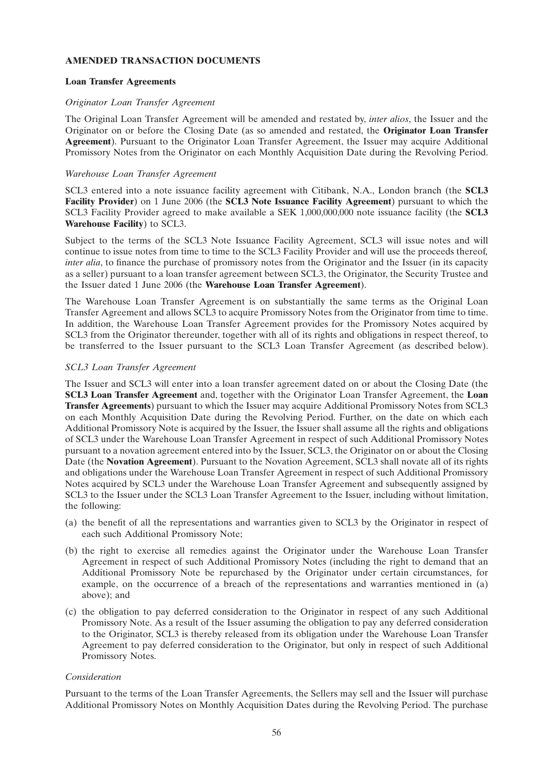# **AMENDED TRANSACTION DOCUMENTS**

### **Loan Transfer Agreements**

#### *Originator Loan Transfer Agreement*

The Original Loan Transfer Agreement will be amended and restated by, *inter alios*, the Issuer and the Originator on or before the Closing Date (as so amended and restated, the **Originator Loan Transfer Agreement**). Pursuant to the Originator Loan Transfer Agreement, the Issuer may acquire Additional Promissory Notes from the Originator on each Monthly Acquisition Date during the Revolving Period.

## *Warehouse Loan Transfer Agreement*

SCL3 entered into a note issuance facility agreement with Citibank, N.A., London branch (the **SCL3 Facility Provider**) on 1 June 2006 (the **SCL3 Note Issuance Facility Agreement**) pursuant to which the SCL3 Facility Provider agreed to make available a SEK 1,000,000,000 note issuance facility (the **SCL3 Warehouse Facility**) to SCL3.

Subject to the terms of the SCL3 Note Issuance Facility Agreement, SCL3 will issue notes and will continue to issue notes from time to time to the SCL3 Facility Provider and will use the proceeds thereof*, inter alia*, to finance the purchase of promissory notes from the Originator and the Issuer (in its capacity as a seller) pursuant to a loan transfer agreement between SCL3, the Originator, the Security Trustee and the Issuer dated 1 June 2006 (the **Warehouse Loan Transfer Agreement**).

The Warehouse Loan Transfer Agreement is on substantially the same terms as the Original Loan Transfer Agreement and allows SCL3 to acquire Promissory Notes from the Originator from time to time. In addition, the Warehouse Loan Transfer Agreement provides for the Promissory Notes acquired by SCL3 from the Originator thereunder, together with all of its rights and obligations in respect thereof, to be transferred to the Issuer pursuant to the SCL3 Loan Transfer Agreement (as described below).

#### *SCL3 Loan Transfer Agreement*

The Issuer and SCL3 will enter into a loan transfer agreement dated on or about the Closing Date (the **SCL3 Loan Transfer Agreement** and, together with the Originator Loan Transfer Agreement, the **Loan Transfer Agreements**) pursuant to which the Issuer may acquire Additional Promissory Notes from SCL3 on each Monthly Acquisition Date during the Revolving Period. Further, on the date on which each Additional Promissory Note is acquired by the Issuer, the Issuer shall assume all the rights and obligations of SCL3 under the Warehouse Loan Transfer Agreement in respect of such Additional Promissory Notes pursuant to a novation agreement entered into by the Issuer, SCL3, the Originator on or about the Closing Date (the **Novation Agreement**). Pursuant to the Novation Agreement, SCL3 shall novate all of its rights and obligations under the Warehouse Loan Transfer Agreement in respect of such Additional Promissory Notes acquired by SCL3 under the Warehouse Loan Transfer Agreement and subsequently assigned by SCL3 to the Issuer under the SCL3 Loan Transfer Agreement to the Issuer, including without limitation, the following:

- (a) the benefit of all the representations and warranties given to SCL3 by the Originator in respect of each such Additional Promissory Note;
- (b) the right to exercise all remedies against the Originator under the Warehouse Loan Transfer Agreement in respect of such Additional Promissory Notes (including the right to demand that an Additional Promissory Note be repurchased by the Originator under certain circumstances, for example, on the occurrence of a breach of the representations and warranties mentioned in (a) above); and
- (c) the obligation to pay deferred consideration to the Originator in respect of any such Additional Promissory Note. As a result of the Issuer assuming the obligation to pay any deferred consideration to the Originator, SCL3 is thereby released from its obligation under the Warehouse Loan Transfer Agreement to pay deferred consideration to the Originator, but only in respect of such Additional Promissory Notes.

#### *Consideration*

Pursuant to the terms of the Loan Transfer Agreements, the Sellers may sell and the Issuer will purchase Additional Promissory Notes on Monthly Acquisition Dates during the Revolving Period. The purchase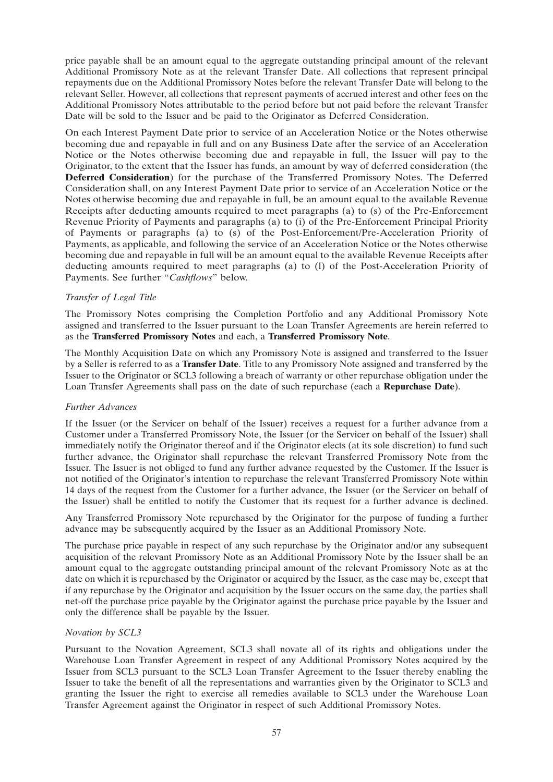price payable shall be an amount equal to the aggregate outstanding principal amount of the relevant Additional Promissory Note as at the relevant Transfer Date. All collections that represent principal repayments due on the Additional Promissory Notes before the relevant Transfer Date will belong to the relevant Seller. However, all collections that represent payments of accrued interest and other fees on the Additional Promissory Notes attributable to the period before but not paid before the relevant Transfer Date will be sold to the Issuer and be paid to the Originator as Deferred Consideration.

On each Interest Payment Date prior to service of an Acceleration Notice or the Notes otherwise becoming due and repayable in full and on any Business Date after the service of an Acceleration Notice or the Notes otherwise becoming due and repayable in full, the Issuer will pay to the Originator, to the extent that the Issuer has funds, an amount by way of deferred consideration (the **Deferred Consideration**) for the purchase of the Transferred Promissory Notes. The Deferred Consideration shall, on any Interest Payment Date prior to service of an Acceleration Notice or the Notes otherwise becoming due and repayable in full, be an amount equal to the available Revenue Receipts after deducting amounts required to meet paragraphs (a) to (s) of the Pre-Enforcement Revenue Priority of Payments and paragraphs (a) to (i) of the Pre-Enforcement Principal Priority of Payments or paragraphs (a) to (s) of the Post-Enforcement/Pre-Acceleration Priority of Payments, as applicable, and following the service of an Acceleration Notice or the Notes otherwise becoming due and repayable in full will be an amount equal to the available Revenue Receipts after deducting amounts required to meet paragraphs (a) to (l) of the Post-Acceleration Priority of Payments. See further "*Cashflows*" below.

# *Transfer of Legal Title*

The Promissory Notes comprising the Completion Portfolio and any Additional Promissory Note assigned and transferred to the Issuer pursuant to the Loan Transfer Agreements are herein referred to as the **Transferred Promissory Notes** and each, a **Transferred Promissory Note**.

The Monthly Acquisition Date on which any Promissory Note is assigned and transferred to the Issuer by a Seller is referred to as a **Transfer Date**. Title to any Promissory Note assigned and transferred by the Issuer to the Originator or SCL3 following a breach of warranty or other repurchase obligation under the Loan Transfer Agreements shall pass on the date of such repurchase (each a **Repurchase Date**).

# *Further Advances*

If the Issuer (or the Servicer on behalf of the Issuer) receives a request for a further advance from a Customer under a Transferred Promissory Note, the Issuer (or the Servicer on behalf of the Issuer) shall immediately notify the Originator thereof and if the Originator elects (at its sole discretion) to fund such further advance, the Originator shall repurchase the relevant Transferred Promissory Note from the Issuer. The Issuer is not obliged to fund any further advance requested by the Customer. If the Issuer is not notified of the Originator's intention to repurchase the relevant Transferred Promissory Note within 14 days of the request from the Customer for a further advance, the Issuer (or the Servicer on behalf of the Issuer) shall be entitled to notify the Customer that its request for a further advance is declined.

Any Transferred Promissory Note repurchased by the Originator for the purpose of funding a further advance may be subsequently acquired by the Issuer as an Additional Promissory Note.

The purchase price payable in respect of any such repurchase by the Originator and/or any subsequent acquisition of the relevant Promissory Note as an Additional Promissory Note by the Issuer shall be an amount equal to the aggregate outstanding principal amount of the relevant Promissory Note as at the date on which it is repurchased by the Originator or acquired by the Issuer, as the case may be, except that if any repurchase by the Originator and acquisition by the Issuer occurs on the same day, the parties shall net-off the purchase price payable by the Originator against the purchase price payable by the Issuer and only the difference shall be payable by the Issuer.

# *Novation by SCL3*

Pursuant to the Novation Agreement, SCL3 shall novate all of its rights and obligations under the Warehouse Loan Transfer Agreement in respect of any Additional Promissory Notes acquired by the Issuer from SCL3 pursuant to the SCL3 Loan Transfer Agreement to the Issuer thereby enabling the Issuer to take the benefit of all the representations and warranties given by the Originator to SCL3 and granting the Issuer the right to exercise all remedies available to SCL3 under the Warehouse Loan Transfer Agreement against the Originator in respect of such Additional Promissory Notes.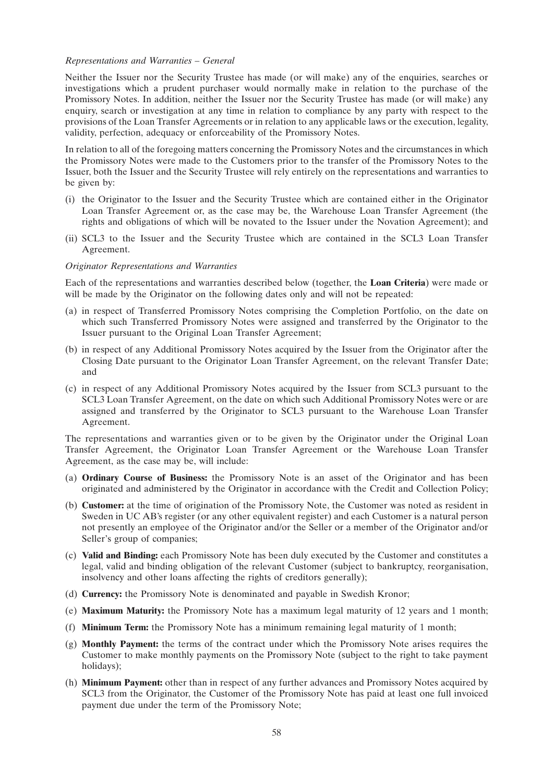#### *Representations and Warranties – General*

Neither the Issuer nor the Security Trustee has made (or will make) any of the enquiries, searches or investigations which a prudent purchaser would normally make in relation to the purchase of the Promissory Notes. In addition, neither the Issuer nor the Security Trustee has made (or will make) any enquiry, search or investigation at any time in relation to compliance by any party with respect to the provisions of the Loan Transfer Agreements or in relation to any applicable laws or the execution, legality, validity, perfection, adequacy or enforceability of the Promissory Notes.

In relation to all of the foregoing matters concerning the Promissory Notes and the circumstances in which the Promissory Notes were made to the Customers prior to the transfer of the Promissory Notes to the Issuer, both the Issuer and the Security Trustee will rely entirely on the representations and warranties to be given by:

- (i) the Originator to the Issuer and the Security Trustee which are contained either in the Originator Loan Transfer Agreement or, as the case may be, the Warehouse Loan Transfer Agreement (the rights and obligations of which will be novated to the Issuer under the Novation Agreement); and
- (ii) SCL3 to the Issuer and the Security Trustee which are contained in the SCL3 Loan Transfer Agreement.

#### *Originator Representations and Warranties*

Each of the representations and warranties described below (together, the **Loan Criteria**) were made or will be made by the Originator on the following dates only and will not be repeated:

- (a) in respect of Transferred Promissory Notes comprising the Completion Portfolio, on the date on which such Transferred Promissory Notes were assigned and transferred by the Originator to the Issuer pursuant to the Original Loan Transfer Agreement;
- (b) in respect of any Additional Promissory Notes acquired by the Issuer from the Originator after the Closing Date pursuant to the Originator Loan Transfer Agreement, on the relevant Transfer Date; and
- (c) in respect of any Additional Promissory Notes acquired by the Issuer from SCL3 pursuant to the SCL3 Loan Transfer Agreement, on the date on which such Additional Promissory Notes were or are assigned and transferred by the Originator to SCL3 pursuant to the Warehouse Loan Transfer Agreement.

The representations and warranties given or to be given by the Originator under the Original Loan Transfer Agreement, the Originator Loan Transfer Agreement or the Warehouse Loan Transfer Agreement, as the case may be, will include:

- (a) **Ordinary Course of Business:** the Promissory Note is an asset of the Originator and has been originated and administered by the Originator in accordance with the Credit and Collection Policy;
- (b) **Customer:** at the time of origination of the Promissory Note, the Customer was noted as resident in Sweden in UC AB's register (or any other equivalent register) and each Customer is a natural person not presently an employee of the Originator and/or the Seller or a member of the Originator and/or Seller's group of companies;
- (c) **Valid and Binding:** each Promissory Note has been duly executed by the Customer and constitutes a legal, valid and binding obligation of the relevant Customer (subject to bankruptcy, reorganisation, insolvency and other loans affecting the rights of creditors generally);
- (d) **Currency:** the Promissory Note is denominated and payable in Swedish Kronor;
- (e) **Maximum Maturity:** the Promissory Note has a maximum legal maturity of 12 years and 1 month;
- (f) **Minimum Term:** the Promissory Note has a minimum remaining legal maturity of 1 month;
- (g) **Monthly Payment:** the terms of the contract under which the Promissory Note arises requires the Customer to make monthly payments on the Promissory Note (subject to the right to take payment holidays);
- (h) **Minimum Payment:** other than in respect of any further advances and Promissory Notes acquired by SCL3 from the Originator, the Customer of the Promissory Note has paid at least one full invoiced payment due under the term of the Promissory Note;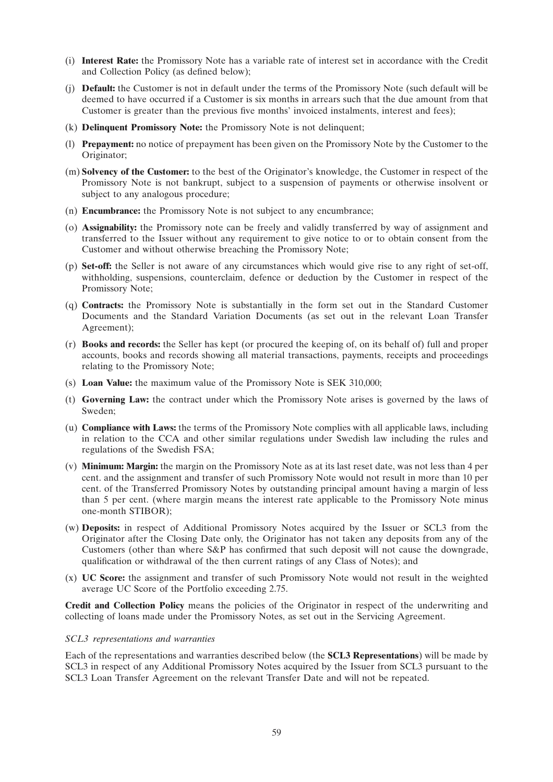- (i) **Interest Rate:** the Promissory Note has a variable rate of interest set in accordance with the Credit and Collection Policy (as defined below);
- (j) **Default:** the Customer is not in default under the terms of the Promissory Note (such default will be deemed to have occurred if a Customer is six months in arrears such that the due amount from that Customer is greater than the previous five months' invoiced instalments, interest and fees);
- (k) **Delinquent Promissory Note:** the Promissory Note is not delinquent;
- (l) **Prepayment:** no notice of prepayment has been given on the Promissory Note by the Customer to the Originator;
- (m) **Solvency of the Customer:** to the best of the Originator's knowledge, the Customer in respect of the Promissory Note is not bankrupt, subject to a suspension of payments or otherwise insolvent or subject to any analogous procedure;
- (n) **Encumbrance:** the Promissory Note is not subject to any encumbrance;
- (o) **Assignability:** the Promissory note can be freely and validly transferred by way of assignment and transferred to the Issuer without any requirement to give notice to or to obtain consent from the Customer and without otherwise breaching the Promissory Note;
- (p) **Set-off:** the Seller is not aware of any circumstances which would give rise to any right of set-off, withholding, suspensions, counterclaim, defence or deduction by the Customer in respect of the Promissory Note;
- (q) **Contracts:** the Promissory Note is substantially in the form set out in the Standard Customer Documents and the Standard Variation Documents (as set out in the relevant Loan Transfer Agreement);
- (r) **Books and records:** the Seller has kept (or procured the keeping of, on its behalf of) full and proper accounts, books and records showing all material transactions, payments, receipts and proceedings relating to the Promissory Note;
- (s) **Loan Value:** the maximum value of the Promissory Note is SEK 310,000;
- (t) **Governing Law:** the contract under which the Promissory Note arises is governed by the laws of Sweden;
- (u) **Compliance with Laws:** the terms of the Promissory Note complies with all applicable laws, including in relation to the CCA and other similar regulations under Swedish law including the rules and regulations of the Swedish FSA;
- (v) **Minimum: Margin:** the margin on the Promissory Note as at its last reset date, was not less than 4 per cent. and the assignment and transfer of such Promissory Note would not result in more than 10 per cent. of the Transferred Promissory Notes by outstanding principal amount having a margin of less than 5 per cent. (where margin means the interest rate applicable to the Promissory Note minus one-month STIBOR);
- (w) **Deposits:** in respect of Additional Promissory Notes acquired by the Issuer or SCL3 from the Originator after the Closing Date only, the Originator has not taken any deposits from any of the Customers (other than where S&P has confirmed that such deposit will not cause the downgrade, qualification or withdrawal of the then current ratings of any Class of Notes); and
- (x) **UC Score:** the assignment and transfer of such Promissory Note would not result in the weighted average UC Score of the Portfolio exceeding 2.75.

**Credit and Collection Policy** means the policies of the Originator in respect of the underwriting and collecting of loans made under the Promissory Notes, as set out in the Servicing Agreement.

# *SCL3 representations and warranties*

Each of the representations and warranties described below (the **SCL3 Representations**) will be made by SCL3 in respect of any Additional Promissory Notes acquired by the Issuer from SCL3 pursuant to the SCL3 Loan Transfer Agreement on the relevant Transfer Date and will not be repeated.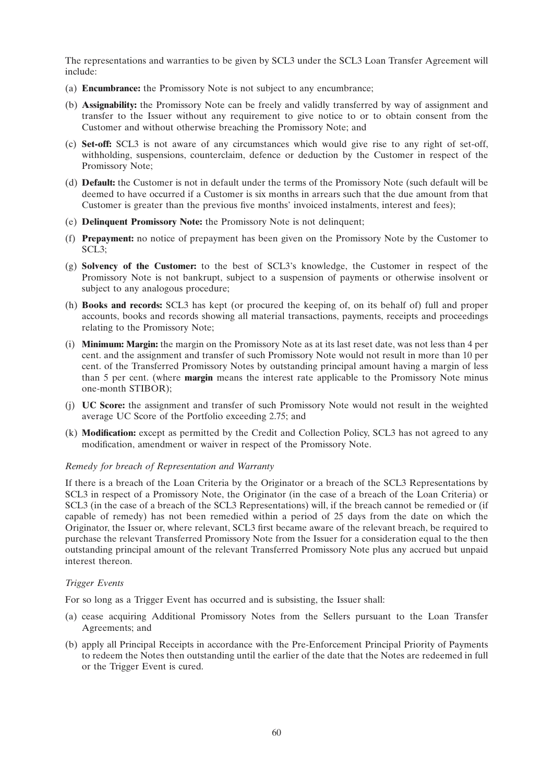The representations and warranties to be given by SCL3 under the SCL3 Loan Transfer Agreement will include:

- (a) **Encumbrance:** the Promissory Note is not subject to any encumbrance;
- (b) **Assignability:** the Promissory Note can be freely and validly transferred by way of assignment and transfer to the Issuer without any requirement to give notice to or to obtain consent from the Customer and without otherwise breaching the Promissory Note; and
- (c) **Set-off:** SCL3 is not aware of any circumstances which would give rise to any right of set-off, withholding, suspensions, counterclaim, defence or deduction by the Customer in respect of the Promissory Note;
- (d) **Default:** the Customer is not in default under the terms of the Promissory Note (such default will be deemed to have occurred if a Customer is six months in arrears such that the due amount from that Customer is greater than the previous five months' invoiced instalments, interest and fees);
- (e) **Delinquent Promissory Note:** the Promissory Note is not delinquent;
- (f) **Prepayment:** no notice of prepayment has been given on the Promissory Note by the Customer to SCL3;
- (g) **Solvency of the Customer:** to the best of SCL3's knowledge, the Customer in respect of the Promissory Note is not bankrupt, subject to a suspension of payments or otherwise insolvent or subject to any analogous procedure;
- (h) **Books and records:** SCL3 has kept (or procured the keeping of, on its behalf of) full and proper accounts, books and records showing all material transactions, payments, receipts and proceedings relating to the Promissory Note;
- (i) **Minimum: Margin:** the margin on the Promissory Note as at its last reset date, was not less than 4 per cent. and the assignment and transfer of such Promissory Note would not result in more than 10 per cent. of the Transferred Promissory Notes by outstanding principal amount having a margin of less than 5 per cent. (where **margin** means the interest rate applicable to the Promissory Note minus one-month STIBOR);
- (j) **UC Score:** the assignment and transfer of such Promissory Note would not result in the weighted average UC Score of the Portfolio exceeding 2.75; and
- (k) **Modification:** except as permitted by the Credit and Collection Policy, SCL3 has not agreed to any modification, amendment or waiver in respect of the Promissory Note.

#### *Remedy for breach of Representation and Warranty*

If there is a breach of the Loan Criteria by the Originator or a breach of the SCL3 Representations by SCL3 in respect of a Promissory Note, the Originator (in the case of a breach of the Loan Criteria) or SCL3 (in the case of a breach of the SCL3 Representations) will, if the breach cannot be remedied or (if capable of remedy) has not been remedied within a period of 25 days from the date on which the Originator, the Issuer or, where relevant, SCL3 first became aware of the relevant breach, be required to purchase the relevant Transferred Promissory Note from the Issuer for a consideration equal to the then outstanding principal amount of the relevant Transferred Promissory Note plus any accrued but unpaid interest thereon.

#### *Trigger Events*

For so long as a Trigger Event has occurred and is subsisting, the Issuer shall:

- (a) cease acquiring Additional Promissory Notes from the Sellers pursuant to the Loan Transfer Agreements; and
- (b) apply all Principal Receipts in accordance with the Pre-Enforcement Principal Priority of Payments to redeem the Notes then outstanding until the earlier of the date that the Notes are redeemed in full or the Trigger Event is cured.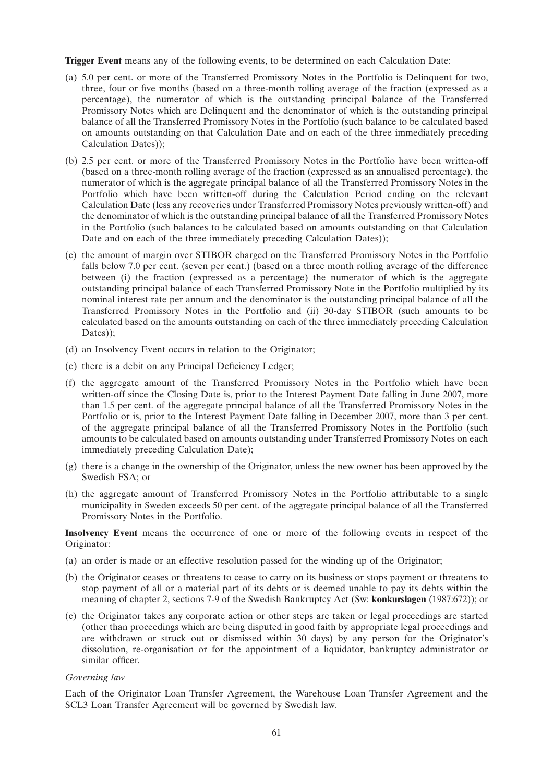**Trigger Event** means any of the following events, to be determined on each Calculation Date:

- (a) 5.0 per cent. or more of the Transferred Promissory Notes in the Portfolio is Delinquent for two, three, four or five months (based on a three-month rolling average of the fraction (expressed as a percentage), the numerator of which is the outstanding principal balance of the Transferred Promissory Notes which are Delinquent and the denominator of which is the outstanding principal balance of all the Transferred Promissory Notes in the Portfolio (such balance to be calculated based on amounts outstanding on that Calculation Date and on each of the three immediately preceding Calculation Dates));
- (b) 2.5 per cent. or more of the Transferred Promissory Notes in the Portfolio have been written-off (based on a three-month rolling average of the fraction (expressed as an annualised percentage), the numerator of which is the aggregate principal balance of all the Transferred Promissory Notes in the Portfolio which have been written-off during the Calculation Period ending on the relevant Calculation Date (less any recoveries under Transferred Promissory Notes previously written-off) and the denominator of which is the outstanding principal balance of all the Transferred Promissory Notes in the Portfolio (such balances to be calculated based on amounts outstanding on that Calculation Date and on each of the three immediately preceding Calculation Dates));
- (c) the amount of margin over STIBOR charged on the Transferred Promissory Notes in the Portfolio falls below 7.0 per cent. (seven per cent.) (based on a three month rolling average of the difference between (i) the fraction (expressed as a percentage) the numerator of which is the aggregate outstanding principal balance of each Transferred Promissory Note in the Portfolio multiplied by its nominal interest rate per annum and the denominator is the outstanding principal balance of all the Transferred Promissory Notes in the Portfolio and (ii) 30-day STIBOR (such amounts to be calculated based on the amounts outstanding on each of the three immediately preceding Calculation Dates));
- (d) an Insolvency Event occurs in relation to the Originator;
- (e) there is a debit on any Principal Deficiency Ledger;
- (f) the aggregate amount of the Transferred Promissory Notes in the Portfolio which have been written-off since the Closing Date is, prior to the Interest Payment Date falling in June 2007, more than 1.5 per cent. of the aggregate principal balance of all the Transferred Promissory Notes in the Portfolio or is, prior to the Interest Payment Date falling in December 2007, more than 3 per cent. of the aggregate principal balance of all the Transferred Promissory Notes in the Portfolio (such amounts to be calculated based on amounts outstanding under Transferred Promissory Notes on each immediately preceding Calculation Date);
- (g) there is a change in the ownership of the Originator, unless the new owner has been approved by the Swedish FSA; or
- (h) the aggregate amount of Transferred Promissory Notes in the Portfolio attributable to a single municipality in Sweden exceeds 50 per cent. of the aggregate principal balance of all the Transferred Promissory Notes in the Portfolio.

**Insolvency Event** means the occurrence of one or more of the following events in respect of the Originator:

- (a) an order is made or an effective resolution passed for the winding up of the Originator;
- (b) the Originator ceases or threatens to cease to carry on its business or stops payment or threatens to stop payment of all or a material part of its debts or is deemed unable to pay its debts within the meaning of chapter 2, sections 7-9 of the Swedish Bankruptcy Act (Sw: **konkurslagen** (1987:672)); or
- (c) the Originator takes any corporate action or other steps are taken or legal proceedings are started (other than proceedings which are being disputed in good faith by appropriate legal proceedings and are withdrawn or struck out or dismissed within 30 days) by any person for the Originator's dissolution, re-organisation or for the appointment of a liquidator, bankruptcy administrator or similar officer.

#### *Governing law*

Each of the Originator Loan Transfer Agreement, the Warehouse Loan Transfer Agreement and the SCL3 Loan Transfer Agreement will be governed by Swedish law.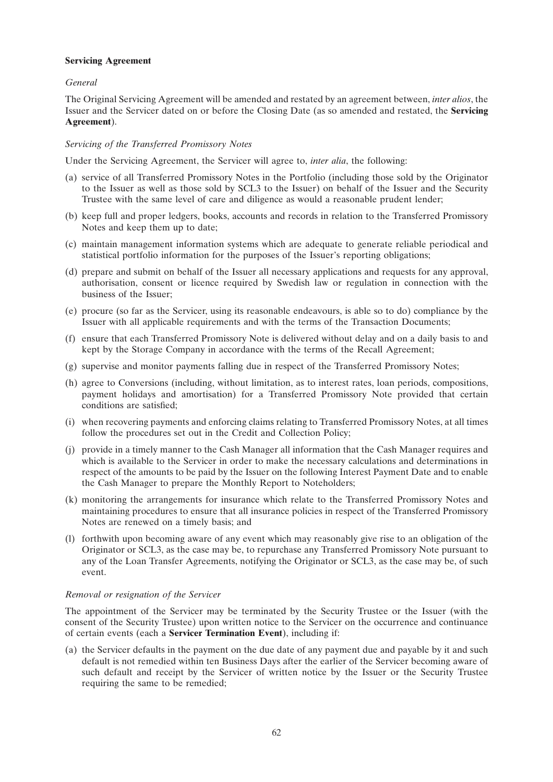# **Servicing Agreement**

# *General*

The Original Servicing Agreement will be amended and restated by an agreement between, *inter alios*, the Issuer and the Servicer dated on or before the Closing Date (as so amended and restated, the **Servicing Agreement**).

# *Servicing of the Transferred Promissory Notes*

Under the Servicing Agreement, the Servicer will agree to, *inter alia*, the following:

- (a) service of all Transferred Promissory Notes in the Portfolio (including those sold by the Originator to the Issuer as well as those sold by SCL3 to the Issuer) on behalf of the Issuer and the Security Trustee with the same level of care and diligence as would a reasonable prudent lender;
- (b) keep full and proper ledgers, books, accounts and records in relation to the Transferred Promissory Notes and keep them up to date;
- (c) maintain management information systems which are adequate to generate reliable periodical and statistical portfolio information for the purposes of the Issuer's reporting obligations;
- (d) prepare and submit on behalf of the Issuer all necessary applications and requests for any approval, authorisation, consent or licence required by Swedish law or regulation in connection with the business of the Issuer;
- (e) procure (so far as the Servicer, using its reasonable endeavours, is able so to do) compliance by the Issuer with all applicable requirements and with the terms of the Transaction Documents;
- (f) ensure that each Transferred Promissory Note is delivered without delay and on a daily basis to and kept by the Storage Company in accordance with the terms of the Recall Agreement;
- (g) supervise and monitor payments falling due in respect of the Transferred Promissory Notes;
- (h) agree to Conversions (including, without limitation, as to interest rates, loan periods, compositions, payment holidays and amortisation) for a Transferred Promissory Note provided that certain conditions are satisfied;
- (i) when recovering payments and enforcing claims relating to Transferred Promissory Notes, at all times follow the procedures set out in the Credit and Collection Policy;
- (j) provide in a timely manner to the Cash Manager all information that the Cash Manager requires and which is available to the Servicer in order to make the necessary calculations and determinations in respect of the amounts to be paid by the Issuer on the following Interest Payment Date and to enable the Cash Manager to prepare the Monthly Report to Noteholders;
- (k) monitoring the arrangements for insurance which relate to the Transferred Promissory Notes and maintaining procedures to ensure that all insurance policies in respect of the Transferred Promissory Notes are renewed on a timely basis; and
- (l) forthwith upon becoming aware of any event which may reasonably give rise to an obligation of the Originator or SCL3, as the case may be, to repurchase any Transferred Promissory Note pursuant to any of the Loan Transfer Agreements, notifying the Originator or SCL3, as the case may be, of such event.

# *Removal or resignation of the Servicer*

The appointment of the Servicer may be terminated by the Security Trustee or the Issuer (with the consent of the Security Trustee) upon written notice to the Servicer on the occurrence and continuance of certain events (each a **Servicer Termination Event**), including if:

(a) the Servicer defaults in the payment on the due date of any payment due and payable by it and such default is not remedied within ten Business Days after the earlier of the Servicer becoming aware of such default and receipt by the Servicer of written notice by the Issuer or the Security Trustee requiring the same to be remedied;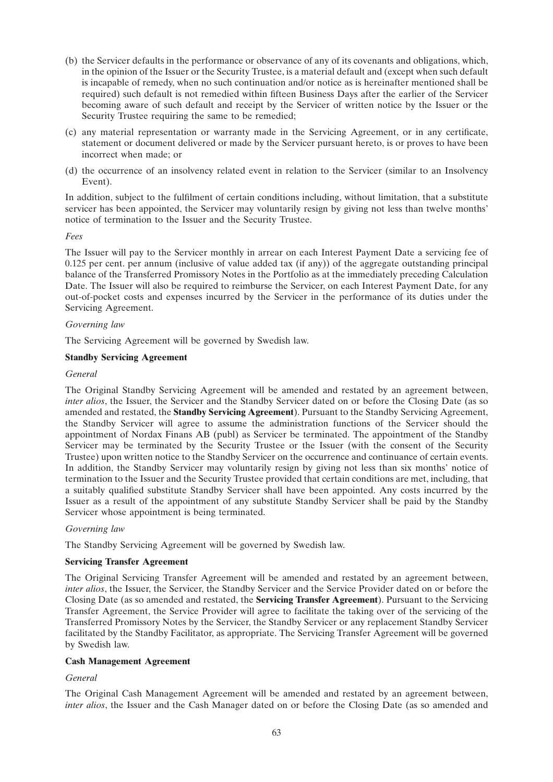- (b) the Servicer defaults in the performance or observance of any of its covenants and obligations, which, in the opinion of the Issuer or the Security Trustee, is a material default and (except when such default is incapable of remedy, when no such continuation and/or notice as is hereinafter mentioned shall be required) such default is not remedied within fifteen Business Days after the earlier of the Servicer becoming aware of such default and receipt by the Servicer of written notice by the Issuer or the Security Trustee requiring the same to be remedied;
- (c) any material representation or warranty made in the Servicing Agreement, or in any certificate, statement or document delivered or made by the Servicer pursuant hereto, is or proves to have been incorrect when made; or
- (d) the occurrence of an insolvency related event in relation to the Servicer (similar to an Insolvency Event).

In addition, subject to the fulfilment of certain conditions including, without limitation, that a substitute servicer has been appointed, the Servicer may voluntarily resign by giving not less than twelve months' notice of termination to the Issuer and the Security Trustee.

# *Fees*

The Issuer will pay to the Servicer monthly in arrear on each Interest Payment Date a servicing fee of 0.125 per cent. per annum (inclusive of value added tax (if any)) of the aggregate outstanding principal balance of the Transferred Promissory Notes in the Portfolio as at the immediately preceding Calculation Date. The Issuer will also be required to reimburse the Servicer, on each Interest Payment Date, for any out-of-pocket costs and expenses incurred by the Servicer in the performance of its duties under the Servicing Agreement.

# *Governing law*

The Servicing Agreement will be governed by Swedish law.

# **Standby Servicing Agreement**

# *General*

The Original Standby Servicing Agreement will be amended and restated by an agreement between, *inter alios*, the Issuer, the Servicer and the Standby Servicer dated on or before the Closing Date (as so amended and restated, the **Standby Servicing Agreement**). Pursuant to the Standby Servicing Agreement, the Standby Servicer will agree to assume the administration functions of the Servicer should the appointment of Nordax Finans AB (publ) as Servicer be terminated. The appointment of the Standby Servicer may be terminated by the Security Trustee or the Issuer (with the consent of the Security Trustee) upon written notice to the Standby Servicer on the occurrence and continuance of certain events. In addition, the Standby Servicer may voluntarily resign by giving not less than six months' notice of termination to the Issuer and the Security Trustee provided that certain conditions are met, including, that a suitably qualified substitute Standby Servicer shall have been appointed. Any costs incurred by the Issuer as a result of the appointment of any substitute Standby Servicer shall be paid by the Standby Servicer whose appointment is being terminated.

# *Governing law*

The Standby Servicing Agreement will be governed by Swedish law.

# **Servicing Transfer Agreement**

The Original Servicing Transfer Agreement will be amended and restated by an agreement between, *inter alios*, the Issuer, the Servicer, the Standby Servicer and the Service Provider dated on or before the Closing Date (as so amended and restated, the **Servicing Transfer Agreement**). Pursuant to the Servicing Transfer Agreement, the Service Provider will agree to facilitate the taking over of the servicing of the Transferred Promissory Notes by the Servicer, the Standby Servicer or any replacement Standby Servicer facilitated by the Standby Facilitator, as appropriate. The Servicing Transfer Agreement will be governed by Swedish law.

# **Cash Management Agreement**

# *General*

The Original Cash Management Agreement will be amended and restated by an agreement between, *inter alios*, the Issuer and the Cash Manager dated on or before the Closing Date (as so amended and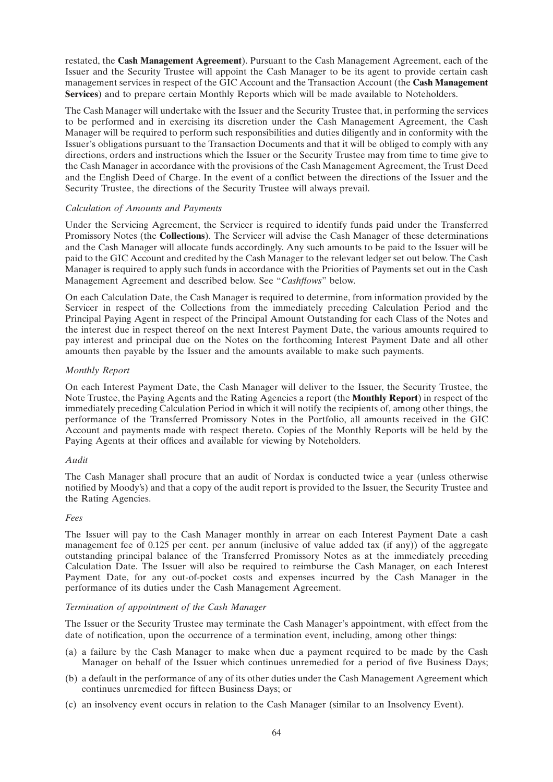restated, the **Cash Management Agreement**). Pursuant to the Cash Management Agreement, each of the Issuer and the Security Trustee will appoint the Cash Manager to be its agent to provide certain cash management services in respect of the GIC Account and the Transaction Account (the **Cash Management Services**) and to prepare certain Monthly Reports which will be made available to Noteholders.

The Cash Manager will undertake with the Issuer and the Security Trustee that, in performing the services to be performed and in exercising its discretion under the Cash Management Agreement, the Cash Manager will be required to perform such responsibilities and duties diligently and in conformity with the Issuer's obligations pursuant to the Transaction Documents and that it will be obliged to comply with any directions, orders and instructions which the Issuer or the Security Trustee may from time to time give to the Cash Manager in accordance with the provisions of the Cash Management Agreement, the Trust Deed and the English Deed of Charge. In the event of a conflict between the directions of the Issuer and the Security Trustee, the directions of the Security Trustee will always prevail.

# *Calculation of Amounts and Payments*

Under the Servicing Agreement, the Servicer is required to identify funds paid under the Transferred Promissory Notes (the **Collections**). The Servicer will advise the Cash Manager of these determinations and the Cash Manager will allocate funds accordingly. Any such amounts to be paid to the Issuer will be paid to the GIC Account and credited by the Cash Manager to the relevant ledger set out below. The Cash Manager is required to apply such funds in accordance with the Priorities of Payments set out in the Cash Management Agreement and described below. See ''*Cashflows*'' below.

On each Calculation Date, the Cash Manager is required to determine, from information provided by the Servicer in respect of the Collections from the immediately preceding Calculation Period and the Principal Paying Agent in respect of the Principal Amount Outstanding for each Class of the Notes and the interest due in respect thereof on the next Interest Payment Date, the various amounts required to pay interest and principal due on the Notes on the forthcoming Interest Payment Date and all other amounts then payable by the Issuer and the amounts available to make such payments.

# *Monthly Report*

On each Interest Payment Date, the Cash Manager will deliver to the Issuer, the Security Trustee, the Note Trustee, the Paying Agents and the Rating Agencies a report (the **Monthly Report**) in respect of the immediately preceding Calculation Period in which it will notify the recipients of, among other things, the performance of the Transferred Promissory Notes in the Portfolio, all amounts received in the GIC Account and payments made with respect thereto. Copies of the Monthly Reports will be held by the Paying Agents at their offices and available for viewing by Noteholders.

# *Audit*

The Cash Manager shall procure that an audit of Nordax is conducted twice a year (unless otherwise notified by Moody's) and that a copy of the audit report is provided to the Issuer, the Security Trustee and the Rating Agencies.

# *Fees*

The Issuer will pay to the Cash Manager monthly in arrear on each Interest Payment Date a cash management fee of 0.125 per cent. per annum (inclusive of value added tax (if any)) of the aggregate outstanding principal balance of the Transferred Promissory Notes as at the immediately preceding Calculation Date. The Issuer will also be required to reimburse the Cash Manager, on each Interest Payment Date, for any out-of-pocket costs and expenses incurred by the Cash Manager in the performance of its duties under the Cash Management Agreement.

# *Termination of appointment of the Cash Manager*

The Issuer or the Security Trustee may terminate the Cash Manager's appointment, with effect from the date of notification, upon the occurrence of a termination event, including, among other things:

- (a) a failure by the Cash Manager to make when due a payment required to be made by the Cash Manager on behalf of the Issuer which continues unremedied for a period of five Business Days;
- (b) a default in the performance of any of its other duties under the Cash Management Agreement which continues unremedied for fifteen Business Days; or
- (c) an insolvency event occurs in relation to the Cash Manager (similar to an Insolvency Event).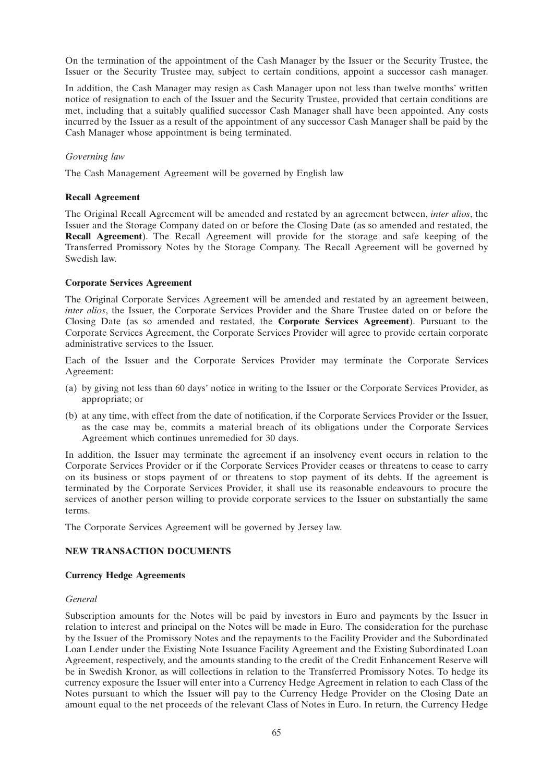On the termination of the appointment of the Cash Manager by the Issuer or the Security Trustee, the Issuer or the Security Trustee may, subject to certain conditions, appoint a successor cash manager.

In addition, the Cash Manager may resign as Cash Manager upon not less than twelve months' written notice of resignation to each of the Issuer and the Security Trustee, provided that certain conditions are met, including that a suitably qualified successor Cash Manager shall have been appointed. Any costs incurred by the Issuer as a result of the appointment of any successor Cash Manager shall be paid by the Cash Manager whose appointment is being terminated.

# *Governing law*

The Cash Management Agreement will be governed by English law

# **Recall Agreement**

The Original Recall Agreement will be amended and restated by an agreement between, *inter alios*, the Issuer and the Storage Company dated on or before the Closing Date (as so amended and restated, the **Recall Agreement**). The Recall Agreement will provide for the storage and safe keeping of the Transferred Promissory Notes by the Storage Company. The Recall Agreement will be governed by Swedish law.

# **Corporate Services Agreement**

The Original Corporate Services Agreement will be amended and restated by an agreement between, *inter alios*, the Issuer, the Corporate Services Provider and the Share Trustee dated on or before the Closing Date (as so amended and restated, the **Corporate Services Agreement**). Pursuant to the Corporate Services Agreement, the Corporate Services Provider will agree to provide certain corporate administrative services to the Issuer.

Each of the Issuer and the Corporate Services Provider may terminate the Corporate Services Agreement:

- (a) by giving not less than 60 days' notice in writing to the Issuer or the Corporate Services Provider, as appropriate; or
- (b) at any time, with effect from the date of notification, if the Corporate Services Provider or the Issuer, as the case may be, commits a material breach of its obligations under the Corporate Services Agreement which continues unremedied for 30 days.

In addition, the Issuer may terminate the agreement if an insolvency event occurs in relation to the Corporate Services Provider or if the Corporate Services Provider ceases or threatens to cease to carry on its business or stops payment of or threatens to stop payment of its debts. If the agreement is terminated by the Corporate Services Provider, it shall use its reasonable endeavours to procure the services of another person willing to provide corporate services to the Issuer on substantially the same terms.

The Corporate Services Agreement will be governed by Jersey law.

# **NEW TRANSACTION DOCUMENTS**

# **Currency Hedge Agreements**

# *General*

Subscription amounts for the Notes will be paid by investors in Euro and payments by the Issuer in relation to interest and principal on the Notes will be made in Euro. The consideration for the purchase by the Issuer of the Promissory Notes and the repayments to the Facility Provider and the Subordinated Loan Lender under the Existing Note Issuance Facility Agreement and the Existing Subordinated Loan Agreement, respectively, and the amounts standing to the credit of the Credit Enhancement Reserve will be in Swedish Kronor, as will collections in relation to the Transferred Promissory Notes. To hedge its currency exposure the Issuer will enter into a Currency Hedge Agreement in relation to each Class of the Notes pursuant to which the Issuer will pay to the Currency Hedge Provider on the Closing Date an amount equal to the net proceeds of the relevant Class of Notes in Euro. In return, the Currency Hedge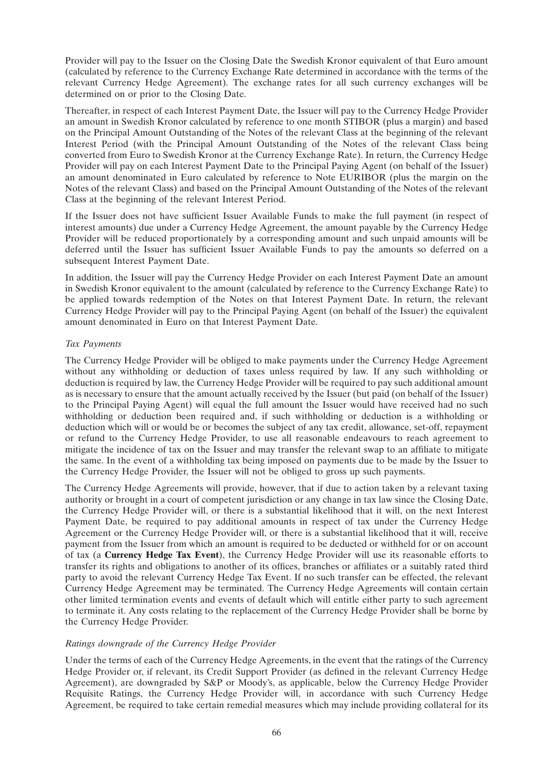Provider will pay to the Issuer on the Closing Date the Swedish Kronor equivalent of that Euro amount (calculated by reference to the Currency Exchange Rate determined in accordance with the terms of the relevant Currency Hedge Agreement). The exchange rates for all such currency exchanges will be determined on or prior to the Closing Date.

Thereafter, in respect of each Interest Payment Date, the Issuer will pay to the Currency Hedge Provider an amount in Swedish Kronor calculated by reference to one month STIBOR (plus a margin) and based on the Principal Amount Outstanding of the Notes of the relevant Class at the beginning of the relevant Interest Period (with the Principal Amount Outstanding of the Notes of the relevant Class being converted from Euro to Swedish Kronor at the Currency Exchange Rate). In return, the Currency Hedge Provider will pay on each Interest Payment Date to the Principal Paying Agent (on behalf of the Issuer) an amount denominated in Euro calculated by reference to Note EURIBOR (plus the margin on the Notes of the relevant Class) and based on the Principal Amount Outstanding of the Notes of the relevant Class at the beginning of the relevant Interest Period.

If the Issuer does not have sufficient Issuer Available Funds to make the full payment (in respect of interest amounts) due under a Currency Hedge Agreement, the amount payable by the Currency Hedge Provider will be reduced proportionately by a corresponding amount and such unpaid amounts will be deferred until the Issuer has sufficient Issuer Available Funds to pay the amounts so deferred on a subsequent Interest Payment Date.

In addition, the Issuer will pay the Currency Hedge Provider on each Interest Payment Date an amount in Swedish Kronor equivalent to the amount (calculated by reference to the Currency Exchange Rate) to be applied towards redemption of the Notes on that Interest Payment Date. In return, the relevant Currency Hedge Provider will pay to the Principal Paying Agent (on behalf of the Issuer) the equivalent amount denominated in Euro on that Interest Payment Date.

# *Tax Payments*

The Currency Hedge Provider will be obliged to make payments under the Currency Hedge Agreement without any withholding or deduction of taxes unless required by law. If any such withholding or deduction is required by law, the Currency Hedge Provider will be required to pay such additional amount as is necessary to ensure that the amount actually received by the Issuer (but paid (on behalf of the Issuer) to the Principal Paying Agent) will equal the full amount the Issuer would have received had no such withholding or deduction been required and, if such withholding or deduction is a withholding or deduction which will or would be or becomes the subject of any tax credit, allowance, set-off, repayment or refund to the Currency Hedge Provider, to use all reasonable endeavours to reach agreement to mitigate the incidence of tax on the Issuer and may transfer the relevant swap to an affiliate to mitigate the same. In the event of a withholding tax being imposed on payments due to be made by the Issuer to the Currency Hedge Provider, the Issuer will not be obliged to gross up such payments.

The Currency Hedge Agreements will provide, however, that if due to action taken by a relevant taxing authority or brought in a court of competent jurisdiction or any change in tax law since the Closing Date, the Currency Hedge Provider will, or there is a substantial likelihood that it will, on the next Interest Payment Date, be required to pay additional amounts in respect of tax under the Currency Hedge Agreement or the Currency Hedge Provider will, or there is a substantial likelihood that it will, receive payment from the Issuer from which an amount is required to be deducted or withheld for or on account of tax (a **Currency Hedge Tax Event**), the Currency Hedge Provider will use its reasonable efforts to transfer its rights and obligations to another of its offices, branches or affiliates or a suitably rated third party to avoid the relevant Currency Hedge Tax Event. If no such transfer can be effected, the relevant Currency Hedge Agreement may be terminated. The Currency Hedge Agreements will contain certain other limited termination events and events of default which will entitle either party to such agreement to terminate it. Any costs relating to the replacement of the Currency Hedge Provider shall be borne by the Currency Hedge Provider.

# *Ratings downgrade of the Currency Hedge Provider*

Under the terms of each of the Currency Hedge Agreements, in the event that the ratings of the Currency Hedge Provider or, if relevant, its Credit Support Provider (as defined in the relevant Currency Hedge Agreement), are downgraded by S&P or Moody's, as applicable, below the Currency Hedge Provider Requisite Ratings, the Currency Hedge Provider will, in accordance with such Currency Hedge Agreement, be required to take certain remedial measures which may include providing collateral for its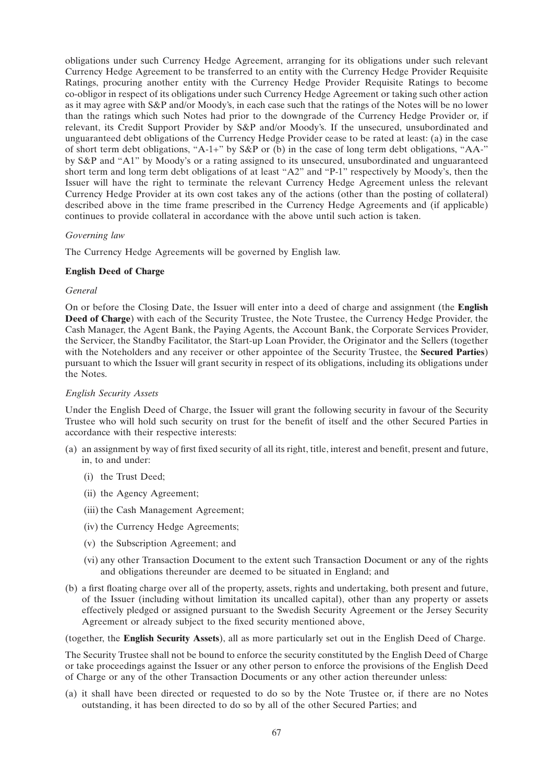obligations under such Currency Hedge Agreement, arranging for its obligations under such relevant Currency Hedge Agreement to be transferred to an entity with the Currency Hedge Provider Requisite Ratings, procuring another entity with the Currency Hedge Provider Requisite Ratings to become co-obligor in respect of its obligations under such Currency Hedge Agreement or taking such other action as it may agree with S&P and/or Moody's, in each case such that the ratings of the Notes will be no lower than the ratings which such Notes had prior to the downgrade of the Currency Hedge Provider or, if relevant, its Credit Support Provider by S&P and/or Moody's. If the unsecured, unsubordinated and unguaranteed debt obligations of the Currency Hedge Provider cease to be rated at least: (a) in the case of short term debt obligations, "A-1+" by  $S\&P$  or (b) in the case of long term debt obligations, "AA-" by S&P and ''A1'' by Moody's or a rating assigned to its unsecured, unsubordinated and unguaranteed short term and long term debt obligations of at least "A2" and "P-1" respectively by Moody's, then the Issuer will have the right to terminate the relevant Currency Hedge Agreement unless the relevant Currency Hedge Provider at its own cost takes any of the actions (other than the posting of collateral) described above in the time frame prescribed in the Currency Hedge Agreements and (if applicable) continues to provide collateral in accordance with the above until such action is taken.

# *Governing law*

The Currency Hedge Agreements will be governed by English law.

#### **English Deed of Charge**

### *General*

On or before the Closing Date, the Issuer will enter into a deed of charge and assignment (the **English Deed of Charge**) with each of the Security Trustee, the Note Trustee, the Currency Hedge Provider, the Cash Manager, the Agent Bank, the Paying Agents, the Account Bank, the Corporate Services Provider, the Servicer, the Standby Facilitator, the Start-up Loan Provider, the Originator and the Sellers (together with the Noteholders and any receiver or other appointee of the Security Trustee, the **Secured Parties**) pursuant to which the Issuer will grant security in respect of its obligations, including its obligations under the Notes.

### *English Security Assets*

Under the English Deed of Charge, the Issuer will grant the following security in favour of the Security Trustee who will hold such security on trust for the benefit of itself and the other Secured Parties in accordance with their respective interests:

- (a) an assignment by way of first fixed security of all its right, title, interest and benefit, present and future, in, to and under:
	- (i) the Trust Deed;
	- (ii) the Agency Agreement;
	- (iii) the Cash Management Agreement;
	- (iv) the Currency Hedge Agreements;
	- (v) the Subscription Agreement; and
	- (vi) any other Transaction Document to the extent such Transaction Document or any of the rights and obligations thereunder are deemed to be situated in England; and
- (b) a first floating charge over all of the property, assets, rights and undertaking, both present and future, of the Issuer (including without limitation its uncalled capital), other than any property or assets effectively pledged or assigned pursuant to the Swedish Security Agreement or the Jersey Security Agreement or already subject to the fixed security mentioned above,

(together, the **English Security Assets**), all as more particularly set out in the English Deed of Charge.

The Security Trustee shall not be bound to enforce the security constituted by the English Deed of Charge or take proceedings against the Issuer or any other person to enforce the provisions of the English Deed of Charge or any of the other Transaction Documents or any other action thereunder unless:

(a) it shall have been directed or requested to do so by the Note Trustee or, if there are no Notes outstanding, it has been directed to do so by all of the other Secured Parties; and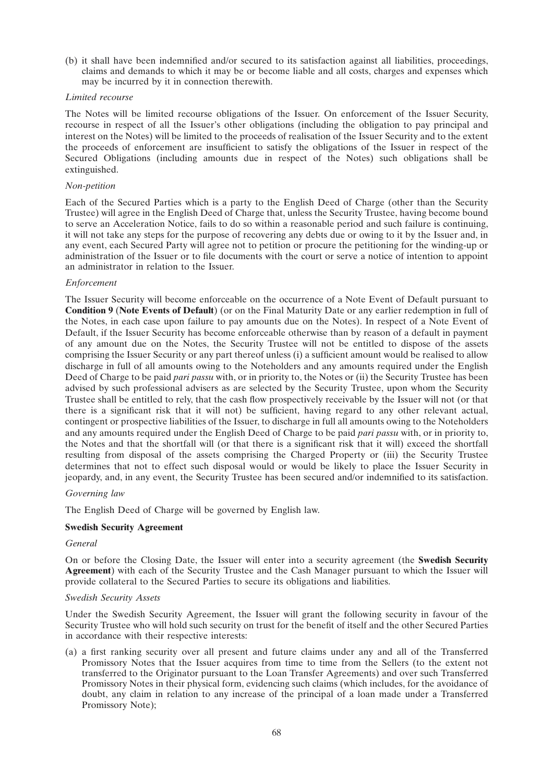(b) it shall have been indemnified and/or secured to its satisfaction against all liabilities, proceedings, claims and demands to which it may be or become liable and all costs, charges and expenses which may be incurred by it in connection therewith.

#### *Limited recourse*

The Notes will be limited recourse obligations of the Issuer. On enforcement of the Issuer Security, recourse in respect of all the Issuer's other obligations (including the obligation to pay principal and interest on the Notes) will be limited to the proceeds of realisation of the Issuer Security and to the extent the proceeds of enforcement are insufficient to satisfy the obligations of the Issuer in respect of the Secured Obligations (including amounts due in respect of the Notes) such obligations shall be extinguished.

## *Non-petition*

Each of the Secured Parties which is a party to the English Deed of Charge (other than the Security Trustee) will agree in the English Deed of Charge that, unless the Security Trustee, having become bound to serve an Acceleration Notice, fails to do so within a reasonable period and such failure is continuing, it will not take any steps for the purpose of recovering any debts due or owing to it by the Issuer and, in any event, each Secured Party will agree not to petition or procure the petitioning for the winding-up or administration of the Issuer or to file documents with the court or serve a notice of intention to appoint an administrator in relation to the Issuer.

# *Enforcement*

The Issuer Security will become enforceable on the occurrence of a Note Event of Default pursuant to **Condition 9** (**Note Events of Default**) (or on the Final Maturity Date or any earlier redemption in full of the Notes, in each case upon failure to pay amounts due on the Notes). In respect of a Note Event of Default, if the Issuer Security has become enforceable otherwise than by reason of a default in payment of any amount due on the Notes, the Security Trustee will not be entitled to dispose of the assets comprising the Issuer Security or any part thereof unless (i) a sufficient amount would be realised to allow discharge in full of all amounts owing to the Noteholders and any amounts required under the English Deed of Charge to be paid *pari passu* with, or in priority to, the Notes or (ii) the Security Trustee has been advised by such professional advisers as are selected by the Security Trustee, upon whom the Security Trustee shall be entitled to rely, that the cash flow prospectively receivable by the Issuer will not (or that there is a significant risk that it will not) be sufficient, having regard to any other relevant actual, contingent or prospective liabilities of the Issuer, to discharge in full all amounts owing to the Noteholders and any amounts required under the English Deed of Charge to be paid *pari passu* with, or in priority to, the Notes and that the shortfall will (or that there is a significant risk that it will) exceed the shortfall resulting from disposal of the assets comprising the Charged Property or (iii) the Security Trustee determines that not to effect such disposal would or would be likely to place the Issuer Security in jeopardy, and, in any event, the Security Trustee has been secured and/or indemnified to its satisfaction.

## *Governing law*

The English Deed of Charge will be governed by English law.

#### **Swedish Security Agreement**

### *General*

On or before the Closing Date, the Issuer will enter into a security agreement (the **Swedish Security Agreement**) with each of the Security Trustee and the Cash Manager pursuant to which the Issuer will provide collateral to the Secured Parties to secure its obligations and liabilities.

#### *Swedish Security Assets*

Under the Swedish Security Agreement, the Issuer will grant the following security in favour of the Security Trustee who will hold such security on trust for the benefit of itself and the other Secured Parties in accordance with their respective interests:

(a) a first ranking security over all present and future claims under any and all of the Transferred Promissory Notes that the Issuer acquires from time to time from the Sellers (to the extent not transferred to the Originator pursuant to the Loan Transfer Agreements) and over such Transferred Promissory Notes in their physical form, evidencing such claims (which includes, for the avoidance of doubt, any claim in relation to any increase of the principal of a loan made under a Transferred Promissory Note);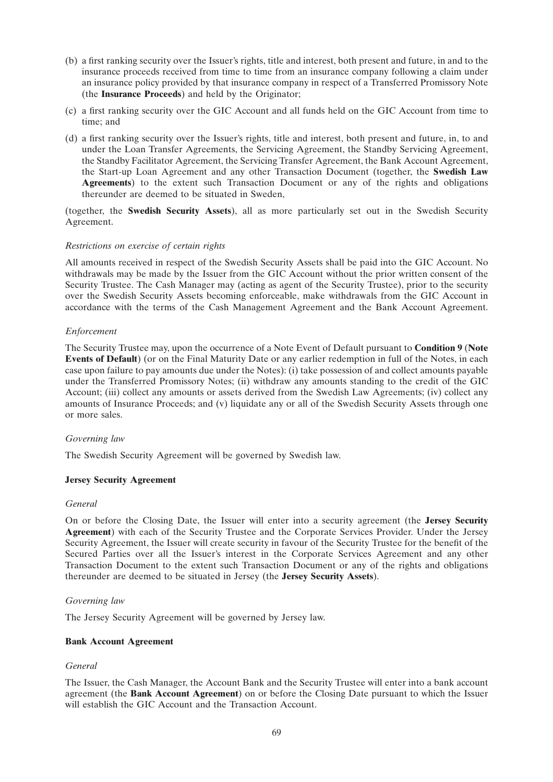- (b) a first ranking security over the Issuer's rights, title and interest, both present and future, in and to the insurance proceeds received from time to time from an insurance company following a claim under an insurance policy provided by that insurance company in respect of a Transferred Promissory Note (the **Insurance Proceeds**) and held by the Originator;
- (c) a first ranking security over the GIC Account and all funds held on the GIC Account from time to time; and
- (d) a first ranking security over the Issuer's rights, title and interest, both present and future, in, to and under the Loan Transfer Agreements, the Servicing Agreement, the Standby Servicing Agreement, the Standby Facilitator Agreement, the Servicing Transfer Agreement, the Bank Account Agreement, the Start-up Loan Agreement and any other Transaction Document (together, the **Swedish Law Agreements**) to the extent such Transaction Document or any of the rights and obligations thereunder are deemed to be situated in Sweden,

(together, the **Swedish Security Assets**), all as more particularly set out in the Swedish Security Agreement.

# *Restrictions on exercise of certain rights*

All amounts received in respect of the Swedish Security Assets shall be paid into the GIC Account. No withdrawals may be made by the Issuer from the GIC Account without the prior written consent of the Security Trustee. The Cash Manager may (acting as agent of the Security Trustee), prior to the security over the Swedish Security Assets becoming enforceable, make withdrawals from the GIC Account in accordance with the terms of the Cash Management Agreement and the Bank Account Agreement.

# *Enforcement*

The Security Trustee may, upon the occurrence of a Note Event of Default pursuant to **Condition 9** (**Note Events of Default**) (or on the Final Maturity Date or any earlier redemption in full of the Notes, in each case upon failure to pay amounts due under the Notes): (i) take possession of and collect amounts payable under the Transferred Promissory Notes; (ii) withdraw any amounts standing to the credit of the GIC Account; (iii) collect any amounts or assets derived from the Swedish Law Agreements; (iv) collect any amounts of Insurance Proceeds; and (v) liquidate any or all of the Swedish Security Assets through one or more sales.

# *Governing law*

The Swedish Security Agreement will be governed by Swedish law.

# **Jersey Security Agreement**

# *General*

On or before the Closing Date, the Issuer will enter into a security agreement (the **Jersey Security Agreement**) with each of the Security Trustee and the Corporate Services Provider. Under the Jersey Security Agreement, the Issuer will create security in favour of the Security Trustee for the benefit of the Secured Parties over all the Issuer's interest in the Corporate Services Agreement and any other Transaction Document to the extent such Transaction Document or any of the rights and obligations thereunder are deemed to be situated in Jersey (the **Jersey Security Assets**).

# *Governing law*

The Jersey Security Agreement will be governed by Jersey law.

# **Bank Account Agreement**

# *General*

The Issuer, the Cash Manager, the Account Bank and the Security Trustee will enter into a bank account agreement (the **Bank Account Agreement**) on or before the Closing Date pursuant to which the Issuer will establish the GIC Account and the Transaction Account.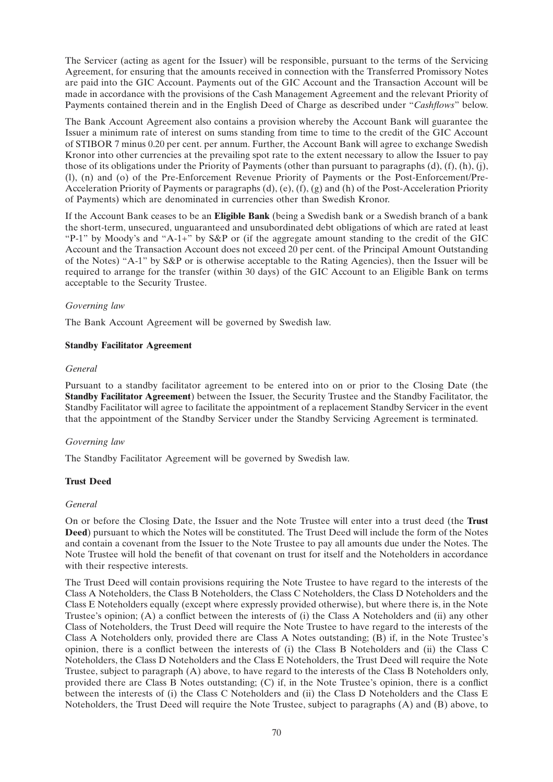The Servicer (acting as agent for the Issuer) will be responsible, pursuant to the terms of the Servicing Agreement, for ensuring that the amounts received in connection with the Transferred Promissory Notes are paid into the GIC Account. Payments out of the GIC Account and the Transaction Account will be made in accordance with the provisions of the Cash Management Agreement and the relevant Priority of Payments contained therein and in the English Deed of Charge as described under ''*Cashflows*'' below.

The Bank Account Agreement also contains a provision whereby the Account Bank will guarantee the Issuer a minimum rate of interest on sums standing from time to time to the credit of the GIC Account of STIBOR 7 minus 0.20 per cent. per annum. Further, the Account Bank will agree to exchange Swedish Kronor into other currencies at the prevailing spot rate to the extent necessary to allow the Issuer to pay those of its obligations under the Priority of Payments (other than pursuant to paragraphs (d), (f), (h), (j), (l), (n) and (o) of the Pre-Enforcement Revenue Priority of Payments or the Post-Enforcement/Pre-Acceleration Priority of Payments or paragraphs (d), (e), (f), (g) and (h) of the Post-Acceleration Priority of Payments) which are denominated in currencies other than Swedish Kronor.

If the Account Bank ceases to be an **Eligible Bank** (being a Swedish bank or a Swedish branch of a bank the short-term, unsecured, unguaranteed and unsubordinated debt obligations of which are rated at least ''P-1'' by Moody's and ''A-1+'' by S&P or (if the aggregate amount standing to the credit of the GIC Account and the Transaction Account does not exceed 20 per cent. of the Principal Amount Outstanding of the Notes) ''A-1'' by S&P or is otherwise acceptable to the Rating Agencies), then the Issuer will be required to arrange for the transfer (within 30 days) of the GIC Account to an Eligible Bank on terms acceptable to the Security Trustee.

# *Governing law*

The Bank Account Agreement will be governed by Swedish law.

# **Standby Facilitator Agreement**

# *General*

Pursuant to a standby facilitator agreement to be entered into on or prior to the Closing Date (the **Standby Facilitator Agreement**) between the Issuer, the Security Trustee and the Standby Facilitator, the Standby Facilitator will agree to facilitate the appointment of a replacement Standby Servicer in the event that the appointment of the Standby Servicer under the Standby Servicing Agreement is terminated.

# *Governing law*

The Standby Facilitator Agreement will be governed by Swedish law.

# **Trust Deed**

# *General*

On or before the Closing Date, the Issuer and the Note Trustee will enter into a trust deed (the **Trust Deed**) pursuant to which the Notes will be constituted. The Trust Deed will include the form of the Notes and contain a covenant from the Issuer to the Note Trustee to pay all amounts due under the Notes. The Note Trustee will hold the benefit of that covenant on trust for itself and the Noteholders in accordance with their respective interests.

The Trust Deed will contain provisions requiring the Note Trustee to have regard to the interests of the Class A Noteholders, the Class B Noteholders, the Class C Noteholders, the Class D Noteholders and the Class E Noteholders equally (except where expressly provided otherwise), but where there is, in the Note Trustee's opinion; (A) a conflict between the interests of (i) the Class A Noteholders and (ii) any other Class of Noteholders, the Trust Deed will require the Note Trustee to have regard to the interests of the Class A Noteholders only, provided there are Class A Notes outstanding; (B) if, in the Note Trustee's opinion, there is a conflict between the interests of (i) the Class B Noteholders and (ii) the Class C Noteholders, the Class D Noteholders and the Class E Noteholders, the Trust Deed will require the Note Trustee, subject to paragraph (A) above, to have regard to the interests of the Class B Noteholders only, provided there are Class B Notes outstanding; (C) if, in the Note Trustee's opinion, there is a conflict between the interests of (i) the Class C Noteholders and (ii) the Class D Noteholders and the Class E Noteholders, the Trust Deed will require the Note Trustee, subject to paragraphs (A) and (B) above, to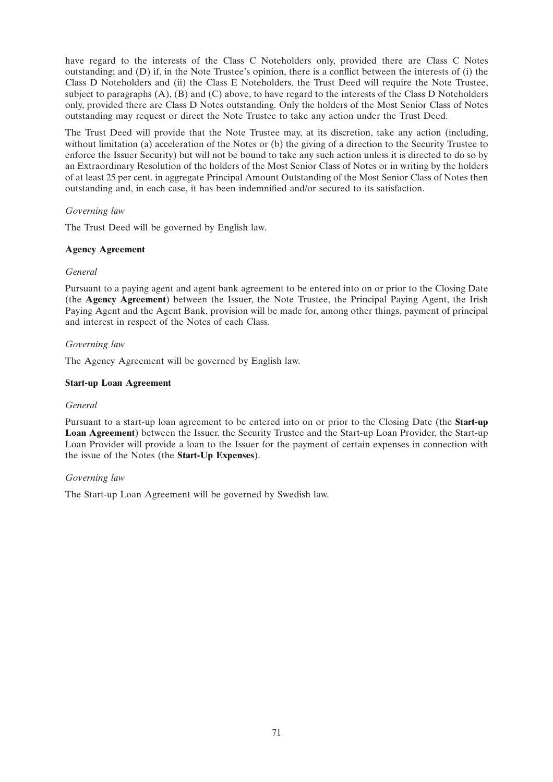have regard to the interests of the Class C Noteholders only, provided there are Class C Notes outstanding; and (D) if, in the Note Trustee's opinion, there is a conflict between the interests of (i) the Class D Noteholders and (ii) the Class E Noteholders, the Trust Deed will require the Note Trustee, subject to paragraphs (A), (B) and (C) above, to have regard to the interests of the Class D Noteholders only, provided there are Class D Notes outstanding. Only the holders of the Most Senior Class of Notes outstanding may request or direct the Note Trustee to take any action under the Trust Deed.

The Trust Deed will provide that the Note Trustee may, at its discretion, take any action (including, without limitation (a) acceleration of the Notes or (b) the giving of a direction to the Security Trustee to enforce the Issuer Security) but will not be bound to take any such action unless it is directed to do so by an Extraordinary Resolution of the holders of the Most Senior Class of Notes or in writing by the holders of at least 25 per cent. in aggregate Principal Amount Outstanding of the Most Senior Class of Notes then outstanding and, in each case, it has been indemnified and/or secured to its satisfaction.

# *Governing law*

The Trust Deed will be governed by English law.

# **Agency Agreement**

# *General*

Pursuant to a paying agent and agent bank agreement to be entered into on or prior to the Closing Date (the **Agency Agreement**) between the Issuer, the Note Trustee, the Principal Paying Agent, the Irish Paying Agent and the Agent Bank, provision will be made for, among other things, payment of principal and interest in respect of the Notes of each Class.

# *Governing law*

The Agency Agreement will be governed by English law.

# **Start-up Loan Agreement**

# *General*

Pursuant to a start-up loan agreement to be entered into on or prior to the Closing Date (the **Start-up Loan Agreement**) between the Issuer, the Security Trustee and the Start-up Loan Provider, the Start-up Loan Provider will provide a loan to the Issuer for the payment of certain expenses in connection with the issue of the Notes (the **Start-Up Expenses**).

# *Governing law*

The Start-up Loan Agreement will be governed by Swedish law.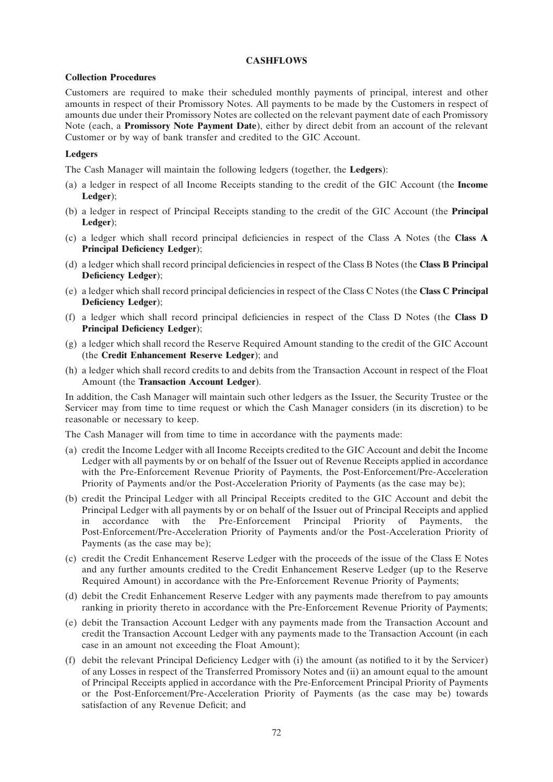# **CASHFLOWS**

### **Collection Procedures**

Customers are required to make their scheduled monthly payments of principal, interest and other amounts in respect of their Promissory Notes. All payments to be made by the Customers in respect of amounts due under their Promissory Notes are collected on the relevant payment date of each Promissory Note (each, a **Promissory Note Payment Date**), either by direct debit from an account of the relevant Customer or by way of bank transfer and credited to the GIC Account.

# **Ledgers**

The Cash Manager will maintain the following ledgers (together, the **Ledgers**):

- (a) a ledger in respect of all Income Receipts standing to the credit of the GIC Account (the **Income Ledger**);
- (b) a ledger in respect of Principal Receipts standing to the credit of the GIC Account (the **Principal Ledger**);
- (c) a ledger which shall record principal deficiencies in respect of the Class A Notes (the **Class A Principal Deficiency Ledger**);
- (d) a ledger which shall record principal deficiencies in respect of the Class B Notes (the **Class B Principal Deficiency Ledger**);
- (e) a ledger which shall record principal deficiencies in respect of the Class C Notes (the **Class C Principal Deficiency Ledger**);
- (f) a ledger which shall record principal deficiencies in respect of the Class D Notes (the **Class D Principal Deficiency Ledger**);
- (g) a ledger which shall record the Reserve Required Amount standing to the credit of the GIC Account (the **Credit Enhancement Reserve Ledger**); and
- (h) a ledger which shall record credits to and debits from the Transaction Account in respect of the Float Amount (the **Transaction Account Ledger**).

In addition, the Cash Manager will maintain such other ledgers as the Issuer, the Security Trustee or the Servicer may from time to time request or which the Cash Manager considers (in its discretion) to be reasonable or necessary to keep.

The Cash Manager will from time to time in accordance with the payments made:

- (a) credit the Income Ledger with all Income Receipts credited to the GIC Account and debit the Income Ledger with all payments by or on behalf of the Issuer out of Revenue Receipts applied in accordance with the Pre-Enforcement Revenue Priority of Payments, the Post-Enforcement/Pre-Acceleration Priority of Payments and/or the Post-Acceleration Priority of Payments (as the case may be);
- (b) credit the Principal Ledger with all Principal Receipts credited to the GIC Account and debit the Principal Ledger with all payments by or on behalf of the Issuer out of Principal Receipts and applied in accordance with the Pre-Enforcement Principal Priority of Payments, the Post-Enforcement/Pre-Acceleration Priority of Payments and/or the Post-Acceleration Priority of Payments (as the case may be);
- (c) credit the Credit Enhancement Reserve Ledger with the proceeds of the issue of the Class E Notes and any further amounts credited to the Credit Enhancement Reserve Ledger (up to the Reserve Required Amount) in accordance with the Pre-Enforcement Revenue Priority of Payments;
- (d) debit the Credit Enhancement Reserve Ledger with any payments made therefrom to pay amounts ranking in priority thereto in accordance with the Pre-Enforcement Revenue Priority of Payments;
- (e) debit the Transaction Account Ledger with any payments made from the Transaction Account and credit the Transaction Account Ledger with any payments made to the Transaction Account (in each case in an amount not exceeding the Float Amount);
- (f) debit the relevant Principal Deficiency Ledger with (i) the amount (as notified to it by the Servicer) of any Losses in respect of the Transferred Promissory Notes and (ii) an amount equal to the amount of Principal Receipts applied in accordance with the Pre-Enforcement Principal Priority of Payments or the Post-Enforcement/Pre-Acceleration Priority of Payments (as the case may be) towards satisfaction of any Revenue Deficit; and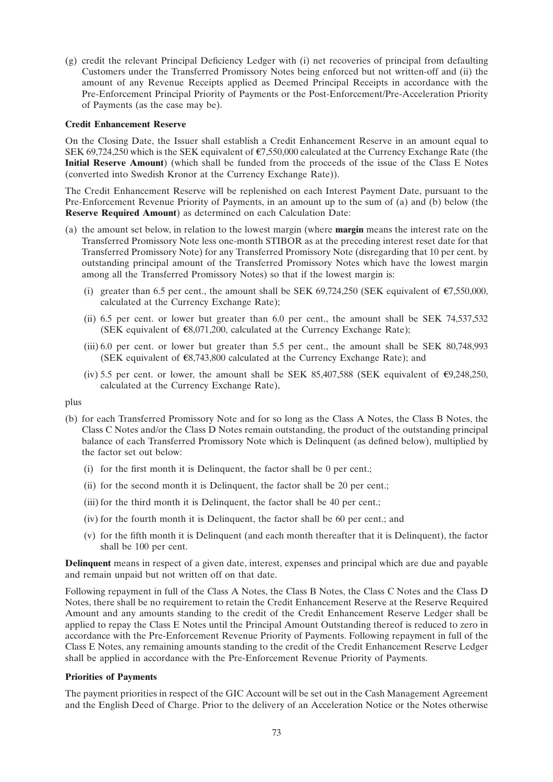(g) credit the relevant Principal Deficiency Ledger with (i) net recoveries of principal from defaulting Customers under the Transferred Promissory Notes being enforced but not written-off and (ii) the amount of any Revenue Receipts applied as Deemed Principal Receipts in accordance with the Pre-Enforcement Principal Priority of Payments or the Post-Enforcement/Pre-Acceleration Priority of Payments (as the case may be).

### **Credit Enhancement Reserve**

On the Closing Date, the Issuer shall establish a Credit Enhancement Reserve in an amount equal to SEK 69,724,250 which is the SEK equivalent of  $\epsilon$ 7,550,000 calculated at the Currency Exchange Rate (the **Initial Reserve Amount**) (which shall be funded from the proceeds of the issue of the Class E Notes (converted into Swedish Kronor at the Currency Exchange Rate)).

The Credit Enhancement Reserve will be replenished on each Interest Payment Date, pursuant to the Pre-Enforcement Revenue Priority of Payments, in an amount up to the sum of (a) and (b) below (the **Reserve Required Amount**) as determined on each Calculation Date:

- (a) the amount set below, in relation to the lowest margin (where **margin** means the interest rate on the Transferred Promissory Note less one-month STIBOR as at the preceding interest reset date for that Transferred Promissory Note) for any Transferred Promissory Note (disregarding that 10 per cent. by outstanding principal amount of the Transferred Promissory Notes which have the lowest margin among all the Transferred Promissory Notes) so that if the lowest margin is:
	- (i) greater than 6.5 per cent., the amount shall be SEK 69.724.250 (SEK equivalent of  $\epsilon$ 7.550,000, calculated at the Currency Exchange Rate);
	- (ii) 6.5 per cent. or lower but greater than 6.0 per cent., the amount shall be SEK 74,537,532 (SEK equivalent of  $\epsilon$ 8,071,200, calculated at the Currency Exchange Rate);
	- (iii) 6.0 per cent. or lower but greater than 5.5 per cent., the amount shall be SEK 80,748,993 (SEK equivalent of  $\epsilon$ 8,743,800 calculated at the Currency Exchange Rate); and
	- (iv) 5.5 per cent. or lower, the amount shall be SEK 85,407,588 (SEK equivalent of  $\epsilon$ 9,248,250, calculated at the Currency Exchange Rate),

plus

- (b) for each Transferred Promissory Note and for so long as the Class A Notes, the Class B Notes, the Class C Notes and/or the Class D Notes remain outstanding, the product of the outstanding principal balance of each Transferred Promissory Note which is Delinquent (as defined below), multiplied by the factor set out below:
	- (i) for the first month it is Delinquent, the factor shall be 0 per cent.;
	- (ii) for the second month it is Delinquent, the factor shall be 20 per cent.;
	- (iii) for the third month it is Delinquent, the factor shall be 40 per cent.;
	- (iv) for the fourth month it is Delinquent, the factor shall be 60 per cent.; and
	- (v) for the fifth month it is Delinquent (and each month thereafter that it is Delinquent), the factor shall be 100 per cent.

**Delinquent** means in respect of a given date, interest, expenses and principal which are due and payable and remain unpaid but not written off on that date.

Following repayment in full of the Class A Notes, the Class B Notes, the Class C Notes and the Class D Notes, there shall be no requirement to retain the Credit Enhancement Reserve at the Reserve Required Amount and any amounts standing to the credit of the Credit Enhancement Reserve Ledger shall be applied to repay the Class E Notes until the Principal Amount Outstanding thereof is reduced to zero in accordance with the Pre-Enforcement Revenue Priority of Payments. Following repayment in full of the Class E Notes, any remaining amounts standing to the credit of the Credit Enhancement Reserve Ledger shall be applied in accordance with the Pre-Enforcement Revenue Priority of Payments.

#### **Priorities of Payments**

The payment priorities in respect of the GIC Account will be set out in the Cash Management Agreement and the English Deed of Charge. Prior to the delivery of an Acceleration Notice or the Notes otherwise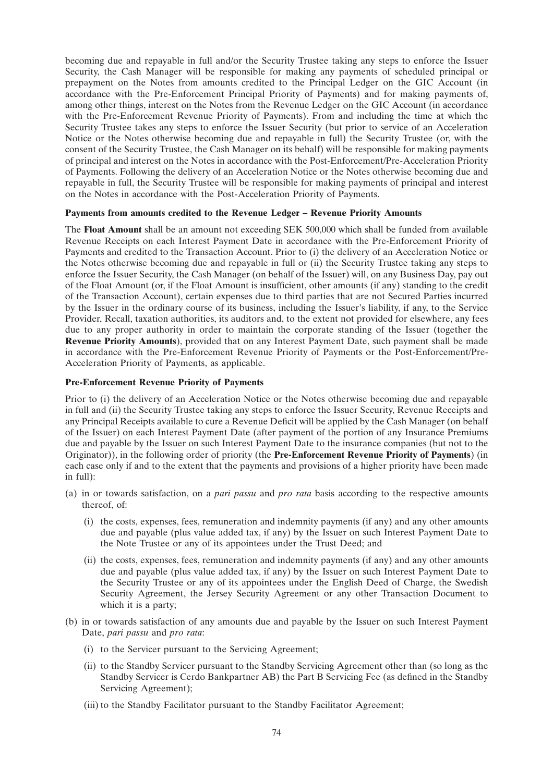becoming due and repayable in full and/or the Security Trustee taking any steps to enforce the Issuer Security, the Cash Manager will be responsible for making any payments of scheduled principal or prepayment on the Notes from amounts credited to the Principal Ledger on the GIC Account (in accordance with the Pre-Enforcement Principal Priority of Payments) and for making payments of, among other things, interest on the Notes from the Revenue Ledger on the GIC Account (in accordance with the Pre-Enforcement Revenue Priority of Payments). From and including the time at which the Security Trustee takes any steps to enforce the Issuer Security (but prior to service of an Acceleration Notice or the Notes otherwise becoming due and repayable in full) the Security Trustee (or, with the consent of the Security Trustee, the Cash Manager on its behalf) will be responsible for making payments of principal and interest on the Notes in accordance with the Post-Enforcement/Pre-Acceleration Priority of Payments. Following the delivery of an Acceleration Notice or the Notes otherwise becoming due and repayable in full, the Security Trustee will be responsible for making payments of principal and interest on the Notes in accordance with the Post-Acceleration Priority of Payments.

# **Payments from amounts credited to the Revenue Ledger – Revenue Priority Amounts**

The **Float Amount** shall be an amount not exceeding SEK 500,000 which shall be funded from available Revenue Receipts on each Interest Payment Date in accordance with the Pre-Enforcement Priority of Payments and credited to the Transaction Account. Prior to (i) the delivery of an Acceleration Notice or the Notes otherwise becoming due and repayable in full or (ii) the Security Trustee taking any steps to enforce the Issuer Security, the Cash Manager (on behalf of the Issuer) will, on any Business Day, pay out of the Float Amount (or, if the Float Amount is insufficient, other amounts (if any) standing to the credit of the Transaction Account), certain expenses due to third parties that are not Secured Parties incurred by the Issuer in the ordinary course of its business, including the Issuer's liability, if any, to the Service Provider, Recall, taxation authorities, its auditors and, to the extent not provided for elsewhere, any fees due to any proper authority in order to maintain the corporate standing of the Issuer (together the **Revenue Priority Amounts**), provided that on any Interest Payment Date, such payment shall be made in accordance with the Pre-Enforcement Revenue Priority of Payments or the Post-Enforcement/Pre-Acceleration Priority of Payments, as applicable.

# **Pre-Enforcement Revenue Priority of Payments**

Prior to (i) the delivery of an Acceleration Notice or the Notes otherwise becoming due and repayable in full and (ii) the Security Trustee taking any steps to enforce the Issuer Security, Revenue Receipts and any Principal Receipts available to cure a Revenue Deficit will be applied by the Cash Manager (on behalf of the Issuer) on each Interest Payment Date (after payment of the portion of any Insurance Premiums due and payable by the Issuer on such Interest Payment Date to the insurance companies (but not to the Originator)), in the following order of priority (the **Pre-Enforcement Revenue Priority of Payments**) (in each case only if and to the extent that the payments and provisions of a higher priority have been made in full):

- (a) in or towards satisfaction, on a *pari passu* and *pro rata* basis according to the respective amounts thereof, of:
	- (i) the costs, expenses, fees, remuneration and indemnity payments (if any) and any other amounts due and payable (plus value added tax, if any) by the Issuer on such Interest Payment Date to the Note Trustee or any of its appointees under the Trust Deed; and
	- (ii) the costs, expenses, fees, remuneration and indemnity payments (if any) and any other amounts due and payable (plus value added tax, if any) by the Issuer on such Interest Payment Date to the Security Trustee or any of its appointees under the English Deed of Charge, the Swedish Security Agreement, the Jersey Security Agreement or any other Transaction Document to which it is a party;
- (b) in or towards satisfaction of any amounts due and payable by the Issuer on such Interest Payment Date, *pari passu* and *pro rata*:
	- (i) to the Servicer pursuant to the Servicing Agreement;
	- (ii) to the Standby Servicer pursuant to the Standby Servicing Agreement other than (so long as the Standby Servicer is Cerdo Bankpartner AB) the Part B Servicing Fee (as defined in the Standby Servicing Agreement);
	- (iii) to the Standby Facilitator pursuant to the Standby Facilitator Agreement;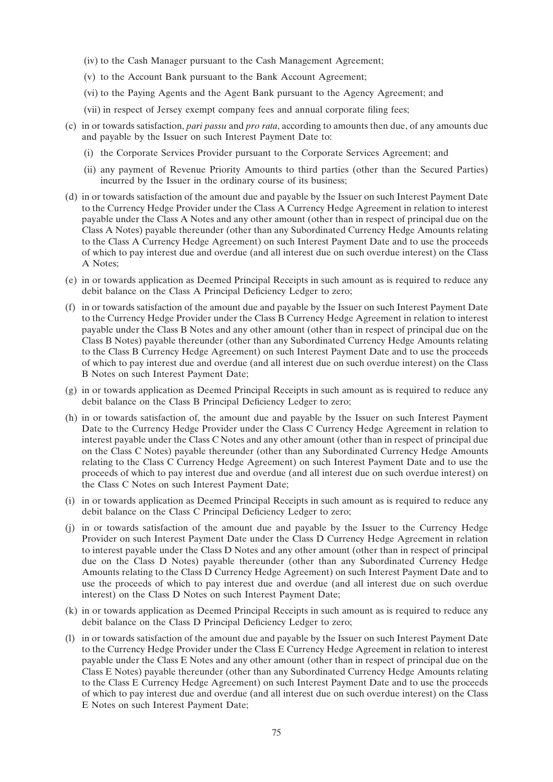- (iv) to the Cash Manager pursuant to the Cash Management Agreement;
- (v) to the Account Bank pursuant to the Bank Account Agreement;
- (vi) to the Paying Agents and the Agent Bank pursuant to the Agency Agreement; and
- (vii) in respect of Jersey exempt company fees and annual corporate filing fees;
- (c) in or towards satisfaction, *pari passu* and *pro rata*, according to amounts then due, of any amounts due and payable by the Issuer on such Interest Payment Date to:
	- (i) the Corporate Services Provider pursuant to the Corporate Services Agreement; and
	- (ii) any payment of Revenue Priority Amounts to third parties (other than the Secured Parties) incurred by the Issuer in the ordinary course of its business;
- (d) in or towards satisfaction of the amount due and payable by the Issuer on such Interest Payment Date to the Currency Hedge Provider under the Class A Currency Hedge Agreement in relation to interest payable under the Class A Notes and any other amount (other than in respect of principal due on the Class A Notes) payable thereunder (other than any Subordinated Currency Hedge Amounts relating to the Class A Currency Hedge Agreement) on such Interest Payment Date and to use the proceeds of which to pay interest due and overdue (and all interest due on such overdue interest) on the Class A Notes;
- (e) in or towards application as Deemed Principal Receipts in such amount as is required to reduce any debit balance on the Class A Principal Deficiency Ledger to zero;
- (f) in or towards satisfaction of the amount due and payable by the Issuer on such Interest Payment Date to the Currency Hedge Provider under the Class B Currency Hedge Agreement in relation to interest payable under the Class B Notes and any other amount (other than in respect of principal due on the Class B Notes) payable thereunder (other than any Subordinated Currency Hedge Amounts relating to the Class B Currency Hedge Agreement) on such Interest Payment Date and to use the proceeds of which to pay interest due and overdue (and all interest due on such overdue interest) on the Class B Notes on such Interest Payment Date;
- (g) in or towards application as Deemed Principal Receipts in such amount as is required to reduce any debit balance on the Class B Principal Deficiency Ledger to zero;
- (h) in or towards satisfaction of, the amount due and payable by the Issuer on such Interest Payment Date to the Currency Hedge Provider under the Class C Currency Hedge Agreement in relation to interest payable under the Class C Notes and any other amount (other than in respect of principal due on the Class C Notes) payable thereunder (other than any Subordinated Currency Hedge Amounts relating to the Class C Currency Hedge Agreement) on such Interest Payment Date and to use the proceeds of which to pay interest due and overdue (and all interest due on such overdue interest) on the Class C Notes on such Interest Payment Date;
- (i) in or towards application as Deemed Principal Receipts in such amount as is required to reduce any debit balance on the Class C Principal Deficiency Ledger to zero;
- (j) in or towards satisfaction of the amount due and payable by the Issuer to the Currency Hedge Provider on such Interest Payment Date under the Class D Currency Hedge Agreement in relation to interest payable under the Class D Notes and any other amount (other than in respect of principal due on the Class D Notes) payable thereunder (other than any Subordinated Currency Hedge Amounts relating to the Class D Currency Hedge Agreement) on such Interest Payment Date and to use the proceeds of which to pay interest due and overdue (and all interest due on such overdue interest) on the Class D Notes on such Interest Payment Date;
- (k) in or towards application as Deemed Principal Receipts in such amount as is required to reduce any debit balance on the Class D Principal Deficiency Ledger to zero;
- (l) in or towards satisfaction of the amount due and payable by the Issuer on such Interest Payment Date to the Currency Hedge Provider under the Class E Currency Hedge Agreement in relation to interest payable under the Class E Notes and any other amount (other than in respect of principal due on the Class E Notes) payable thereunder (other than any Subordinated Currency Hedge Amounts relating to the Class E Currency Hedge Agreement) on such Interest Payment Date and to use the proceeds of which to pay interest due and overdue (and all interest due on such overdue interest) on the Class E Notes on such Interest Payment Date;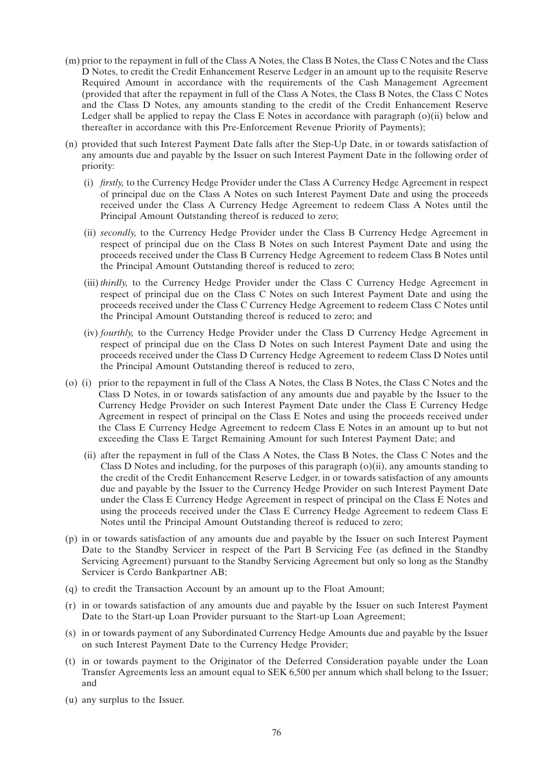- (m) prior to the repayment in full of the Class A Notes, the Class B Notes, the Class C Notes and the Class D Notes, to credit the Credit Enhancement Reserve Ledger in an amount up to the requisite Reserve Required Amount in accordance with the requirements of the Cash Management Agreement (provided that after the repayment in full of the Class A Notes, the Class B Notes, the Class C Notes and the Class D Notes, any amounts standing to the credit of the Credit Enhancement Reserve Ledger shall be applied to repay the Class E Notes in accordance with paragraph (o)(ii) below and thereafter in accordance with this Pre-Enforcement Revenue Priority of Payments);
- (n) provided that such Interest Payment Date falls after the Step-Up Date, in or towards satisfaction of any amounts due and payable by the Issuer on such Interest Payment Date in the following order of priority:
	- (i) *firstly,* to the Currency Hedge Provider under the Class A Currency Hedge Agreement in respect of principal due on the Class A Notes on such Interest Payment Date and using the proceeds received under the Class A Currency Hedge Agreement to redeem Class A Notes until the Principal Amount Outstanding thereof is reduced to zero;
	- (ii) *secondly,* to the Currency Hedge Provider under the Class B Currency Hedge Agreement in respect of principal due on the Class B Notes on such Interest Payment Date and using the proceeds received under the Class B Currency Hedge Agreement to redeem Class B Notes until the Principal Amount Outstanding thereof is reduced to zero;
	- (iii)*thirdly,* to the Currency Hedge Provider under the Class C Currency Hedge Agreement in respect of principal due on the Class C Notes on such Interest Payment Date and using the proceeds received under the Class C Currency Hedge Agreement to redeem Class C Notes until the Principal Amount Outstanding thereof is reduced to zero; and
	- (iv) *fourthly,* to the Currency Hedge Provider under the Class D Currency Hedge Agreement in respect of principal due on the Class D Notes on such Interest Payment Date and using the proceeds received under the Class D Currency Hedge Agreement to redeem Class D Notes until the Principal Amount Outstanding thereof is reduced to zero,
- (o) (i) prior to the repayment in full of the Class A Notes, the Class B Notes, the Class C Notes and the Class D Notes, in or towards satisfaction of any amounts due and payable by the Issuer to the Currency Hedge Provider on such Interest Payment Date under the Class E Currency Hedge Agreement in respect of principal on the Class E Notes and using the proceeds received under the Class E Currency Hedge Agreement to redeem Class E Notes in an amount up to but not exceeding the Class E Target Remaining Amount for such Interest Payment Date; and
	- (ii) after the repayment in full of the Class A Notes, the Class B Notes, the Class C Notes and the Class D Notes and including, for the purposes of this paragraph (o)(ii), any amounts standing to the credit of the Credit Enhancement Reserve Ledger, in or towards satisfaction of any amounts due and payable by the Issuer to the Currency Hedge Provider on such Interest Payment Date under the Class E Currency Hedge Agreement in respect of principal on the Class E Notes and using the proceeds received under the Class E Currency Hedge Agreement to redeem Class E Notes until the Principal Amount Outstanding thereof is reduced to zero;
- (p) in or towards satisfaction of any amounts due and payable by the Issuer on such Interest Payment Date to the Standby Servicer in respect of the Part B Servicing Fee (as defined in the Standby Servicing Agreement) pursuant to the Standby Servicing Agreement but only so long as the Standby Servicer is Cerdo Bankpartner AB;
- (q) to credit the Transaction Account by an amount up to the Float Amount;
- (r) in or towards satisfaction of any amounts due and payable by the Issuer on such Interest Payment Date to the Start-up Loan Provider pursuant to the Start-up Loan Agreement;
- (s) in or towards payment of any Subordinated Currency Hedge Amounts due and payable by the Issuer on such Interest Payment Date to the Currency Hedge Provider;
- (t) in or towards payment to the Originator of the Deferred Consideration payable under the Loan Transfer Agreements less an amount equal to SEK 6,500 per annum which shall belong to the Issuer; and
- (u) any surplus to the Issuer.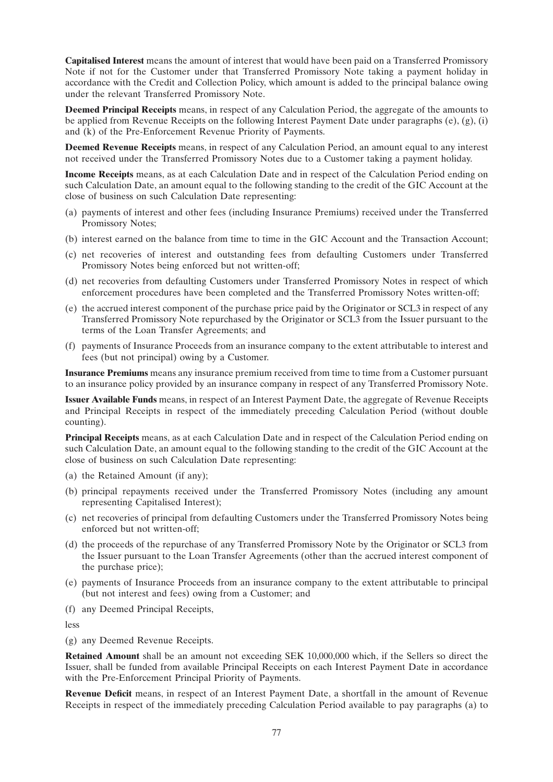**Capitalised Interest** means the amount of interest that would have been paid on a Transferred Promissory Note if not for the Customer under that Transferred Promissory Note taking a payment holiday in accordance with the Credit and Collection Policy, which amount is added to the principal balance owing under the relevant Transferred Promissory Note.

**Deemed Principal Receipts** means, in respect of any Calculation Period, the aggregate of the amounts to be applied from Revenue Receipts on the following Interest Payment Date under paragraphs (e), (g), (i) and (k) of the Pre-Enforcement Revenue Priority of Payments.

**Deemed Revenue Receipts** means, in respect of any Calculation Period, an amount equal to any interest not received under the Transferred Promissory Notes due to a Customer taking a payment holiday.

**Income Receipts** means, as at each Calculation Date and in respect of the Calculation Period ending on such Calculation Date, an amount equal to the following standing to the credit of the GIC Account at the close of business on such Calculation Date representing:

- (a) payments of interest and other fees (including Insurance Premiums) received under the Transferred Promissory Notes;
- (b) interest earned on the balance from time to time in the GIC Account and the Transaction Account;
- (c) net recoveries of interest and outstanding fees from defaulting Customers under Transferred Promissory Notes being enforced but not written-off;
- (d) net recoveries from defaulting Customers under Transferred Promissory Notes in respect of which enforcement procedures have been completed and the Transferred Promissory Notes written-off;
- (e) the accrued interest component of the purchase price paid by the Originator or SCL3 in respect of any Transferred Promissory Note repurchased by the Originator or SCL3 from the Issuer pursuant to the terms of the Loan Transfer Agreements; and
- (f) payments of Insurance Proceeds from an insurance company to the extent attributable to interest and fees (but not principal) owing by a Customer.

**Insurance Premiums** means any insurance premium received from time to time from a Customer pursuant to an insurance policy provided by an insurance company in respect of any Transferred Promissory Note.

**Issuer Available Funds** means, in respect of an Interest Payment Date, the aggregate of Revenue Receipts and Principal Receipts in respect of the immediately preceding Calculation Period (without double counting).

**Principal Receipts** means, as at each Calculation Date and in respect of the Calculation Period ending on such Calculation Date, an amount equal to the following standing to the credit of the GIC Account at the close of business on such Calculation Date representing:

- (a) the Retained Amount (if any);
- (b) principal repayments received under the Transferred Promissory Notes (including any amount representing Capitalised Interest);
- (c) net recoveries of principal from defaulting Customers under the Transferred Promissory Notes being enforced but not written-off;
- (d) the proceeds of the repurchase of any Transferred Promissory Note by the Originator or SCL3 from the Issuer pursuant to the Loan Transfer Agreements (other than the accrued interest component of the purchase price);
- (e) payments of Insurance Proceeds from an insurance company to the extent attributable to principal (but not interest and fees) owing from a Customer; and
- (f) any Deemed Principal Receipts,

less

(g) any Deemed Revenue Receipts.

**Retained Amount** shall be an amount not exceeding SEK 10,000,000 which, if the Sellers so direct the Issuer, shall be funded from available Principal Receipts on each Interest Payment Date in accordance with the Pre-Enforcement Principal Priority of Payments.

**Revenue Deficit** means, in respect of an Interest Payment Date, a shortfall in the amount of Revenue Receipts in respect of the immediately preceding Calculation Period available to pay paragraphs (a) to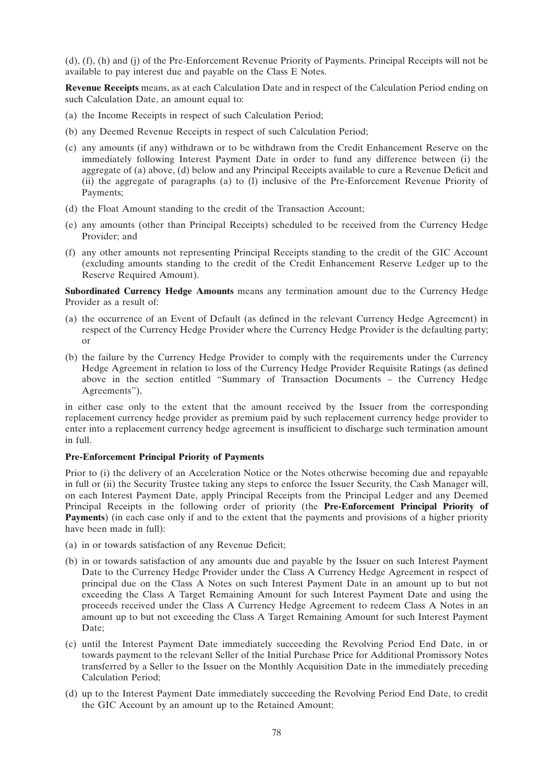(d), (f), (h) and (j) of the Pre-Enforcement Revenue Priority of Payments. Principal Receipts will not be available to pay interest due and payable on the Class E Notes.

**Revenue Receipts** means, as at each Calculation Date and in respect of the Calculation Period ending on such Calculation Date, an amount equal to:

- (a) the Income Receipts in respect of such Calculation Period;
- (b) any Deemed Revenue Receipts in respect of such Calculation Period;
- (c) any amounts (if any) withdrawn or to be withdrawn from the Credit Enhancement Reserve on the immediately following Interest Payment Date in order to fund any difference between (i) the aggregate of (a) above, (d) below and any Principal Receipts available to cure a Revenue Deficit and (ii) the aggregate of paragraphs (a) to (l) inclusive of the Pre-Enforcement Revenue Priority of Payments;
- (d) the Float Amount standing to the credit of the Transaction Account;
- (e) any amounts (other than Principal Receipts) scheduled to be received from the Currency Hedge Provider; and
- (f) any other amounts not representing Principal Receipts standing to the credit of the GIC Account (excluding amounts standing to the credit of the Credit Enhancement Reserve Ledger up to the Reserve Required Amount).

**Subordinated Currency Hedge Amounts** means any termination amount due to the Currency Hedge Provider as a result of:

- (a) the occurrence of an Event of Default (as defined in the relevant Currency Hedge Agreement) in respect of the Currency Hedge Provider where the Currency Hedge Provider is the defaulting party; or
- (b) the failure by the Currency Hedge Provider to comply with the requirements under the Currency Hedge Agreement in relation to loss of the Currency Hedge Provider Requisite Ratings (as defined above in the section entitled ''Summary of Transaction Documents – the Currency Hedge Agreements''),

in either case only to the extent that the amount received by the Issuer from the corresponding replacement currency hedge provider as premium paid by such replacement currency hedge provider to enter into a replacement currency hedge agreement is insufficient to discharge such termination amount in full.

# **Pre-Enforcement Principal Priority of Payments**

Prior to (i) the delivery of an Acceleration Notice or the Notes otherwise becoming due and repayable in full or (ii) the Security Trustee taking any steps to enforce the Issuer Security, the Cash Manager will, on each Interest Payment Date, apply Principal Receipts from the Principal Ledger and any Deemed Principal Receipts in the following order of priority (the **Pre-Enforcement Principal Priority of Payments**) (in each case only if and to the extent that the payments and provisions of a higher priority have been made in full):

- (a) in or towards satisfaction of any Revenue Deficit;
- (b) in or towards satisfaction of any amounts due and payable by the Issuer on such Interest Payment Date to the Currency Hedge Provider under the Class A Currency Hedge Agreement in respect of principal due on the Class A Notes on such Interest Payment Date in an amount up to but not exceeding the Class A Target Remaining Amount for such Interest Payment Date and using the proceeds received under the Class A Currency Hedge Agreement to redeem Class A Notes in an amount up to but not exceeding the Class A Target Remaining Amount for such Interest Payment Date;
- (c) until the Interest Payment Date immediately succeeding the Revolving Period End Date, in or towards payment to the relevant Seller of the Initial Purchase Price for Additional Promissory Notes transferred by a Seller to the Issuer on the Monthly Acquisition Date in the immediately preceding Calculation Period;
- (d) up to the Interest Payment Date immediately succeeding the Revolving Period End Date, to credit the GIC Account by an amount up to the Retained Amount;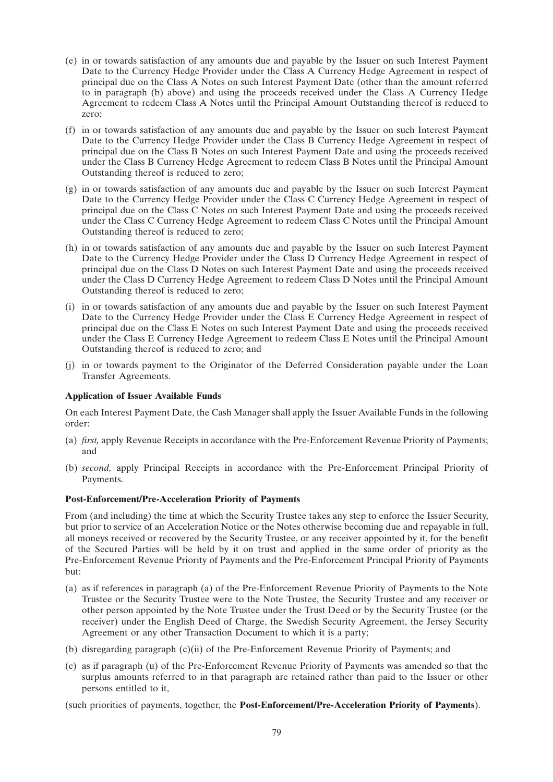- (e) in or towards satisfaction of any amounts due and payable by the Issuer on such Interest Payment Date to the Currency Hedge Provider under the Class A Currency Hedge Agreement in respect of principal due on the Class A Notes on such Interest Payment Date (other than the amount referred to in paragraph (b) above) and using the proceeds received under the Class A Currency Hedge Agreement to redeem Class A Notes until the Principal Amount Outstanding thereof is reduced to zero;
- (f) in or towards satisfaction of any amounts due and payable by the Issuer on such Interest Payment Date to the Currency Hedge Provider under the Class B Currency Hedge Agreement in respect of principal due on the Class B Notes on such Interest Payment Date and using the proceeds received under the Class B Currency Hedge Agreement to redeem Class B Notes until the Principal Amount Outstanding thereof is reduced to zero;
- (g) in or towards satisfaction of any amounts due and payable by the Issuer on such Interest Payment Date to the Currency Hedge Provider under the Class C Currency Hedge Agreement in respect of principal due on the Class C Notes on such Interest Payment Date and using the proceeds received under the Class C Currency Hedge Agreement to redeem Class C Notes until the Principal Amount Outstanding thereof is reduced to zero;
- (h) in or towards satisfaction of any amounts due and payable by the Issuer on such Interest Payment Date to the Currency Hedge Provider under the Class D Currency Hedge Agreement in respect of principal due on the Class D Notes on such Interest Payment Date and using the proceeds received under the Class D Currency Hedge Agreement to redeem Class D Notes until the Principal Amount Outstanding thereof is reduced to zero;
- (i) in or towards satisfaction of any amounts due and payable by the Issuer on such Interest Payment Date to the Currency Hedge Provider under the Class E Currency Hedge Agreement in respect of principal due on the Class E Notes on such Interest Payment Date and using the proceeds received under the Class E Currency Hedge Agreement to redeem Class E Notes until the Principal Amount Outstanding thereof is reduced to zero; and
- (j) in or towards payment to the Originator of the Deferred Consideration payable under the Loan Transfer Agreements.

# **Application of Issuer Available Funds**

On each Interest Payment Date, the Cash Manager shall apply the Issuer Available Funds in the following order:

- (a) *first,* apply Revenue Receipts in accordance with the Pre-Enforcement Revenue Priority of Payments; and
- (b) *second,* apply Principal Receipts in accordance with the Pre-Enforcement Principal Priority of Payments.

# **Post-Enforcement/Pre-Acceleration Priority of Payments**

From (and including) the time at which the Security Trustee takes any step to enforce the Issuer Security, but prior to service of an Acceleration Notice or the Notes otherwise becoming due and repayable in full, all moneys received or recovered by the Security Trustee, or any receiver appointed by it, for the benefit of the Secured Parties will be held by it on trust and applied in the same order of priority as the Pre-Enforcement Revenue Priority of Payments and the Pre-Enforcement Principal Priority of Payments but:

- (a) as if references in paragraph (a) of the Pre-Enforcement Revenue Priority of Payments to the Note Trustee or the Security Trustee were to the Note Trustee, the Security Trustee and any receiver or other person appointed by the Note Trustee under the Trust Deed or by the Security Trustee (or the receiver) under the English Deed of Charge, the Swedish Security Agreement, the Jersey Security Agreement or any other Transaction Document to which it is a party;
- (b) disregarding paragraph (c)(ii) of the Pre-Enforcement Revenue Priority of Payments; and
- (c) as if paragraph (u) of the Pre-Enforcement Revenue Priority of Payments was amended so that the surplus amounts referred to in that paragraph are retained rather than paid to the Issuer or other persons entitled to it,

(such priorities of payments, together, the **Post-Enforcement/Pre-Acceleration Priority of Payments**).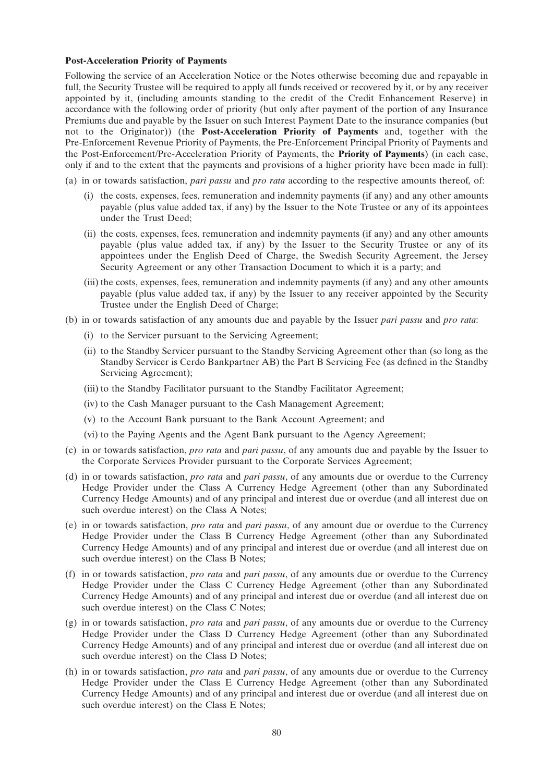#### **Post-Acceleration Priority of Payments**

Following the service of an Acceleration Notice or the Notes otherwise becoming due and repayable in full, the Security Trustee will be required to apply all funds received or recovered by it, or by any receiver appointed by it, (including amounts standing to the credit of the Credit Enhancement Reserve) in accordance with the following order of priority (but only after payment of the portion of any Insurance Premiums due and payable by the Issuer on such Interest Payment Date to the insurance companies (but not to the Originator)) (the **Post-Acceleration Priority of Payments** and, together with the Pre-Enforcement Revenue Priority of Payments, the Pre-Enforcement Principal Priority of Payments and the Post-Enforcement/Pre-Acceleration Priority of Payments, the **Priority of Payments**) (in each case, only if and to the extent that the payments and provisions of a higher priority have been made in full):

- (a) in or towards satisfaction, *pari passu* and *pro rata* according to the respective amounts thereof*,* of:
	- (i) the costs, expenses, fees, remuneration and indemnity payments (if any) and any other amounts payable (plus value added tax, if any) by the Issuer to the Note Trustee or any of its appointees under the Trust Deed;
	- (ii) the costs, expenses, fees, remuneration and indemnity payments (if any) and any other amounts payable (plus value added tax, if any) by the Issuer to the Security Trustee or any of its appointees under the English Deed of Charge, the Swedish Security Agreement, the Jersey Security Agreement or any other Transaction Document to which it is a party; and
	- (iii) the costs, expenses, fees, remuneration and indemnity payments (if any) and any other amounts payable (plus value added tax, if any) by the Issuer to any receiver appointed by the Security Trustee under the English Deed of Charge;
- (b) in or towards satisfaction of any amounts due and payable by the Issuer *pari passu* and *pro rata*:
	- (i) to the Servicer pursuant to the Servicing Agreement;
	- (ii) to the Standby Servicer pursuant to the Standby Servicing Agreement other than (so long as the Standby Servicer is Cerdo Bankpartner AB) the Part B Servicing Fee (as defined in the Standby Servicing Agreement);
	- (iii) to the Standby Facilitator pursuant to the Standby Facilitator Agreement;
	- (iv) to the Cash Manager pursuant to the Cash Management Agreement;
	- (v) to the Account Bank pursuant to the Bank Account Agreement; and
	- (vi) to the Paying Agents and the Agent Bank pursuant to the Agency Agreement;
- (c) in or towards satisfaction, *pro rata* and *pari passu*, of any amounts due and payable by the Issuer to the Corporate Services Provider pursuant to the Corporate Services Agreement;
- (d) in or towards satisfaction, *pro rata* and *pari passu*, of any amounts due or overdue to the Currency Hedge Provider under the Class A Currency Hedge Agreement (other than any Subordinated Currency Hedge Amounts) and of any principal and interest due or overdue (and all interest due on such overdue interest) on the Class A Notes;
- (e) in or towards satisfaction, *pro rata* and *pari passu*, of any amount due or overdue to the Currency Hedge Provider under the Class B Currency Hedge Agreement (other than any Subordinated Currency Hedge Amounts) and of any principal and interest due or overdue (and all interest due on such overdue interest) on the Class B Notes;
- (f) in or towards satisfaction, *pro rata* and *pari passu*, of any amounts due or overdue to the Currency Hedge Provider under the Class C Currency Hedge Agreement (other than any Subordinated Currency Hedge Amounts) and of any principal and interest due or overdue (and all interest due on such overdue interest) on the Class C Notes;
- (g) in or towards satisfaction, *pro rata* and *pari passu*, of any amounts due or overdue to the Currency Hedge Provider under the Class D Currency Hedge Agreement (other than any Subordinated Currency Hedge Amounts) and of any principal and interest due or overdue (and all interest due on such overdue interest) on the Class D Notes;
- (h) in or towards satisfaction, *pro rata* and *pari passu*, of any amounts due or overdue to the Currency Hedge Provider under the Class E Currency Hedge Agreement (other than any Subordinated Currency Hedge Amounts) and of any principal and interest due or overdue (and all interest due on such overdue interest) on the Class E Notes;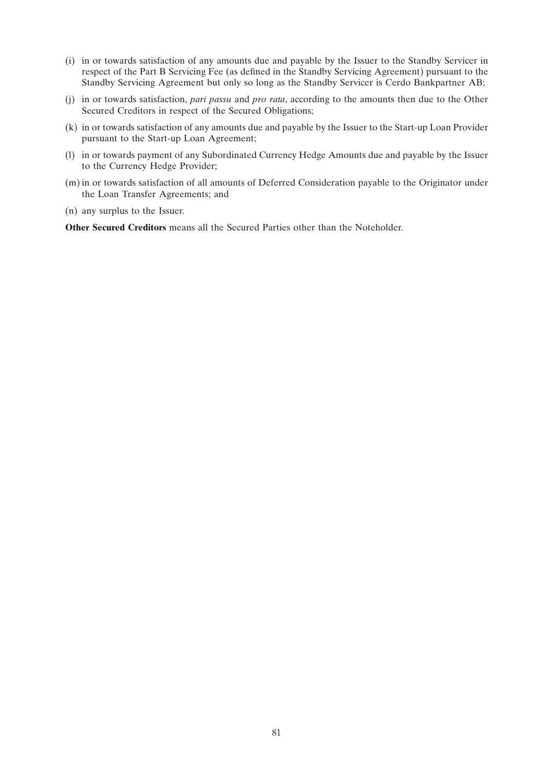- (i) in or towards satisfaction of any amounts due and payable by the Issuer to the Standby Servicer in respect of the Part B Servicing Fee (as defined in the Standby Servicing Agreement) pursuant to the Standby Servicing Agreement but only so long as the Standby Servicer is Cerdo Bankpartner AB;
- (j) in or towards satisfaction, *pari passu* and *pro rata*, according to the amounts then due to the Other Secured Creditors in respect of the Secured Obligations;
- (k) in or towards satisfaction of any amounts due and payable by the Issuer to the Start-up Loan Provider pursuant to the Start-up Loan Agreement;
- (l) in or towards payment of any Subordinated Currency Hedge Amounts due and payable by the Issuer to the Currency Hedge Provider;
- (m) in or towards satisfaction of all amounts of Deferred Consideration payable to the Originator under the Loan Transfer Agreements; and
- (n) any surplus to the Issuer.

**Other Secured Creditors** means all the Secured Parties other than the Noteholder.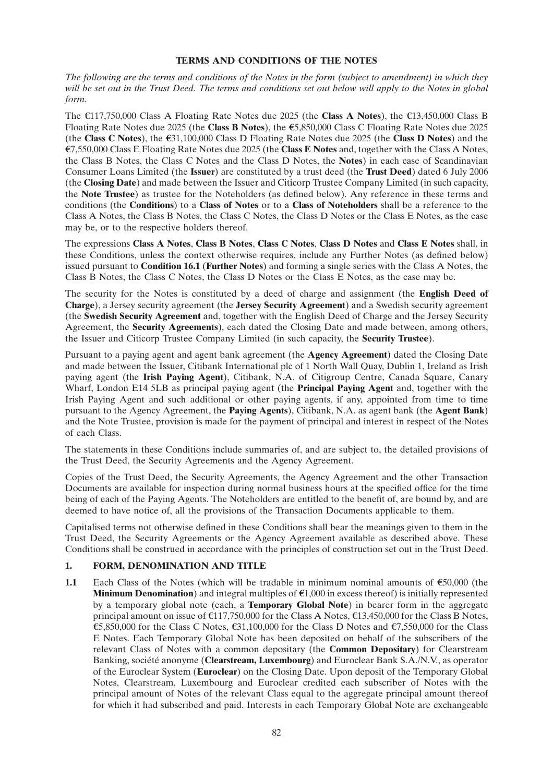# **TERMS AND CONDITIONS OF THE NOTES**

*The following are the terms and conditions of the Notes in the form (subject to amendment) in which they will be set out in the Trust Deed. The terms and conditions set out below will apply to the Notes in global form.*

The  $\epsilon$ 117,750,000 Class A Floating Rate Notes due 2025 (the **Class A Notes**), the  $\epsilon$ 13,450,000 Class B Floating Rate Notes due 2025 (the **Class B Notes**), the  $\epsilon$ 5,850,000 Class C Floating Rate Notes due 2025 (the **Class C Notes**), the  $\epsilon$ 31,100,000 Class D Floating Rate Notes due 2025 (the **Class D Notes**) and the u7,550,000 Class E Floating Rate Notes due 2025 (the **Class E Notes** and, together with the Class A Notes, the Class B Notes, the Class C Notes and the Class D Notes, the **Notes**) in each case of Scandinavian Consumer Loans Limited (the **Issuer**) are constituted by a trust deed (the **Trust Deed**) dated 6 July 2006 (the **Closing Date**) and made between the Issuer and Citicorp Trustee Company Limited (in such capacity, the **Note Trustee**) as trustee for the Noteholders (as defined below). Any reference in these terms and conditions (the **Conditions**) to a **Class of Notes** or to a **Class of Noteholders** shall be a reference to the Class A Notes, the Class B Notes, the Class C Notes, the Class D Notes or the Class E Notes, as the case may be, or to the respective holders thereof.

The expressions **Class A Notes**, **Class B Notes**, **Class C Notes**, **Class D Notes** and **Class E Notes** shall, in these Conditions, unless the context otherwise requires, include any Further Notes (as defined below) issued pursuant to **Condition 16.1** (**Further Notes**) and forming a single series with the Class A Notes, the Class B Notes, the Class C Notes, the Class D Notes or the Class E Notes, as the case may be.

The security for the Notes is constituted by a deed of charge and assignment (the **English Deed of Charge**), a Jersey security agreement (the **Jersey Security Agreement**) and a Swedish security agreement (the **Swedish Security Agreement** and, together with the English Deed of Charge and the Jersey Security Agreement, the **Security Agreements**), each dated the Closing Date and made between, among others, the Issuer and Citicorp Trustee Company Limited (in such capacity, the **Security Trustee**).

Pursuant to a paying agent and agent bank agreement (the **Agency Agreement**) dated the Closing Date and made between the Issuer, Citibank International plc of 1 North Wall Quay, Dublin 1, Ireland as Irish paying agent (the **Irish Paying Agent**), Citibank, N.A. of Citigroup Centre, Canada Square, Canary Wharf, London E14 5LB as principal paying agent (the **Principal Paying Agent** and, together with the Irish Paying Agent and such additional or other paying agents, if any, appointed from time to time pursuant to the Agency Agreement, the **Paying Agents**), Citibank, N.A. as agent bank (the **Agent Bank**) and the Note Trustee, provision is made for the payment of principal and interest in respect of the Notes of each Class.

The statements in these Conditions include summaries of, and are subject to, the detailed provisions of the Trust Deed, the Security Agreements and the Agency Agreement.

Copies of the Trust Deed, the Security Agreements, the Agency Agreement and the other Transaction Documents are available for inspection during normal business hours at the specified office for the time being of each of the Paying Agents. The Noteholders are entitled to the benefit of, are bound by, and are deemed to have notice of, all the provisions of the Transaction Documents applicable to them.

Capitalised terms not otherwise defined in these Conditions shall bear the meanings given to them in the Trust Deed, the Security Agreements or the Agency Agreement available as described above. These Conditions shall be construed in accordance with the principles of construction set out in the Trust Deed.

# **1. FORM, DENOMINATION AND TITLE**

**1.1** Each Class of the Notes (which will be tradable in minimum nominal amounts of  $\epsilon$ 50,000 (the **Minimum Denomination**) and integral multiples of  $\epsilon$ 1,000 in excess thereof) is initially represented by a temporary global note (each, a **Temporary Global Note**) in bearer form in the aggregate principal amount on issue of  $\text{\textsterling}117,750,000$  for the Class A Notes,  $\text{\textsterling}13,450,000$  for the Class B Notes,  $\epsilon$ 5,850,000 for the Class C Notes,  $\epsilon$ 31,100,000 for the Class D Notes and  $\epsilon$ 7,550,000 for the Class E Notes. Each Temporary Global Note has been deposited on behalf of the subscribers of the relevant Class of Notes with a common depositary (the **Common Depositary**) for Clearstream Banking, société anonyme (**Clearstream, Luxembourg**) and Euroclear Bank S.A./N.V., as operator of the Euroclear System (**Euroclear**) on the Closing Date. Upon deposit of the Temporary Global Notes, Clearstream, Luxembourg and Euroclear credited each subscriber of Notes with the principal amount of Notes of the relevant Class equal to the aggregate principal amount thereof for which it had subscribed and paid. Interests in each Temporary Global Note are exchangeable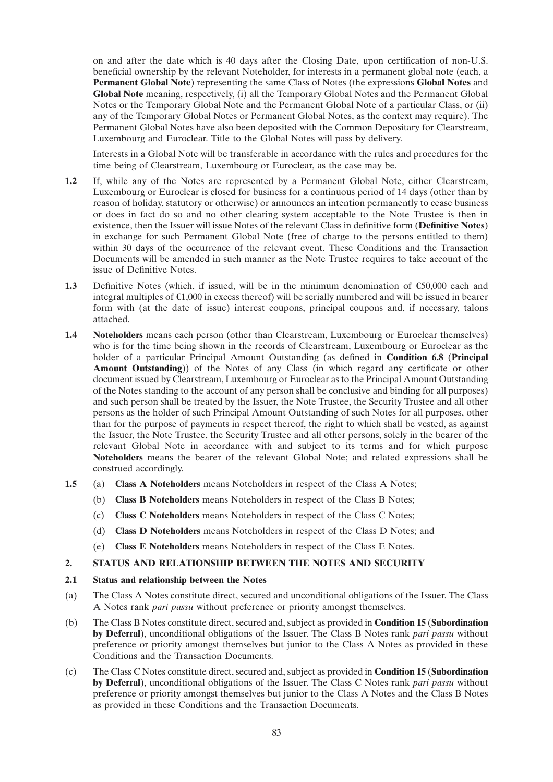on and after the date which is 40 days after the Closing Date, upon certification of non-U.S. beneficial ownership by the relevant Noteholder, for interests in a permanent global note (each, a **Permanent Global Note**) representing the same Class of Notes (the expressions **Global Notes** and **Global Note** meaning, respectively, (i) all the Temporary Global Notes and the Permanent Global Notes or the Temporary Global Note and the Permanent Global Note of a particular Class, or (ii) any of the Temporary Global Notes or Permanent Global Notes, as the context may require). The Permanent Global Notes have also been deposited with the Common Depositary for Clearstream, Luxembourg and Euroclear. Title to the Global Notes will pass by delivery.

Interests in a Global Note will be transferable in accordance with the rules and procedures for the time being of Clearstream, Luxembourg or Euroclear, as the case may be.

- **1.2** If, while any of the Notes are represented by a Permanent Global Note, either Clearstream, Luxembourg or Euroclear is closed for business for a continuous period of 14 days (other than by reason of holiday, statutory or otherwise) or announces an intention permanently to cease business or does in fact do so and no other clearing system acceptable to the Note Trustee is then in existence, then the Issuer will issue Notes of the relevant Class in definitive form (**Definitive Notes**) in exchange for such Permanent Global Note (free of charge to the persons entitled to them) within 30 days of the occurrence of the relevant event. These Conditions and the Transaction Documents will be amended in such manner as the Note Trustee requires to take account of the issue of Definitive Notes.
- **1.3** Definitive Notes (which, if issued, will be in the minimum denomination of  $\epsilon$ 50,000 each and integral multiples of  $\epsilon$ 1,000 in excess thereof) will be serially numbered and will be issued in bearer form with (at the date of issue) interest coupons, principal coupons and, if necessary, talons attached.
- **1.4 Noteholders** means each person (other than Clearstream, Luxembourg or Euroclear themselves) who is for the time being shown in the records of Clearstream, Luxembourg or Euroclear as the holder of a particular Principal Amount Outstanding (as defined in **Condition 6.8** (**Principal Amount Outstanding**)) of the Notes of any Class (in which regard any certificate or other document issued by Clearstream, Luxembourg or Euroclear as to the Principal Amount Outstanding of the Notes standing to the account of any person shall be conclusive and binding for all purposes) and such person shall be treated by the Issuer, the Note Trustee, the Security Trustee and all other persons as the holder of such Principal Amount Outstanding of such Notes for all purposes, other than for the purpose of payments in respect thereof, the right to which shall be vested, as against the Issuer, the Note Trustee, the Security Trustee and all other persons, solely in the bearer of the relevant Global Note in accordance with and subject to its terms and for which purpose **Noteholders** means the bearer of the relevant Global Note; and related expressions shall be construed accordingly.
- **1.5** (a) **Class A Noteholders** means Noteholders in respect of the Class A Notes;
	- (b) **Class B Noteholders** means Noteholders in respect of the Class B Notes;
	- (c) **Class C Noteholders** means Noteholders in respect of the Class C Notes;
	- (d) **Class D Noteholders** means Noteholders in respect of the Class D Notes; and
	- (e) **Class E Noteholders** means Noteholders in respect of the Class E Notes.

# **2. STATUS AND RELATIONSHIP BETWEEN THE NOTES AND SECURITY**

#### **2.1 Status and relationship between the Notes**

- (a) The Class A Notes constitute direct, secured and unconditional obligations of the Issuer. The Class A Notes rank *pari passu* without preference or priority amongst themselves.
- (b) The Class B Notes constitute direct, secured and, subject as provided in **Condition 15** (**Subordination by Deferral**), unconditional obligations of the Issuer. The Class B Notes rank *pari passu* without preference or priority amongst themselves but junior to the Class A Notes as provided in these Conditions and the Transaction Documents.
- (c) The Class C Notes constitute direct, secured and, subject as provided in **Condition 15** (**Subordination by Deferral**), unconditional obligations of the Issuer. The Class C Notes rank *pari passu* without preference or priority amongst themselves but junior to the Class A Notes and the Class B Notes as provided in these Conditions and the Transaction Documents.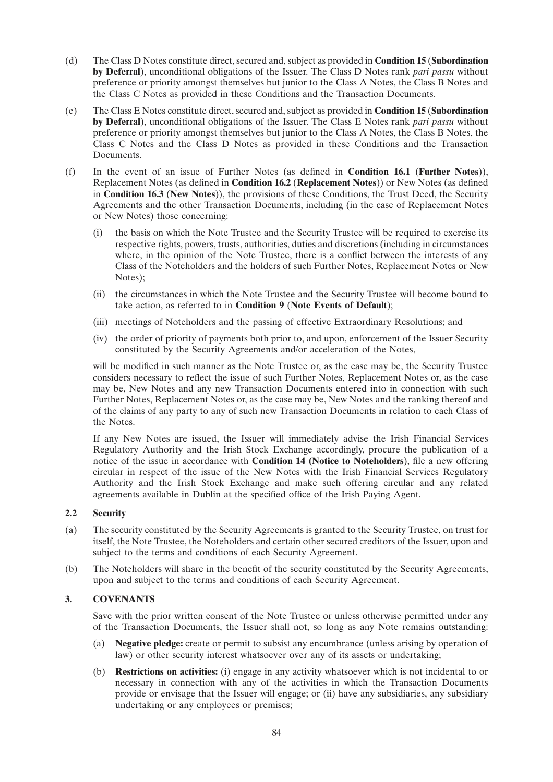- (d) The Class D Notes constitute direct, secured and, subject as provided in **Condition 15** (**Subordination by Deferral**), unconditional obligations of the Issuer. The Class D Notes rank *pari passu* without preference or priority amongst themselves but junior to the Class A Notes, the Class B Notes and the Class C Notes as provided in these Conditions and the Transaction Documents.
- (e) The Class E Notes constitute direct, secured and, subject as provided in **Condition 15** (**Subordination by Deferral**), unconditional obligations of the Issuer. The Class E Notes rank *pari passu* without preference or priority amongst themselves but junior to the Class A Notes, the Class B Notes, the Class C Notes and the Class D Notes as provided in these Conditions and the Transaction Documents.
- (f) In the event of an issue of Further Notes (as defined in **Condition 16.1** (**Further Notes**)), Replacement Notes (as defined in **Condition 16.2** (**Replacement Notes**)) or New Notes (as defined in **Condition 16.3** (**New Notes**)), the provisions of these Conditions, the Trust Deed, the Security Agreements and the other Transaction Documents, including (in the case of Replacement Notes or New Notes) those concerning:
	- (i) the basis on which the Note Trustee and the Security Trustee will be required to exercise its respective rights, powers, trusts, authorities, duties and discretions (including in circumstances where, in the opinion of the Note Trustee, there is a conflict between the interests of any Class of the Noteholders and the holders of such Further Notes, Replacement Notes or New Notes);
	- (ii) the circumstances in which the Note Trustee and the Security Trustee will become bound to take action, as referred to in **Condition 9** (**Note Events of Default**);
	- (iii) meetings of Noteholders and the passing of effective Extraordinary Resolutions; and
	- (iv) the order of priority of payments both prior to, and upon, enforcement of the Issuer Security constituted by the Security Agreements and/or acceleration of the Notes,

will be modified in such manner as the Note Trustee or, as the case may be, the Security Trustee considers necessary to reflect the issue of such Further Notes, Replacement Notes or, as the case may be, New Notes and any new Transaction Documents entered into in connection with such Further Notes, Replacement Notes or, as the case may be, New Notes and the ranking thereof and of the claims of any party to any of such new Transaction Documents in relation to each Class of the Notes.

If any New Notes are issued, the Issuer will immediately advise the Irish Financial Services Regulatory Authority and the Irish Stock Exchange accordingly, procure the publication of a notice of the issue in accordance with **Condition 14 (Notice to Noteholders**), file a new offering circular in respect of the issue of the New Notes with the Irish Financial Services Regulatory Authority and the Irish Stock Exchange and make such offering circular and any related agreements available in Dublin at the specified office of the Irish Paying Agent.

# **2.2 Security**

- (a) The security constituted by the Security Agreements is granted to the Security Trustee, on trust for itself, the Note Trustee, the Noteholders and certain other secured creditors of the Issuer, upon and subject to the terms and conditions of each Security Agreement.
- (b) The Noteholders will share in the benefit of the security constituted by the Security Agreements, upon and subject to the terms and conditions of each Security Agreement.

# **3. COVENANTS**

Save with the prior written consent of the Note Trustee or unless otherwise permitted under any of the Transaction Documents, the Issuer shall not, so long as any Note remains outstanding:

- (a) **Negative pledge:** create or permit to subsist any encumbrance (unless arising by operation of law) or other security interest whatsoever over any of its assets or undertaking;
- (b) **Restrictions on activities:** (i) engage in any activity whatsoever which is not incidental to or necessary in connection with any of the activities in which the Transaction Documents provide or envisage that the Issuer will engage; or (ii) have any subsidiaries, any subsidiary undertaking or any employees or premises;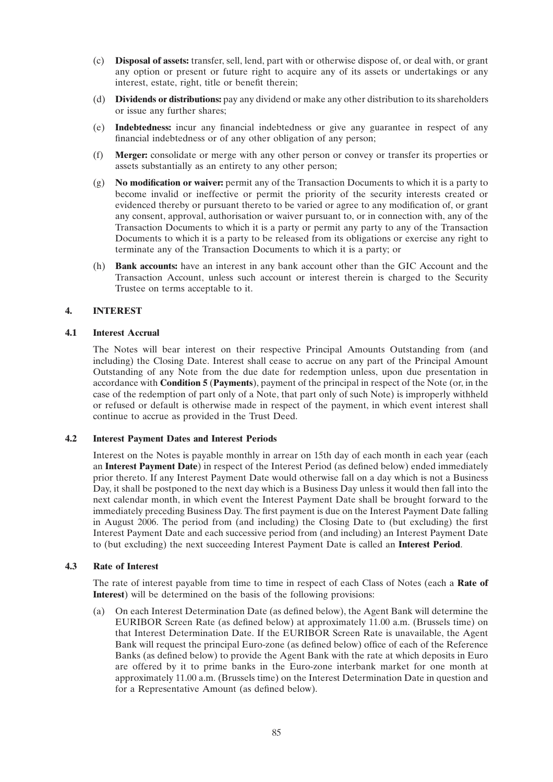- (c) **Disposal of assets:** transfer, sell, lend, part with or otherwise dispose of, or deal with, or grant any option or present or future right to acquire any of its assets or undertakings or any interest, estate, right, title or benefit therein;
- (d) **Dividends or distributions:** pay any dividend or make any other distribution to its shareholders or issue any further shares;
- (e) **Indebtedness:** incur any financial indebtedness or give any guarantee in respect of any financial indebtedness or of any other obligation of any person;
- (f) **Merger:** consolidate or merge with any other person or convey or transfer its properties or assets substantially as an entirety to any other person;
- (g) **No modification or waiver:** permit any of the Transaction Documents to which it is a party to become invalid or ineffective or permit the priority of the security interests created or evidenced thereby or pursuant thereto to be varied or agree to any modification of, or grant any consent, approval, authorisation or waiver pursuant to, or in connection with, any of the Transaction Documents to which it is a party or permit any party to any of the Transaction Documents to which it is a party to be released from its obligations or exercise any right to terminate any of the Transaction Documents to which it is a party; or
- (h) **Bank accounts:** have an interest in any bank account other than the GIC Account and the Transaction Account, unless such account or interest therein is charged to the Security Trustee on terms acceptable to it.

# **4. INTEREST**

# **4.1 Interest Accrual**

The Notes will bear interest on their respective Principal Amounts Outstanding from (and including) the Closing Date. Interest shall cease to accrue on any part of the Principal Amount Outstanding of any Note from the due date for redemption unless, upon due presentation in accordance with **Condition 5** (**Payments**), payment of the principal in respect of the Note (or, in the case of the redemption of part only of a Note, that part only of such Note) is improperly withheld or refused or default is otherwise made in respect of the payment, in which event interest shall continue to accrue as provided in the Trust Deed.

# **4.2 Interest Payment Dates and Interest Periods**

Interest on the Notes is payable monthly in arrear on 15th day of each month in each year (each an **Interest Payment Date**) in respect of the Interest Period (as defined below) ended immediately prior thereto. If any Interest Payment Date would otherwise fall on a day which is not a Business Day, it shall be postponed to the next day which is a Business Day unless it would then fall into the next calendar month, in which event the Interest Payment Date shall be brought forward to the immediately preceding Business Day. The first payment is due on the Interest Payment Date falling in August 2006. The period from (and including) the Closing Date to (but excluding) the first Interest Payment Date and each successive period from (and including) an Interest Payment Date to (but excluding) the next succeeding Interest Payment Date is called an **Interest Period**.

# **4.3 Rate of Interest**

The rate of interest payable from time to time in respect of each Class of Notes (each a **Rate of Interest**) will be determined on the basis of the following provisions:

(a) On each Interest Determination Date (as defined below), the Agent Bank will determine the EURIBOR Screen Rate (as defined below) at approximately 11.00 a.m. (Brussels time) on that Interest Determination Date. If the EURIBOR Screen Rate is unavailable, the Agent Bank will request the principal Euro-zone (as defined below) office of each of the Reference Banks (as defined below) to provide the Agent Bank with the rate at which deposits in Euro are offered by it to prime banks in the Euro-zone interbank market for one month at approximately 11.00 a.m. (Brussels time) on the Interest Determination Date in question and for a Representative Amount (as defined below).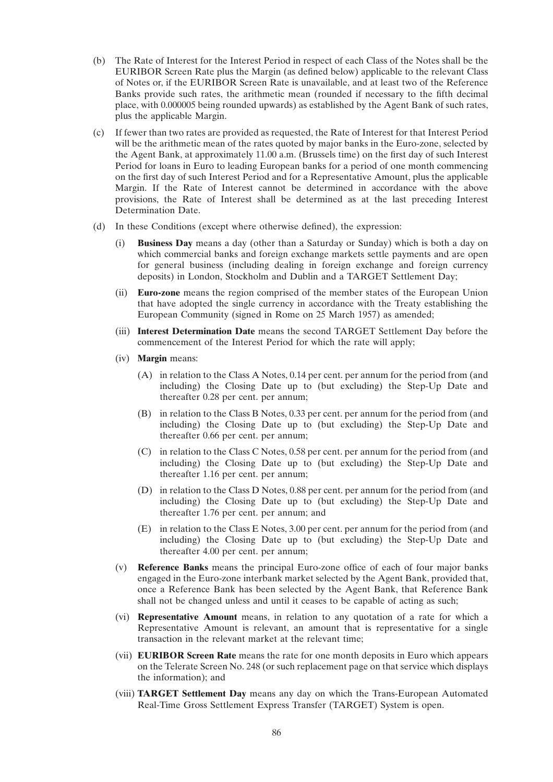- (b) The Rate of Interest for the Interest Period in respect of each Class of the Notes shall be the EURIBOR Screen Rate plus the Margin (as defined below) applicable to the relevant Class of Notes or, if the EURIBOR Screen Rate is unavailable, and at least two of the Reference Banks provide such rates, the arithmetic mean (rounded if necessary to the fifth decimal place, with 0.000005 being rounded upwards) as established by the Agent Bank of such rates, plus the applicable Margin.
- (c) If fewer than two rates are provided as requested, the Rate of Interest for that Interest Period will be the arithmetic mean of the rates quoted by major banks in the Euro-zone, selected by the Agent Bank, at approximately 11.00 a.m. (Brussels time) on the first day of such Interest Period for loans in Euro to leading European banks for a period of one month commencing on the first day of such Interest Period and for a Representative Amount, plus the applicable Margin. If the Rate of Interest cannot be determined in accordance with the above provisions, the Rate of Interest shall be determined as at the last preceding Interest Determination Date.
- (d) In these Conditions (except where otherwise defined), the expression:
	- **Business Day** means a day (other than a Saturday or Sunday) which is both a day on which commercial banks and foreign exchange markets settle payments and are open for general business (including dealing in foreign exchange and foreign currency deposits) in London, Stockholm and Dublin and a TARGET Settlement Day;
	- (ii) **Euro-zone** means the region comprised of the member states of the European Union that have adopted the single currency in accordance with the Treaty establishing the European Community (signed in Rome on 25 March 1957) as amended;
	- (iii) **Interest Determination Date** means the second TARGET Settlement Day before the commencement of the Interest Period for which the rate will apply;
	- (iv) **Margin** means:
		- (A) in relation to the Class A Notes, 0.14 per cent. per annum for the period from (and including) the Closing Date up to (but excluding) the Step-Up Date and thereafter 0.28 per cent. per annum;
		- (B) in relation to the Class B Notes, 0.33 per cent. per annum for the period from (and including) the Closing Date up to (but excluding) the Step-Up Date and thereafter 0.66 per cent. per annum;
		- (C) in relation to the Class C Notes, 0.58 per cent. per annum for the period from (and including) the Closing Date up to (but excluding) the Step-Up Date and thereafter 1.16 per cent. per annum;
		- (D) in relation to the Class D Notes, 0.88 per cent. per annum for the period from (and including) the Closing Date up to (but excluding) the Step-Up Date and thereafter 1.76 per cent. per annum; and
		- (E) in relation to the Class E Notes, 3.00 per cent. per annum for the period from (and including) the Closing Date up to (but excluding) the Step-Up Date and thereafter 4.00 per cent. per annum;
	- (v) **Reference Banks** means the principal Euro-zone office of each of four major banks engaged in the Euro-zone interbank market selected by the Agent Bank, provided that, once a Reference Bank has been selected by the Agent Bank, that Reference Bank shall not be changed unless and until it ceases to be capable of acting as such;
	- (vi) **Representative Amount** means, in relation to any quotation of a rate for which a Representative Amount is relevant, an amount that is representative for a single transaction in the relevant market at the relevant time;
	- (vii) **EURIBOR Screen Rate** means the rate for one month deposits in Euro which appears on the Telerate Screen No. 248 (or such replacement page on that service which displays the information); and
	- (viii) **TARGET Settlement Day** means any day on which the Trans-European Automated Real-Time Gross Settlement Express Transfer (TARGET) System is open.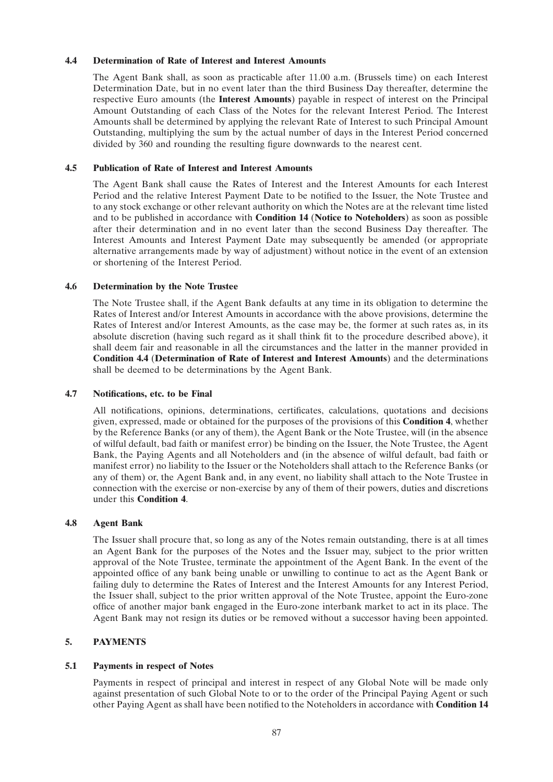# **4.4 Determination of Rate of Interest and Interest Amounts**

The Agent Bank shall, as soon as practicable after 11.00 a.m. (Brussels time) on each Interest Determination Date, but in no event later than the third Business Day thereafter, determine the respective Euro amounts (the **Interest Amounts**) payable in respect of interest on the Principal Amount Outstanding of each Class of the Notes for the relevant Interest Period. The Interest Amounts shall be determined by applying the relevant Rate of Interest to such Principal Amount Outstanding, multiplying the sum by the actual number of days in the Interest Period concerned divided by 360 and rounding the resulting figure downwards to the nearest cent.

# **4.5 Publication of Rate of Interest and Interest Amounts**

The Agent Bank shall cause the Rates of Interest and the Interest Amounts for each Interest Period and the relative Interest Payment Date to be notified to the Issuer, the Note Trustee and to any stock exchange or other relevant authority on which the Notes are at the relevant time listed and to be published in accordance with **Condition 14** (**Notice to Noteholders**) as soon as possible after their determination and in no event later than the second Business Day thereafter. The Interest Amounts and Interest Payment Date may subsequently be amended (or appropriate alternative arrangements made by way of adjustment) without notice in the event of an extension or shortening of the Interest Period.

# **4.6 Determination by the Note Trustee**

The Note Trustee shall, if the Agent Bank defaults at any time in its obligation to determine the Rates of Interest and/or Interest Amounts in accordance with the above provisions, determine the Rates of Interest and/or Interest Amounts, as the case may be, the former at such rates as, in its absolute discretion (having such regard as it shall think fit to the procedure described above), it shall deem fair and reasonable in all the circumstances and the latter in the manner provided in **Condition 4.4** (**Determination of Rate of Interest and Interest Amounts**) and the determinations shall be deemed to be determinations by the Agent Bank.

# **4.7 Notifications, etc. to be Final**

All notifications, opinions, determinations, certificates, calculations, quotations and decisions given, expressed, made or obtained for the purposes of the provisions of this **Condition 4**, whether by the Reference Banks (or any of them), the Agent Bank or the Note Trustee, will (in the absence of wilful default, bad faith or manifest error) be binding on the Issuer, the Note Trustee, the Agent Bank, the Paying Agents and all Noteholders and (in the absence of wilful default, bad faith or manifest error) no liability to the Issuer or the Noteholders shall attach to the Reference Banks (or any of them) or, the Agent Bank and, in any event, no liability shall attach to the Note Trustee in connection with the exercise or non-exercise by any of them of their powers, duties and discretions under this **Condition 4**.

# **4.8 Agent Bank**

The Issuer shall procure that, so long as any of the Notes remain outstanding, there is at all times an Agent Bank for the purposes of the Notes and the Issuer may, subject to the prior written approval of the Note Trustee, terminate the appointment of the Agent Bank. In the event of the appointed office of any bank being unable or unwilling to continue to act as the Agent Bank or failing duly to determine the Rates of Interest and the Interest Amounts for any Interest Period, the Issuer shall, subject to the prior written approval of the Note Trustee, appoint the Euro-zone office of another major bank engaged in the Euro-zone interbank market to act in its place. The Agent Bank may not resign its duties or be removed without a successor having been appointed.

# **5. PAYMENTS**

# **5.1 Payments in respect of Notes**

Payments in respect of principal and interest in respect of any Global Note will be made only against presentation of such Global Note to or to the order of the Principal Paying Agent or such other Paying Agent as shall have been notified to the Noteholders in accordance with **Condition 14**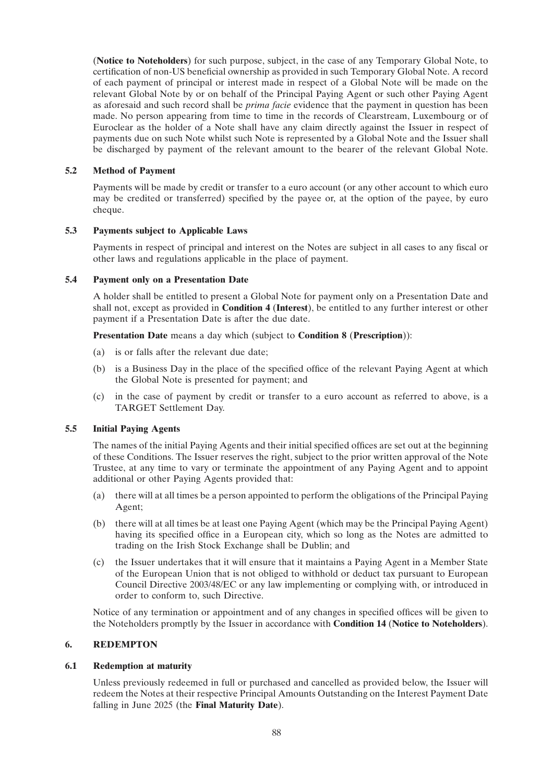(**Notice to Noteholders**) for such purpose, subject, in the case of any Temporary Global Note, to certification of non-US beneficial ownership as provided in such Temporary Global Note. A record of each payment of principal or interest made in respect of a Global Note will be made on the relevant Global Note by or on behalf of the Principal Paying Agent or such other Paying Agent as aforesaid and such record shall be *prima facie* evidence that the payment in question has been made. No person appearing from time to time in the records of Clearstream, Luxembourg or of Euroclear as the holder of a Note shall have any claim directly against the Issuer in respect of payments due on such Note whilst such Note is represented by a Global Note and the Issuer shall be discharged by payment of the relevant amount to the bearer of the relevant Global Note.

# **5.2 Method of Payment**

Payments will be made by credit or transfer to a euro account (or any other account to which euro may be credited or transferred) specified by the payee or, at the option of the payee, by euro cheque.

# **5.3 Payments subject to Applicable Laws**

Payments in respect of principal and interest on the Notes are subject in all cases to any fiscal or other laws and regulations applicable in the place of payment.

# **5.4 Payment only on a Presentation Date**

A holder shall be entitled to present a Global Note for payment only on a Presentation Date and shall not, except as provided in **Condition 4** (**Interest**), be entitled to any further interest or other payment if a Presentation Date is after the due date.

**Presentation Date** means a day which (subject to **Condition 8** (**Prescription**)):

- (a) is or falls after the relevant due date;
- (b) is a Business Day in the place of the specified office of the relevant Paying Agent at which the Global Note is presented for payment; and
- (c) in the case of payment by credit or transfer to a euro account as referred to above, is a TARGET Settlement Day.

# **5.5 Initial Paying Agents**

The names of the initial Paying Agents and their initial specified offices are set out at the beginning of these Conditions. The Issuer reserves the right, subject to the prior written approval of the Note Trustee, at any time to vary or terminate the appointment of any Paying Agent and to appoint additional or other Paying Agents provided that:

- (a) there will at all times be a person appointed to perform the obligations of the Principal Paying Agent;
- (b) there will at all times be at least one Paying Agent (which may be the Principal Paying Agent) having its specified office in a European city, which so long as the Notes are admitted to trading on the Irish Stock Exchange shall be Dublin; and
- (c) the Issuer undertakes that it will ensure that it maintains a Paying Agent in a Member State of the European Union that is not obliged to withhold or deduct tax pursuant to European Council Directive 2003/48/EC or any law implementing or complying with, or introduced in order to conform to, such Directive.

Notice of any termination or appointment and of any changes in specified offices will be given to the Noteholders promptly by the Issuer in accordance with **Condition 14** (**Notice to Noteholders**).

# **6. REDEMPTON**

# **6.1 Redemption at maturity**

Unless previously redeemed in full or purchased and cancelled as provided below, the Issuer will redeem the Notes at their respective Principal Amounts Outstanding on the Interest Payment Date falling in June 2025 (the **Final Maturity Date**).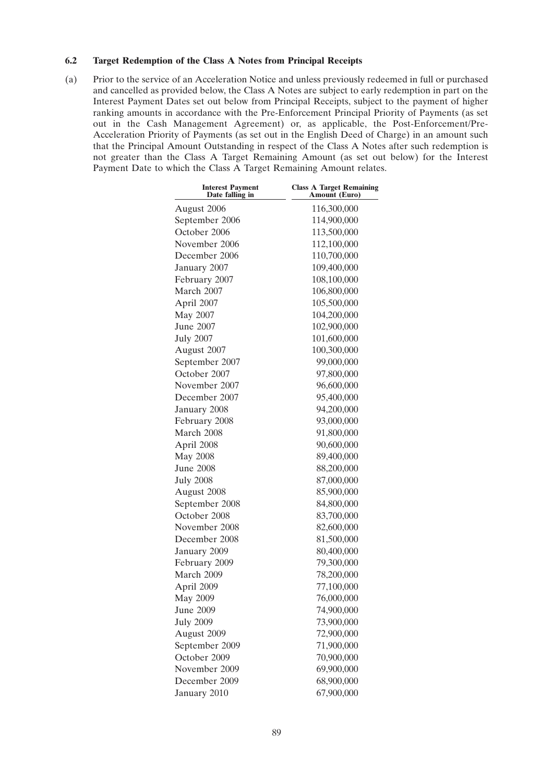# **6.2 Target Redemption of the Class A Notes from Principal Receipts**

(a) Prior to the service of an Acceleration Notice and unless previously redeemed in full or purchased and cancelled as provided below, the Class A Notes are subject to early redemption in part on the Interest Payment Dates set out below from Principal Receipts, subject to the payment of higher ranking amounts in accordance with the Pre-Enforcement Principal Priority of Payments (as set out in the Cash Management Agreement) or, as applicable, the Post-Enforcement/Pre-Acceleration Priority of Payments (as set out in the English Deed of Charge) in an amount such that the Principal Amount Outstanding in respect of the Class A Notes after such redemption is not greater than the Class A Target Remaining Amount (as set out below) for the Interest Payment Date to which the Class A Target Remaining Amount relates.

| <b>Class A Target Remaining</b><br><b>Amount</b> (Euro) |  |  |
|---------------------------------------------------------|--|--|
| 116,300,000                                             |  |  |
| 114,900,000                                             |  |  |
| 113,500,000                                             |  |  |
| 112,100,000                                             |  |  |
| 110,700,000                                             |  |  |
| 109,400,000                                             |  |  |
| 108,100,000                                             |  |  |
| 106,800,000                                             |  |  |
| 105,500,000                                             |  |  |
| 104,200,000                                             |  |  |
| 102,900,000                                             |  |  |
| 101,600,000                                             |  |  |
| 100,300,000                                             |  |  |
| 99,000,000                                              |  |  |
| 97,800,000                                              |  |  |
| 96,600,000                                              |  |  |
| 95,400,000                                              |  |  |
| 94,200,000                                              |  |  |
| 93,000,000                                              |  |  |
| 91,800,000                                              |  |  |
| 90,600,000                                              |  |  |
| 89,400,000                                              |  |  |
| 88,200,000                                              |  |  |
| 87,000,000                                              |  |  |
| 85,900,000                                              |  |  |
| 84,800,000                                              |  |  |
| 83,700,000                                              |  |  |
| 82,600,000                                              |  |  |
| 81,500,000                                              |  |  |
| 80,400,000                                              |  |  |
| 79,300,000                                              |  |  |
| 78,200,000                                              |  |  |
| 77,100,000                                              |  |  |
| 76,000,000                                              |  |  |
| 74,900,000                                              |  |  |
| 73,900,000                                              |  |  |
| 72,900,000                                              |  |  |
| 71,900,000                                              |  |  |
| 70,900,000                                              |  |  |
| 69,900,000                                              |  |  |
| 68,900,000                                              |  |  |
| 67,900,000                                              |  |  |
|                                                         |  |  |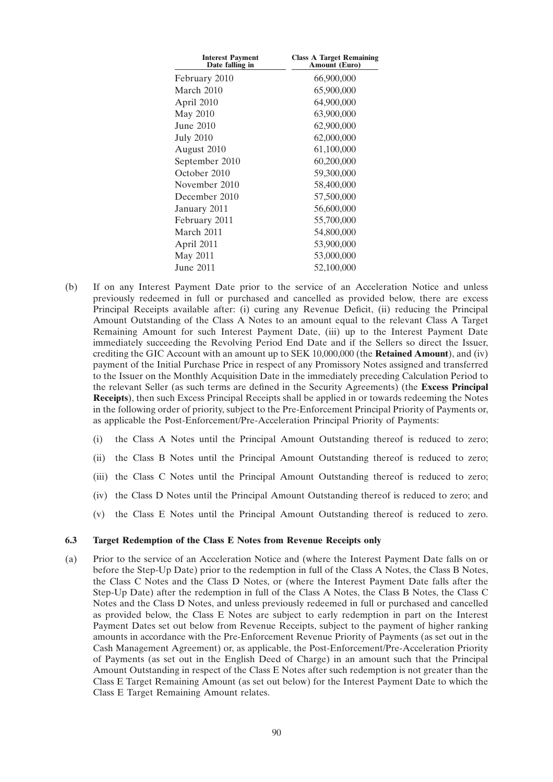| <b>Interest Payment</b><br>Date falling in | <b>Class A Target Remaining</b><br><b>Amount (Euro)</b> |
|--------------------------------------------|---------------------------------------------------------|
| February 2010                              | 66,900,000                                              |
| March 2010                                 | 65,900,000                                              |
| April 2010                                 | 64,900,000                                              |
| May 2010                                   | 63,900,000                                              |
| June 2010                                  | 62,900,000                                              |
| <b>July 2010</b>                           | 62,000,000                                              |
| August 2010                                | 61,100,000                                              |
| September 2010                             | 60,200,000                                              |
| October 2010                               | 59,300,000                                              |
| November 2010                              | 58,400,000                                              |
| December 2010                              | 57,500,000                                              |
| January 2011                               | 56,600,000                                              |
| February 2011                              | 55,700,000                                              |
| March 2011                                 | 54,800,000                                              |
| April 2011                                 | 53,900,000                                              |
| May 2011                                   | 53,000,000                                              |
| June 2011                                  | 52,100,000                                              |

- (b) If on any Interest Payment Date prior to the service of an Acceleration Notice and unless previously redeemed in full or purchased and cancelled as provided below, there are excess Principal Receipts available after: (i) curing any Revenue Deficit, (ii) reducing the Principal Amount Outstanding of the Class A Notes to an amount equal to the relevant Class A Target Remaining Amount for such Interest Payment Date, (iii) up to the Interest Payment Date immediately succeeding the Revolving Period End Date and if the Sellers so direct the Issuer, crediting the GIC Account with an amount up to SEK 10,000,000 (the **Retained Amount**), and (iv) payment of the Initial Purchase Price in respect of any Promissory Notes assigned and transferred to the Issuer on the Monthly Acquisition Date in the immediately preceding Calculation Period to the relevant Seller (as such terms are defined in the Security Agreements) (the **Excess Principal Receipts**), then such Excess Principal Receipts shall be applied in or towards redeeming the Notes in the following order of priority, subject to the Pre-Enforcement Principal Priority of Payments or, as applicable the Post-Enforcement/Pre-Acceleration Principal Priority of Payments:
	- (i) the Class A Notes until the Principal Amount Outstanding thereof is reduced to zero;
	- (ii) the Class B Notes until the Principal Amount Outstanding thereof is reduced to zero;
	- (iii) the Class C Notes until the Principal Amount Outstanding thereof is reduced to zero;
	- (iv) the Class D Notes until the Principal Amount Outstanding thereof is reduced to zero; and
	- (v) the Class E Notes until the Principal Amount Outstanding thereof is reduced to zero.

#### **6.3 Target Redemption of the Class E Notes from Revenue Receipts only**

(a) Prior to the service of an Acceleration Notice and (where the Interest Payment Date falls on or before the Step-Up Date) prior to the redemption in full of the Class A Notes, the Class B Notes, the Class C Notes and the Class D Notes, or (where the Interest Payment Date falls after the Step-Up Date) after the redemption in full of the Class A Notes, the Class B Notes, the Class C Notes and the Class D Notes, and unless previously redeemed in full or purchased and cancelled as provided below, the Class E Notes are subject to early redemption in part on the Interest Payment Dates set out below from Revenue Receipts, subject to the payment of higher ranking amounts in accordance with the Pre-Enforcement Revenue Priority of Payments (as set out in the Cash Management Agreement) or, as applicable, the Post-Enforcement/Pre-Acceleration Priority of Payments (as set out in the English Deed of Charge) in an amount such that the Principal Amount Outstanding in respect of the Class E Notes after such redemption is not greater than the Class E Target Remaining Amount (as set out below) for the Interest Payment Date to which the Class E Target Remaining Amount relates.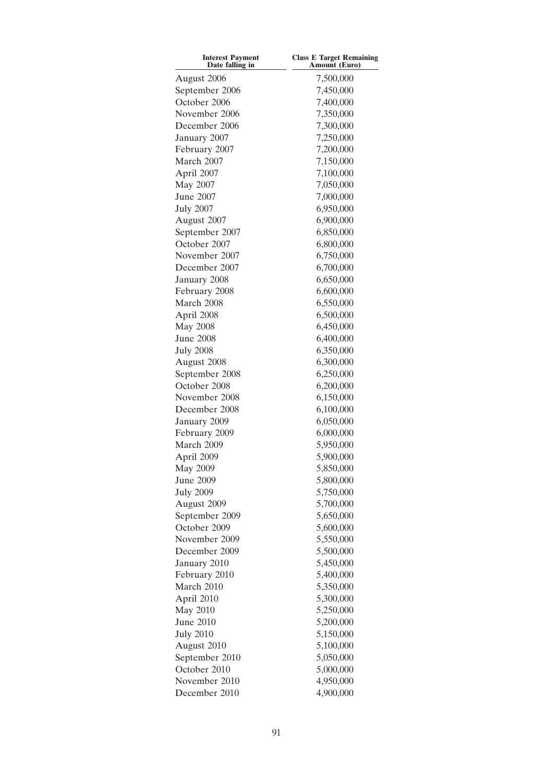| <b>Interest Payment</b><br>Date falling in | <b>Class E Target Remaining</b><br>Amount (Euro) |  |  |  |
|--------------------------------------------|--------------------------------------------------|--|--|--|
| August 2006                                | 7,500,000                                        |  |  |  |
| September 2006                             | 7,450,000                                        |  |  |  |
| October 2006                               | 7,400,000                                        |  |  |  |
| November 2006                              | 7,350,000                                        |  |  |  |
| December 2006                              | 7,300,000                                        |  |  |  |
| January 2007                               | 7,250,000                                        |  |  |  |
| February 2007                              | 7,200,000                                        |  |  |  |
| March 2007                                 | 7,150,000                                        |  |  |  |
| April 2007                                 | 7,100,000                                        |  |  |  |
| May 2007                                   | 7,050,000                                        |  |  |  |
| <b>June 2007</b>                           | 7,000,000                                        |  |  |  |
| <b>July 2007</b>                           | 6,950,000                                        |  |  |  |
| August 2007                                | 6,900,000                                        |  |  |  |
| September 2007                             | 6,850,000                                        |  |  |  |
| October 2007                               |                                                  |  |  |  |
| November 2007                              | 6,800,000<br>6,750,000                           |  |  |  |
| December 2007                              | 6,700,000                                        |  |  |  |
|                                            | 6,650,000                                        |  |  |  |
| January 2008                               |                                                  |  |  |  |
| February 2008                              | 6,600,000                                        |  |  |  |
| March 2008                                 | 6,550,000                                        |  |  |  |
| April 2008                                 | 6,500,000                                        |  |  |  |
| <b>May 2008</b>                            | 6,450,000                                        |  |  |  |
| <b>June 2008</b>                           | 6,400,000                                        |  |  |  |
| <b>July 2008</b>                           | 6,350,000                                        |  |  |  |
| August 2008                                | 6,300,000                                        |  |  |  |
| September 2008                             | 6,250,000                                        |  |  |  |
| October 2008                               | 6,200,000                                        |  |  |  |
| November 2008                              | 6,150,000                                        |  |  |  |
| December 2008                              | 6,100,000                                        |  |  |  |
| January 2009                               | 6,050,000                                        |  |  |  |
| February 2009                              | 6,000,000                                        |  |  |  |
| March 2009                                 | 5,950,000                                        |  |  |  |
| April 2009                                 | 5,900,000                                        |  |  |  |
| May 2009                                   | 5,850,000                                        |  |  |  |
| June 2009                                  | 5,800,000                                        |  |  |  |
| <b>July 2009</b>                           | 5,750,000                                        |  |  |  |
| August 2009                                | 5,700,000                                        |  |  |  |
| September 2009                             | 5,650,000                                        |  |  |  |
| October 2009                               | 5,600,000                                        |  |  |  |
| November 2009                              | 5,550,000                                        |  |  |  |
| December 2009                              | 5,500,000                                        |  |  |  |
| January 2010                               | 5,450,000                                        |  |  |  |
| February 2010                              | 5,400,000                                        |  |  |  |
| March 2010                                 | 5,350,000                                        |  |  |  |
| April 2010                                 | 5,300,000                                        |  |  |  |
| May 2010                                   | 5,250,000                                        |  |  |  |
| June 2010                                  | 5,200,000                                        |  |  |  |
| <b>July 2010</b>                           | 5,150,000                                        |  |  |  |
| August 2010                                | 5,100,000                                        |  |  |  |
| September 2010                             | 5,050,000                                        |  |  |  |
| October 2010                               | 5,000,000                                        |  |  |  |
| November 2010                              | 4,950,000                                        |  |  |  |
| December 2010                              | 4,900,000                                        |  |  |  |
|                                            |                                                  |  |  |  |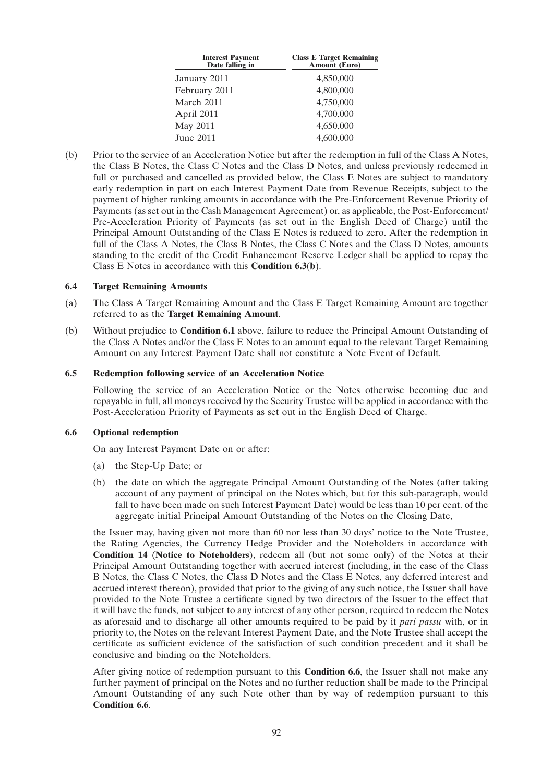| <b>Interest Payment</b><br>Date falling in | <b>Class E Target Remaining</b><br><b>Amount</b> (Euro) |  |  |
|--------------------------------------------|---------------------------------------------------------|--|--|
| January 2011                               | 4,850,000                                               |  |  |
| February 2011                              | 4,800,000                                               |  |  |
| March 2011                                 | 4,750,000                                               |  |  |
| April 2011                                 | 4,700,000                                               |  |  |
| <b>May 2011</b>                            | 4,650,000                                               |  |  |
| June 2011                                  | 4,600,000                                               |  |  |
|                                            |                                                         |  |  |

(b) Prior to the service of an Acceleration Notice but after the redemption in full of the Class A Notes, the Class B Notes, the Class C Notes and the Class D Notes, and unless previously redeemed in full or purchased and cancelled as provided below, the Class E Notes are subject to mandatory early redemption in part on each Interest Payment Date from Revenue Receipts, subject to the payment of higher ranking amounts in accordance with the Pre-Enforcement Revenue Priority of Payments (as set out in the Cash Management Agreement) or, as applicable, the Post-Enforcement/ Pre-Acceleration Priority of Payments (as set out in the English Deed of Charge) until the Principal Amount Outstanding of the Class E Notes is reduced to zero. After the redemption in full of the Class A Notes, the Class B Notes, the Class C Notes and the Class D Notes, amounts standing to the credit of the Credit Enhancement Reserve Ledger shall be applied to repay the Class E Notes in accordance with this **Condition 6.3**(**b**).

# **6.4 Target Remaining Amounts**

- (a) The Class A Target Remaining Amount and the Class E Target Remaining Amount are together referred to as the **Target Remaining Amount**.
- (b) Without prejudice to **Condition 6.1** above, failure to reduce the Principal Amount Outstanding of the Class A Notes and/or the Class E Notes to an amount equal to the relevant Target Remaining Amount on any Interest Payment Date shall not constitute a Note Event of Default.

#### **6.5 Redemption following service of an Acceleration Notice**

Following the service of an Acceleration Notice or the Notes otherwise becoming due and repayable in full, all moneys received by the Security Trustee will be applied in accordance with the Post-Acceleration Priority of Payments as set out in the English Deed of Charge.

# **6.6 Optional redemption**

On any Interest Payment Date on or after:

- (a) the Step-Up Date; or
- (b) the date on which the aggregate Principal Amount Outstanding of the Notes (after taking account of any payment of principal on the Notes which, but for this sub-paragraph, would fall to have been made on such Interest Payment Date) would be less than 10 per cent. of the aggregate initial Principal Amount Outstanding of the Notes on the Closing Date,

the Issuer may, having given not more than 60 nor less than 30 days' notice to the Note Trustee, the Rating Agencies, the Currency Hedge Provider and the Noteholders in accordance with **Condition 14** (**Notice to Noteholders**), redeem all (but not some only) of the Notes at their Principal Amount Outstanding together with accrued interest (including, in the case of the Class B Notes, the Class C Notes, the Class D Notes and the Class E Notes, any deferred interest and accrued interest thereon), provided that prior to the giving of any such notice, the Issuer shall have provided to the Note Trustee a certificate signed by two directors of the Issuer to the effect that it will have the funds, not subject to any interest of any other person, required to redeem the Notes as aforesaid and to discharge all other amounts required to be paid by it *pari passu* with, or in priority to, the Notes on the relevant Interest Payment Date, and the Note Trustee shall accept the certificate as sufficient evidence of the satisfaction of such condition precedent and it shall be conclusive and binding on the Noteholders.

After giving notice of redemption pursuant to this **Condition 6.6**, the Issuer shall not make any further payment of principal on the Notes and no further reduction shall be made to the Principal Amount Outstanding of any such Note other than by way of redemption pursuant to this **Condition 6.6**.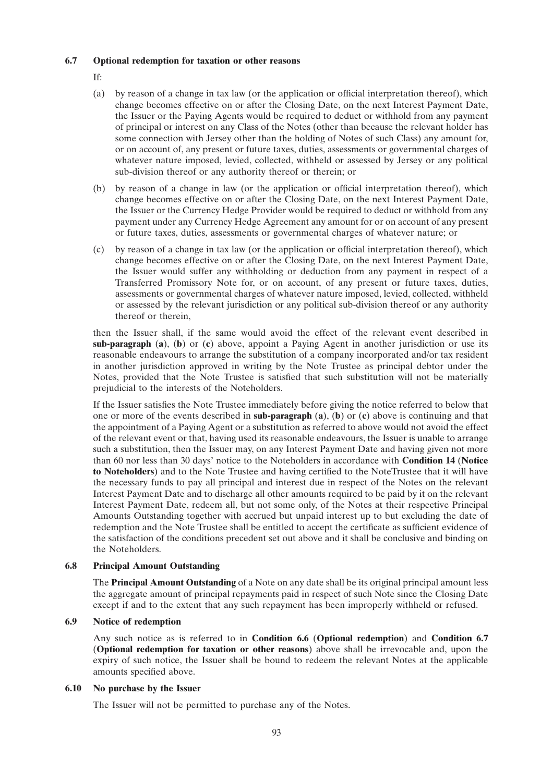### **6.7 Optional redemption for taxation or other reasons**

- If:
- (a) by reason of a change in tax law (or the application or official interpretation thereof), which change becomes effective on or after the Closing Date, on the next Interest Payment Date, the Issuer or the Paying Agents would be required to deduct or withhold from any payment of principal or interest on any Class of the Notes (other than because the relevant holder has some connection with Jersey other than the holding of Notes of such Class) any amount for, or on account of, any present or future taxes, duties, assessments or governmental charges of whatever nature imposed, levied, collected, withheld or assessed by Jersey or any political sub-division thereof or any authority thereof or therein; or
- (b) by reason of a change in law (or the application or official interpretation thereof), which change becomes effective on or after the Closing Date, on the next Interest Payment Date, the Issuer or the Currency Hedge Provider would be required to deduct or withhold from any payment under any Currency Hedge Agreement any amount for or on account of any present or future taxes, duties, assessments or governmental charges of whatever nature; or
- (c) by reason of a change in tax law (or the application or official interpretation thereof), which change becomes effective on or after the Closing Date, on the next Interest Payment Date, the Issuer would suffer any withholding or deduction from any payment in respect of a Transferred Promissory Note for, or on account, of any present or future taxes, duties, assessments or governmental charges of whatever nature imposed, levied, collected, withheld or assessed by the relevant jurisdiction or any political sub-division thereof or any authority thereof or therein,

then the Issuer shall, if the same would avoid the effect of the relevant event described in **sub-paragraph** (**a**), (**b**) or (**c**) above, appoint a Paying Agent in another jurisdiction or use its reasonable endeavours to arrange the substitution of a company incorporated and/or tax resident in another jurisdiction approved in writing by the Note Trustee as principal debtor under the Notes, provided that the Note Trustee is satisfied that such substitution will not be materially prejudicial to the interests of the Noteholders.

If the Issuer satisfies the Note Trustee immediately before giving the notice referred to below that one or more of the events described in **sub-paragraph** (**a**), (**b**) or (**c**) above is continuing and that the appointment of a Paying Agent or a substitution as referred to above would not avoid the effect of the relevant event or that, having used its reasonable endeavours, the Issuer is unable to arrange such a substitution, then the Issuer may, on any Interest Payment Date and having given not more than 60 nor less than 30 days' notice to the Noteholders in accordance with **Condition 14** (**Notice to Noteholders**) and to the Note Trustee and having certified to the NoteTrustee that it will have the necessary funds to pay all principal and interest due in respect of the Notes on the relevant Interest Payment Date and to discharge all other amounts required to be paid by it on the relevant Interest Payment Date, redeem all, but not some only, of the Notes at their respective Principal Amounts Outstanding together with accrued but unpaid interest up to but excluding the date of redemption and the Note Trustee shall be entitled to accept the certificate as sufficient evidence of the satisfaction of the conditions precedent set out above and it shall be conclusive and binding on the Noteholders.

# **6.8 Principal Amount Outstanding**

The **Principal Amount Outstanding** of a Note on any date shall be its original principal amount less the aggregate amount of principal repayments paid in respect of such Note since the Closing Date except if and to the extent that any such repayment has been improperly withheld or refused.

# **6.9 Notice of redemption**

Any such notice as is referred to in **Condition 6.6** (**Optional redemption**) and **Condition 6.7** (**Optional redemption for taxation or other reasons**) above shall be irrevocable and, upon the expiry of such notice, the Issuer shall be bound to redeem the relevant Notes at the applicable amounts specified above.

# **6.10 No purchase by the Issuer**

The Issuer will not be permitted to purchase any of the Notes.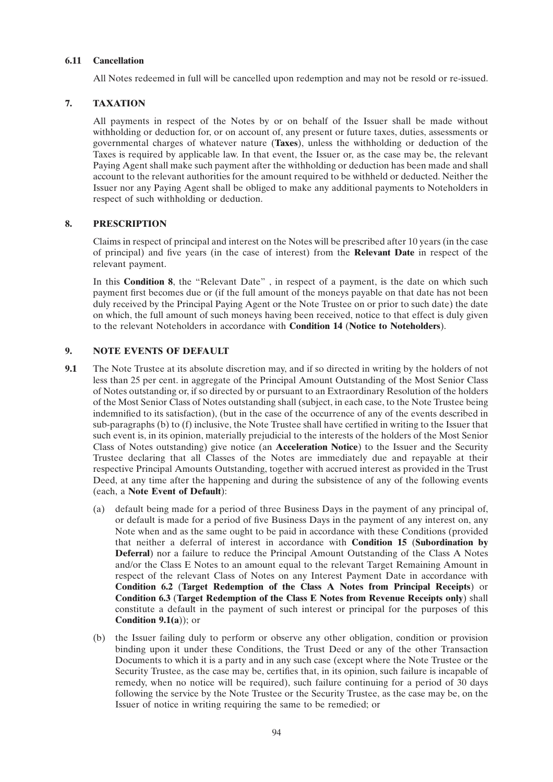# **6.11 Cancellation**

All Notes redeemed in full will be cancelled upon redemption and may not be resold or re-issued.

# **7. TAXATION**

All payments in respect of the Notes by or on behalf of the Issuer shall be made without withholding or deduction for, or on account of, any present or future taxes, duties, assessments or governmental charges of whatever nature (**Taxes**), unless the withholding or deduction of the Taxes is required by applicable law. In that event, the Issuer or, as the case may be, the relevant Paying Agent shall make such payment after the withholding or deduction has been made and shall account to the relevant authorities for the amount required to be withheld or deducted. Neither the Issuer nor any Paying Agent shall be obliged to make any additional payments to Noteholders in respect of such withholding or deduction.

# **8. PRESCRIPTION**

Claims in respect of principal and interest on the Notes will be prescribed after 10 years (in the case of principal) and five years (in the case of interest) from the **Relevant Date** in respect of the relevant payment.

In this **Condition 8**, the "Relevant Date", in respect of a payment, is the date on which such payment first becomes due or (if the full amount of the moneys payable on that date has not been duly received by the Principal Paying Agent or the Note Trustee on or prior to such date) the date on which, the full amount of such moneys having been received, notice to that effect is duly given to the relevant Noteholders in accordance with **Condition 14** (**Notice to Noteholders**).

# **9. NOTE EVENTS OF DEFAULT**

- **9.1** The Note Trustee at its absolute discretion may, and if so directed in writing by the holders of not less than 25 per cent. in aggregate of the Principal Amount Outstanding of the Most Senior Class of Notes outstanding or, if so directed by or pursuant to an Extraordinary Resolution of the holders of the Most Senior Class of Notes outstanding shall (subject, in each case, to the Note Trustee being indemnified to its satisfaction), (but in the case of the occurrence of any of the events described in sub-paragraphs (b) to (f) inclusive, the Note Trustee shall have certified in writing to the Issuer that such event is, in its opinion, materially prejudicial to the interests of the holders of the Most Senior Class of Notes outstanding) give notice (an **Acceleration Notice**) to the Issuer and the Security Trustee declaring that all Classes of the Notes are immediately due and repayable at their respective Principal Amounts Outstanding, together with accrued interest as provided in the Trust Deed, at any time after the happening and during the subsistence of any of the following events (each, a **Note Event of Default**):
	- (a) default being made for a period of three Business Days in the payment of any principal of, or default is made for a period of five Business Days in the payment of any interest on, any Note when and as the same ought to be paid in accordance with these Conditions (provided that neither a deferral of interest in accordance with **Condition 15** (**Subordination by Deferral**) nor a failure to reduce the Principal Amount Outstanding of the Class A Notes and/or the Class E Notes to an amount equal to the relevant Target Remaining Amount in respect of the relevant Class of Notes on any Interest Payment Date in accordance with **Condition 6.2** (**Target Redemption of the Class A Notes from Principal Receipts**) or **Condition 6.3** (**Target Redemption of the Class E Notes from Revenue Receipts only**) shall constitute a default in the payment of such interest or principal for the purposes of this **Condition 9.1(a)**); or
	- (b) the Issuer failing duly to perform or observe any other obligation, condition or provision binding upon it under these Conditions, the Trust Deed or any of the other Transaction Documents to which it is a party and in any such case (except where the Note Trustee or the Security Trustee, as the case may be, certifies that, in its opinion, such failure is incapable of remedy, when no notice will be required), such failure continuing for a period of 30 days following the service by the Note Trustee or the Security Trustee, as the case may be, on the Issuer of notice in writing requiring the same to be remedied; or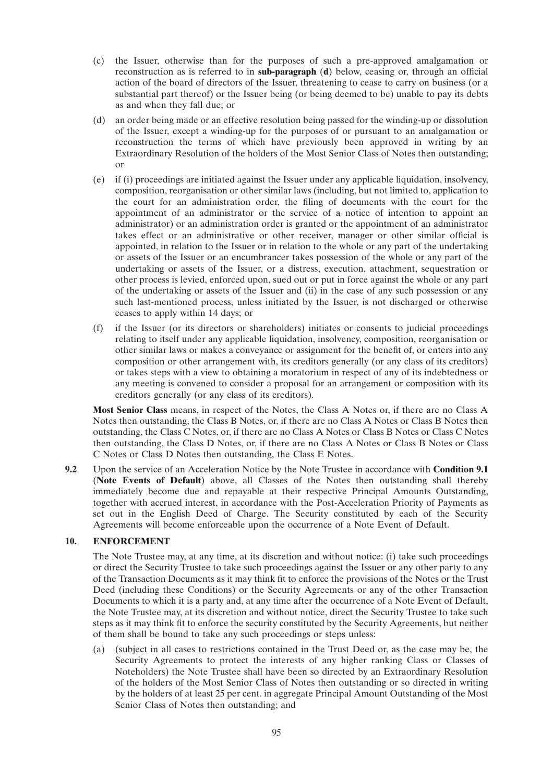- (c) the Issuer, otherwise than for the purposes of such a pre-approved amalgamation or reconstruction as is referred to in **sub-paragraph** (**d**) below, ceasing or, through an official action of the board of directors of the Issuer, threatening to cease to carry on business (or a substantial part thereof) or the Issuer being (or being deemed to be) unable to pay its debts as and when they fall due; or
- (d) an order being made or an effective resolution being passed for the winding-up or dissolution of the Issuer, except a winding-up for the purposes of or pursuant to an amalgamation or reconstruction the terms of which have previously been approved in writing by an Extraordinary Resolution of the holders of the Most Senior Class of Notes then outstanding; or
- (e) if (i) proceedings are initiated against the Issuer under any applicable liquidation, insolvency, composition, reorganisation or other similar laws (including, but not limited to, application to the court for an administration order, the filing of documents with the court for the appointment of an administrator or the service of a notice of intention to appoint an administrator) or an administration order is granted or the appointment of an administrator takes effect or an administrative or other receiver, manager or other similar official is appointed, in relation to the Issuer or in relation to the whole or any part of the undertaking or assets of the Issuer or an encumbrancer takes possession of the whole or any part of the undertaking or assets of the Issuer, or a distress, execution, attachment, sequestration or other process is levied, enforced upon, sued out or put in force against the whole or any part of the undertaking or assets of the Issuer and (ii) in the case of any such possession or any such last-mentioned process, unless initiated by the Issuer, is not discharged or otherwise ceases to apply within 14 days; or
- (f) if the Issuer (or its directors or shareholders) initiates or consents to judicial proceedings relating to itself under any applicable liquidation, insolvency, composition, reorganisation or other similar laws or makes a conveyance or assignment for the benefit of, or enters into any composition or other arrangement with, its creditors generally (or any class of its creditors) or takes steps with a view to obtaining a moratorium in respect of any of its indebtedness or any meeting is convened to consider a proposal for an arrangement or composition with its creditors generally (or any class of its creditors).

**Most Senior Class** means, in respect of the Notes, the Class A Notes or, if there are no Class A Notes then outstanding, the Class B Notes, or, if there are no Class A Notes or Class B Notes then outstanding, the Class C Notes, or, if there are no Class A Notes or Class B Notes or Class C Notes then outstanding, the Class D Notes, or, if there are no Class A Notes or Class B Notes or Class C Notes or Class D Notes then outstanding, the Class E Notes.

**9.2** Upon the service of an Acceleration Notice by the Note Trustee in accordance with **Condition 9.1** (**Note Events of Default**) above, all Classes of the Notes then outstanding shall thereby immediately become due and repayable at their respective Principal Amounts Outstanding, together with accrued interest, in accordance with the Post-Acceleration Priority of Payments as set out in the English Deed of Charge. The Security constituted by each of the Security Agreements will become enforceable upon the occurrence of a Note Event of Default.

# **10. ENFORCEMENT**

The Note Trustee may, at any time, at its discretion and without notice: (i) take such proceedings or direct the Security Trustee to take such proceedings against the Issuer or any other party to any of the Transaction Documents as it may think fit to enforce the provisions of the Notes or the Trust Deed (including these Conditions) or the Security Agreements or any of the other Transaction Documents to which it is a party and, at any time after the occurrence of a Note Event of Default, the Note Trustee may, at its discretion and without notice, direct the Security Trustee to take such steps as it may think fit to enforce the security constituted by the Security Agreements, but neither of them shall be bound to take any such proceedings or steps unless:

(a) (subject in all cases to restrictions contained in the Trust Deed or, as the case may be, the Security Agreements to protect the interests of any higher ranking Class or Classes of Noteholders) the Note Trustee shall have been so directed by an Extraordinary Resolution of the holders of the Most Senior Class of Notes then outstanding or so directed in writing by the holders of at least 25 per cent. in aggregate Principal Amount Outstanding of the Most Senior Class of Notes then outstanding; and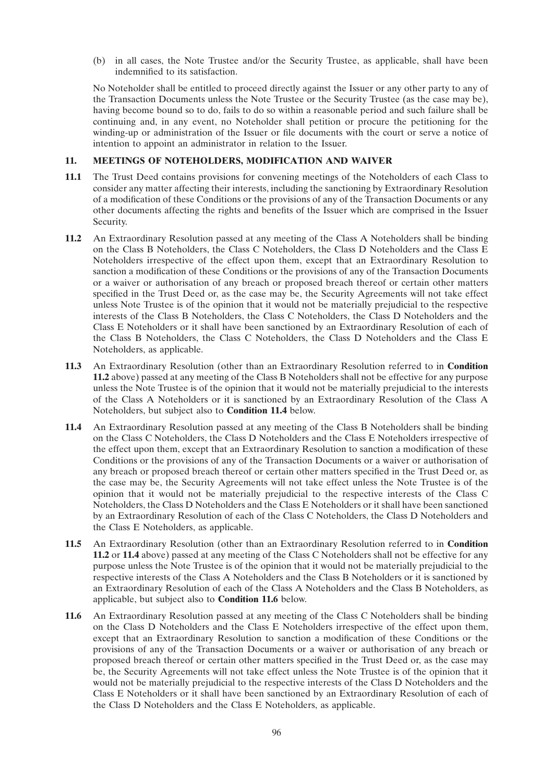(b) in all cases, the Note Trustee and/or the Security Trustee, as applicable, shall have been indemnified to its satisfaction.

No Noteholder shall be entitled to proceed directly against the Issuer or any other party to any of the Transaction Documents unless the Note Trustee or the Security Trustee (as the case may be), having become bound so to do, fails to do so within a reasonable period and such failure shall be continuing and, in any event, no Noteholder shall petition or procure the petitioning for the winding-up or administration of the Issuer or file documents with the court or serve a notice of intention to appoint an administrator in relation to the Issuer.

# **11. MEETINGS OF NOTEHOLDERS, MODIFICATION AND WAIVER**

- **11.1** The Trust Deed contains provisions for convening meetings of the Noteholders of each Class to consider any matter affecting their interests, including the sanctioning by Extraordinary Resolution of a modification of these Conditions or the provisions of any of the Transaction Documents or any other documents affecting the rights and benefits of the Issuer which are comprised in the Issuer Security.
- **11.2** An Extraordinary Resolution passed at any meeting of the Class A Noteholders shall be binding on the Class B Noteholders, the Class C Noteholders, the Class D Noteholders and the Class E Noteholders irrespective of the effect upon them, except that an Extraordinary Resolution to sanction a modification of these Conditions or the provisions of any of the Transaction Documents or a waiver or authorisation of any breach or proposed breach thereof or certain other matters specified in the Trust Deed or, as the case may be, the Security Agreements will not take effect unless Note Trustee is of the opinion that it would not be materially prejudicial to the respective interests of the Class B Noteholders, the Class C Noteholders, the Class D Noteholders and the Class E Noteholders or it shall have been sanctioned by an Extraordinary Resolution of each of the Class B Noteholders, the Class C Noteholders, the Class D Noteholders and the Class E Noteholders, as applicable.
- **11.3** An Extraordinary Resolution (other than an Extraordinary Resolution referred to in **Condition 11.2** above) passed at any meeting of the Class B Noteholders shall not be effective for any purpose unless the Note Trustee is of the opinion that it would not be materially prejudicial to the interests of the Class A Noteholders or it is sanctioned by an Extraordinary Resolution of the Class A Noteholders, but subject also to **Condition 11.4** below.
- **11.4** An Extraordinary Resolution passed at any meeting of the Class B Noteholders shall be binding on the Class C Noteholders, the Class D Noteholders and the Class E Noteholders irrespective of the effect upon them, except that an Extraordinary Resolution to sanction a modification of these Conditions or the provisions of any of the Transaction Documents or a waiver or authorisation of any breach or proposed breach thereof or certain other matters specified in the Trust Deed or, as the case may be, the Security Agreements will not take effect unless the Note Trustee is of the opinion that it would not be materially prejudicial to the respective interests of the Class C Noteholders, the Class D Noteholders and the Class E Noteholders or it shall have been sanctioned by an Extraordinary Resolution of each of the Class C Noteholders, the Class D Noteholders and the Class E Noteholders, as applicable.
- **11.5** An Extraordinary Resolution (other than an Extraordinary Resolution referred to in **Condition 11.2** or **11.4** above) passed at any meeting of the Class C Noteholders shall not be effective for any purpose unless the Note Trustee is of the opinion that it would not be materially prejudicial to the respective interests of the Class A Noteholders and the Class B Noteholders or it is sanctioned by an Extraordinary Resolution of each of the Class A Noteholders and the Class B Noteholders, as applicable, but subject also to **Condition 11.6** below.
- **11.6** An Extraordinary Resolution passed at any meeting of the Class C Noteholders shall be binding on the Class D Noteholders and the Class E Noteholders irrespective of the effect upon them, except that an Extraordinary Resolution to sanction a modification of these Conditions or the provisions of any of the Transaction Documents or a waiver or authorisation of any breach or proposed breach thereof or certain other matters specified in the Trust Deed or, as the case may be, the Security Agreements will not take effect unless the Note Trustee is of the opinion that it would not be materially prejudicial to the respective interests of the Class D Noteholders and the Class E Noteholders or it shall have been sanctioned by an Extraordinary Resolution of each of the Class D Noteholders and the Class E Noteholders, as applicable.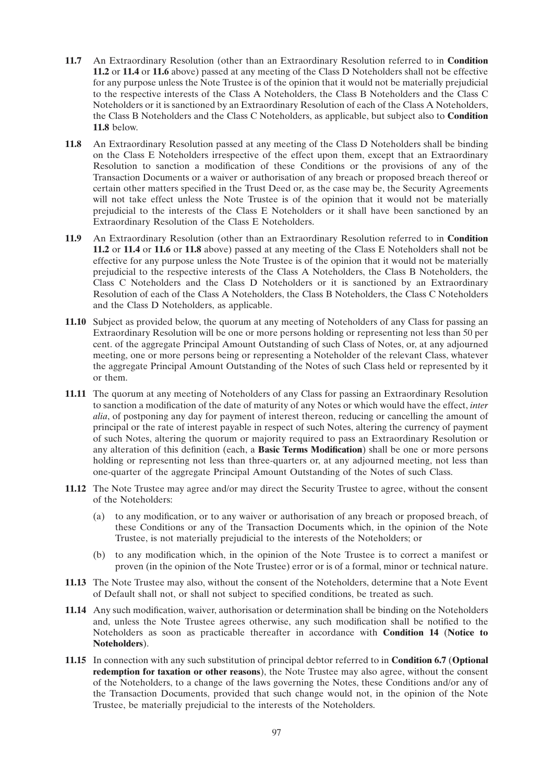- **11.7** An Extraordinary Resolution (other than an Extraordinary Resolution referred to in **Condition 11.2** or **11.4** or **11.6** above) passed at any meeting of the Class D Noteholders shall not be effective for any purpose unless the Note Trustee is of the opinion that it would not be materially prejudicial to the respective interests of the Class A Noteholders, the Class B Noteholders and the Class C Noteholders or it is sanctioned by an Extraordinary Resolution of each of the Class A Noteholders, the Class B Noteholders and the Class C Noteholders, as applicable, but subject also to **Condition 11.8** below.
- **11.8** An Extraordinary Resolution passed at any meeting of the Class D Noteholders shall be binding on the Class E Noteholders irrespective of the effect upon them, except that an Extraordinary Resolution to sanction a modification of these Conditions or the provisions of any of the Transaction Documents or a waiver or authorisation of any breach or proposed breach thereof or certain other matters specified in the Trust Deed or, as the case may be, the Security Agreements will not take effect unless the Note Trustee is of the opinion that it would not be materially prejudicial to the interests of the Class E Noteholders or it shall have been sanctioned by an Extraordinary Resolution of the Class E Noteholders.
- **11.9** An Extraordinary Resolution (other than an Extraordinary Resolution referred to in **Condition 11.2** or **11.4** or **11.6** or **11.8** above) passed at any meeting of the Class E Noteholders shall not be effective for any purpose unless the Note Trustee is of the opinion that it would not be materially prejudicial to the respective interests of the Class A Noteholders, the Class B Noteholders, the Class C Noteholders and the Class D Noteholders or it is sanctioned by an Extraordinary Resolution of each of the Class A Noteholders, the Class B Noteholders, the Class C Noteholders and the Class D Noteholders, as applicable.
- **11.10** Subject as provided below, the quorum at any meeting of Noteholders of any Class for passing an Extraordinary Resolution will be one or more persons holding or representing not less than 50 per cent. of the aggregate Principal Amount Outstanding of such Class of Notes, or, at any adjourned meeting, one or more persons being or representing a Noteholder of the relevant Class, whatever the aggregate Principal Amount Outstanding of the Notes of such Class held or represented by it or them.
- **11.11** The quorum at any meeting of Noteholders of any Class for passing an Extraordinary Resolution to sanction a modification of the date of maturity of any Notes or which would have the effect, *inter alia*, of postponing any day for payment of interest thereon, reducing or cancelling the amount of principal or the rate of interest payable in respect of such Notes, altering the currency of payment of such Notes, altering the quorum or majority required to pass an Extraordinary Resolution or any alteration of this definition (each, a **Basic Terms Modification**) shall be one or more persons holding or representing not less than three-quarters or, at any adjourned meeting, not less than one-quarter of the aggregate Principal Amount Outstanding of the Notes of such Class.
- **11.12** The Note Trustee may agree and/or may direct the Security Trustee to agree, without the consent of the Noteholders:
	- (a) to any modification, or to any waiver or authorisation of any breach or proposed breach, of these Conditions or any of the Transaction Documents which, in the opinion of the Note Trustee, is not materially prejudicial to the interests of the Noteholders; or
	- (b) to any modification which, in the opinion of the Note Trustee is to correct a manifest or proven (in the opinion of the Note Trustee) error or is of a formal, minor or technical nature.
- **11.13** The Note Trustee may also, without the consent of the Noteholders, determine that a Note Event of Default shall not, or shall not subject to specified conditions, be treated as such.
- **11.14** Any such modification, waiver, authorisation or determination shall be binding on the Noteholders and, unless the Note Trustee agrees otherwise, any such modification shall be notified to the Noteholders as soon as practicable thereafter in accordance with **Condition 14** (**Notice to Noteholders**).
- **11.15** In connection with any such substitution of principal debtor referred to in **Condition 6.7** (**Optional redemption for taxation or other reasons**), the Note Trustee may also agree, without the consent of the Noteholders, to a change of the laws governing the Notes, these Conditions and/or any of the Transaction Documents, provided that such change would not, in the opinion of the Note Trustee, be materially prejudicial to the interests of the Noteholders.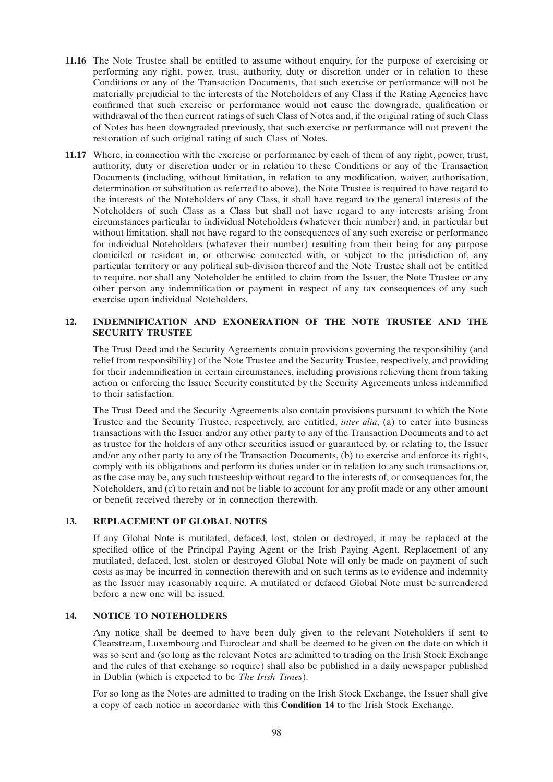- **11.16** The Note Trustee shall be entitled to assume without enquiry, for the purpose of exercising or performing any right, power, trust, authority, duty or discretion under or in relation to these Conditions or any of the Transaction Documents, that such exercise or performance will not be materially prejudicial to the interests of the Noteholders of any Class if the Rating Agencies have confirmed that such exercise or performance would not cause the downgrade, qualification or withdrawal of the then current ratings of such Class of Notes and, if the original rating of such Class of Notes has been downgraded previously, that such exercise or performance will not prevent the restoration of such original rating of such Class of Notes.
- **11.17** Where, in connection with the exercise or performance by each of them of any right, power, trust, authority, duty or discretion under or in relation to these Conditions or any of the Transaction Documents (including, without limitation, in relation to any modification, waiver, authorisation, determination or substitution as referred to above), the Note Trustee is required to have regard to the interests of the Noteholders of any Class, it shall have regard to the general interests of the Noteholders of such Class as a Class but shall not have regard to any interests arising from circumstances particular to individual Noteholders (whatever their number) and, in particular but without limitation, shall not have regard to the consequences of any such exercise or performance for individual Noteholders (whatever their number) resulting from their being for any purpose domiciled or resident in, or otherwise connected with, or subject to the jurisdiction of, any particular territory or any political sub-division thereof and the Note Trustee shall not be entitled to require, nor shall any Noteholder be entitled to claim from the Issuer, the Note Trustee or any other person any indemnification or payment in respect of any tax consequences of any such exercise upon individual Noteholders.

# **12. INDEMNIFICATION AND EXONERATION OF THE NOTE TRUSTEE AND THE SECURITY TRUSTEE**

The Trust Deed and the Security Agreements contain provisions governing the responsibility (and relief from responsibility) of the Note Trustee and the Security Trustee, respectively, and providing for their indemnification in certain circumstances, including provisions relieving them from taking action or enforcing the Issuer Security constituted by the Security Agreements unless indemnified to their satisfaction.

The Trust Deed and the Security Agreements also contain provisions pursuant to which the Note Trustee and the Security Trustee, respectively, are entitled, *inter alia*, (a) to enter into business transactions with the Issuer and/or any other party to any of the Transaction Documents and to act as trustee for the holders of any other securities issued or guaranteed by, or relating to, the Issuer and/or any other party to any of the Transaction Documents, (b) to exercise and enforce its rights, comply with its obligations and perform its duties under or in relation to any such transactions or, as the case may be, any such trusteeship without regard to the interests of, or consequences for, the Noteholders, and (c) to retain and not be liable to account for any profit made or any other amount or benefit received thereby or in connection therewith.

# **13. REPLACEMENT OF GLOBAL NOTES**

If any Global Note is mutilated, defaced, lost, stolen or destroyed, it may be replaced at the specified office of the Principal Paying Agent or the Irish Paying Agent. Replacement of any mutilated, defaced, lost, stolen or destroyed Global Note will only be made on payment of such costs as may be incurred in connection therewith and on such terms as to evidence and indemnity as the Issuer may reasonably require. A mutilated or defaced Global Note must be surrendered before a new one will be issued.

# **14. NOTICE TO NOTEHOLDERS**

Any notice shall be deemed to have been duly given to the relevant Noteholders if sent to Clearstream, Luxembourg and Euroclear and shall be deemed to be given on the date on which it was so sent and (so long as the relevant Notes are admitted to trading on the Irish Stock Exchange and the rules of that exchange so require) shall also be published in a daily newspaper published in Dublin (which is expected to be *The Irish Times*).

For so long as the Notes are admitted to trading on the Irish Stock Exchange, the Issuer shall give a copy of each notice in accordance with this **Condition 14** to the Irish Stock Exchange.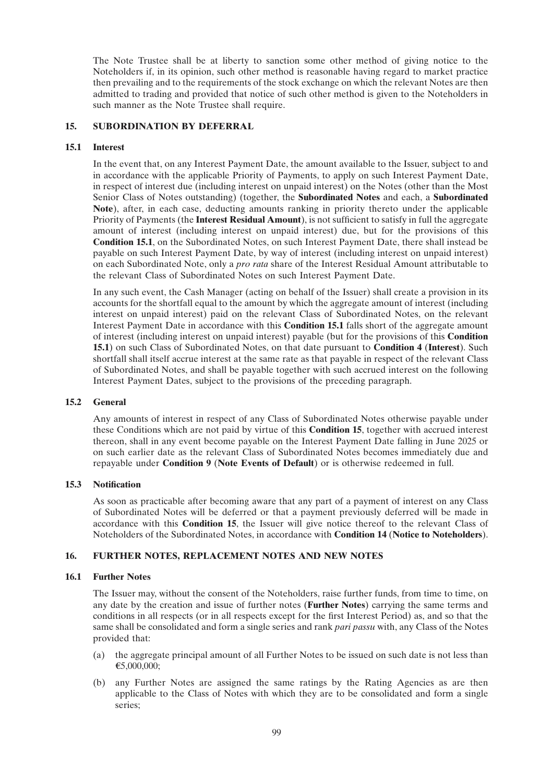The Note Trustee shall be at liberty to sanction some other method of giving notice to the Noteholders if, in its opinion, such other method is reasonable having regard to market practice then prevailing and to the requirements of the stock exchange on which the relevant Notes are then admitted to trading and provided that notice of such other method is given to the Noteholders in such manner as the Note Trustee shall require.

# **15. SUBORDINATION BY DEFERRAL**

# **15.1 Interest**

In the event that, on any Interest Payment Date, the amount available to the Issuer, subject to and in accordance with the applicable Priority of Payments, to apply on such Interest Payment Date, in respect of interest due (including interest on unpaid interest) on the Notes (other than the Most Senior Class of Notes outstanding) (together, the **Subordinated Notes** and each, a **Subordinated Note**), after, in each case, deducting amounts ranking in priority thereto under the applicable Priority of Payments (the **Interest Residual Amount**), is not sufficient to satisfy in full the aggregate amount of interest (including interest on unpaid interest) due, but for the provisions of this **Condition 15.1**, on the Subordinated Notes, on such Interest Payment Date, there shall instead be payable on such Interest Payment Date, by way of interest (including interest on unpaid interest) on each Subordinated Note, only a *pro rata* share of the Interest Residual Amount attributable to the relevant Class of Subordinated Notes on such Interest Payment Date.

In any such event, the Cash Manager (acting on behalf of the Issuer) shall create a provision in its accounts for the shortfall equal to the amount by which the aggregate amount of interest (including interest on unpaid interest) paid on the relevant Class of Subordinated Notes, on the relevant Interest Payment Date in accordance with this **Condition 15.1** falls short of the aggregate amount of interest (including interest on unpaid interest) payable (but for the provisions of this **Condition 15.1**) on such Class of Subordinated Notes, on that date pursuant to **Condition 4** (**Interest**). Such shortfall shall itself accrue interest at the same rate as that payable in respect of the relevant Class of Subordinated Notes, and shall be payable together with such accrued interest on the following Interest Payment Dates, subject to the provisions of the preceding paragraph.

# **15.2 General**

Any amounts of interest in respect of any Class of Subordinated Notes otherwise payable under these Conditions which are not paid by virtue of this **Condition 15**, together with accrued interest thereon, shall in any event become payable on the Interest Payment Date falling in June 2025 or on such earlier date as the relevant Class of Subordinated Notes becomes immediately due and repayable under **Condition 9** (**Note Events of Default**) or is otherwise redeemed in full.

# **15.3 Notification**

As soon as practicable after becoming aware that any part of a payment of interest on any Class of Subordinated Notes will be deferred or that a payment previously deferred will be made in accordance with this **Condition 15**, the Issuer will give notice thereof to the relevant Class of Noteholders of the Subordinated Notes, in accordance with **Condition 14** (**Notice to Noteholders**).

# **16. FURTHER NOTES, REPLACEMENT NOTES AND NEW NOTES**

# **16.1 Further Notes**

The Issuer may, without the consent of the Noteholders, raise further funds, from time to time, on any date by the creation and issue of further notes (**Further Notes**) carrying the same terms and conditions in all respects (or in all respects except for the first Interest Period) as, and so that the same shall be consolidated and form a single series and rank *pari passu* with, any Class of the Notes provided that:

- (a) the aggregate principal amount of all Further Notes to be issued on such date is not less than €5,000,000;
- (b) any Further Notes are assigned the same ratings by the Rating Agencies as are then applicable to the Class of Notes with which they are to be consolidated and form a single series;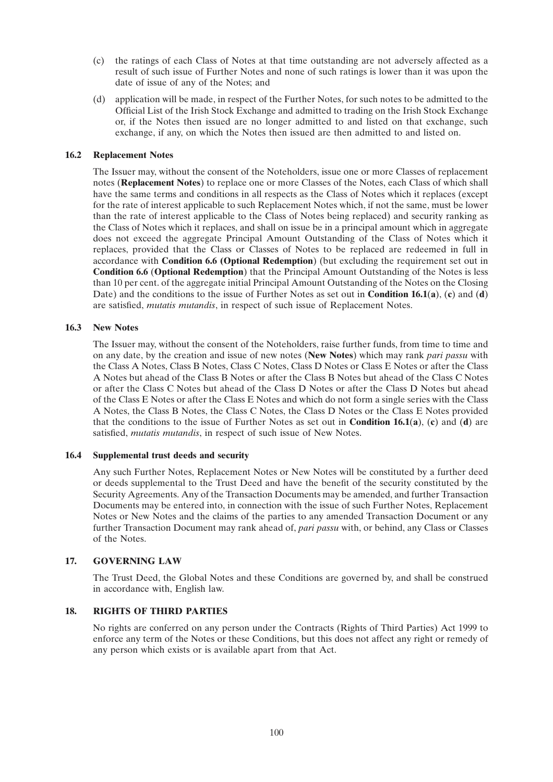- (c) the ratings of each Class of Notes at that time outstanding are not adversely affected as a result of such issue of Further Notes and none of such ratings is lower than it was upon the date of issue of any of the Notes; and
- (d) application will be made, in respect of the Further Notes, for such notes to be admitted to the Official List of the Irish Stock Exchange and admitted to trading on the Irish Stock Exchange or, if the Notes then issued are no longer admitted to and listed on that exchange, such exchange, if any, on which the Notes then issued are then admitted to and listed on.

### **16.2 Replacement Notes**

The Issuer may, without the consent of the Noteholders, issue one or more Classes of replacement notes (**Replacement Notes**) to replace one or more Classes of the Notes, each Class of which shall have the same terms and conditions in all respects as the Class of Notes which it replaces (except for the rate of interest applicable to such Replacement Notes which, if not the same, must be lower than the rate of interest applicable to the Class of Notes being replaced) and security ranking as the Class of Notes which it replaces, and shall on issue be in a principal amount which in aggregate does not exceed the aggregate Principal Amount Outstanding of the Class of Notes which it replaces, provided that the Class or Classes of Notes to be replaced are redeemed in full in accordance with **Condition 6.6 (Optional Redemption**) (but excluding the requirement set out in **Condition 6.6** (**Optional Redemption**) that the Principal Amount Outstanding of the Notes is less than 10 per cent. of the aggregate initial Principal Amount Outstanding of the Notes on the Closing Date) and the conditions to the issue of Further Notes as set out in **Condition 16.1**(**a**), (**c**) and (**d**) are satisfied, *mutatis mutandis*, in respect of such issue of Replacement Notes.

#### **16.3 New Notes**

The Issuer may, without the consent of the Noteholders, raise further funds, from time to time and on any date, by the creation and issue of new notes (**New Notes**) which may rank *pari passu* with the Class A Notes, Class B Notes, Class C Notes, Class D Notes or Class E Notes or after the Class A Notes but ahead of the Class B Notes or after the Class B Notes but ahead of the Class C Notes or after the Class C Notes but ahead of the Class D Notes or after the Class D Notes but ahead of the Class E Notes or after the Class E Notes and which do not form a single series with the Class A Notes, the Class B Notes, the Class C Notes, the Class D Notes or the Class E Notes provided that the conditions to the issue of Further Notes as set out in **Condition 16.1**(**a**), (**c**) and (**d**) are satisfied, *mutatis mutandis*, in respect of such issue of New Notes.

#### **16.4 Supplemental trust deeds and security**

Any such Further Notes, Replacement Notes or New Notes will be constituted by a further deed or deeds supplemental to the Trust Deed and have the benefit of the security constituted by the Security Agreements. Any of the Transaction Documents may be amended, and further Transaction Documents may be entered into, in connection with the issue of such Further Notes, Replacement Notes or New Notes and the claims of the parties to any amended Transaction Document or any further Transaction Document may rank ahead of, *pari passu* with, or behind, any Class or Classes of the Notes.

# **17. GOVERNING LAW**

The Trust Deed, the Global Notes and these Conditions are governed by, and shall be construed in accordance with, English law.

# **18. RIGHTS OF THIRD PARTIES**

No rights are conferred on any person under the Contracts (Rights of Third Parties) Act 1999 to enforce any term of the Notes or these Conditions, but this does not affect any right or remedy of any person which exists or is available apart from that Act.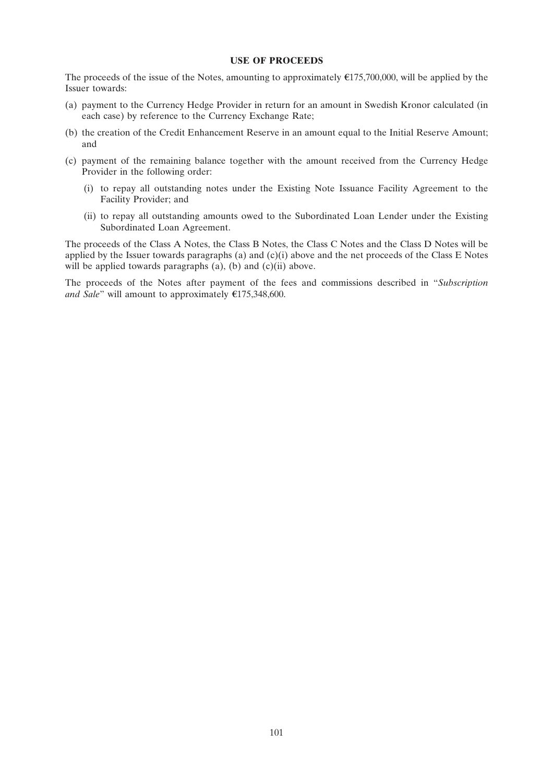#### **USE OF PROCEEDS**

The proceeds of the issue of the Notes, amounting to approximately  $\epsilon$ 175,700,000, will be applied by the Issuer towards:

- (a) payment to the Currency Hedge Provider in return for an amount in Swedish Kronor calculated (in each case) by reference to the Currency Exchange Rate;
- (b) the creation of the Credit Enhancement Reserve in an amount equal to the Initial Reserve Amount; and
- (c) payment of the remaining balance together with the amount received from the Currency Hedge Provider in the following order:
	- (i) to repay all outstanding notes under the Existing Note Issuance Facility Agreement to the Facility Provider; and
	- (ii) to repay all outstanding amounts owed to the Subordinated Loan Lender under the Existing Subordinated Loan Agreement.

The proceeds of the Class A Notes, the Class B Notes, the Class C Notes and the Class D Notes will be applied by the Issuer towards paragraphs (a) and  $(c)(i)$  above and the net proceeds of the Class E Notes will be applied towards paragraphs  $(a)$ ,  $(b)$  and  $(c)(ii)$  above.

The proceeds of the Notes after payment of the fees and commissions described in ''*Subscription and Sale*" will amount to approximately  $\epsilon$ 175,348,600.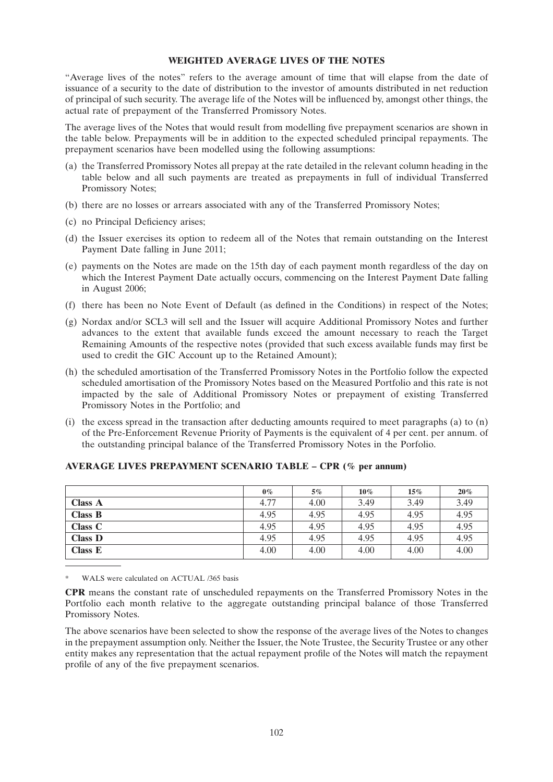#### **WEIGHTED AVERAGE LIVES OF THE NOTES**

''Average lives of the notes'' refers to the average amount of time that will elapse from the date of issuance of a security to the date of distribution to the investor of amounts distributed in net reduction of principal of such security. The average life of the Notes will be influenced by, amongst other things, the actual rate of prepayment of the Transferred Promissory Notes.

The average lives of the Notes that would result from modelling five prepayment scenarios are shown in the table below. Prepayments will be in addition to the expected scheduled principal repayments. The prepayment scenarios have been modelled using the following assumptions:

- (a) the Transferred Promissory Notes all prepay at the rate detailed in the relevant column heading in the table below and all such payments are treated as prepayments in full of individual Transferred Promissory Notes;
- (b) there are no losses or arrears associated with any of the Transferred Promissory Notes;
- (c) no Principal Deficiency arises;
- (d) the Issuer exercises its option to redeem all of the Notes that remain outstanding on the Interest Payment Date falling in June 2011;
- (e) payments on the Notes are made on the 15th day of each payment month regardless of the day on which the Interest Payment Date actually occurs, commencing on the Interest Payment Date falling in August 2006;
- (f) there has been no Note Event of Default (as defined in the Conditions) in respect of the Notes;
- (g) Nordax and/or SCL3 will sell and the Issuer will acquire Additional Promissory Notes and further advances to the extent that available funds exceed the amount necessary to reach the Target Remaining Amounts of the respective notes (provided that such excess available funds may first be used to credit the GIC Account up to the Retained Amount);
- (h) the scheduled amortisation of the Transferred Promissory Notes in the Portfolio follow the expected scheduled amortisation of the Promissory Notes based on the Measured Portfolio and this rate is not impacted by the sale of Additional Promissory Notes or prepayment of existing Transferred Promissory Notes in the Portfolio; and
- (i) the excess spread in the transaction after deducting amounts required to meet paragraphs (a) to (n) of the Pre-Enforcement Revenue Priority of Payments is the equivalent of 4 per cent. per annum. of the outstanding principal balance of the Transferred Promissory Notes in the Porfolio.

|                | $0\%$ | 5%   | $10\%$ | 15%  | 20%  |
|----------------|-------|------|--------|------|------|
| <b>Class A</b> | 4.77  | 4.00 | 3.49   | 3.49 | 3.49 |
| <b>Class B</b> | 4.95  | 4.95 | 4.95   | 4.95 | 4.95 |
| <b>Class C</b> | 4.95  | 4.95 | 4.95   | 4.95 | 4.95 |
| <b>Class D</b> | 4.95  | 4.95 | 4.95   | 4.95 | 4.95 |
| Class E        | 4.00  | 4.00 | 4.00   | 4.00 | 4.00 |

# **AVERAGE LIVES PREPAYMENT SCENARIO TABLE – CPR (% per annum)**

WALS were calculated on ACTUAL /365 basis

**CPR** means the constant rate of unscheduled repayments on the Transferred Promissory Notes in the Portfolio each month relative to the aggregate outstanding principal balance of those Transferred Promissory Notes.

The above scenarios have been selected to show the response of the average lives of the Notes to changes in the prepayment assumption only. Neither the Issuer, the Note Trustee, the Security Trustee or any other entity makes any representation that the actual repayment profile of the Notes will match the repayment profile of any of the five prepayment scenarios.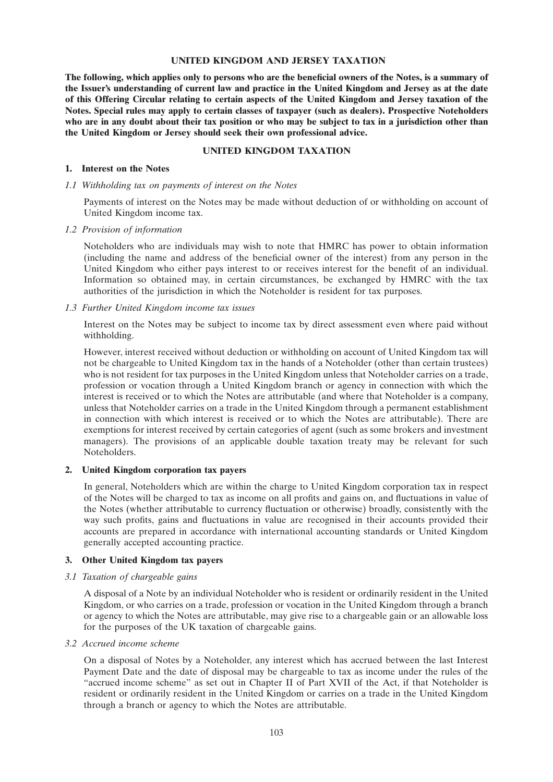#### **UNITED KINGDOM AND JERSEY TAXATION**

**The following, which applies only to persons who are the beneficial owners of the Notes, is a summary of the Issuer's understanding of current law and practice in the United Kingdom and Jersey as at the date of this Offering Circular relating to certain aspects of the United Kingdom and Jersey taxation of the Notes. Special rules may apply to certain classes of taxpayer (such as dealers). Prospective Noteholders who are in any doubt about their tax position or who may be subject to tax in a jurisdiction other than the United Kingdom or Jersey should seek their own professional advice.**

### **UNITED KINGDOM TAXATION**

#### **1. Interest on the Notes**

*1.1 Withholding tax on payments of interest on the Notes*

Payments of interest on the Notes may be made without deduction of or withholding on account of United Kingdom income tax.

#### *1.2 Provision of information*

Noteholders who are individuals may wish to note that HMRC has power to obtain information (including the name and address of the beneficial owner of the interest) from any person in the United Kingdom who either pays interest to or receives interest for the benefit of an individual. Information so obtained may, in certain circumstances, be exchanged by HMRC with the tax authorities of the jurisdiction in which the Noteholder is resident for tax purposes.

#### *1.3 Further United Kingdom income tax issues*

Interest on the Notes may be subject to income tax by direct assessment even where paid without withholding.

However, interest received without deduction or withholding on account of United Kingdom tax will not be chargeable to United Kingdom tax in the hands of a Noteholder (other than certain trustees) who is not resident for tax purposes in the United Kingdom unless that Noteholder carries on a trade, profession or vocation through a United Kingdom branch or agency in connection with which the interest is received or to which the Notes are attributable (and where that Noteholder is a company, unless that Noteholder carries on a trade in the United Kingdom through a permanent establishment in connection with which interest is received or to which the Notes are attributable). There are exemptions for interest received by certain categories of agent (such as some brokers and investment managers). The provisions of an applicable double taxation treaty may be relevant for such Noteholders.

# **2. United Kingdom corporation tax payers**

In general, Noteholders which are within the charge to United Kingdom corporation tax in respect of the Notes will be charged to tax as income on all profits and gains on, and fluctuations in value of the Notes (whether attributable to currency fluctuation or otherwise) broadly, consistently with the way such profits, gains and fluctuations in value are recognised in their accounts provided their accounts are prepared in accordance with international accounting standards or United Kingdom generally accepted accounting practice.

# **3. Other United Kingdom tax payers**

# *3.1 Taxation of chargeable gains*

A disposal of a Note by an individual Noteholder who is resident or ordinarily resident in the United Kingdom, or who carries on a trade, profession or vocation in the United Kingdom through a branch or agency to which the Notes are attributable, may give rise to a chargeable gain or an allowable loss for the purposes of the UK taxation of chargeable gains.

*3.2 Accrued income scheme*

On a disposal of Notes by a Noteholder, any interest which has accrued between the last Interest Payment Date and the date of disposal may be chargeable to tax as income under the rules of the ''accrued income scheme'' as set out in Chapter II of Part XVII of the Act, if that Noteholder is resident or ordinarily resident in the United Kingdom or carries on a trade in the United Kingdom through a branch or agency to which the Notes are attributable.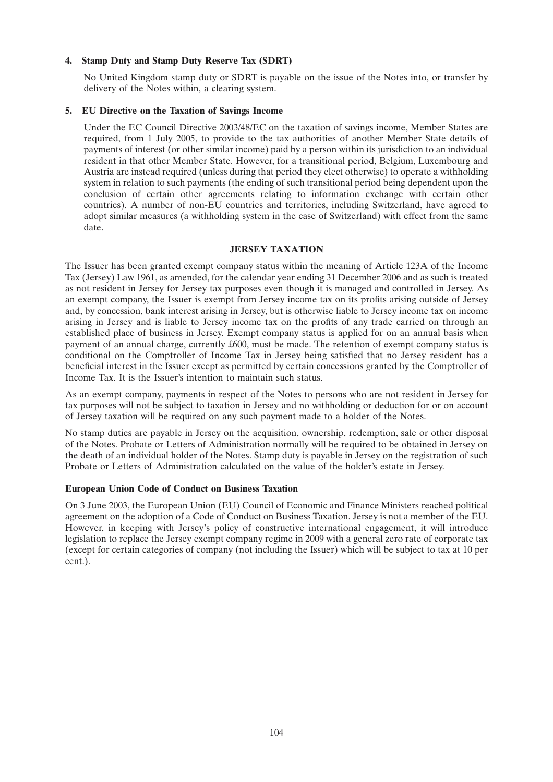# **4. Stamp Duty and Stamp Duty Reserve Tax (SDRT)**

No United Kingdom stamp duty or SDRT is payable on the issue of the Notes into, or transfer by delivery of the Notes within, a clearing system.

# **5. EU Directive on the Taxation of Savings Income**

Under the EC Council Directive 2003/48/EC on the taxation of savings income, Member States are required, from 1 July 2005, to provide to the tax authorities of another Member State details of payments of interest (or other similar income) paid by a person within its jurisdiction to an individual resident in that other Member State. However, for a transitional period, Belgium, Luxembourg and Austria are instead required (unless during that period they elect otherwise) to operate a withholding system in relation to such payments (the ending of such transitional period being dependent upon the conclusion of certain other agreements relating to information exchange with certain other countries). A number of non-EU countries and territories, including Switzerland, have agreed to adopt similar measures (a withholding system in the case of Switzerland) with effect from the same date.

# **JERSEY TAXATION**

The Issuer has been granted exempt company status within the meaning of Article 123A of the Income Tax (Jersey) Law 1961, as amended, for the calendar year ending 31 December 2006 and as such is treated as not resident in Jersey for Jersey tax purposes even though it is managed and controlled in Jersey. As an exempt company, the Issuer is exempt from Jersey income tax on its profits arising outside of Jersey and, by concession, bank interest arising in Jersey, but is otherwise liable to Jersey income tax on income arising in Jersey and is liable to Jersey income tax on the profits of any trade carried on through an established place of business in Jersey. Exempt company status is applied for on an annual basis when payment of an annual charge, currently £600, must be made. The retention of exempt company status is conditional on the Comptroller of Income Tax in Jersey being satisfied that no Jersey resident has a beneficial interest in the Issuer except as permitted by certain concessions granted by the Comptroller of Income Tax. It is the Issuer's intention to maintain such status.

As an exempt company, payments in respect of the Notes to persons who are not resident in Jersey for tax purposes will not be subject to taxation in Jersey and no withholding or deduction for or on account of Jersey taxation will be required on any such payment made to a holder of the Notes.

No stamp duties are payable in Jersey on the acquisition, ownership, redemption, sale or other disposal of the Notes. Probate or Letters of Administration normally will be required to be obtained in Jersey on the death of an individual holder of the Notes. Stamp duty is payable in Jersey on the registration of such Probate or Letters of Administration calculated on the value of the holder's estate in Jersey.

# **European Union Code of Conduct on Business Taxation**

On 3 June 2003, the European Union (EU) Council of Economic and Finance Ministers reached political agreement on the adoption of a Code of Conduct on Business Taxation. Jersey is not a member of the EU. However, in keeping with Jersey's policy of constructive international engagement, it will introduce legislation to replace the Jersey exempt company regime in 2009 with a general zero rate of corporate tax (except for certain categories of company (not including the Issuer) which will be subject to tax at 10 per cent.).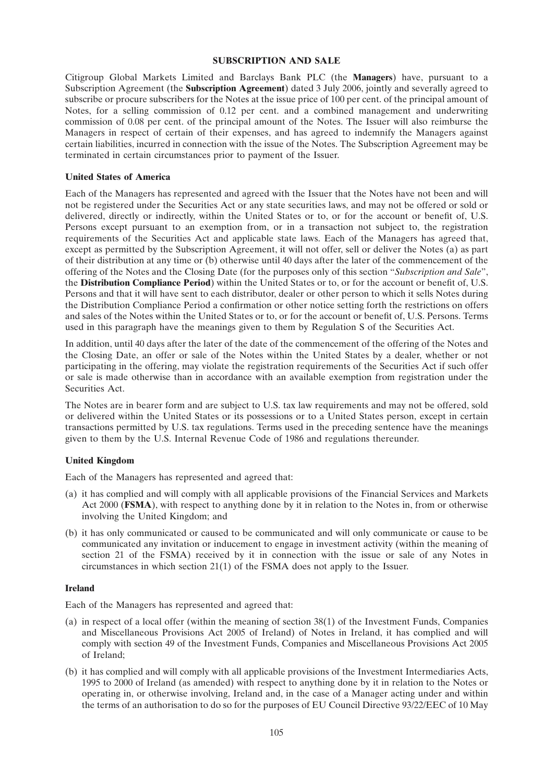#### **SUBSCRIPTION AND SALE**

Citigroup Global Markets Limited and Barclays Bank PLC (the **Managers**) have, pursuant to a Subscription Agreement (the **Subscription Agreement**) dated 3 July 2006, jointly and severally agreed to subscribe or procure subscribers for the Notes at the issue price of 100 per cent. of the principal amount of Notes, for a selling commission of 0.12 per cent. and a combined management and underwriting commission of 0.08 per cent. of the principal amount of the Notes. The Issuer will also reimburse the Managers in respect of certain of their expenses, and has agreed to indemnify the Managers against certain liabilities, incurred in connection with the issue of the Notes. The Subscription Agreement may be terminated in certain circumstances prior to payment of the Issuer.

### **United States of America**

Each of the Managers has represented and agreed with the Issuer that the Notes have not been and will not be registered under the Securities Act or any state securities laws, and may not be offered or sold or delivered, directly or indirectly, within the United States or to, or for the account or benefit of, U.S. Persons except pursuant to an exemption from, or in a transaction not subject to, the registration requirements of the Securities Act and applicable state laws. Each of the Managers has agreed that, except as permitted by the Subscription Agreement, it will not offer, sell or deliver the Notes (a) as part of their distribution at any time or (b) otherwise until 40 days after the later of the commencement of the offering of the Notes and the Closing Date (for the purposes only of this section ''*Subscription and Sale*'', the **Distribution Compliance Period**) within the United States or to, or for the account or benefit of, U.S. Persons and that it will have sent to each distributor, dealer or other person to which it sells Notes during the Distribution Compliance Period a confirmation or other notice setting forth the restrictions on offers and sales of the Notes within the United States or to, or for the account or benefit of, U.S. Persons. Terms used in this paragraph have the meanings given to them by Regulation S of the Securities Act.

In addition, until 40 days after the later of the date of the commencement of the offering of the Notes and the Closing Date, an offer or sale of the Notes within the United States by a dealer, whether or not participating in the offering, may violate the registration requirements of the Securities Act if such offer or sale is made otherwise than in accordance with an available exemption from registration under the Securities Act.

The Notes are in bearer form and are subject to U.S. tax law requirements and may not be offered, sold or delivered within the United States or its possessions or to a United States person, except in certain transactions permitted by U.S. tax regulations. Terms used in the preceding sentence have the meanings given to them by the U.S. Internal Revenue Code of 1986 and regulations thereunder.

# **United Kingdom**

Each of the Managers has represented and agreed that:

- (a) it has complied and will comply with all applicable provisions of the Financial Services and Markets Act 2000 (**FSMA**), with respect to anything done by it in relation to the Notes in, from or otherwise involving the United Kingdom; and
- (b) it has only communicated or caused to be communicated and will only communicate or cause to be communicated any invitation or inducement to engage in investment activity (within the meaning of section 21 of the FSMA) received by it in connection with the issue or sale of any Notes in circumstances in which section 21(1) of the FSMA does not apply to the Issuer.

# **Ireland**

Each of the Managers has represented and agreed that:

- (a) in respect of a local offer (within the meaning of section 38(1) of the Investment Funds, Companies and Miscellaneous Provisions Act 2005 of Ireland) of Notes in Ireland, it has complied and will comply with section 49 of the Investment Funds, Companies and Miscellaneous Provisions Act 2005 of Ireland;
- (b) it has complied and will comply with all applicable provisions of the Investment Intermediaries Acts, 1995 to 2000 of Ireland (as amended) with respect to anything done by it in relation to the Notes or operating in, or otherwise involving, Ireland and, in the case of a Manager acting under and within the terms of an authorisation to do so for the purposes of EU Council Directive 93/22/EEC of 10 May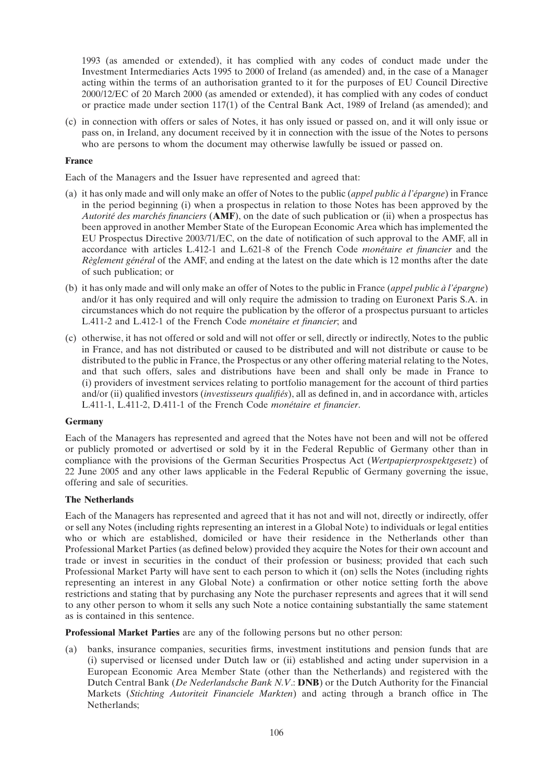1993 (as amended or extended), it has complied with any codes of conduct made under the Investment Intermediaries Acts 1995 to 2000 of Ireland (as amended) and, in the case of a Manager acting within the terms of an authorisation granted to it for the purposes of EU Council Directive 2000/12/EC of 20 March 2000 (as amended or extended), it has complied with any codes of conduct or practice made under section 117(1) of the Central Bank Act, 1989 of Ireland (as amended); and

(c) in connection with offers or sales of Notes, it has only issued or passed on, and it will only issue or pass on, in Ireland, any document received by it in connection with the issue of the Notes to persons who are persons to whom the document may otherwise lawfully be issued or passed on.

# **France**

Each of the Managers and the Issuer have represented and agreed that:

- (a) it has only made and will only make an offer of Notes to the public (*appel public à l'épargne*) in France in the period beginning (i) when a prospectus in relation to those Notes has been approved by the *Autorité des marchés financiers* (**AMF**), on the date of such publication or (ii) when a prospectus has been approved in another Member State of the European Economic Area which has implemented the EU Prospectus Directive 2003/71/EC, on the date of notification of such approval to the AMF, all in accordance with articles L.412-1 and L.621-8 of the French Code *monétaire et financier* and the *Règlement général* of the AMF, and ending at the latest on the date which is 12 months after the date of such publication; or
- (b) it has only made and will only make an offer of Notes to the public in France (*appel public à l'épargne*) and/or it has only required and will only require the admission to trading on Euronext Paris S.A. in circumstances which do not require the publication by the offeror of a prospectus pursuant to articles L.411-2 and L.412-1 of the French Code *monétaire et financier*; and
- (c) otherwise, it has not offered or sold and will not offer or sell, directly or indirectly, Notes to the public in France, and has not distributed or caused to be distributed and will not distribute or cause to be distributed to the public in France, the Prospectus or any other offering material relating to the Notes, and that such offers, sales and distributions have been and shall only be made in France to (i) providers of investment services relating to portfolio management for the account of third parties and/or (ii) qualified investors (*investisseurs qualifiés*), all as defined in, and in accordance with, articles L.411-1, L.411-2, D.411-1 of the French Code *monétaire et financier*.

# **Germany**

Each of the Managers has represented and agreed that the Notes have not been and will not be offered or publicly promoted or advertised or sold by it in the Federal Republic of Germany other than in compliance with the provisions of the German Securities Prospectus Act (*Wertpapierprospektgesetz*) of 22 June 2005 and any other laws applicable in the Federal Republic of Germany governing the issue, offering and sale of securities.

# **The Netherlands**

Each of the Managers has represented and agreed that it has not and will not, directly or indirectly, offer or sell any Notes (including rights representing an interest in a Global Note) to individuals or legal entities who or which are established, domiciled or have their residence in the Netherlands other than Professional Market Parties (as defined below) provided they acquire the Notes for their own account and trade or invest in securities in the conduct of their profession or business; provided that each such Professional Market Party will have sent to each person to which it (on) sells the Notes (including rights representing an interest in any Global Note) a confirmation or other notice setting forth the above restrictions and stating that by purchasing any Note the purchaser represents and agrees that it will send to any other person to whom it sells any such Note a notice containing substantially the same statement as is contained in this sentence.

**Professional Market Parties** are any of the following persons but no other person:

(a) banks, insurance companies, securities firms, investment institutions and pension funds that are (i) supervised or licensed under Dutch law or (ii) established and acting under supervision in a European Economic Area Member State (other than the Netherlands) and registered with the Dutch Central Bank (*De Nederlandsche Bank N.V*.: **DNB**) or the Dutch Authority for the Financial Markets (*Stichting Autoriteit Financiele Markten*) and acting through a branch office in The Netherlands;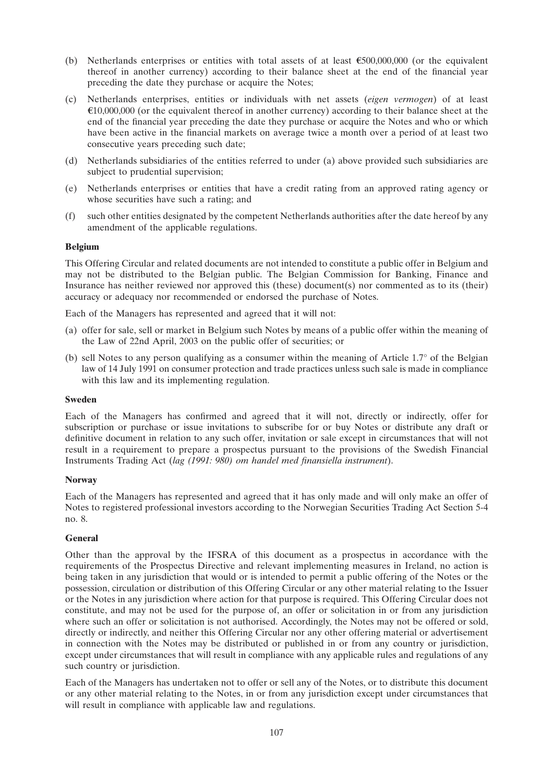- (b) Netherlands enterprises or entities with total assets of at least  $\epsilon$ 500,000,000 (or the equivalent thereof in another currency) according to their balance sheet at the end of the financial year preceding the date they purchase or acquire the Notes;
- (c) Netherlands enterprises, entities or individuals with net assets (*eigen vermogen*) of at least  $\epsilon$ 10,000,000 (or the equivalent thereof in another currency) according to their balance sheet at the end of the financial year preceding the date they purchase or acquire the Notes and who or which have been active in the financial markets on average twice a month over a period of at least two consecutive years preceding such date;
- (d) Netherlands subsidiaries of the entities referred to under (a) above provided such subsidiaries are subject to prudential supervision;
- (e) Netherlands enterprises or entities that have a credit rating from an approved rating agency or whose securities have such a rating; and
- (f) such other entities designated by the competent Netherlands authorities after the date hereof by any amendment of the applicable regulations.

# **Belgium**

This Offering Circular and related documents are not intended to constitute a public offer in Belgium and may not be distributed to the Belgian public. The Belgian Commission for Banking, Finance and Insurance has neither reviewed nor approved this (these) document(s) nor commented as to its (their) accuracy or adequacy nor recommended or endorsed the purchase of Notes.

Each of the Managers has represented and agreed that it will not:

- (a) offer for sale, sell or market in Belgium such Notes by means of a public offer within the meaning of the Law of 22nd April, 2003 on the public offer of securities; or
- (b) sell Notes to any person qualifying as a consumer within the meaning of Article 1.7° of the Belgian law of 14 July 1991 on consumer protection and trade practices unless such sale is made in compliance with this law and its implementing regulation.

# **Sweden**

Each of the Managers has confirmed and agreed that it will not, directly or indirectly, offer for subscription or purchase or issue invitations to subscribe for or buy Notes or distribute any draft or definitive document in relation to any such offer, invitation or sale except in circumstances that will not result in a requirement to prepare a prospectus pursuant to the provisions of the Swedish Financial Instruments Trading Act (*lag (1991: 980) om handel med finansiella instrument*).

# **Norway**

Each of the Managers has represented and agreed that it has only made and will only make an offer of Notes to registered professional investors according to the Norwegian Securities Trading Act Section 5-4 no. 8.

# **General**

Other than the approval by the IFSRA of this document as a prospectus in accordance with the requirements of the Prospectus Directive and relevant implementing measures in Ireland, no action is being taken in any jurisdiction that would or is intended to permit a public offering of the Notes or the possession, circulation or distribution of this Offering Circular or any other material relating to the Issuer or the Notes in any jurisdiction where action for that purpose is required. This Offering Circular does not constitute, and may not be used for the purpose of, an offer or solicitation in or from any jurisdiction where such an offer or solicitation is not authorised. Accordingly, the Notes may not be offered or sold, directly or indirectly, and neither this Offering Circular nor any other offering material or advertisement in connection with the Notes may be distributed or published in or from any country or jurisdiction, except under circumstances that will result in compliance with any applicable rules and regulations of any such country or jurisdiction.

Each of the Managers has undertaken not to offer or sell any of the Notes, or to distribute this document or any other material relating to the Notes, in or from any jurisdiction except under circumstances that will result in compliance with applicable law and regulations.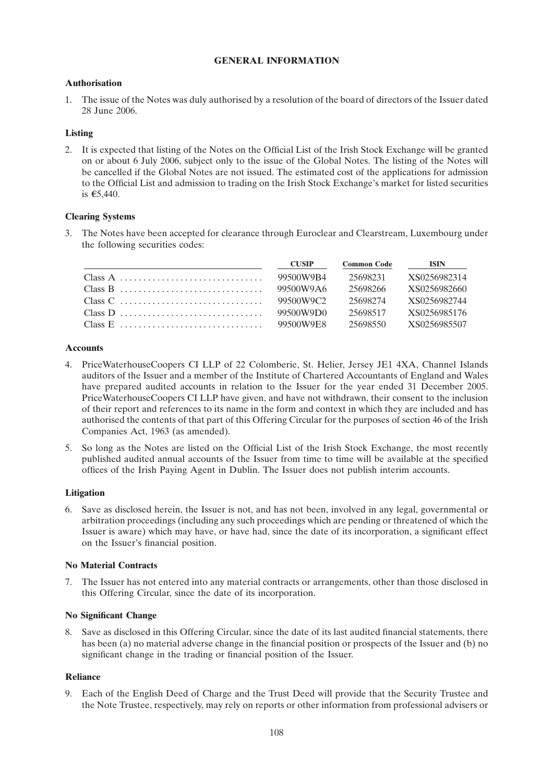### **GENERAL INFORMATION**

### **Authorisation**

1. The issue of the Notes was duly authorised by a resolution of the board of directors of the Issuer dated 28 June 2006.

### **Listing**

2. It is expected that listing of the Notes on the Official List of the Irish Stock Exchange will be granted on or about 6 July 2006, subject only to the issue of the Global Notes. The listing of the Notes will be cancelled if the Global Notes are not issued. The estimated cost of the applications for admission to the Official List and admission to trading on the Irish Stock Exchange's market for listed securities is €5,440.

### **Clearing Systems**

3. The Notes have been accepted for clearance through Euroclear and Clearstream, Luxembourg under the following securities codes:

| <b>CUSIP</b> | <b>Common Code</b> | <b>ISIN</b>  |
|--------------|--------------------|--------------|
| 99500W9B4    | 25698231           | XS0256982314 |
| 99500W9A6    | 25698266           | XS0256982660 |
| 99500W9C2    | 25698274           | XS0256982744 |
| 99500W9D0    | 25698517           | XS0256985176 |
| 99500W9E8    | 25698550           | XS0256985507 |

### **Accounts**

- 4. PriceWaterhouseCoopers CI LLP of 22 Colomberie, St. Helier, Jersey JE1 4XA, Channel Islands auditors of the Issuer and a member of the Institute of Chartered Accountants of England and Wales have prepared audited accounts in relation to the Issuer for the year ended 31 December 2005. PriceWaterhouseCoopers CI LLP have given, and have not withdrawn, their consent to the inclusion of their report and references to its name in the form and context in which they are included and has authorised the contents of that part of this Offering Circular for the purposes of section 46 of the Irish Companies Act, 1963 (as amended).
- 5. So long as the Notes are listed on the Official List of the Irish Stock Exchange, the most recently published audited annual accounts of the Issuer from time to time will be available at the specified offices of the Irish Paying Agent in Dublin. The Issuer does not publish interim accounts.

### **Litigation**

6. Save as disclosed herein, the Issuer is not, and has not been, involved in any legal, governmental or arbitration proceedings (including any such proceedings which are pending or threatened of which the Issuer is aware) which may have, or have had, since the date of its incorporation, a significant effect on the Issuer's financial position.

### **No Material Contracts**

7. The Issuer has not entered into any material contracts or arrangements, other than those disclosed in this Offering Circular, since the date of its incorporation.

### **No Significant Change**

8. Save as disclosed in this Offering Circular, since the date of its last audited financial statements, there has been (a) no material adverse change in the financial position or prospects of the Issuer and (b) no significant change in the trading or financial position of the Issuer.

### **Reliance**

9. Each of the English Deed of Charge and the Trust Deed will provide that the Security Trustee and the Note Trustee, respectively, may rely on reports or other information from professional advisers or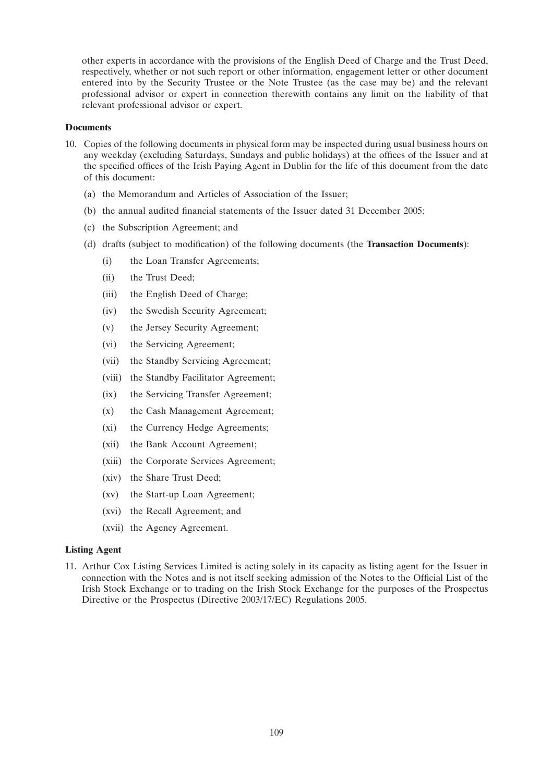other experts in accordance with the provisions of the English Deed of Charge and the Trust Deed, respectively, whether or not such report or other information, engagement letter or other document entered into by the Security Trustee or the Note Trustee (as the case may be) and the relevant professional advisor or expert in connection therewith contains any limit on the liability of that relevant professional advisor or expert.

### **Documents**

- 10. Copies of the following documents in physical form may be inspected during usual business hours on any weekday (excluding Saturdays, Sundays and public holidays) at the offices of the Issuer and at the specified offices of the Irish Paying Agent in Dublin for the life of this document from the date of this document:
	- (a) the Memorandum and Articles of Association of the Issuer;
	- (b) the annual audited financial statements of the Issuer dated 31 December 2005;
	- (c) the Subscription Agreement; and
	- (d) drafts (subject to modification) of the following documents (the **Transaction Documents**):
		- (i) the Loan Transfer Agreements;
		- (ii) the Trust Deed;
		- (iii) the English Deed of Charge;
		- (iv) the Swedish Security Agreement;
		- (v) the Jersey Security Agreement;
		- (vi) the Servicing Agreement;
		- (vii) the Standby Servicing Agreement;
		- (viii) the Standby Facilitator Agreement;
		- (ix) the Servicing Transfer Agreement;
		- (x) the Cash Management Agreement;
		- (xi) the Currency Hedge Agreements;
		- (xii) the Bank Account Agreement;
		- (xiii) the Corporate Services Agreement;
		- (xiv) the Share Trust Deed;
		- (xv) the Start-up Loan Agreement;
		- (xvi) the Recall Agreement; and
		- (xvii) the Agency Agreement.

### **Listing Agent**

11. Arthur Cox Listing Services Limited is acting solely in its capacity as listing agent for the Issuer in connection with the Notes and is not itself seeking admission of the Notes to the Official List of the Irish Stock Exchange or to trading on the Irish Stock Exchange for the purposes of the Prospectus Directive or the Prospectus (Directive 2003/17/EC) Regulations 2005.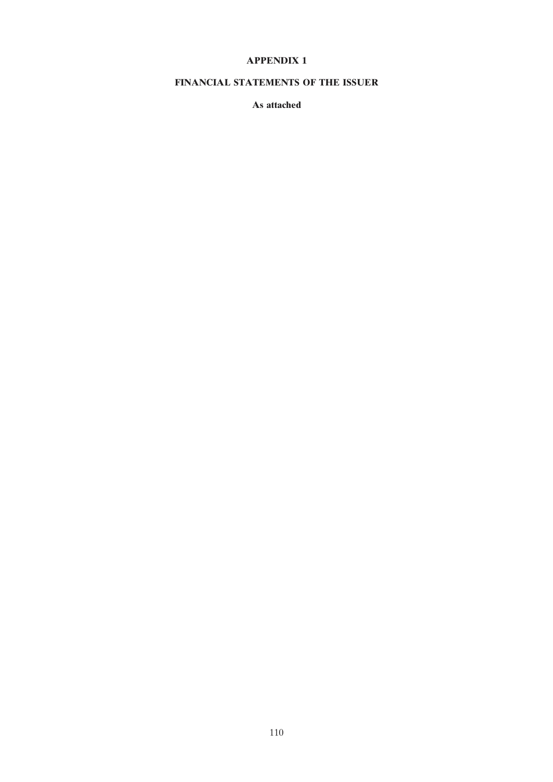### **APPENDIX 1**

### FINANCIAL STATEMENTS OF THE ISSUER

As attached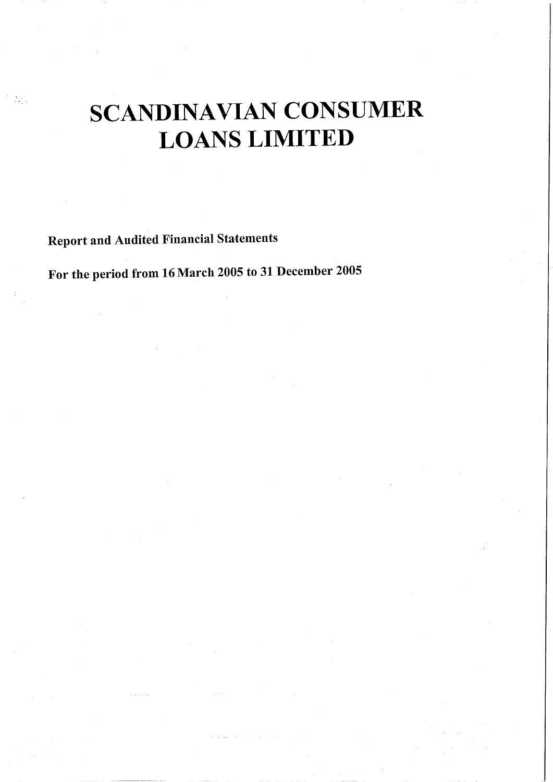# **SCANDINAVIAN CONSUMER LOANS LIMITED**

**Report and Audited Financial Statements** 

For the period from 16 March 2005 to 31 December 2005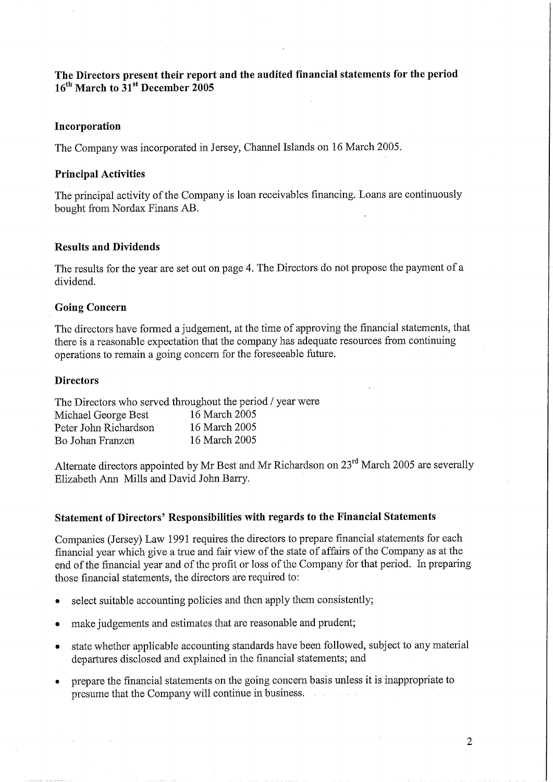The Directors present their report and the audited financial statements for the period  $16^{th}$  March to  $31^{st}$  December 2005

### Incorporation

The Company was incorporated in Jersey, Channel Islands on 16 March 2005.

### **Principal Activities**

The principal activity of the Company is loan receivables financing. Loans are continuously bought from Nordax Finans AB.

### **Results and Dividends**

The results for the year are set out on page 4. The Directors do not propose the payment of a dividend.

### **Going Concern**

The directors have formed a judgement, at the time of approving the financial statements, that there is a reasonable expectation that the company has adequate resources from continuing operations to remain a going concern for the foreseeable future.

### **Directors**

The Directors who served throughout the period / year were

| Michael George Best   | 16 March 2005 |
|-----------------------|---------------|
| Peter John Richardson | 16 March 2005 |
| Bo Johan Franzen      | 16 March 2005 |

Alternate directors appointed by Mr Best and Mr Richardson on 23<sup>rd</sup> March 2005 are severally Elizabeth Ann Mills and David John Barry.

### Statement of Directors' Responsibilities with regards to the Financial Statements

Companies (Jersey) Law 1991 requires the directors to prepare financial statements for each financial year which give a true and fair view of the state of affairs of the Company as at the end of the financial year and of the profit or loss of the Company for that period. In preparing those financial statements, the directors are required to:

- select suitable accounting policies and then apply them consistently;  $\bullet$
- make judgements and estimates that are reasonable and prudent;  $\bullet$
- state whether applicable accounting standards have been followed, subject to any material  $\bullet$ departures disclosed and explained in the financial statements; and
- prepare the financial statements on the going concern basis unless it is inappropriate to presume that the Company will continue in business.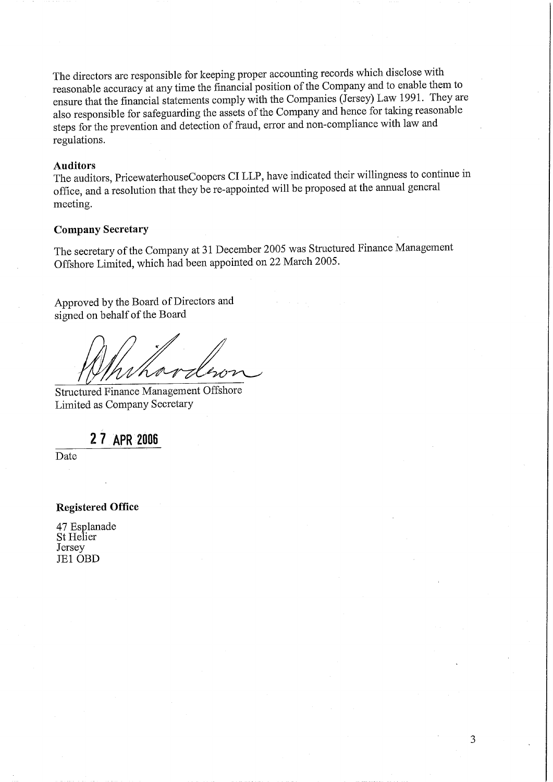The directors are responsible for keeping proper accounting records which disclose with reasonable accuracy at any time the financial position of the Company and to enable them to ensure that the financial statements comply with the Companies (Jersey) Law 1991. They are also responsible for safeguarding the assets of the Company and hence for taking reasonable steps for the prevention and detection of fraud, error and non-compliance with law and regulations.

### **Auditors**

The auditors, PricewaterhouseCoopers CI LLP, have indicated their willingness to continue in office, and a resolution that they be re-appointed will be proposed at the annual general meeting.

### **Company Secretary**

The secretary of the Company at 31 December 2005 was Structured Finance Management Offshore Limited, which had been appointed on 22 March 2005.

Approved by the Board of Directors and signed on behalf of the Board

Structured Finance Management Offshore Limited as Company Secretary

27 APR 2006

Date

### **Registered Office**

47 Esplanade St Helier Jersey JE1 OBD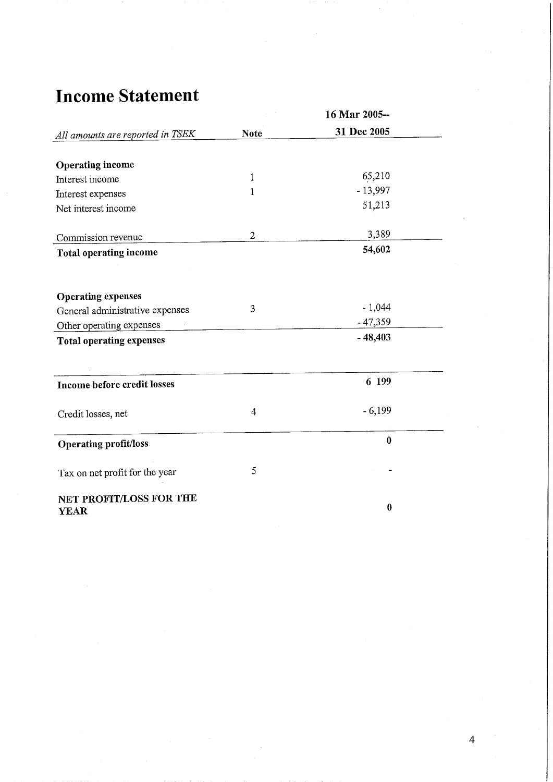## **Income Statement**

|                                        |              | 16 Mar 2005-- |  |
|----------------------------------------|--------------|---------------|--|
| All amounts are reported in TSEK       | <b>Note</b>  | 31 Dec 2005   |  |
|                                        |              |               |  |
| <b>Operating income</b>                |              |               |  |
| Interest income                        | 1            | 65,210        |  |
| Interest expenses                      | 1            | $-13,997$     |  |
| Net interest income                    |              | 51,213        |  |
| Commission revenue                     | $\mathbf{2}$ | 3,389         |  |
| <b>Total operating income</b>          |              | 54,602        |  |
|                                        |              |               |  |
| <b>Operating expenses</b>              |              |               |  |
| General administrative expenses        | 3            | $-1,044$      |  |
| Other operating expenses               |              | $-47,359$     |  |
| <b>Total operating expenses</b>        |              | $-48,403$     |  |
| Income before credit losses            |              | 6 199         |  |
| Credit losses, net                     | 4            | $-6,199$      |  |
| <b>Operating profit/loss</b>           |              | $\bf{0}$      |  |
| Tax on net profit for the year         | 5            |               |  |
| NET PROFIT/LOSS FOR THE<br><b>YEAR</b> |              | $\bf{0}$      |  |

 $\overline{4}$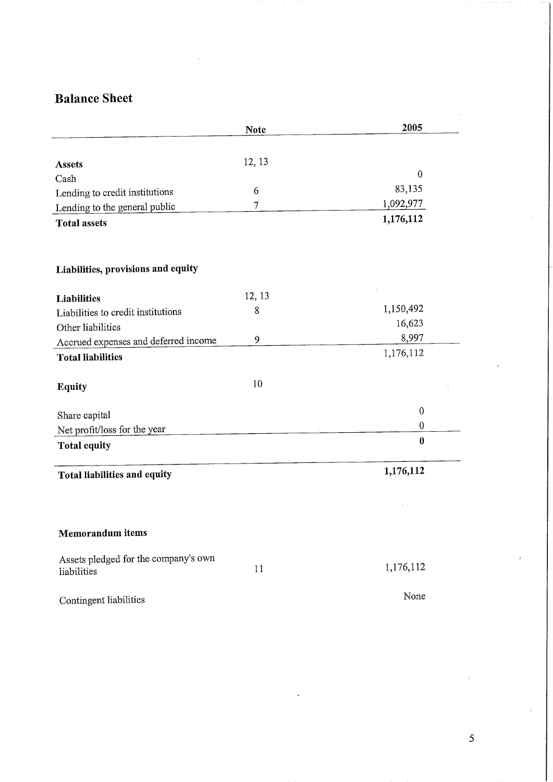## **Balance Sheet**

|                                                     | <b>Note</b>    | 2005             |
|-----------------------------------------------------|----------------|------------------|
|                                                     |                |                  |
| <b>Assets</b>                                       | 12, 13         |                  |
| Cash                                                |                | $\boldsymbol{0}$ |
| Lending to credit institutions                      | 6              | 83,135           |
| Lending to the general public                       | $\overline{7}$ | 1,092,977        |
| <b>Total assets</b>                                 |                | 1,176,112        |
| Liabilities, provisions and equity                  |                |                  |
|                                                     |                |                  |
| <b>Liabilities</b>                                  | 12, 13         |                  |
| Liabilities to credit institutions                  | 8              | 1,150,492        |
| Other liabilities                                   |                | 16,623           |
| Accrued expenses and deferred income                | 9              | 8,997            |
| <b>Total liabilities</b>                            |                | 1,176,112        |
| Equity                                              | 10             |                  |
| Share capital                                       |                | $\mathbf{0}$     |
| Net profit/loss for the year                        |                | $\pmb{0}$        |
| <b>Total equity</b>                                 |                | $\bf{0}$         |
| Total liabilities and equity                        |                | 1,176,112        |
|                                                     |                |                  |
| <b>Memorandum</b> items                             |                |                  |
|                                                     |                |                  |
| Assets pledged for the company's own<br>liabilities | 11             | 1,176,112        |
| Contingent liabilities                              |                | None             |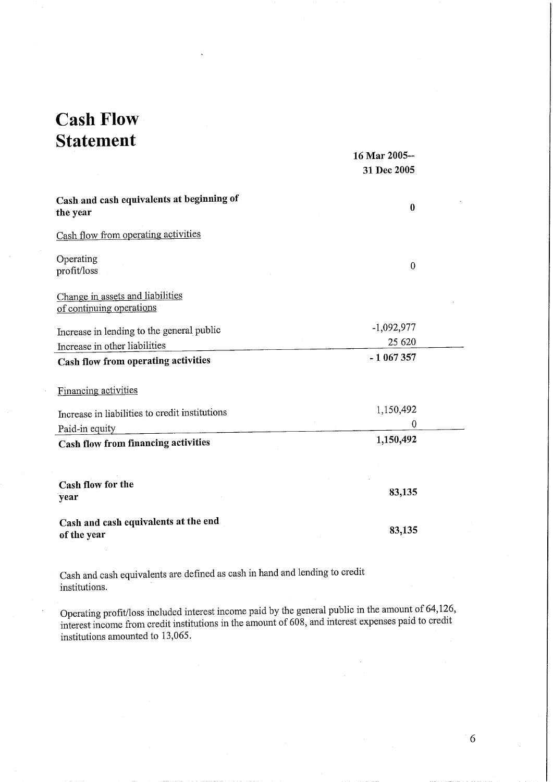## **Cash Flow Statement**

|                                                              | 16 Mar 2005-- |  |
|--------------------------------------------------------------|---------------|--|
|                                                              | 31 Dec 2005   |  |
| Cash and cash equivalents at beginning of<br>the year        | $\bf{0}$      |  |
| Cash flow from operating activities                          |               |  |
| Operating<br>profit/loss                                     | $\bf{0}$      |  |
| Change in assets and liabilities<br>of continuing operations |               |  |
| Increase in lending to the general public                    | $-1,092,977$  |  |
| Increase in other liabilities                                | 25 620        |  |
| Cash flow from operating activities                          | -1067357      |  |
| Financing activities                                         |               |  |
| Increase in liabilities to credit institutions               | 1,150,492     |  |
| Paid-in equity                                               | $\Omega$      |  |
| Cash flow from financing activities                          | 1,150,492     |  |
|                                                              |               |  |
| Cash flow for the<br>year                                    | 83,135        |  |
| Cash and cash equivalents at the end<br>of the year          | 83,135        |  |

Cash and cash equivalents are defined as cash in hand and lending to credit institutions.

Operating profit/loss included interest income paid by the general public in the amount of 64,126, interest income from credit institutions in the amount of 608, and interest expenses paid to credit institutions amounted to 13,065.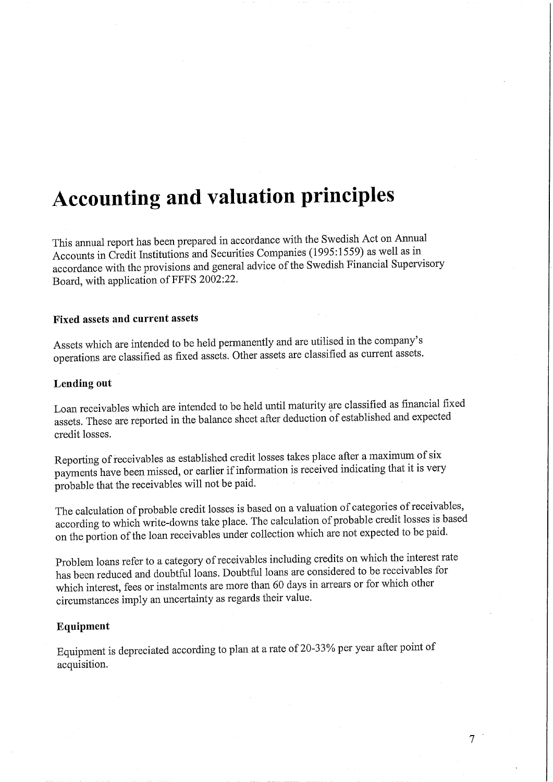# **Accounting and valuation principles**

This annual report has been prepared in accordance with the Swedish Act on Annual Accounts in Credit Institutions and Securities Companies (1995:1559) as well as in accordance with the provisions and general advice of the Swedish Financial Supervisory Board, with application of FFFS 2002:22.

### **Fixed assets and current assets**

Assets which are intended to be held permanently and are utilised in the company's operations are classified as fixed assets. Other assets are classified as current assets.

### Lending out

Loan receivables which are intended to be held until maturity are classified as financial fixed assets. These are reported in the balance sheet after deduction of established and expected credit losses.

Reporting of receivables as established credit losses takes place after a maximum of six payments have been missed, or earlier if information is received indicating that it is very probable that the receivables will not be paid.

The calculation of probable credit losses is based on a valuation of categories of receivables, according to which write-downs take place. The calculation of probable credit losses is based on the portion of the loan receivables under collection which are not expected to be paid.

Problem loans refer to a category of receivables including credits on which the interest rate has been reduced and doubtful loans. Doubtful loans are considered to be receivables for which interest, fees or instalments are more than 60 days in arrears or for which other circumstances imply an uncertainty as regards their value.

### Equipment

Equipment is depreciated according to plan at a rate of 20-33% per year after point of acquisition.

 $\overline{7}$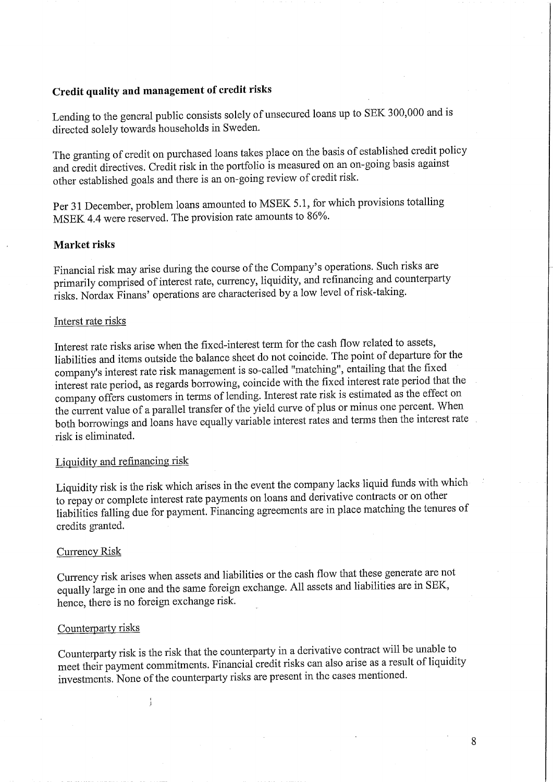### Credit quality and management of credit risks

Lending to the general public consists solely of unsecured loans up to SEK 300,000 and is directed solely towards households in Sweden.

The granting of credit on purchased loans takes place on the basis of established credit policy and credit directives. Credit risk in the portfolio is measured on an on-going basis against other established goals and there is an on-going review of credit risk.

Per 31 December, problem loans amounted to MSEK 5.1, for which provisions totalling MSEK 4.4 were reserved. The provision rate amounts to 86%.

### Market risks

Financial risk may arise during the course of the Company's operations. Such risks are primarily comprised of interest rate, currency, liquidity, and refinancing and counterparty risks. Nordax Finans' operations are characterised by a low level of risk-taking.

### Interst rate risks

Interest rate risks arise when the fixed-interest term for the cash flow related to assets, liabilities and items outside the balance sheet do not coincide. The point of departure for the company's interest rate risk management is so-called "matching", entailing that the fixed interest rate period, as regards borrowing, coincide with the fixed interest rate period that the company offers customers in terms of lending. Interest rate risk is estimated as the effect on the current value of a parallel transfer of the yield curve of plus or minus one percent. When both borrowings and loans have equally variable interest rates and terms then the interest rate risk is eliminated.

### Liquidity and refinancing risk

Liquidity risk is the risk which arises in the event the company lacks liquid funds with which to repay or complete interest rate payments on loans and derivative contracts or on other liabilities falling due for payment. Financing agreements are in place matching the tenures of credits granted.

### **Currency Risk**

Currency risk arises when assets and liabilities or the cash flow that these generate are not equally large in one and the same foreign exchange. All assets and liabilities are in SEK, hence, there is no foreign exchange risk.

### Counterparty risks

 $\frac{1}{3}$ 

Counterparty risk is the risk that the counterparty in a derivative contract will be unable to meet their payment commitments. Financial credit risks can also arise as a result of liquidity investments. None of the counterparty risks are present in the cases mentioned.

8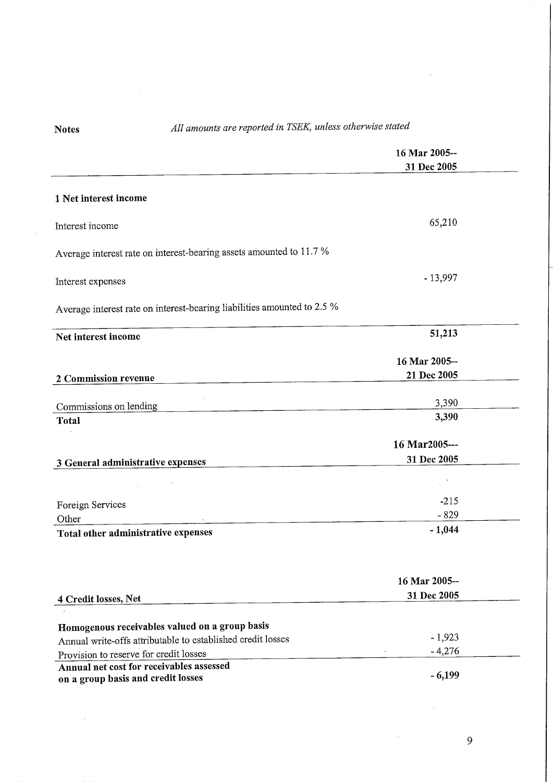## All amounts are reported in TSEK, unless otherwise stated

**Notes** 

|                                                                                | 16 Mar 2005--<br>31 Dec 2005 |  |
|--------------------------------------------------------------------------------|------------------------------|--|
| 1 Net interest income                                                          |                              |  |
| Interest income                                                                | 65,210                       |  |
| Average interest rate on interest-bearing assets amounted to 11.7 %            |                              |  |
| Interest expenses                                                              | $-13,997$                    |  |
| Average interest rate on interest-bearing liabilities amounted to 2.5 %        |                              |  |
| Net interest income                                                            | 51,213                       |  |
| 2 Commission revenue                                                           | 16 Mar 2005--<br>21 Dec 2005 |  |
| Commissions on lending                                                         | 3,390                        |  |
| <b>Total</b>                                                                   | 3,390                        |  |
| 3 General administrative expenses                                              | 16 Mar2005---<br>31 Dec 2005 |  |
|                                                                                |                              |  |
| Foreign Services<br>Other                                                      | $-215$<br>$-829$             |  |
| Total other administrative expenses                                            | $-1,044$                     |  |
|                                                                                |                              |  |
| 4 Credit losses, Net                                                           | 16 Mar 2005--<br>31 Dec 2005 |  |
| Homogenous receivables valued on a group basis                                 |                              |  |
| Annual write-offs attributable to established credit losses                    | $-1,923$                     |  |
| Provision to reserve for credit losses                                         | $-4,276$                     |  |
| Annual net cost for receivables assessed<br>on a group basis and credit losses | $-6,199$                     |  |

 $\overline{9}$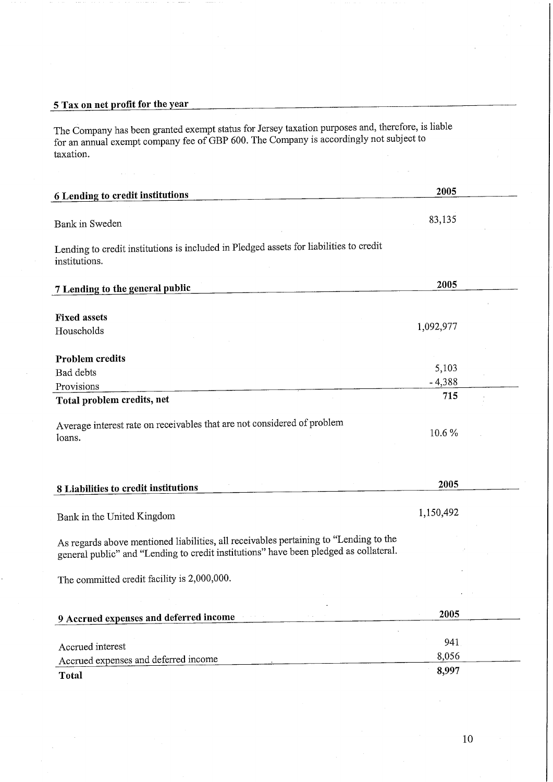### 5 Tax on net profit for the year

The Company has been granted exempt status for Jersey taxation purposes and, therefore, is liable<br>for an annual exempt company fee of GBP 600. The Company is accordingly not subject to taxation.

| 6 Lending to credit institutions                                                                                                                                                                                                                                                                                                                                                                          | 2005         |  |
|-----------------------------------------------------------------------------------------------------------------------------------------------------------------------------------------------------------------------------------------------------------------------------------------------------------------------------------------------------------------------------------------------------------|--------------|--|
|                                                                                                                                                                                                                                                                                                                                                                                                           |              |  |
| Bank in Sweden                                                                                                                                                                                                                                                                                                                                                                                            | 83,135       |  |
| Lending to credit institutions is included in Pledged assets for liabilities to credit<br>institutions.                                                                                                                                                                                                                                                                                                   |              |  |
| 7 Lending to the general public                                                                                                                                                                                                                                                                                                                                                                           | 2005         |  |
|                                                                                                                                                                                                                                                                                                                                                                                                           |              |  |
| <b>Fixed assets</b>                                                                                                                                                                                                                                                                                                                                                                                       |              |  |
| Households                                                                                                                                                                                                                                                                                                                                                                                                | 1,092,977    |  |
|                                                                                                                                                                                                                                                                                                                                                                                                           |              |  |
| <b>Problem</b> credits<br>Bad debts                                                                                                                                                                                                                                                                                                                                                                       | 5,103        |  |
| Provisions                                                                                                                                                                                                                                                                                                                                                                                                | $-4,388$     |  |
| Total problem credits, net                                                                                                                                                                                                                                                                                                                                                                                | 715          |  |
| Average interest rate on receivables that are not considered of problem<br>loans.                                                                                                                                                                                                                                                                                                                         | 10.6%        |  |
|                                                                                                                                                                                                                                                                                                                                                                                                           |              |  |
|                                                                                                                                                                                                                                                                                                                                                                                                           | 2005         |  |
|                                                                                                                                                                                                                                                                                                                                                                                                           | 1,150,492    |  |
|                                                                                                                                                                                                                                                                                                                                                                                                           |              |  |
|                                                                                                                                                                                                                                                                                                                                                                                                           |              |  |
|                                                                                                                                                                                                                                                                                                                                                                                                           |              |  |
|                                                                                                                                                                                                                                                                                                                                                                                                           | 2005         |  |
|                                                                                                                                                                                                                                                                                                                                                                                                           |              |  |
| 8 Liabilities to credit institutions<br>Bank in the United Kingdom<br>As regards above mentioned liabilities, all receivables pertaining to "Lending to the<br>general public" and "Lending to credit institutions" have been pledged as collateral.<br>The committed credit facility is 2,000,000.<br>9 Accrued expenses and deferred income<br>Accrued interest<br>Accrued expenses and deferred income | 941<br>8,056 |  |

 $10\,$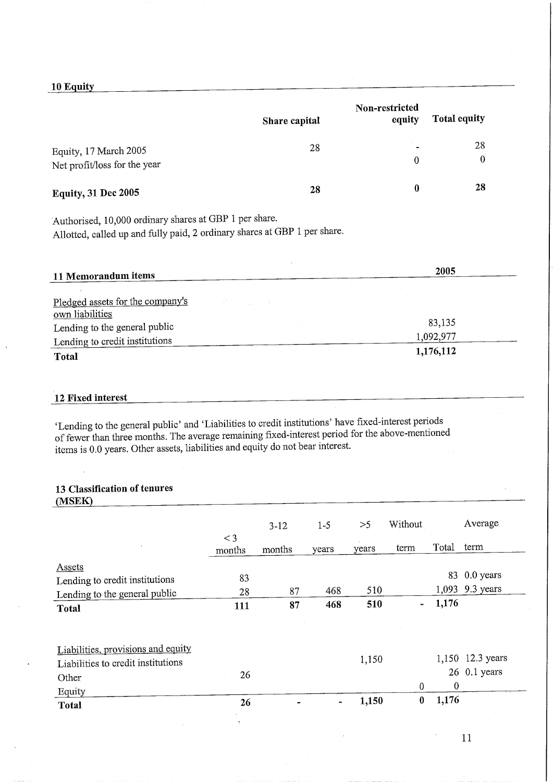### 10 Equity

|                                                                                                                                     | Share capital | Non-restricted<br>equity | <b>Total equity</b> |
|-------------------------------------------------------------------------------------------------------------------------------------|---------------|--------------------------|---------------------|
| Equity, 17 March 2005                                                                                                               | 28            |                          | 28                  |
| Net profit/loss for the year                                                                                                        |               | $\overline{0}$           | 0                   |
| <b>Equity, 31 Dec 2005</b>                                                                                                          | 28            | $\boldsymbol{0}$         | 28                  |
| Authorised, 10,000 ordinary shares at GBP 1 per share.<br>Allotted, called up and fully paid, 2 ordinary shares at GBP 1 per share. |               |                          |                     |
| 11 Memorandum items                                                                                                                 |               |                          | 2005                |
| Pledged assets for the company's<br>own liabilities                                                                                 |               |                          |                     |
| Lending to the general public                                                                                                       |               |                          | 83,135              |
| Lending to credit institutions                                                                                                      |               |                          | 1,092,977           |
| <b>Total</b>                                                                                                                        |               |                          | 1,176,112           |

### 12 Fixed interest

'Lending to the general public' and 'Liabilities to credit institutions' have fixed-interest periods of fewer than three months. The average remaining fixed-interest period for the above-mentioned items is 0.0 years. Other assets, liabilities and equity do not bear interest.

### 13 Classification of tenures

| (MSEK)                             |                 |          |         |       |                  |          |                  |
|------------------------------------|-----------------|----------|---------|-------|------------------|----------|------------------|
|                                    |                 | $3 - 12$ | $1 - 5$ | >5    | Without          |          | Average          |
|                                    | $<$ 3<br>months | months   | years   | years | term             | Total    | term             |
| <b>Assets</b>                      |                 |          |         |       |                  |          |                  |
| Lending to credit institutions     | 83              |          |         |       |                  |          | 83 0.0 years     |
| Lending to the general public      | 28              | 87       | 468     | 510   |                  |          | 1,093 9.3 years  |
| <b>Total</b>                       | 111             | 87       | 468     | 510   | ۰                | 1,176    |                  |
|                                    |                 |          |         |       |                  |          |                  |
| Liabilities, provisions and equity |                 |          |         |       |                  |          |                  |
| Liabilities to credit institutions |                 |          |         | 1,150 |                  |          | 1,150 12.3 years |
| Other                              | 26              |          |         |       |                  |          | $26$ 0.1 years   |
| Equity                             |                 |          |         |       | $\boldsymbol{0}$ | $\theta$ |                  |
| <b>Total</b>                       | 26              |          |         | 1,150 | $\bf{0}$         | 1,176    |                  |

 $11$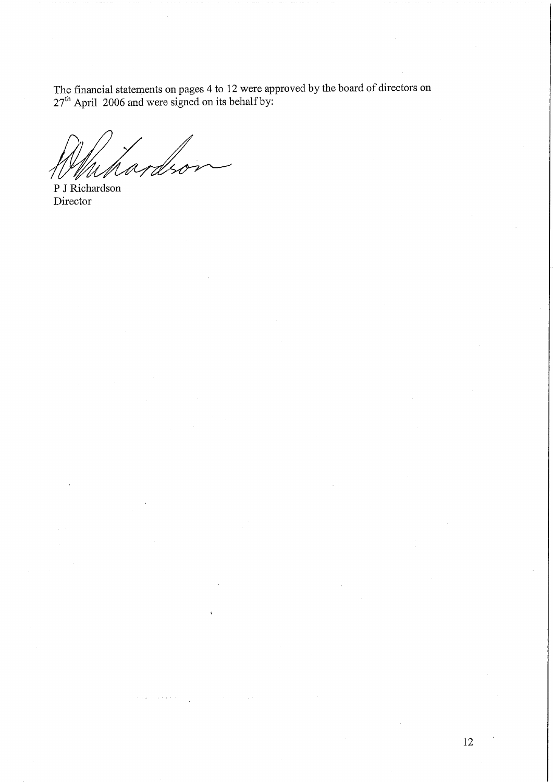The financial statements on pages 4 to 12 were approved by the board of directors on  $27<sup>th</sup>$  April 2006 and were signed on its behalf by:

P J Richardson Director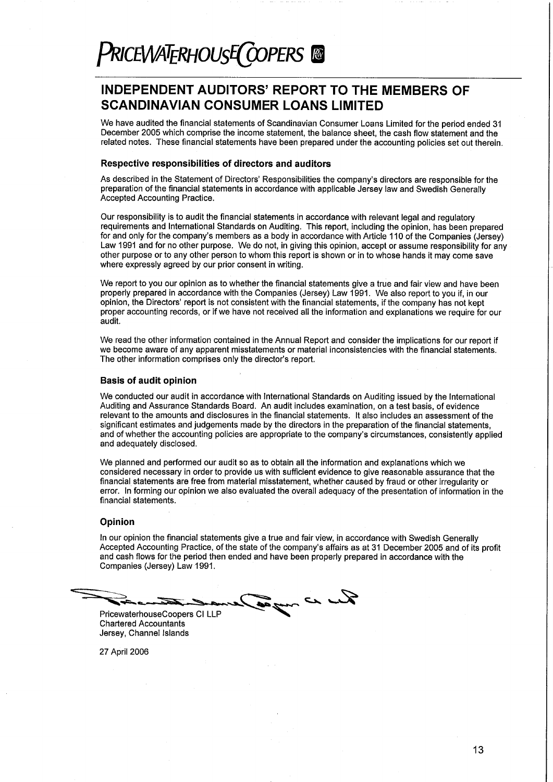### **INDEPENDENT AUDITORS' REPORT TO THE MEMBERS OF SCANDINAVIAN CONSUMER LOANS LIMITED**

We have audited the financial statements of Scandinavian Consumer Loans Limited for the period ended 31 December 2005 which comprise the income statement, the balance sheet, the cash flow statement and the related notes. These financial statements have been prepared under the accounting policies set out therein.

### Respective responsibilities of directors and auditors

As described in the Statement of Directors' Responsibilities the company's directors are responsible for the preparation of the financial statements in accordance with applicable Jersey law and Swedish Generally Accepted Accounting Practice.

Our responsibility is to audit the financial statements in accordance with relevant legal and regulatory requirements and International Standards on Auditing. This report, including the opinion, has been prepared for and only for the company's members as a body in accordance with Article 110 of the Companies (Jersey) Law 1991 and for no other purpose. We do not, in giving this opinion, accept or assume responsibility for any other purpose or to any other person to whom this report is shown or in to whose hands it may come save where expressly agreed by our prior consent in writing.

We report to you our opinion as to whether the financial statements give a true and fair view and have been properly prepared in accordance with the Companies (Jersey) Law 1991. We also report to you if, in our opinion, the Directors' report is not consistent with the financial statements, if the company has not kept proper accounting records, or if we have not received all the information and explanations we require for our audit.

We read the other information contained in the Annual Report and consider the implications for our report if we become aware of any apparent misstatements or material inconsistencies with the financial statements. The other information comprises only the director's report.

#### **Basis of audit opinion**

We conducted our audit in accordance with International Standards on Auditing issued by the International Auditing and Assurance Standards Board. An audit includes examination, on a test basis, of evidence relevant to the amounts and disclosures in the financial statements. It also includes an assessment of the significant estimates and judgements made by the directors in the preparation of the financial statements. and of whether the accounting policies are appropriate to the company's circumstances, consistently applied and adequately disclosed.

We planned and performed our audit so as to obtain all the information and explanations which we considered necessary in order to provide us with sufficient evidence to give reasonable assurance that the financial statements are free from material misstatement, whether caused by fraud or other irregularity or error. In forming our opinion we also evaluated the overall adequacy of the presentation of information in the financial statements.

#### Opinion

In our opinion the financial statements give a true and fair view, in accordance with Swedish Generally Accepted Accounting Practice, of the state of the company's affairs as at 31 December 2005 and of its profit and cash flows for the period then ended and have been properly prepared in accordance with the Companies (Jersey) Law 1991.

Sur ce und PricewaterhouseCoopers CI LLP

**Chartered Accountants** Jersey, Channel Islands

27 April 2006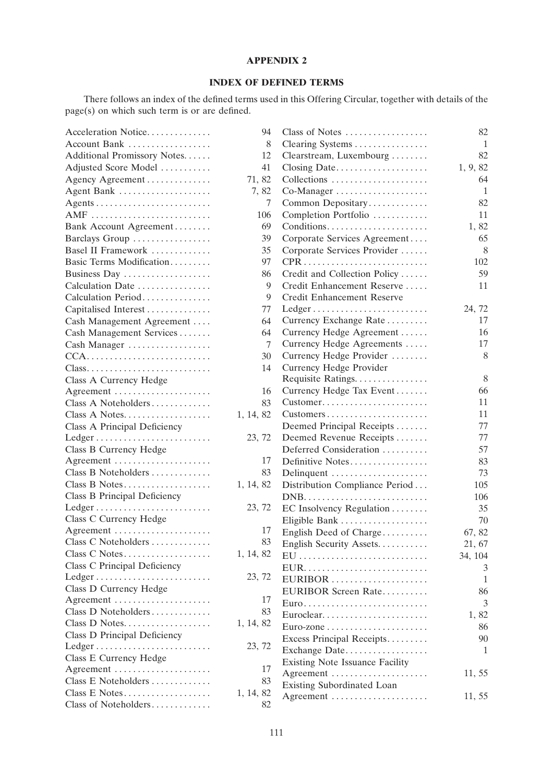### **APPENDIX 2**

### **INDEX OF DEFINED TERMS**

There follows an index of the defined terms used in this Offering Circular, together with details of the page(s) on which such term is or are defined.

| Acceleration Notice                                      | 94        | Class of Notes                                           | 82       |
|----------------------------------------------------------|-----------|----------------------------------------------------------|----------|
| Account Bank                                             | 8         | Clearing Systems                                         | 1        |
| Additional Promissory Notes                              | 12        | Clearstream, Luxembourg                                  | 82       |
| Adjusted Score Model                                     | 41        | Closing Date                                             | 1, 9, 82 |
| Agency Agreement                                         | 71, 82    | Collections                                              | 64       |
| Agent Bank                                               | 7,82      | Co-Manager                                               | 1        |
|                                                          | 7         | Common Depositary                                        | 82       |
| AMF                                                      | 106       | Completion Portfolio                                     | 11       |
| Bank Account Agreement                                   | 69        | Conditions                                               | 1,82     |
| Barclays Group                                           | 39        | Corporate Services Agreement                             | 65       |
| Basel II Framework                                       | 35        | Corporate Services Provider                              | 8        |
| Basic Terms Modification                                 | 97        |                                                          | 102      |
| Business Day                                             | 86        | Credit and Collection Policy                             | 59       |
| Calculation Date                                         | 9         | Credit Enhancement Reserve                               | 11       |
| Calculation Period                                       | 9         | Credit Enhancement Reserve                               |          |
| Capitalised Interest                                     | 77        | $Ledge \ldots \ldots \ldots \ldots \ldots \ldots \ldots$ | 24, 72   |
| Cash Management Agreement                                | 64        | Currency Exchange Rate                                   | 17       |
| Cash Management Services                                 | 64        | Currency Hedge Agreement                                 | 16       |
| Cash Manager                                             | 7         | Currency Hedge Agreements                                | 17       |
| $CCA$                                                    | 30        | Currency Hedge Provider                                  | 8        |
| Class                                                    | 14        | Currency Hedge Provider                                  |          |
| Class A Currency Hedge                                   |           | Requisite Ratings                                        | 8        |
| Agreement                                                | 16        | Currency Hedge Tax Event                                 | 66       |
| Class A Noteholders                                      | 83        | Customer                                                 | 11       |
| Class A Notes                                            | 1, 14, 82 | Customers                                                | 11       |
| Class A Principal Deficiency                             |           | Deemed Principal Receipts                                | 77       |
| $Ledge \ldots \ldots \ldots \ldots \ldots \ldots \ldots$ | 23, 72    | Deemed Revenue Receipts                                  | 77       |
| Class B Currency Hedge                                   |           | Deferred Consideration                                   | 57       |
| Agreement                                                | 17        | Definitive Notes                                         | 83       |
| Class B Noteholders                                      | 83        | Delinquent                                               | 73       |
| Class B Notes                                            | 1, 14, 82 | Distribution Compliance Period                           | 105      |
| Class B Principal Deficiency                             |           |                                                          | 106      |
| Ledger                                                   | 23, 72    | EC Insolvency Regulation                                 | 35       |
| Class C Currency Hedge                                   |           | Eligible Bank                                            | 70       |
| Agreement                                                | 17        | English Deed of Charge                                   | 67, 82   |
| Class C Noteholders                                      |           | 83 English Security Assets                               | 21, 67   |
|                                                          | 1, 14, 82 | EU                                                       | 34, 104  |
| Class C Principal Deficiency                             |           |                                                          | 3        |
| $Ledge \ldots \ldots \ldots \ldots \ldots \ldots \ldots$ | 23, 72    |                                                          | 1        |
| Class D Currency Hedge                                   |           | EURIBOR Screen Rate                                      | 86       |
| Agreement                                                | 17        | Euro                                                     | 3        |
| Class D Noteholders                                      | 83        | Euroclear                                                | 1,82     |
| Class D Notes                                            | 1, 14, 82 |                                                          | 86       |
| Class D Principal Deficiency                             |           | Excess Principal Receipts                                | 90       |
| $Ledge \ldots \ldots \ldots \ldots \ldots \ldots \ldots$ | 23, 72    | Exchange Date                                            | 1        |
| Class E Currency Hedge                                   |           | Existing Note Issuance Facility                          |          |
| Agreement                                                | 17        | Agreement                                                | 11, 55   |
| Class E Noteholders                                      | 83        | Existing Subordinated Loan                               |          |
| Class E Notes                                            | 1, 14, 82 | Agreement                                                | 11, 55   |
| Class of Noteholders                                     | 82        |                                                          |          |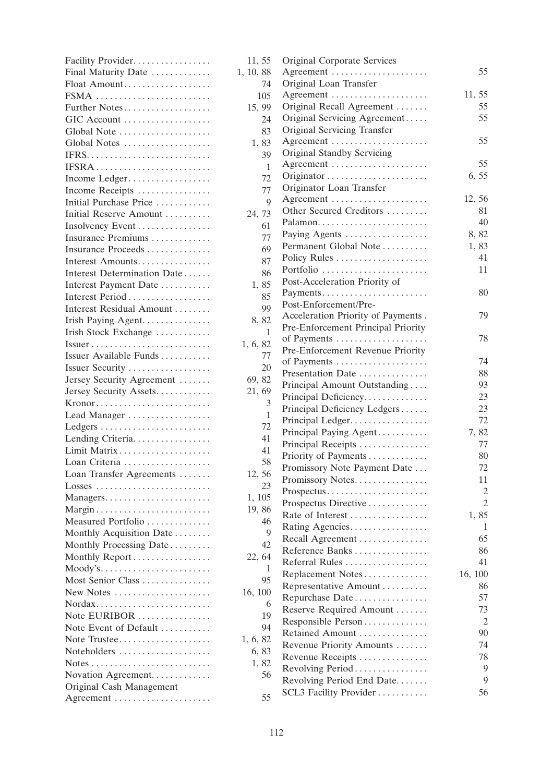| Facility Provider                                                | 11, 55    |
|------------------------------------------------------------------|-----------|
| Final Maturity Date                                              | 1, 10, 88 |
| Float Amount                                                     | 74        |
| FSMA                                                             | 105       |
| Further Notes                                                    | 15, 99    |
| GIC Account                                                      | 24        |
| Global Note                                                      | 83        |
| Global Notes                                                     | 1,83      |
|                                                                  | 39        |
| IFSRA                                                            | 1         |
| Income Ledger                                                    | 72        |
| Income Receipts                                                  | 77        |
| Initial Purchase Price                                           | 9         |
| Initial Reserve Amount                                           | 24, 73    |
| Insolvency Event                                                 | 61        |
| Insurance Premiums                                               | 77        |
| Insurance Proceeds                                               | 69        |
| Interest Amounts                                                 | 87        |
| Interest Determination Date                                      | 86        |
| Interest Payment Date                                            | 1,85      |
| Interest Period                                                  | 85        |
| Interest Residual Amount                                         | 99        |
| Irish Paying Agent.                                              | 8,82      |
| Irish Stock Exchange                                             | 1         |
| $Issuer \ldots \ldots \ldots \ldots \ldots \ldots \ldots \ldots$ | 1, 6, 82  |
| Issuer Available Funds                                           | 77        |
| Issuer Security                                                  | 20        |
| Jersey Security Agreement                                        | 69, 82    |
| Jersey Security Assets                                           | 21, 69    |
| Kronor                                                           | 3         |
| Lead Manager                                                     | 1         |
|                                                                  | 72        |
| Lending Criteria.                                                | 41        |
| Limit Matrix                                                     | 41        |
| Loan Criteria                                                    | 58        |
| Loan Transfer Agreements                                         | 12, 56    |
|                                                                  | 23        |
| Managers                                                         | 1, 105    |
| Margin                                                           | 19,86     |
| Measured Portfolio                                               | 46        |
| Monthly Acquisition Date                                         | 9         |
| Monthly Processing Date                                          | 42        |
| Monthly Report                                                   | 22, 64    |
| Moody's                                                          | 1         |
| Most Senior Class                                                | 95        |
| New Notes                                                        | 16, 100   |
| Nordax                                                           | 6         |
|                                                                  | 19        |
| Note EURIBOR                                                     |           |
| Note Event of Default                                            | 94        |
| Note Trustee                                                     | 1, 6, 82  |
| Noteholders                                                      | 6,83      |
|                                                                  | 1,82      |
| Novation Agreement.                                              | 56        |
| Original Cash Management                                         |           |
| Agreement                                                        | 55        |

| , 55           | Original Corporate Services        |                |
|----------------|------------------------------------|----------------|
| , 88           | Agreement                          | 55             |
| 74             | Original Loan Transfer             |                |
| 105            | Agreement                          | 11, 55         |
| , 99           | Original Recall Agreement          | 55             |
| 24             | Original Servicing Agreement       | 55             |
| 83             | Original Servicing Transfer        |                |
| , 83           | Agreement                          | 55             |
| 39             | <b>Original Standby Servicing</b>  |                |
| 1              | Agreement                          | 55             |
| 72             |                                    | 6,55           |
| 77             | Originator Loan Transfer           |                |
| 9              | Agreement                          | 12, 56         |
| , 73           | Other Secured Creditors            | 81.            |
| 61             | Palamon                            | 40             |
| 77             | Paying Agents                      | 8,82           |
| 69             | Permanent Global Note              | 1,83           |
|                | Policy Rules                       | 41             |
| 87             | Portfolio                          | 11             |
| 86             | Post-Acceleration Priority of      |                |
| , 85           | Payments                           | 80             |
| 85             | Post-Enforcement/Pre-              |                |
| 99             | Acceleration Priority of Payments. | 79             |
| , 82           | Pre-Enforcement Principal Priority |                |
| 1              | of Payments                        | 78             |
| , 82           | Pre-Enforcement Revenue Priority   |                |
| 77             | of Payments                        | 74             |
| 20             | Presentation Date                  | 88             |
| , 82           | Principal Amount Outstanding       | 93             |
| , 69           | Principal Deficiency               | 23             |
| $\mathfrak{Z}$ | Principal Deficiency Ledgers       | 23             |
| $\mathbf{1}$   | Principal Ledger                   | 72             |
| 72             |                                    | 7,82           |
| 41             | Principal Paying Agent             | 77             |
| 41             | Principal Receipts                 |                |
| 58             | Priority of Payments               | 80             |
| , 56           | Promissory Note Payment Date       | 72             |
| 23             | Promissory Notes                   | 11             |
| 105            | Prospectus                         | 2              |
| , 86           | Prospectus Directive               | $\overline{2}$ |
| 46             | Rate of Interest                   | 1,85           |
| 9              | Rating Agencies.                   | 1              |
| 42             | Recall Agreement                   | 65             |
| , 64           | Reference Banks                    | 86             |
| 1              | Referral Rules                     | 41             |
| 95             | Replacement Notes                  | 16, 100        |
| 100            | Representative Amount              | 86             |
| 6              | Repurchase Date                    | 57             |
|                | Reserve Required Amount            | 73             |
| 19             | Responsible Person                 | 2              |
| 94             | Retained Amount                    | 90             |
| , 82           | Revenue Priority Amounts           | 74             |
| , 83           | Revenue Receipts                   | 78             |
| , 82           | Revolving Period                   | 9              |
| 56             | Revolving Period End Date          | 9              |
|                | SCL3 Facility Provider             | 56             |
| 55             |                                    |                |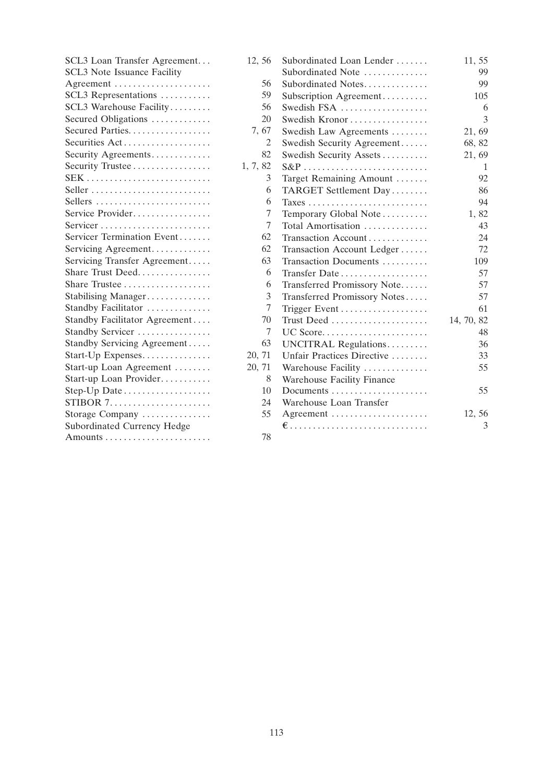| SCL3 Loan Transfer Agreement       | 12, 56   | Subordinated Loan Lender     | 11, 55     |
|------------------------------------|----------|------------------------------|------------|
| <b>SCL3</b> Note Issuance Facility |          | Subordinated Note            | 99         |
| Agreement                          | 56       | Subordinated Notes           | 99         |
| SCL3 Representations               | 59       | Subscription Agreement       | 105        |
| SCL3 Warehouse Facility            | 56       | Swedish FSA                  | 6          |
| Secured Obligations                | 20       | Swedish Kronor               | 3          |
| Secured Parties                    | 7, 67    | Swedish Law Agreements       | 21, 69     |
| Securities Act                     | 2        | Swedish Security Agreement   | 68, 82     |
| Security Agreements                | 82       | Swedish Security Assets      | 21, 69     |
| Security Trustee                   | 1, 7, 82 | $S\&P$                       | 1          |
|                                    | 3        | Target Remaining Amount      | 92         |
| Seller                             | 6        | TARGET Settlement Day        | 86         |
| Sellers                            | 6        |                              | 94         |
| Service Provider                   | 7        | Temporary Global Note        | 1,82       |
| Servicer                           | 7        | Total Amortisation           | 43         |
| Servicer Termination Event         | 62       | Transaction Account          | 24         |
| Servicing Agreement                | 62       | Transaction Account Ledger   | 72         |
| Servicing Transfer Agreement       | 63       | Transaction Documents        | 109        |
| Share Trust Deed                   | 6        | Transfer Date                | 57         |
|                                    | 6        | Transferred Promissory Note  | 57         |
| Stabilising Manager                | 3        | Transferred Promissory Notes | 57         |
| Standby Facilitator                | 7        |                              | 61         |
| Standby Facilitator Agreement      | 70       | Trust Deed                   | 14, 70, 82 |
| Standby Servicer                   | 7        | UC Score                     | 48         |
| Standby Servicing Agreement        | 63       | UNCITRAL Regulations         | 36         |
| Start-Up Expenses                  | 20, 71   | Unfair Practices Directive   | 33         |
| Start-up Loan Agreement            | 20, 71   | Warehouse Facility           | 55         |
| Start-up Loan Provider             | 8        | Warehouse Facility Finance   |            |
| Step-Up Date                       | 10       | Documents                    | 55         |
|                                    | 24       | Warehouse Loan Transfer      |            |
| Storage Company                    | 55       | Agreement                    | 12, 56     |
| Subordinated Currency Hedge        |          |                              | 3          |
|                                    | 78       |                              |            |